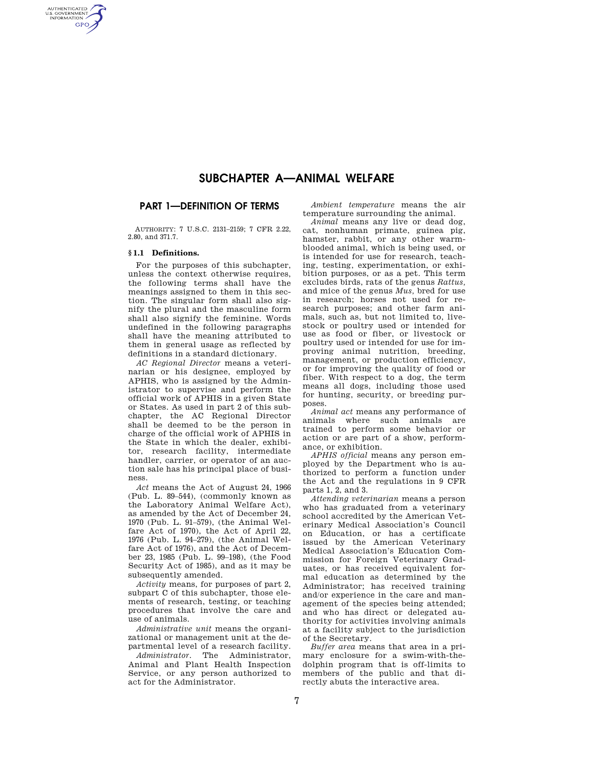## **SUBCHAPTER A—ANIMAL WELFARE**

## **PART 1—DEFINITION OF TERMS**

AUTHORITY: 7 U.S.C. 2131–2159; 7 CFR 2.22, 2.80, and 371.7.

#### **§ 1.1 Definitions.**

AUTHENTICATED<br>U.S. GOVERNMENT<br>INFORMATION **GPO** 

> For the purposes of this subchapter, unless the context otherwise requires, the following terms shall have the meanings assigned to them in this section. The singular form shall also signify the plural and the masculine form shall also signify the feminine. Words undefined in the following paragraphs shall have the meaning attributed to them in general usage as reflected by definitions in a standard dictionary.

> *AC Regional Director* means a veterinarian or his designee, employed by APHIS, who is assigned by the Administrator to supervise and perform the official work of APHIS in a given State or States. As used in part 2 of this subchapter, the AC Regional Director shall be deemed to be the person in charge of the official work of APHIS in the State in which the dealer, exhibitor, research facility, intermediate handler, carrier, or operator of an auction sale has his principal place of business.

> *Act* means the Act of August 24, 1966 (Pub. L. 89–544), (commonly known as the Laboratory Animal Welfare Act), as amended by the Act of December 24, 1970 (Pub. L. 91–579), (the Animal Welfare Act of 1970), the Act of April 22, 1976 (Pub. L. 94–279), (the Animal Welfare Act of 1976), and the Act of December 23, 1985 (Pub. L. 99–198), (the Food Security Act of 1985), and as it may be subsequently amended.

> *Activity* means, for purposes of part 2, subpart C of this subchapter, those elements of research, testing, or teaching procedures that involve the care and use of animals.

> *Administrative unit* means the organizational or management unit at the departmental level of a research facility.

> *Administrator.* The Administrator, Animal and Plant Health Inspection Service, or any person authorized to act for the Administrator.

*Ambient temperature* means the air temperature surrounding the animal.

*Animal* means any live or dead dog, cat, nonhuman primate, guinea pig, hamster, rabbit, or any other warmblooded animal, which is being used, or is intended for use for research, teaching, testing, experimentation, or exhibition purposes, or as a pet. This term excludes birds, rats of the genus *Rattus,*  and mice of the genus *Mus,* bred for use in research; horses not used for research purposes; and other farm animals, such as, but not limited to, livestock or poultry used or intended for use as food or fiber, or livestock or poultry used or intended for use for improving animal nutrition, breeding, management, or production efficiency, or for improving the quality of food or fiber. With respect to a dog, the term means all dogs, including those used for hunting, security, or breeding purposes.

*Animal act* means any performance of animals where such animals are trained to perform some behavior or action or are part of a show, performance, or exhibition.

*APHIS official* means any person employed by the Department who is authorized to perform a function under the Act and the regulations in 9 CFR parts 1, 2, and 3.

*Attending veterinarian* means a person who has graduated from a veterinary school accredited by the American Veterinary Medical Association's Council on Education, or has a certificate issued by the American Veterinary Medical Association's Education Commission for Foreign Veterinary Graduates, or has received equivalent formal education as determined by the Administrator; has received training and/or experience in the care and management of the species being attended; and who has direct or delegated authority for activities involving animals at a facility subject to the jurisdiction of the Secretary.

*Buffer area* means that area in a primary enclosure for a swim-with-thedolphin program that is off-limits to members of the public and that directly abuts the interactive area.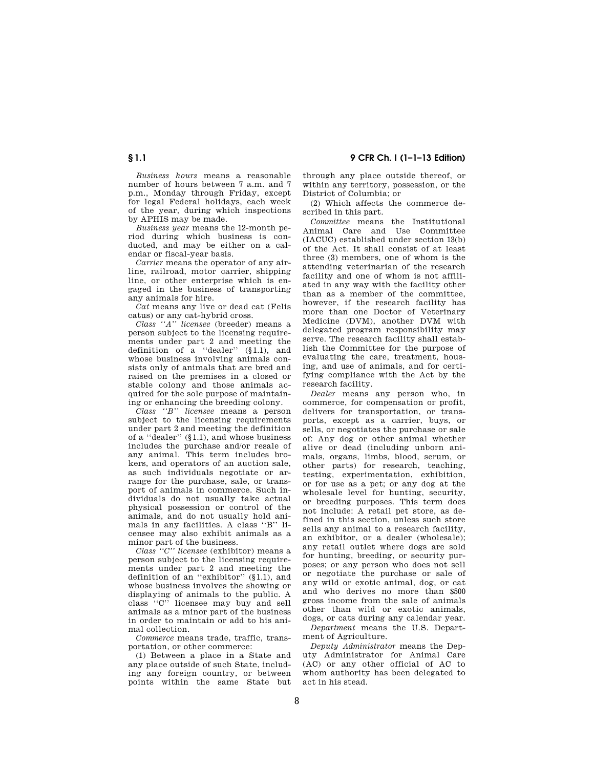*Deputy Administrator* means the Deputy Administrator for Animal Care (AC) or any other official of AC to whom authority has been delegated to act in his stead.

**§ 1.1 9 CFR Ch. I (1–1–13 Edition)** 

District of Columbia; or

scribed in this part.

research facility.

through any place outside thereof, or within any territory, possession, or the

(2) Which affects the commerce de-

*Committee* means the Institutional Animal Care and Use Committee (IACUC) established under section 13(b) of the Act. It shall consist of at least three (3) members, one of whom is the attending veterinarian of the research facility and one of whom is not affiliated in any way with the facility other than as a member of the committee, however, if the research facility has more than one Doctor of Veterinary Medicine (DVM), another DVM with delegated program responsibility may serve. The research facility shall establish the Committee for the purpose of evaluating the care, treatment, housing, and use of animals, and for certifying compliance with the Act by the

*Dealer* means any person who, in commerce, for compensation or profit, delivers for transportation, or transports, except as a carrier, buys, or sells, or negotiates the purchase or sale of: Any dog or other animal whether alive or dead (including unborn animals, organs, limbs, blood, serum, or other parts) for research, teaching, testing, experimentation, exhibition, or for use as a pet; or any dog at the wholesale level for hunting, security, or breeding purposes. This term does not include: A retail pet store, as defined in this section, unless such store sells any animal to a research facility, an exhibitor, or a dealer (wholesale); any retail outlet where dogs are sold for hunting, breeding, or security purposes; or any person who does not sell or negotiate the purchase or sale of any wild or exotic animal, dog, or cat and who derives no more than \$500 gross income from the sale of animals other than wild or exotic animals, dogs, or cats during any calendar year.

*Business hours* means a reasonable number of hours between 7 a.m. and 7 p.m., Monday through Friday, except for legal Federal holidays, each week of the year, during which inspections by APHIS may be made.

*Business year* means the 12-month period during which business is conducted, and may be either on a calendar or fiscal-year basis.

*Carrier* means the operator of any airline, railroad, motor carrier, shipping line, or other enterprise which is engaged in the business of transporting any animals for hire.

*Cat* means any live or dead cat (Felis catus) or any cat-hybrid cross.

*Class ''A'' licensee* (breeder) means a person subject to the licensing requirements under part 2 and meeting the definition of a ''dealer'' (§1.1), and whose business involving animals consists only of animals that are bred and raised on the premises in a closed or stable colony and those animals acquired for the sole purpose of maintaining or enhancing the breeding colony.

*Class ''B'' licensee* means a person subject to the licensing requirements under part 2 and meeting the definition of a ''dealer'' (§1.1), and whose business includes the purchase and/or resale of any animal. This term includes brokers, and operators of an auction sale, as such individuals negotiate or arrange for the purchase, sale, or transport of animals in commerce. Such individuals do not usually take actual physical possession or control of the animals, and do not usually hold animals in any facilities. A class ''B'' licensee may also exhibit animals as a minor part of the business.

*Class ''C'' licensee* (exhibitor) means a person subject to the licensing requirements under part 2 and meeting the definition of an ''exhibitor'' (§1.1), and whose business involves the showing or displaying of animals to the public. A class ''C'' licensee may buy and sell animals as a minor part of the business in order to maintain or add to his animal collection.

*Commerce* means trade, traffic, transportation, or other commerce:

(1) Between a place in a State and any place outside of such State, including any foreign country, or between points within the same State but

8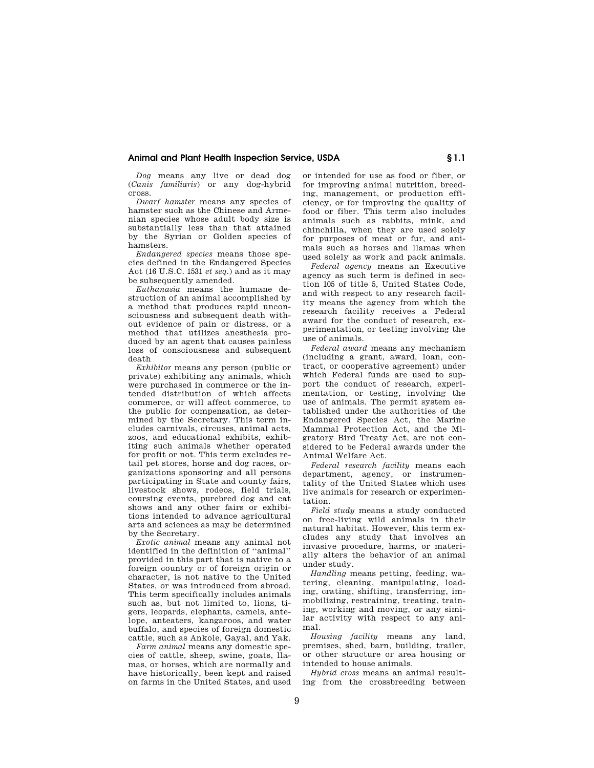*Dog* means any live or dead dog (*Canis familiaris*) or any dog-hybrid cross.

*Dwarf hamster* means any species of hamster such as the Chinese and Armenian species whose adult body size is substantially less than that attained by the Syrian or Golden species of hamsters.

*Endangered species* means those species defined in the Endangered Species Act (16 U.S.C. 1531 *et seq.*) and as it may be subsequently amended.

*Euthanasia* means the humane destruction of an animal accomplished by a method that produces rapid unconsciousness and subsequent death without evidence of pain or distress, or a method that utilizes anesthesia produced by an agent that causes painless loss of consciousness and subsequent death

*Exhibitor* means any person (public or private) exhibiting any animals, which were purchased in commerce or the intended distribution of which affects commerce, or will affect commerce, to the public for compensation, as determined by the Secretary. This term includes carnivals, circuses, animal acts, zoos, and educational exhibits, exhibiting such animals whether operated for profit or not. This term excludes retail pet stores, horse and dog races, organizations sponsoring and all persons participating in State and county fairs, livestock shows, rodeos, field trials, coursing events, purebred dog and cat shows and any other fairs or exhibitions intended to advance agricultural arts and sciences as may be determined by the Secretary.

*Exotic animal* means any animal not identified in the definition of ''animal'' provided in this part that is native to a foreign country or of foreign origin or character, is not native to the United States, or was introduced from abroad. This term specifically includes animals such as, but not limited to, lions, tigers, leopards, elephants, camels, antelope, anteaters, kangaroos, and water buffalo, and species of foreign domestic cattle, such as Ankole, Gayal, and Yak.

*Farm animal* means any domestic species of cattle, sheep, swine, goats, llamas, or horses, which are normally and have historically, been kept and raised on farms in the United States, and used or intended for use as food or fiber, or for improving animal nutrition, breeding, management, or production efficiency, or for improving the quality of food or fiber. This term also includes animals such as rabbits, mink, and chinchilla, when they are used solely for purposes of meat or fur, and animals such as horses and llamas when used solely as work and pack animals.

*Federal agency* means an Executive agency as such term is defined in section 105 of title 5, United States Code, and with respect to any research facility means the agency from which the research facility receives a Federal award for the conduct of research, experimentation, or testing involving the use of animals.

*Federal award* means any mechanism (including a grant, award, loan, contract, or cooperative agreement) under which Federal funds are used to support the conduct of research, experimentation, or testing, involving the use of animals. The permit system established under the authorities of the Endangered Species Act, the Marine Mammal Protection Act, and the Migratory Bird Treaty Act, are not considered to be Federal awards under the Animal Welfare Act.

*Federal research facility* means each department, agency, or instrumentality of the United States which uses live animals for research or experimentation.

*Field study* means a study conducted on free-living wild animals in their natural habitat. However, this term excludes any study that involves an invasive procedure, harms, or materially alters the behavior of an animal under study.

*Handling* means petting, feeding, watering, cleaning, manipulating, loading, crating, shifting, transferring, immobilizing, restraining, treating, training, working and moving, or any similar activity with respect to any animal.

*Housing facility* means any land, premises, shed, barn, building, trailer, or other structure or area housing or intended to house animals.

*Hybrid cross* means an animal resulting from the crossbreeding between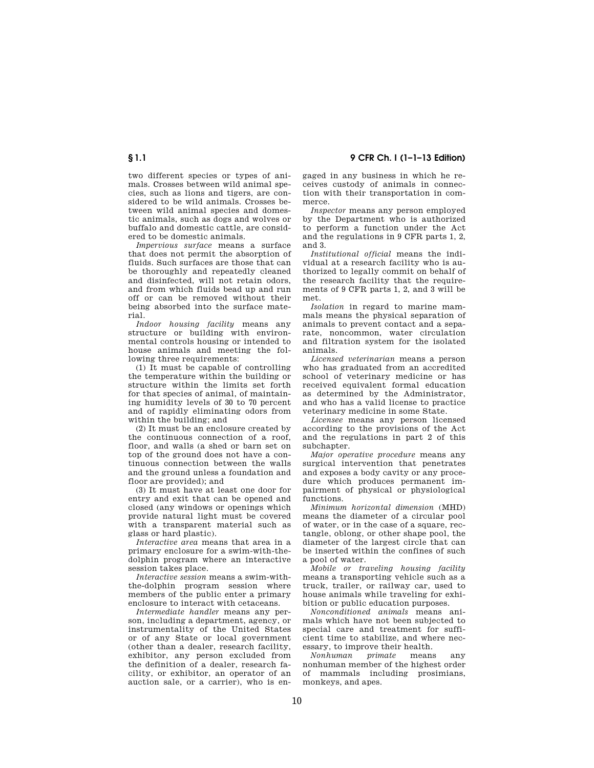## **§ 1.1 9 CFR Ch. I (1–1–13 Edition)**

two different species or types of animals. Crosses between wild animal species, such as lions and tigers, are considered to be wild animals. Crosses between wild animal species and domestic animals, such as dogs and wolves or buffalo and domestic cattle, are considered to be domestic animals.

*Impervious surface* means a surface that does not permit the absorption of fluids. Such surfaces are those that can be thoroughly and repeatedly cleaned and disinfected, will not retain odors and from which fluids bead up and run off or can be removed without their being absorbed into the surface material.

*Indoor housing facility* means any structure or building with environmental controls housing or intended to house animals and meeting the following three requirements:

(1) It must be capable of controlling the temperature within the building or structure within the limits set forth for that species of animal, of maintaining humidity levels of 30 to 70 percent and of rapidly eliminating odors from within the building; and

(2) It must be an enclosure created by the continuous connection of a roof, floor, and walls (a shed or barn set on top of the ground does not have a continuous connection between the walls and the ground unless a foundation and floor are provided); and

(3) It must have at least one door for entry and exit that can be opened and closed (any windows or openings which provide natural light must be covered with a transparent material such as glass or hard plastic).

*Interactive area* means that area in a primary enclosure for a swim-with-thedolphin program where an interactive session takes place.

*Interactive session* means a swim-withthe-dolphin program session where members of the public enter a primary enclosure to interact with cetaceans.

*Intermediate handler* means any person, including a department, agency, or instrumentality of the United States or of any State or local government (other than a dealer, research facility, exhibitor, any person excluded from the definition of a dealer, research facility, or exhibitor, an operator of an auction sale, or a carrier), who is engaged in any business in which he receives custody of animals in connection with their transportation in commerce.

*Inspector* means any person employed by the Department who is authorized to perform a function under the Act and the regulations in 9 CFR parts 1, 2, and 3.

*Institutional official* means the individual at a research facility who is authorized to legally commit on behalf of the research facility that the requirements of 9 CFR parts 1, 2, and 3 will be met.

*Isolation* in regard to marine mammals means the physical separation of animals to prevent contact and a separate, noncommon, water circulation and filtration system for the isolated animals.

*Licensed veterinarian* means a person who has graduated from an accredited school of veterinary medicine or has received equivalent formal education as determined by the Administrator, and who has a valid license to practice veterinary medicine in some State.

*Licensee* means any person licensed according to the provisions of the Act and the regulations in part 2 of this subchapter

*Major operative procedure* means any surgical intervention that penetrates and exposes a body cavity or any procedure which produces permanent impairment of physical or physiological functions.

*Minimum horizontal dimension* (MHD) means the diameter of a circular pool of water, or in the case of a square, rectangle, oblong, or other shape pool, the diameter of the largest circle that can be inserted within the confines of such a pool of water.

*Mobile or traveling housing facility*  means a transporting vehicle such as a truck, trailer, or railway car, used to house animals while traveling for exhibition or public education purposes.

*Nonconditioned animals* means animals which have not been subjected to special care and treatment for sufficient time to stabilize, and where necessary, to improve their health.<br>Nonhuman primate means

*Nonhuman primate* means any nonhuman member of the highest order of mammals including prosimians, monkeys, and apes.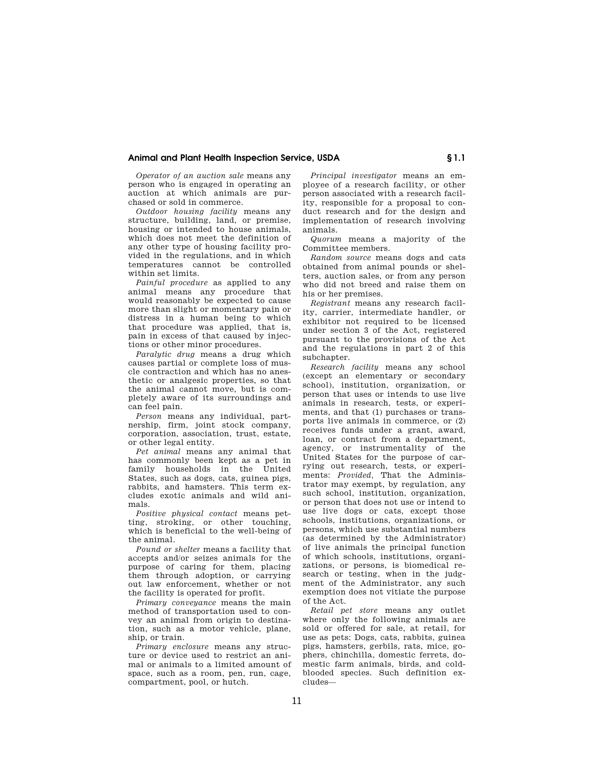*Operator of an auction sale* means any person who is engaged in operating an auction at which animals are purchased or sold in commerce.

*Outdoor housing facility* means any structure, building, land, or premise, housing or intended to house animals, which does not meet the definition of any other type of housing facility provided in the regulations, and in which temperatures cannot be controlled within set limits.

*Painful procedure* as applied to any animal means any procedure that would reasonably be expected to cause more than slight or momentary pain or distress in a human being to which that procedure was applied, that is, pain in excess of that caused by injections or other minor procedures.

*Paralytic drug* means a drug which causes partial or complete loss of muscle contraction and which has no anesthetic or analgesic properties, so that the animal cannot move, but is completely aware of its surroundings and can feel pain.

*Person* means any individual, partnership, firm, joint stock company, corporation, association, trust, estate, or other legal entity.

*Pet animal* means any animal that has commonly been kept as a pet in family households in the United States, such as dogs, cats, guinea pigs, rabbits, and hamsters. This term excludes exotic animals and wild animals.

*Positive physical contact* means petting, stroking, or other touching, which is beneficial to the well-being of the animal.

*Pound or shelter* means a facility that accepts and/or seizes animals for the purpose of caring for them, placing them through adoption, or carrying out law enforcement, whether or not the facility is operated for profit.

*Primary conveyance* means the main method of transportation used to convey an animal from origin to destination, such as a motor vehicle, plane, ship, or train.

*Primary enclosure* means any structure or device used to restrict an animal or animals to a limited amount of space, such as a room, pen, run, cage, compartment, pool, or hutch.

*Principal investigator* means an employee of a research facility, or other person associated with a research facility, responsible for a proposal to conduct research and for the design and implementation of research involving animals.

*Quorum* means a majority of the Committee members.

*Random source* means dogs and cats obtained from animal pounds or shelters, auction sales, or from any person who did not breed and raise them on his or her premises.

*Registrant* means any research facility, carrier, intermediate handler, or exhibitor not required to be licensed under section 3 of the Act, registered pursuant to the provisions of the Act and the regulations in part 2 of this subchapter.

*Research facility* means any school (except an elementary or secondary school), institution, organization, or person that uses or intends to use live animals in research, tests, or experiments, and that (1) purchases or transports live animals in commerce, or (2) receives funds under a grant, award, loan, or contract from a department, agency, or instrumentality of the United States for the purpose of carrying out research, tests, or experiments: *Provided,* That the Administrator may exempt, by regulation, any such school, institution, organization, or person that does not use or intend to use live dogs or cats, except those schools, institutions, organizations, or persons, which use substantial numbers (as determined by the Administrator) of live animals the principal function of which schools, institutions, organizations, or persons, is biomedical research or testing, when in the judgment of the Administrator, any such exemption does not vitiate the purpose of the Act.

*Retail pet store* means any outlet where only the following animals are sold or offered for sale, at retail, for use as pets: Dogs, cats, rabbits, guinea pigs, hamsters, gerbils, rats, mice, gophers, chinchilla, domestic ferrets, domestic farm animals, birds, and coldblooded species. Such definition excludes—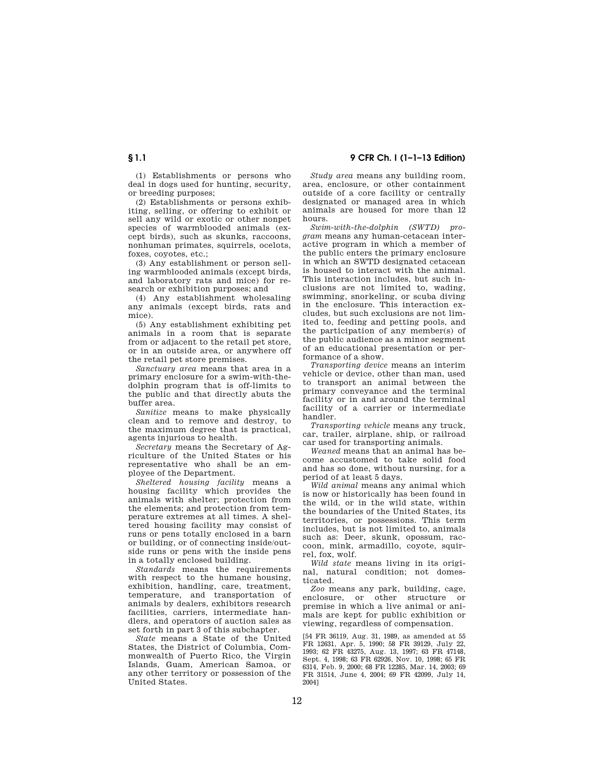(1) Establishments or persons who deal in dogs used for hunting, security, or breeding purposes;

(2) Establishments or persons exhibiting, selling, or offering to exhibit or sell any wild or exotic or other nonpet species of warmblooded animals (except birds), such as skunks, raccoons, nonhuman primates, squirrels, ocelots, foxes, coyotes, etc.;

(3) Any establishment or person selling warmblooded animals (except birds, and laboratory rats and mice) for research or exhibition purposes; and

(4) Any establishment wholesaling any animals (except birds, rats and mice).

(5) Any establishment exhibiting pet animals in a room that is separate from or adjacent to the retail pet store, or in an outside area, or anywhere off the retail pet store premises.

*Sanctuary area* means that area in a primary enclosure for a swim-with-thedolphin program that is off-limits to the public and that directly abuts the buffer area.

*Sanitize* means to make physically clean and to remove and destroy, to the maximum degree that is practical, agents injurious to health.

*Secretary* means the Secretary of Agriculture of the United States or his representative who shall be an employee of the Department.

*Sheltered housing facility* means a housing facility which provides the animals with shelter; protection from the elements; and protection from temperature extremes at all times. A sheltered housing facility may consist of runs or pens totally enclosed in a barn or building, or of connecting inside/outside runs or pens with the inside pens in a totally enclosed building.

*Standards* means the requirements with respect to the humane housing, exhibition, handling, care, treatment, temperature, and transportation of animals by dealers, exhibitors research facilities, carriers, intermediate handlers, and operators of auction sales as set forth in part 3 of this subchapter.

*State* means a State of the United States, the District of Columbia, Commonwealth of Puerto Rico, the Virgin Islands, Guam, American Samoa, or any other territory or possession of the United States.

**§ 1.1 9 CFR Ch. I (1–1–13 Edition)** 

*Study area* means any building room, area, enclosure, or other containment outside of a core facility or centrally designated or managed area in which animals are housed for more than 12 hours.

*Swim-with-the-dolphin (SWTD) program* means any human-cetacean interactive program in which a member of the public enters the primary enclosure in which an SWTD designated cetacean is housed to interact with the animal. This interaction includes, but such inclusions are not limited to, wading, swimming, snorkeling, or scuba diving in the enclosure. This interaction excludes, but such exclusions are not limited to, feeding and petting pools, and the participation of any member(s) of the public audience as a minor segment of an educational presentation or performance of a show.

*Transporting device* means an interim vehicle or device, other than man, used to transport an animal between the primary conveyance and the terminal facility or in and around the terminal facility of a carrier or intermediate handler.

*Transporting vehicle* means any truck, car, trailer, airplane, ship, or railroad car used for transporting animals.

*Weaned* means that an animal has become accustomed to take solid food and has so done, without nursing, for a period of at least 5 days.

*Wild animal* means any animal which is now or historically has been found in the wild, or in the wild state, within the boundaries of the United States, its territories, or possessions. This term includes, but is not limited to, animals such as: Deer, skunk, opossum, raccoon, mink, armadillo, coyote, squirrel, fox, wolf.

*Wild state* means living in its original, natural condition; not domesticated.

*Zoo* means any park, building, cage, enclosure, or other structure or premise in which a live animal or animals are kept for public exhibition or viewing, regardless of compensation.

[54 FR 36119, Aug. 31, 1989, as amended at 55 FR 12631, Apr. 5, 1990; 58 FR 39129, July 22, 1993; 62 FR 43275, Aug. 13, 1997; 63 FR 47148, Sept. 4, 1998; 63 FR 62926, Nov. 10, 1998; 65 FR 6314, Feb. 9, 2000; 68 FR 12285, Mar. 14, 2003; 69 FR 31514, June 4, 2004; 69 FR 42099, July 14, 2004]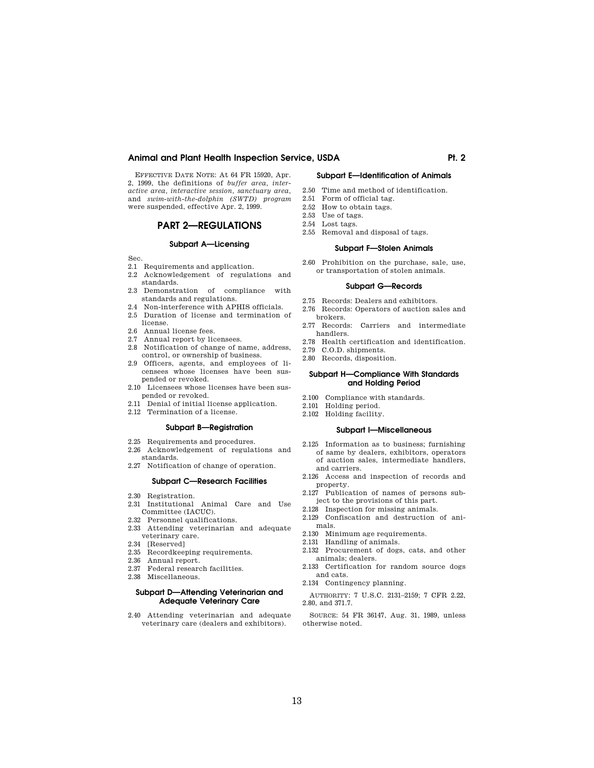EFFECTIVE DATE NOTE: At 64 FR 15920, Apr. 2, 1999, the definitions of *buffer area, interactive area, interactive session, sanctuary area,*  and *swim-with-the-dolphin (SWTD) program*  were suspended, effective Apr. 2, 1999.

## **PART 2—REGULATIONS**

#### **Subpart A—Licensing**

Sec.

- 2.1 Requirements and application.
- 2.2 Acknowledgement of regulations and standards.
- 2.3 Demonstration of compliance with standards and regulations.
- 2.4 Non-interference with APHIS officials.
- 2.5 Duration of license and termination of license.
- 2.6 Annual license fees.
- 2.7 Annual report by licensees.
- 2.8 Notification of change of name, address, control, or ownership of business.
- 2.9 Officers, agents, and employees of licensees whose licenses have been suspended or revoked.
- 2.10 Licensees whose licenses have been suspended or revoked.
- 2.11 Denial of initial license application.
- 2.12 Termination of a license.

#### **Subpart B—Registration**

- 2.25 Requirements and procedures.
- 2.26 Acknowledgement of regulations and standards.
- 2.27 Notification of change of operation.

#### **Subpart C—Research Facilities**

- 2.30 Registration.
- 2.31 Institutional Animal Care and Use Committee (IACUC).
- 2.32 Personnel qualifications.
- 2.33 Attending veterinarian and adequate veterinary care.
- 2.34 [Reserved]
- 2.35 Recordkeeping requirements.
- 2.36 Annual report.
- 2.37 Federal research facilities.
- 2.38 Miscellaneous.

## **Subpart D—Attending Veterinarian and Adequate Veterinary Care**

2.40 Attending veterinarian and adequate veterinary care (dealers and exhibitors).

#### **Subpart E—Identification of Animals**

- 2.50 Time and method of identification.
- 2.51 Form of official tag.
- 2.52 How to obtain tags.
- 2.53 Use of tags.
- 2.54 Lost tags.
	- 2.55 Removal and disposal of tags.

#### **Subpart F—Stolen Animals**

2.60 Prohibition on the purchase, sale, use, or transportation of stolen animals.

#### **Subpart G—Records**

- 2.75 Records: Dealers and exhibitors.
- 2.76 Records: Operators of auction sales and
- brokers.<br>2.77 Records: Carriers and intermediate handlers.
- 2.78 Health certification and identification.
- 2.79 C.O.D. shipments.
- 2.80 Records, disposition.

#### **Subpart H—Compliance With Standards and Holding Period**

- 2.100 Compliance with standards.
- 2.101 Holding period.
- 2.102 Holding facility.

#### **Subpart I—Miscellaneous**

- 2.125 Information as to business; furnishing of same by dealers, exhibitors, operators of auction sales, intermediate handlers, and carriers.
- 2.126 Access and inspection of records and property.
- 2.127 Publication of names of persons subject to the provisions of this part.
- 2.128 Inspection for missing animals.
- 2.129 Confiscation and destruction of animals.
- 2.130 Minimum age requirements.
- 2.131 Handling of animals.
- 2.132 Procurement of dogs, cats, and other animals; dealers.
- 2.133 Certification for random source dogs and cats.
- 2.134 Contingency planning.

AUTHORITY: 7 U.S.C. 2131–2159; 7 CFR 2.22, 2.80, and 371.7.

SOURCE: 54 FR 36147, Aug. 31, 1989, unless otherwise noted.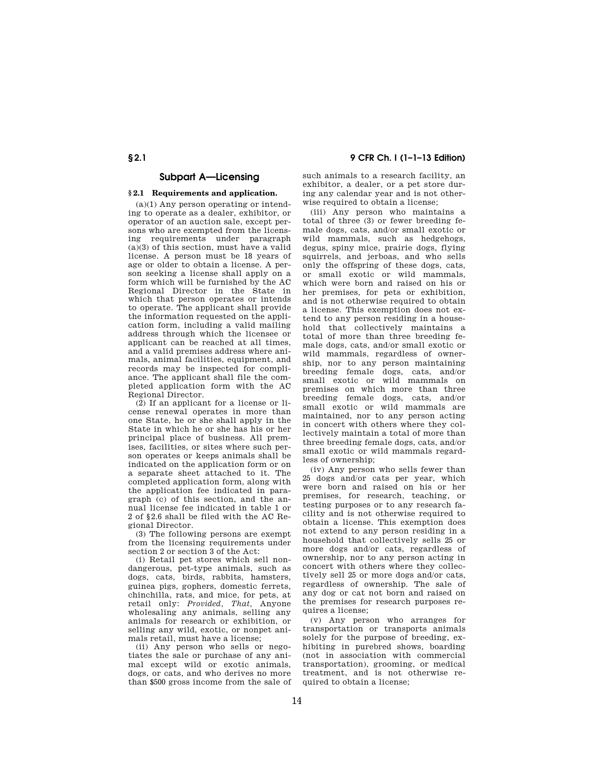## **§ 2.1 9 CFR Ch. I (1–1–13 Edition)**

## **Subpart A—Licensing**

#### **§ 2.1 Requirements and application.**

(a)(1) Any person operating or intending to operate as a dealer, exhibitor, or operator of an auction sale, except persons who are exempted from the licensing requirements under paragraph  $(a)(3)$  of this section, must have a valid license. A person must be 18 years of age or older to obtain a license. A person seeking a license shall apply on a form which will be furnished by the AC Regional Director in the State in which that person operates or intends to operate. The applicant shall provide the information requested on the application form, including a valid mailing address through which the licensee or applicant can be reached at all times, and a valid premises address where animals, animal facilities, equipment, and records may be inspected for compliance. The applicant shall file the completed application form with the AC Regional Director.

(2) If an applicant for a license or license renewal operates in more than one State, he or she shall apply in the State in which he or she has his or her principal place of business. All premises, facilities, or sites where such person operates or keeps animals shall be indicated on the application form or on a separate sheet attached to it. The completed application form, along with the application fee indicated in paragraph (c) of this section, and the annual license fee indicated in table 1 or 2 of §2.6 shall be filed with the AC Regional Director.

(3) The following persons are exempt from the licensing requirements under section 2 or section 3 of the Act:

(i) Retail pet stores which sell nondangerous, pet-type animals, such as dogs, cats, birds, rabbits, hamsters, guinea pigs, gophers, domestic ferrets, chinchilla, rats, and mice, for pets, at retail only: *Provided, That,* Anyone wholesaling any animals, selling any animals for research or exhibition, or selling any wild, exotic, or nonpet animals retail, must have a license;

(ii) Any person who sells or negotiates the sale or purchase of any animal except wild or exotic animals, dogs, or cats, and who derives no more than \$500 gross income from the sale of such animals to a research facility, an exhibitor, a dealer, or a pet store during any calendar year and is not otherwise required to obtain a license;

(iii) Any person who maintains a total of three (3) or fewer breeding female dogs, cats, and/or small exotic or wild mammals, such as hedgehogs, degus, spiny mice, prairie dogs, flying squirrels, and jerboas, and who sells only the offspring of these dogs, cats, or small exotic or wild mammals, which were born and raised on his or her premises, for pets or exhibition, and is not otherwise required to obtain a license. This exemption does not extend to any person residing in a household that collectively maintains a total of more than three breeding female dogs, cats, and/or small exotic or wild mammals, regardless of ownership, nor to any person maintaining breeding female dogs, cats, and/or small exotic or wild mammals on premises on which more than three breeding female dogs, cats, and/or small exotic or wild mammals are maintained, nor to any person acting in concert with others where they collectively maintain a total of more than three breeding female dogs, cats, and/or small exotic or wild mammals regardless of ownership;

(iv) Any person who sells fewer than 25 dogs and/or cats per year, which were born and raised on his or her premises, for research, teaching, or testing purposes or to any research facility and is not otherwise required to obtain a license. This exemption does not extend to any person residing in a household that collectively sells 25 or more dogs and/or cats, regardless of ownership, nor to any person acting in concert with others where they collectively sell 25 or more dogs and/or cats, regardless of ownership. The sale of any dog or cat not born and raised on the premises for research purposes requires a license;

(v) Any person who arranges for transportation or transports animals solely for the purpose of breeding, exhibiting in purebred shows, boarding (not in association with commercial transportation), grooming, or medical treatment, and is not otherwise required to obtain a license;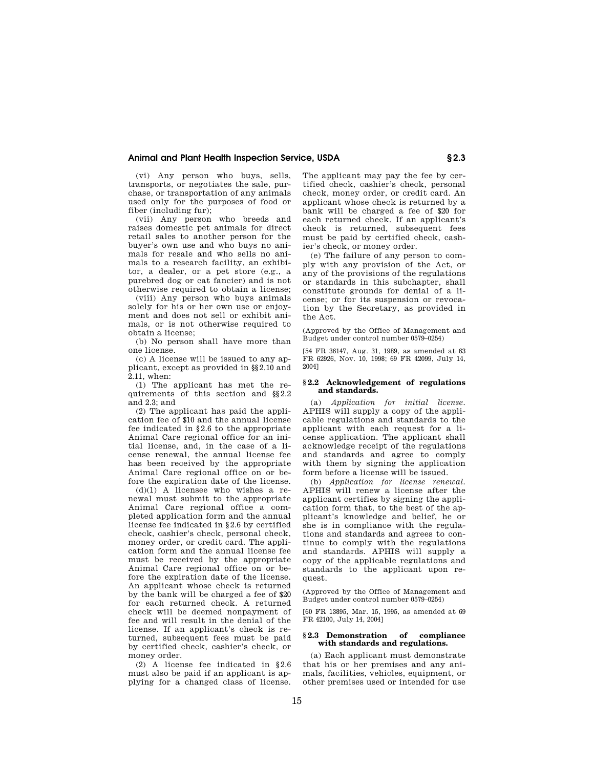(vi) Any person who buys, sells, transports, or negotiates the sale, purchase, or transportation of any animals used only for the purposes of food or fiber (including fur);

(vii) Any person who breeds and raises domestic pet animals for direct retail sales to another person for the buyer's own use and who buys no animals for resale and who sells no animals to a research facility, an exhibitor, a dealer, or a pet store (e.g., a purebred dog or cat fancier) and is not otherwise required to obtain a license;

(viii) Any person who buys animals solely for his or her own use or enjoyment and does not sell or exhibit animals, or is not otherwise required to obtain a license;

(b) No person shall have more than one license.

(c) A license will be issued to any applicant, except as provided in §§2.10 and  $2.11$  when:

(1) The applicant has met the requirements of this section and §§2.2 and 2.3; and

(2) The applicant has paid the application fee of \$10 and the annual license fee indicated in §2.6 to the appropriate Animal Care regional office for an initial license, and, in the case of a license renewal, the annual license fee has been received by the appropriate Animal Care regional office on or before the expiration date of the license.

 $(d)(1)$  A licensee who wishes a renewal must submit to the appropriate Animal Care regional office a completed application form and the annual license fee indicated in §2.6 by certified check, cashier's check, personal check, money order, or credit card. The application form and the annual license fee must be received by the appropriate Animal Care regional office on or before the expiration date of the license. An applicant whose check is returned by the bank will be charged a fee of \$20 for each returned check. A returned check will be deemed nonpayment of fee and will result in the denial of the license. If an applicant's check is returned, subsequent fees must be paid by certified check, cashier's check, or money order.

(2) A license fee indicated in §2.6 must also be paid if an applicant is applying for a changed class of license. The applicant may pay the fee by certified check, cashier's check, personal check, money order, or credit card. An applicant whose check is returned by a bank will be charged a fee of \$20 for each returned check. If an applicant's check is returned, subsequent fees must be paid by certified check, cashier's check, or money order.

(e) The failure of any person to comply with any provision of the Act, or any of the provisions of the regulations or standards in this subchapter, shall constitute grounds for denial of a license; or for its suspension or revocation by the Secretary, as provided in the Act.

(Approved by the Office of Management and Budget under control number 0579–0254)

[54 FR 36147, Aug. 31, 1989, as amended at 63 FR 62926, Nov. 10, 1998; 69 FR 42099, July 14, 2004]

#### **§ 2.2 Acknowledgement of regulations and standards.**

(a) *Application for initial license.*  APHIS will supply a copy of the applicable regulations and standards to the applicant with each request for a license application. The applicant shall acknowledge receipt of the regulations and standards and agree to comply with them by signing the application form before a license will be issued.

(b) *Application for license renewal.*  APHIS will renew a license after the applicant certifies by signing the application form that, to the best of the applicant's knowledge and belief, he or she is in compliance with the regulations and standards and agrees to continue to comply with the regulations and standards. APHIS will supply a copy of the applicable regulations and standards to the applicant upon request.

(Approved by the Office of Management and Budget under control number 0579–0254)

[60 FR 13895, Mar. 15, 1995, as amended at 69 FR 42100, July 14, 2004]

# **§ 2.3 Demonstration of compliance with standards and regulations.**

(a) Each applicant must demonstrate that his or her premises and any animals, facilities, vehicles, equipment, or other premises used or intended for use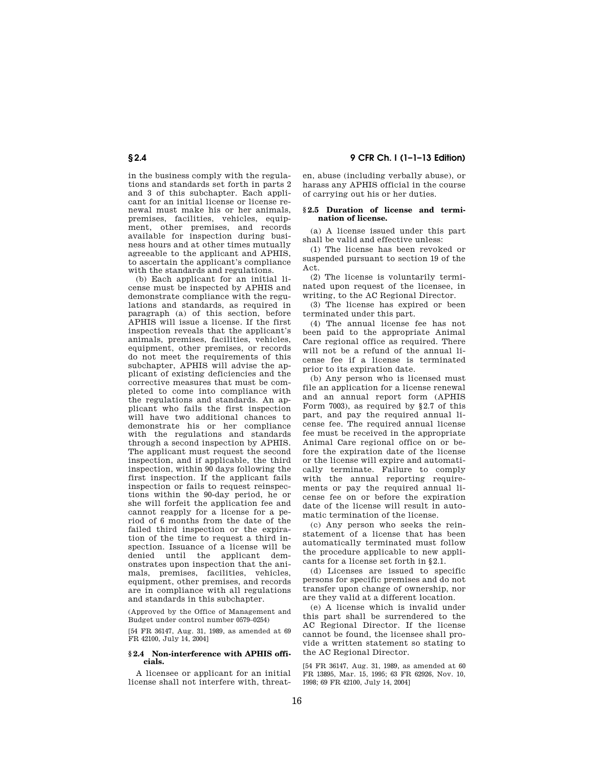## **§ 2.4 9 CFR Ch. I (1–1–13 Edition)**

in the business comply with the regulations and standards set forth in parts 2 and 3 of this subchapter. Each applicant for an initial license or license renewal must make his or her animals, premises, facilities, vehicles, equipment, other premises, and records available for inspection during business hours and at other times mutually agreeable to the applicant and APHIS, to ascertain the applicant's compliance with the standards and regulations.

(b) Each applicant for an initial license must be inspected by APHIS and demonstrate compliance with the regulations and standards, as required in paragraph (a) of this section, before APHIS will issue a license. If the first inspection reveals that the applicant's animals, premises, facilities, vehicles, equipment, other premises, or records do not meet the requirements of this subchapter, APHIS will advise the applicant of existing deficiencies and the corrective measures that must be completed to come into compliance with the regulations and standards. An applicant who fails the first inspection .<br>will have two additional chances to demonstrate his or her compliance with the regulations and standards through a second inspection by APHIS. The applicant must request the second inspection, and if applicable, the third inspection, within 90 days following the first inspection. If the applicant fails inspection or fails to request reinspections within the 90-day period, he or she will forfeit the application fee and cannot reapply for a license for a period of 6 months from the date of the failed third inspection or the expiration of the time to request a third inspection. Issuance of a license will be denied until the applicant demonstrates upon inspection that the animals, premises, facilities, vehicles, equipment, other premises, and records are in compliance with all regulations and standards in this subchapter.

(Approved by the Office of Management and Budget under control number 0579–0254)

[54 FR 36147, Aug. 31, 1989, as amended at 69 FR 42100, July 14, 2004]

#### **§ 2.4 Non-interference with APHIS officials.**

A licensee or applicant for an initial license shall not interfere with, threat-

en, abuse (including verbally abuse), or harass any APHIS official in the course of carrying out his or her duties.

#### **§ 2.5 Duration of license and termination of license.**

(a) A license issued under this part shall be valid and effective unless:

(1) The license has been revoked or suspended pursuant to section 19 of the Act.

(2) The license is voluntarily terminated upon request of the licensee, in writing, to the AC Regional Director.

(3) The license has expired or been terminated under this part.

(4) The annual license fee has not been paid to the appropriate Animal Care regional office as required. There will not be a refund of the annual license fee if a license is terminated prior to its expiration date.

(b) Any person who is licensed must file an application for a license renewal and an annual report form (APHIS Form 7003), as required by §2.7 of this part, and pay the required annual license fee. The required annual license fee must be received in the appropriate Animal Care regional office on or before the expiration date of the license or the license will expire and automatically terminate. Failure to comply with the annual reporting requirements or pay the required annual license fee on or before the expiration date of the license will result in automatic termination of the license.

(c) Any person who seeks the reinstatement of a license that has been automatically terminated must follow the procedure applicable to new applicants for a license set forth in §2.1.

(d) Licenses are issued to specific persons for specific premises and do not transfer upon change of ownership, nor are they valid at a different location.

(e) A license which is invalid under this part shall be surrendered to the AC Regional Director. If the license cannot be found, the licensee shall provide a written statement so stating to the AC Regional Director.

[54 FR 36147, Aug. 31, 1989, as amended at 60 FR 13895, Mar. 15, 1995; 63 FR 62926, Nov. 10, 1998; 69 FR 42100, July 14, 2004]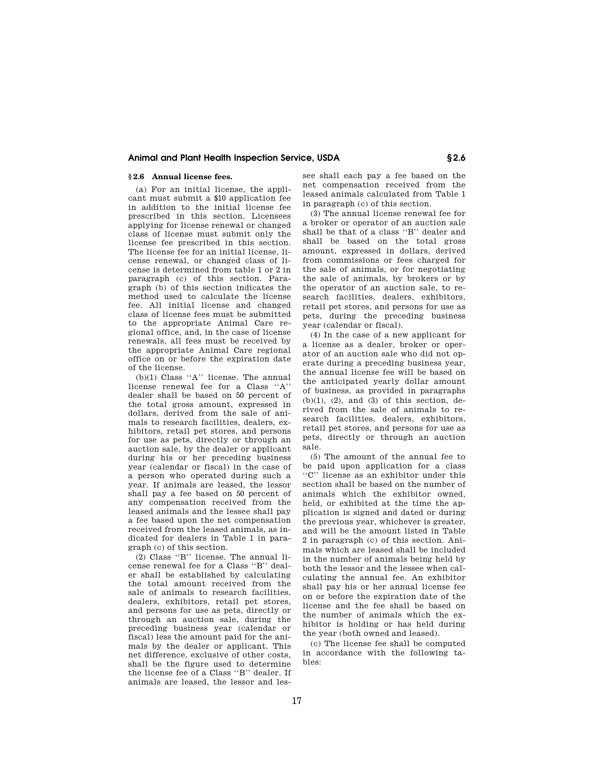### **§ 2.6 Annual license fees.**

(a) For an initial license, the applicant must submit a \$10 application fee in addition to the initial license fee prescribed in this section. Licensees applying for license renewal or changed class of license must submit only the license fee prescribed in this section. The license fee for an initial license, license renewal, or changed class of license is determined from table 1 or 2 in paragraph (c) of this section. Paragraph (b) of this section indicates the method used to calculate the license fee. All initial license and changed class of license fees must be submitted to the appropriate Animal Care regional office, and, in the case of license renewals, all fees must be received by the appropriate Animal Care regional office on or before the expiration date of the license.

(b)(1) Class ''A'' license. The annual license renewal fee for a Class ''A'' dealer shall be based on 50 percent of the total gross amount, expressed in dollars, derived from the sale of animals to research facilities, dealers, exhibitors, retail pet stores, and persons for use as pets, directly or through an auction sale, by the dealer or applicant during his or her preceding business year (calendar or fiscal) in the case of a person who operated during such a year. If animals are leased, the lessor shall pay a fee based on 50 percent of any compensation received from the leased animals and the lessee shall pay a fee based upon the net compensation received from the leased animals, as indicated for dealers in Table 1 in paragraph (c) of this section.

(2) Class ''B'' license. The annual license renewal fee for a Class ''B'' dealer shall be established by calculating the total amount received from the sale of animals to research facilities, dealers, exhibitors, retail pet stores, and persons for use as pets, directly or through an auction sale, during the preceding business year (calendar or fiscal) less the amount paid for the animals by the dealer or applicant. This net difference, exclusive of other costs, shall be the figure used to determine the license fee of a Class ''B'' dealer. If animals are leased, the lessor and lessee shall each pay a fee based on the net compensation received from the leased animals calculated from Table 1 in paragraph (c) of this section.

(3) The annual license renewal fee for a broker or operator of an auction sale shall be that of a class ''B'' dealer and shall be based on the total gross amount, expressed in dollars, derived from commissions or fees charged for the sale of animals, or for negotiating the sale of animals, by brokers or by the operator of an auction sale, to research facilities, dealers, exhibitors, retail pet stores, and persons for use as pets, during the preceding business year (calendar or fiscal).

(4) In the case of a new applicant for a license as a dealer, broker or operator of an auction sale who did not operate during a preceding business year, the annual license fee will be based on the anticipated yearly dollar amount of business, as provided in paragraphs  $(b)(1)$ ,  $(2)$ , and  $(3)$  of this section, derived from the sale of animals to research facilities, dealers, exhibitors, retail pet stores, and persons for use as pets, directly or through an auction sale.

(5) The amount of the annual fee to be paid upon application for a class ''C'' license as an exhibitor under this section shall be based on the number of animals which the exhibitor owned, held, or exhibited at the time the application is signed and dated or during the previous year, whichever is greater, and will be the amount listed in Table 2 in paragraph (c) of this section. Animals which are leased shall be included in the number of animals being held by both the lessor and the lessee when calculating the annual fee. An exhibitor shall pay his or her annual license fee on or before the expiration date of the license and the fee shall be based on the number of animals which the exhibitor is holding or has held during the year (both owned and leased).

(c) The license fee shall be computed in accordance with the following tables: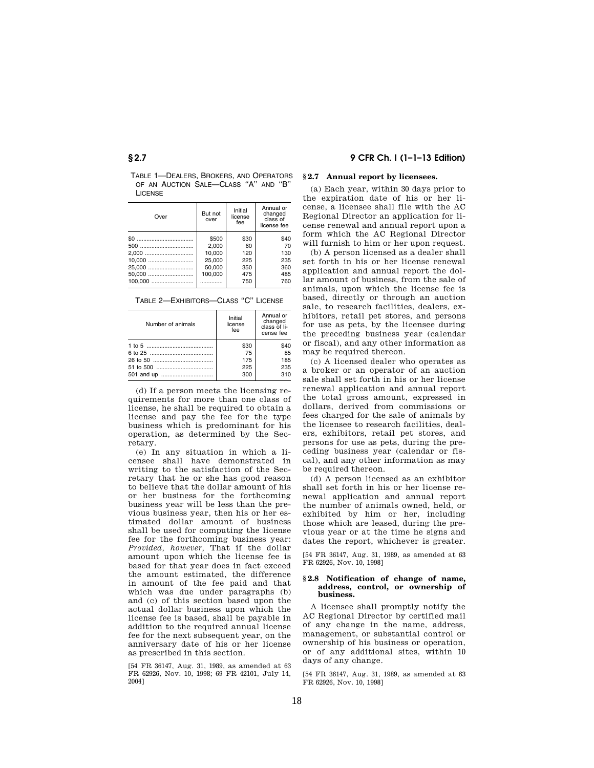TABLE 1—DEALERS, BROKERS, AND OPERATORS OF AN AUCTION SALE—CLASS ''A'' AND ''B'' **LICENSE** 

| Over   | But not<br>over | Initial<br>license<br>fee | Annual or<br>changed<br>class of<br>license fee |
|--------|-----------------|---------------------------|-------------------------------------------------|
|        | \$500           | \$30                      | \$40                                            |
|        | 2.000           | 60                        | 70                                              |
| 2,000  | 10.000          | 120                       | 130                                             |
| 10,000 | 25.000          | 225                       | 235                                             |
| 25,000 | 50.000          | 350                       | 360                                             |
| 50,000 | 100.000         | 475                       | 485                                             |
|        | .               | 750                       | 760                                             |

TABLE 2—EXHIBITORS—CLASS ''C'' LICENSE

| Number of animals | Initial<br>license<br>fee | Annual or<br>changed<br>class of li-<br>cense fee |
|-------------------|---------------------------|---------------------------------------------------|
|                   | \$30                      | \$40                                              |
|                   | 75                        | 85                                                |
|                   | 175                       | 185                                               |
|                   | 225                       | 235                                               |
| 501 and up        | 300                       | 310                                               |

(d) If a person meets the licensing requirements for more than one class of license, he shall be required to obtain a license and pay the fee for the type business which is predominant for his operation, as determined by the Secretary.

(e) In any situation in which a licensee shall have demonstrated in writing to the satisfaction of the Secretary that he or she has good reason to believe that the dollar amount of his or her business for the forthcoming business year will be less than the previous business year, then his or her estimated dollar amount of business shall be used for computing the license fee for the forthcoming business year: *Provided, however,* That if the dollar amount upon which the license fee is based for that year does in fact exceed the amount estimated, the difference in amount of the fee paid and that which was due under paragraphs (b) and (c) of this section based upon the actual dollar business upon which the license fee is based, shall be payable in addition to the required annual license fee for the next subsequent year, on the anniversary date of his or her license as prescribed in this section.

[54 FR 36147, Aug. 31, 1989, as amended at 63 FR 62926, Nov. 10, 1998; 69 FR 42101, July 14, 2004]

## **§ 2.7 9 CFR Ch. I (1–1–13 Edition)**

## **§ 2.7 Annual report by licensees.**

(a) Each year, within 30 days prior to the expiration date of his or her license, a licensee shall file with the AC Regional Director an application for license renewal and annual report upon a form which the AC Regional Director will furnish to him or her upon request.

(b) A person licensed as a dealer shall set forth in his or her license renewal application and annual report the dollar amount of business, from the sale of animals, upon which the license fee is based, directly or through an auction sale, to research facilities, dealers, exhibitors, retail pet stores, and persons for use as pets, by the licensee during the preceding business year (calendar or fiscal), and any other information as may be required thereon.

(c) A licensed dealer who operates as a broker or an operator of an auction sale shall set forth in his or her license renewal application and annual report the total gross amount, expressed in dollars, derived from commissions or fees charged for the sale of animals by the licensee to research facilities, dealers, exhibitors, retail pet stores, and persons for use as pets, during the preceding business year (calendar or fiscal), and any other information as may be required thereon.

(d) A person licensed as an exhibitor shall set forth in his or her license renewal application and annual report the number of animals owned, held, or exhibited by him or her, including those which are leased, during the previous year or at the time he signs and dates the report, whichever is greater.

[54 FR 36147, Aug. 31, 1989, as amended at 63 FR 62926, Nov. 10, 1998]

#### **§ 2.8 Notification of change of name, address, control, or ownership of business.**

A licensee shall promptly notify the AC Regional Director by certified mail of any change in the name, address, management, or substantial control or ownership of his business or operation, or of any additional sites, within 10 days of any change.

[54 FR 36147, Aug. 31, 1989, as amended at 63 FR 62926, Nov. 10, 1998]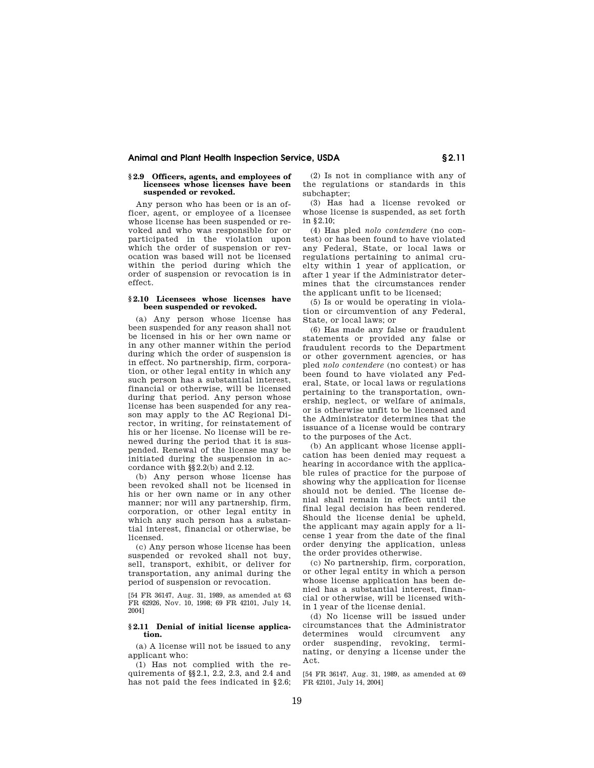#### **§ 2.9 Officers, agents, and employees of licensees whose licenses have been suspended or revoked.**

Any person who has been or is an officer, agent, or employee of a licensee whose license has been suspended or revoked and who was responsible for or participated in the violation upon which the order of suspension or revocation was based will not be licensed within the period during which the order of suspension or revocation is in effect.

#### **§ 2.10 Licensees whose licenses have been suspended or revoked.**

(a) Any person whose license has been suspended for any reason shall not be licensed in his or her own name or in any other manner within the period during which the order of suspension is in effect. No partnership, firm, corporation, or other legal entity in which any such person has a substantial interest, financial or otherwise, will be licensed during that period. Any person whose license has been suspended for any reason may apply to the AC Regional Director, in writing, for reinstatement of his or her license. No license will be renewed during the period that it is suspended. Renewal of the license may be initiated during the suspension in accordance with §§2.2(b) and 2.12.

(b) Any person whose license has been revoked shall not be licensed in his or her own name or in any other manner; nor will any partnership, firm, corporation, or other legal entity in which any such person has a substantial interest, financial or otherwise, be licensed.

(c) Any person whose license has been suspended or revoked shall not buy, sell, transport, exhibit, or deliver for transportation, any animal during the period of suspension or revocation.

[54 FR 36147, Aug. 31, 1989, as amended at 63 FR 62926, Nov. 10, 1998; 69 FR 42101, July 14, 2004]

#### **§ 2.11 Denial of initial license application.**

(a) A license will not be issued to any applicant who:

(1) Has not complied with the requirements of §§2.1, 2.2, 2.3, and 2.4 and has not paid the fees indicated in §2.6;

(2) Is not in compliance with any of the regulations or standards in this subchapter;

(3) Has had a license revoked or whose license is suspended, as set forth in §2.10;

(4) Has pled *nolo contendere* (no contest) or has been found to have violated any Federal, State, or local laws or regulations pertaining to animal cruelty within 1 year of application, or after 1 year if the Administrator determines that the circumstances render the applicant unfit to be licensed;

(5) Is or would be operating in violation or circumvention of any Federal, State, or local laws; or

(6) Has made any false or fraudulent statements or provided any false or fraudulent records to the Department or other government agencies, or has pled *nolo contendere* (no contest) or has been found to have violated any Federal, State, or local laws or regulations pertaining to the transportation, ownership, neglect, or welfare of animals, or is otherwise unfit to be licensed and the Administrator determines that the issuance of a license would be contrary to the purposes of the Act.

(b) An applicant whose license application has been denied may request a hearing in accordance with the applicable rules of practice for the purpose of showing why the application for license should not be denied. The license denial shall remain in effect until the final legal decision has been rendered. Should the license denial be upheld, the applicant may again apply for a license 1 year from the date of the final order denying the application, unless the order provides otherwise.

(c) No partnership, firm, corporation, or other legal entity in which a person whose license application has been denied has a substantial interest, financial or otherwise, will be licensed within 1 year of the license denial.

(d) No license will be issued under circumstances that the Administrator determines would circumvent any order suspending, revoking, terminating, or denying a license under the Act.

[54 FR 36147, Aug. 31, 1989, as amended at 69 FR 42101, July 14, 2004]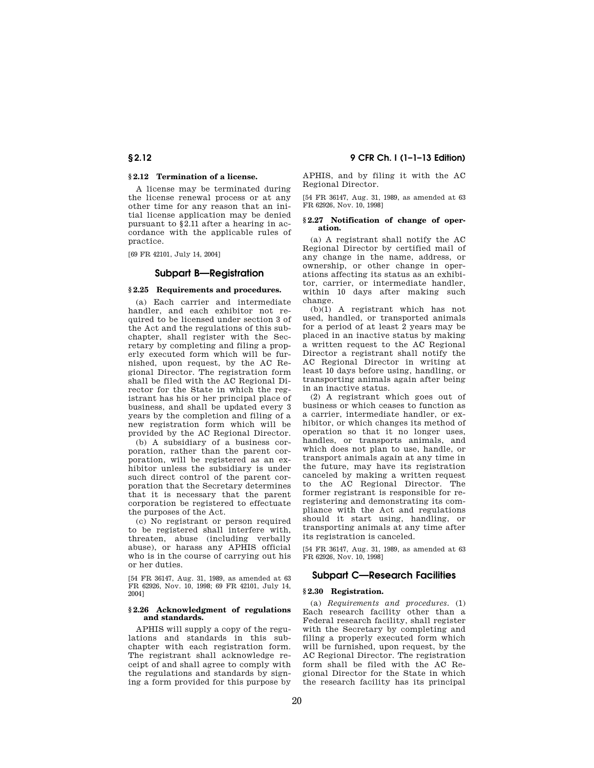## **§ 2.12 9 CFR Ch. I (1–1–13 Edition)**

**§ 2.12 Termination of a license.** 

A license may be terminated during the license renewal process or at any other time for any reason that an initial license application may be denied pursuant to §2.11 after a hearing in accordance with the applicable rules of practice.

[69 FR 42101, July 14, 2004]

## **Subpart B—Registration**

#### **§ 2.25 Requirements and procedures.**

(a) Each carrier and intermediate handler, and each exhibitor not required to be licensed under section 3 of the Act and the regulations of this subchapter, shall register with the Secretary by completing and filing a properly executed form which will be furnished, upon request, by the AC Regional Director. The registration form shall be filed with the AC Regional Director for the State in which the registrant has his or her principal place of business, and shall be updated every 3 years by the completion and filing of a new registration form which will be provided by the AC Regional Director.

(b) A subsidiary of a business corporation, rather than the parent corporation, will be registered as an exhibitor unless the subsidiary is under such direct control of the parent corporation that the Secretary determines that it is necessary that the parent corporation be registered to effectuate the purposes of the Act.

(c) No registrant or person required to be registered shall interfere with, threaten, abuse (including verbally abuse), or harass any APHIS official who is in the course of carrying out his or her duties.

[54 FR 36147, Aug. 31, 1989, as amended at 63 FR 62926, Nov. 10, 1998; 69 FR 42101, July 14, 2004]

#### **§ 2.26 Acknowledgment of regulations and standards.**

APHIS will supply a copy of the regulations and standards in this subchapter with each registration form. The registrant shall acknowledge receipt of and shall agree to comply with the regulations and standards by signing a form provided for this purpose by APHIS, and by filing it with the AC Regional Director.

[54 FR 36147, Aug. 31, 1989, as amended at 63 FR 62926, Nov. 10, 1998]

#### **§ 2.27 Notification of change of operation.**

(a) A registrant shall notify the AC Regional Director by certified mail of any change in the name, address, or ownership, or other change in operations affecting its status as an exhibitor, carrier, or intermediate handler, within 10 days after making such change.

(b)(1) A registrant which has not used, handled, or transported animals for a period of at least 2 years may be placed in an inactive status by making a written request to the AC Regional Director a registrant shall notify the AC Regional Director in writing at least 10 days before using, handling, or transporting animals again after being in an inactive status.

(2) A registrant which goes out of business or which ceases to function as a carrier, intermediate handler, or exhibitor, or which changes its method of operation so that it no longer uses, handles, or transports animals, and which does not plan to use, handle, or transport animals again at any time in the future, may have its registration canceled by making a written request to the AC Regional Director. The former registrant is responsible for reregistering and demonstrating its compliance with the Act and regulations should it start using, handling, or transporting animals at any time after its registration is canceled.

[54 FR 36147, Aug. 31, 1989, as amended at 63 FR 62926, Nov. 10, 1998]

### **Subpart C—Research Facilities**

## **§ 2.30 Registration.**

(a) *Requirements and procedures.* (1) Each research facility other than a Federal research facility, shall register with the Secretary by completing and filing a properly executed form which will be furnished, upon request, by the AC Regional Director. The registration form shall be filed with the AC Regional Director for the State in which the research facility has its principal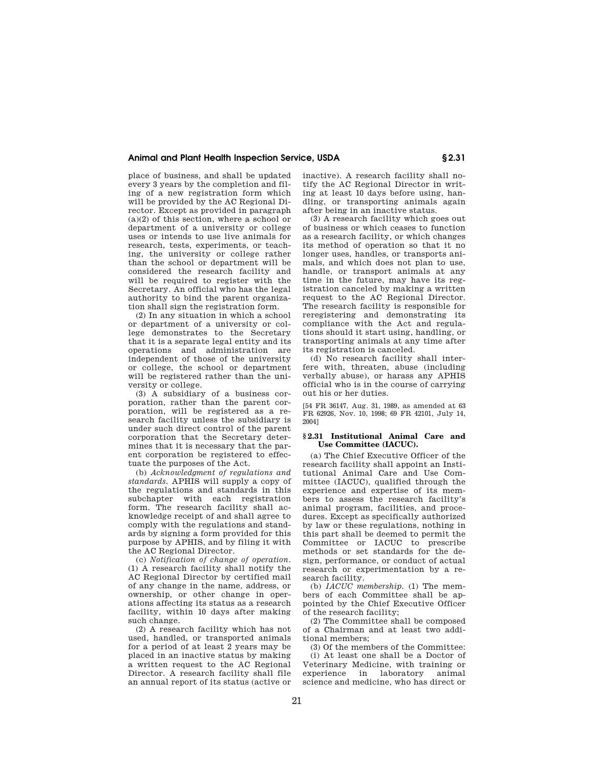place of business, and shall be updated every 3 years by the completion and filing of a new registration form which will be provided by the AC Regional Director. Except as provided in paragraph (a)(2) of this section, where a school or department of a university or college uses or intends to use live animals for research, tests, experiments, or teaching, the university or college rather than the school or department will be considered the research facility and will be required to register with the Secretary. An official who has the legal authority to bind the parent organization shall sign the registration form.

(2) In any situation in which a school or department of a university or college demonstrates to the Secretary that it is a separate legal entity and its operations and administration are independent of those of the university or college, the school or department will be registered rather than the university or college.

(3) A subsidiary of a business corporation, rather than the parent corporation, will be registered as a research facility unless the subsidiary is under such direct control of the parent corporation that the Secretary determines that it is necessary that the parent corporation be registered to effectuate the purposes of the Act.

(b) *Acknowledgment of regulations and standards.* APHIS will supply a copy of the regulations and standards in this subchapter with each registration form. The research facility shall acknowledge receipt of and shall agree to comply with the regulations and standards by signing a form provided for this purpose by APHIS, and by filing it with the AC Regional Director.

(c) *Notification of change of operation.*  (1) A research facility shall notify the AC Regional Director by certified mail of any change in the name, address, or ownership, or other change in operations affecting its status as a research facility, within 10 days after making such change.

(2) A research facility which has not used, handled, or transported animals for a period of at least 2 years may be placed in an inactive status by making a written request to the AC Regional Director. A research facility shall file an annual report of its status (active or

inactive). A research facility shall notify the AC Regional Director in writing at least 10 days before using, handling, or transporting animals again after being in an inactive status.

(3) A research facility which goes out of business or which ceases to function as a research facility, or which changes its method of operation so that it no longer uses, handles, or transports animals, and which does not plan to use, handle, or transport animals at any time in the future, may have its registration canceled by making a written request to the AC Regional Director. The research facility is responsible for reregistering and demonstrating its compliance with the Act and regulations should it start using, handling, or transporting animals at any time after its registration is canceled.

(d) No research facility shall interfere with, threaten, abuse (including verbally abuse), or harass any APHIS official who is in the course of carrying out his or her duties.

[54 FR 36147, Aug. 31, 1989, as amended at 63 FR 62926, Nov. 10, 1998; 69 FR 42101, July 14, 2004]

#### **§ 2.31 Institutional Animal Care and Use Committee (IACUC).**

(a) The Chief Executive Officer of the research facility shall appoint an Institutional Animal Care and Use Committee (IACUC), qualified through the experience and expertise of its members to assess the research facility's animal program, facilities, and procedures. Except as specifically authorized by law or these regulations, nothing in this part shall be deemed to permit the Committee or IACUC to prescribe methods or set standards for the design, performance, or conduct of actual research or experimentation by a research facility.

(b) *IACUC membership.* (1) The members of each Committee shall be appointed by the Chief Executive Officer of the research facility;

(2) The Committee shall be composed of a Chairman and at least two additional members;

(3) Of the members of the Committee: (i) At least one shall be a Doctor of Veterinary Medicine, with training or experience in laboratory animal science and medicine, who has direct or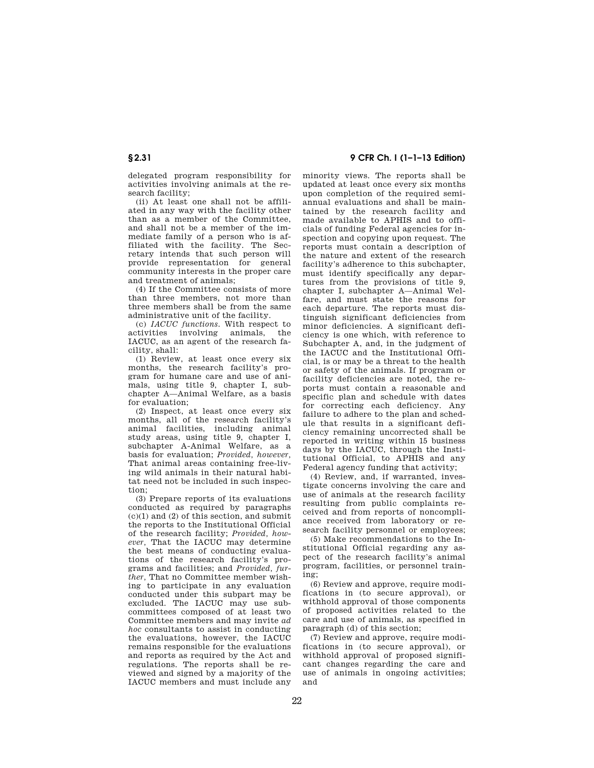delegated program responsibility for activities involving animals at the research facility;

(ii) At least one shall not be affiliated in any way with the facility other than as a member of the Committee, and shall not be a member of the immediate family of a person who is affiliated with the facility. The Secretary intends that such person will provide representation for general community interests in the proper care and treatment of animals;

(4) If the Committee consists of more than three members, not more than three members shall be from the same administrative unit of the facility.

(c) *IACUC functions.* With respect to activities involving animals, the IACUC, as an agent of the research facility, shall:

(1) Review, at least once every six months, the research facility's program for humane care and use of animals, using title 9, chapter I, subchapter A—Animal Welfare, as a basis for evaluation;

(2) Inspect, at least once every six months, all of the research facility's animal facilities, including animal study areas, using title 9, chapter I, subchapter A-Animal Welfare, as a basis for evaluation; *Provided, however,*  That animal areas containing free-living wild animals in their natural habitat need not be included in such inspection;

(3) Prepare reports of its evaluations conducted as required by paragraphs  $(c)(1)$  and  $(2)$  of this section, and submit the reports to the Institutional Official of the research facility; *Provided, however,* That the IACUC may determine the best means of conducting evaluations of the research facility's programs and facilities; and *Provided, further* That no Committee member wishing to participate in any evaluation conducted under this subpart may be excluded. The IACUC may use subcommittees composed of at least two Committee members and may invite *ad hoc* consultants to assist in conducting the evaluations, however, the IACUC remains responsible for the evaluations and reports as required by the Act and regulations. The reports shall be reviewed and signed by a majority of the IACUC members and must include any

## **§ 2.31 9 CFR Ch. I (1–1–13 Edition)**

minority views. The reports shall be updated at least once every six months upon completion of the required semiannual evaluations and shall be maintained by the research facility and made available to APHIS and to officials of funding Federal agencies for inspection and copying upon request. The reports must contain a description of the nature and extent of the research facility's adherence to this subchapter, must identify specifically any departures from the provisions of title 9, chapter I, subchapter A—Animal Welfare, and must state the reasons for each departure. The reports must distinguish significant deficiencies from minor deficiencies. A significant deficiency is one which, with reference to Subchapter A, and, in the judgment of the IACUC and the Institutional Official, is or may be a threat to the health or safety of the animals. If program or facility deficiencies are noted, the reports must contain a reasonable and specific plan and schedule with dates for correcting each deficiency. Any failure to adhere to the plan and schedule that results in a significant deficiency remaining uncorrected shall be reported in writing within 15 business days by the IACUC, through the Institutional Official, to APHIS and any Federal agency funding that activity;

(4) Review, and, if warranted, investigate concerns involving the care and use of animals at the research facility resulting from public complaints received and from reports of noncompliance received from laboratory or research facility personnel or employees;

(5) Make recommendations to the Institutional Official regarding any aspect of the research facility's animal program, facilities, or personnel training;

(6) Review and approve, require modifications in (to secure approval), or withhold approval of those components of proposed activities related to the care and use of animals, as specified in paragraph (d) of this section;

(7) Review and approve, require modifications in (to secure approval), or withhold approval of proposed significant changes regarding the care and use of animals in ongoing activities; and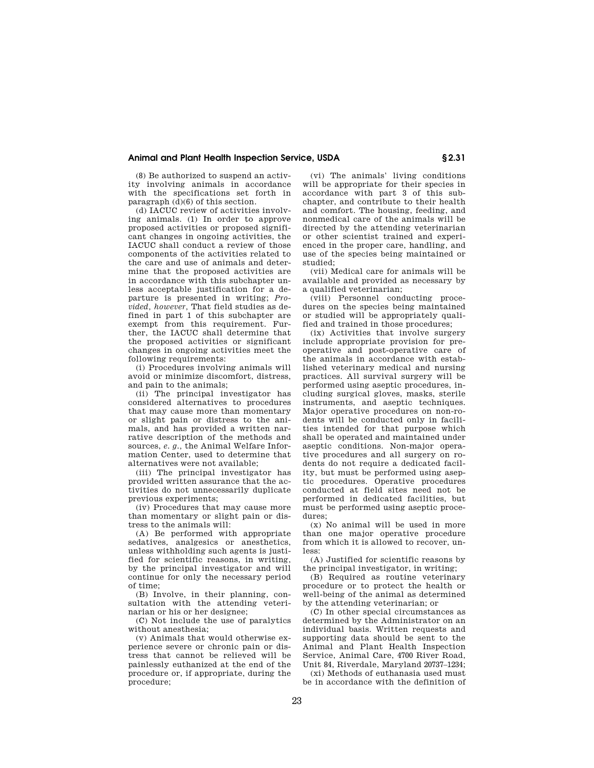(8) Be authorized to suspend an activity involving animals in accordance with the specifications set forth in paragraph  $(d)(6)$  of this section.

(d) IACUC review of activities involving animals. (1) In order to approve proposed activities or proposed significant changes in ongoing activities, the IACUC shall conduct a review of those components of the activities related to the care and use of animals and determine that the proposed activities are in accordance with this subchapter unless acceptable justification for a departure is presented in writing; *Provided, however,* That field studies as defined in part 1 of this subchapter are exempt from this requirement. Further, the IACUC shall determine that the proposed activities or significant changes in ongoing activities meet the following requirements:

(i) Procedures involving animals will avoid or minimize discomfort, distress, and pain to the animals;

(ii) The principal investigator has considered alternatives to procedures that may cause more than momentary or slight pain or distress to the animals, and has provided a written narrative description of the methods and sources, *e. g.,* the Animal Welfare Information Center, used to determine that alternatives were not available;

(iii) The principal investigator has provided written assurance that the activities do not unnecessarily duplicate previous experiments;

(iv) Procedures that may cause more than momentary or slight pain or distress to the animals will:

(A) Be performed with appropriate sedatives, analgesics or anesthetics, unless withholding such agents is justified for scientific reasons, in writing, by the principal investigator and will continue for only the necessary period of time;

(B) Involve, in their planning, consultation with the attending veterinarian or his or her designee;

(C) Not include the use of paralytics without anesthesia;

(v) Animals that would otherwise experience severe or chronic pain or distress that cannot be relieved will be painlessly euthanized at the end of the procedure or, if appropriate, during the procedure;

(vi) The animals' living conditions will be appropriate for their species in accordance with part 3 of this subchapter, and contribute to their health and comfort. The housing, feeding, and nonmedical care of the animals will be directed by the attending veterinarian or other scientist trained and experienced in the proper care, handling, and use of the species being maintained or studied;

(vii) Medical care for animals will be available and provided as necessary by a qualified veterinarian;

(viii) Personnel conducting procedures on the species being maintained or studied will be appropriately qualified and trained in those procedures;

(ix) Activities that involve surgery include appropriate provision for preoperative and post-operative care of the animals in accordance with established veterinary medical and nursing practices. All survival surgery will be performed using aseptic procedures, including surgical gloves, masks, sterile instruments, and aseptic techniques. Major operative procedures on non-rodents will be conducted only in facilities intended for that purpose which shall be operated and maintained under aseptic conditions. Non-major operative procedures and all surgery on rodents do not require a dedicated facility, but must be performed using aseptic procedures. Operative procedures conducted at field sites need not be performed in dedicated facilities, but must be performed using aseptic procedures;

(x) No animal will be used in more than one major operative procedure from which it is allowed to recover, unless:

(A) Justified for scientific reasons by the principal investigator, in writing;

(B) Required as routine veterinary procedure or to protect the health or well-being of the animal as determined by the attending veterinarian; or

(C) In other special circumstances as determined by the Administrator on an individual basis. Written requests and supporting data should be sent to the Animal and Plant Health Inspection Service, Animal Care, 4700 River Road, Unit 84, Riverdale, Maryland 20737–1234;

(xi) Methods of euthanasia used must be in accordance with the definition of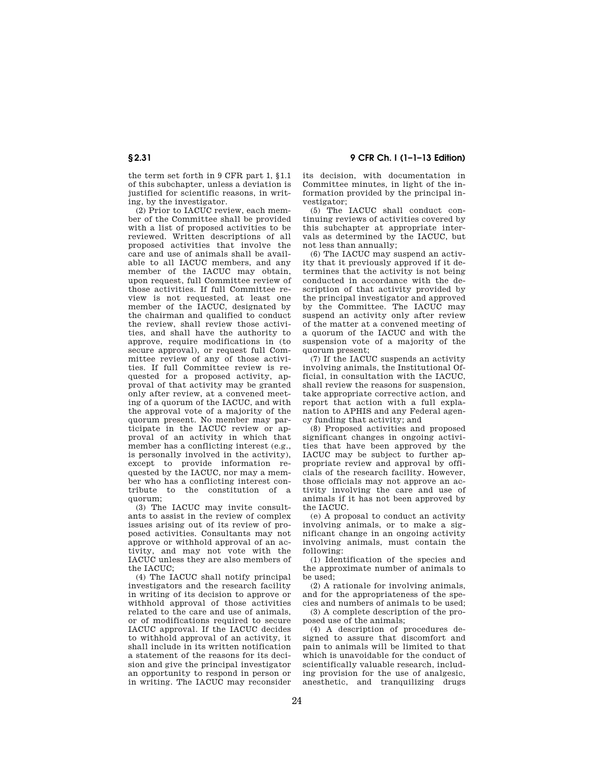the term set forth in 9 CFR part 1, §1.1 of this subchapter, unless a deviation is justified for scientific reasons, in writing, by the investigator.

(2) Prior to IACUC review, each member of the Committee shall be provided with a list of proposed activities to be reviewed. Written descriptions of all proposed activities that involve the care and use of animals shall be available to all IACUC members, and any member of the IACUC may obtain, upon request, full Committee review of those activities. If full Committee review is not requested, at least one member of the IACUC, designated by the chairman and qualified to conduct the review, shall review those activities, and shall have the authority to approve, require modifications in (to secure approval), or request full Committee review of any of those activities. If full Committee review is requested for a proposed activity, approval of that activity may be granted only after review, at a convened meeting of a quorum of the IACUC, and with the approval vote of a majority of the quorum present. No member may participate in the IACUC review or approval of an activity in which that member has a conflicting interest (e.g., is personally involved in the activity), except to provide information requested by the IACUC, nor may a member who has a conflicting interest contribute to the constitution of a quorum;

(3) The IACUC may invite consultants to assist in the review of complex issues arising out of its review of proposed activities. Consultants may not approve or withhold approval of an activity, and may not vote with the IACUC unless they are also members of the IACUC<sup>.</sup>

(4) The IACUC shall notify principal investigators and the research facility in writing of its decision to approve or withhold approval of those activities related to the care and use of animals, or of modifications required to secure IACUC approval. If the IACUC decides to withhold approval of an activity, it shall include in its written notification a statement of the reasons for its decision and give the principal investigator an opportunity to respond in person or in writing. The IACUC may reconsider

**§ 2.31 9 CFR Ch. I (1–1–13 Edition)** 

its decision, with documentation in Committee minutes, in light of the information provided by the principal investigator;

(5) The IACUC shall conduct continuing reviews of activities covered by this subchapter at appropriate intervals as determined by the IACUC, but not less than annually;

(6) The IACUC may suspend an activity that it previously approved if it determines that the activity is not being conducted in accordance with the description of that activity provided by the principal investigator and approved by the Committee. The IACUC may suspend an activity only after review of the matter at a convened meeting of a quorum of the IACUC and with the suspension vote of a majority of the quorum present;

(7) If the IACUC suspends an activity involving animals, the Institutional Official, in consultation with the IACUC, shall review the reasons for suspension, take appropriate corrective action, and report that action with a full explanation to APHIS and any Federal agency funding that activity; and

(8) Proposed activities and proposed significant changes in ongoing activities that have been approved by the IACUC may be subject to further appropriate review and approval by officials of the research facility. However, those officials may not approve an activity involving the care and use of animals if it has not been approved by the IACUC.

(e) A proposal to conduct an activity involving animals, or to make a significant change in an ongoing activity involving animals, must contain the following:

(1) Identification of the species and the approximate number of animals to be used;

(2) A rationale for involving animals, and for the appropriateness of the species and numbers of animals to be used;

(3) A complete description of the proposed use of the animals;

(4) A description of procedures designed to assure that discomfort and pain to animals will be limited to that which is unavoidable for the conduct of scientifically valuable research, including provision for the use of analgesic, anesthetic, and tranquilizing drugs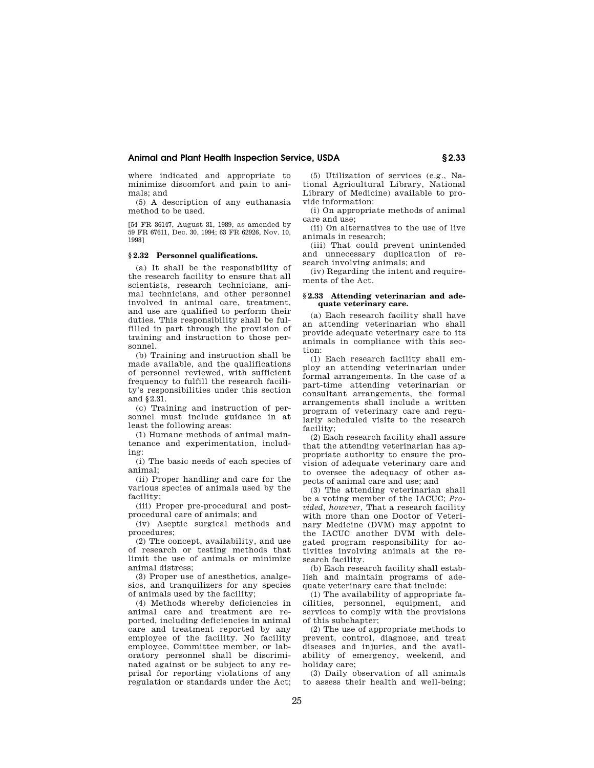where indicated and appropriate to minimize discomfort and pain to animals; and

(5) A description of any euthanasia method to be used.

[54 FR 36147, August 31, 1989, as amended by 59 FR 67611, Dec. 30, 1994; 63 FR 62926, Nov. 10, 1998]

#### **§ 2.32 Personnel qualifications.**

(a) It shall be the responsibility of the research facility to ensure that all scientists, research technicians, animal technicians, and other personnel involved in animal care, treatment, and use are qualified to perform their duties. This responsibility shall be fulfilled in part through the provision of training and instruction to those personnel.

(b) Training and instruction shall be made available, and the qualifications of personnel reviewed, with sufficient frequency to fulfill the research facility's responsibilities under this section and §2.31.

(c) Training and instruction of personnel must include guidance in at least the following areas:

(1) Humane methods of animal maintenance and experimentation, including:

(i) The basic needs of each species of animal;

(ii) Proper handling and care for the various species of animals used by the facility;

(iii) Proper pre-procedural and postprocedural care of animals; and

(iv) Aseptic surgical methods and procedures;

(2) The concept, availability, and use of research or testing methods that limit the use of animals or minimize animal distress;

(3) Proper use of anesthetics, analgesics, and tranquilizers for any species of animals used by the facility;

(4) Methods whereby deficiencies in animal care and treatment are reported, including deficiencies in animal care and treatment reported by any employee of the facility. No facility employee, Committee member, or laboratory personnel shall be discriminated against or be subject to any reprisal for reporting violations of any regulation or standards under the Act;

(5) Utilization of services (e.g., National Agricultural Library, National Library of Medicine) available to provide information:

(i) On appropriate methods of animal care and use;

(ii) On alternatives to the use of live animals in research;

(iii) That could prevent unintended and unnecessary duplication of research involving animals; and

(iv) Regarding the intent and requirements of the Act.

#### **§ 2.33 Attending veterinarian and adequate veterinary care.**

(a) Each research facility shall have an attending veterinarian who shall provide adequate veterinary care to its animals in compliance with this section:

(1) Each research facility shall employ an attending veterinarian under formal arrangements. In the case of a part-time attending veterinarian or consultant arrangements, the formal arrangements shall include a written program of veterinary care and regularly scheduled visits to the research facility;

(2) Each research facility shall assure that the attending veterinarian has appropriate authority to ensure the provision of adequate veterinary care and to oversee the adequacy of other aspects of animal care and use; and

(3) The attending veterinarian shall be a voting member of the IACUC; *Provided, however,* That a research facility with more than one Doctor of Veterinary Medicine (DVM) may appoint to the IACUC another DVM with delegated program responsibility for activities involving animals at the research facility.

(b) Each research facility shall establish and maintain programs of adequate veterinary care that include:

(1) The availability of appropriate facilities, personnel, equipment, and services to comply with the provisions of this subchapter;

(2) The use of appropriate methods to prevent, control, diagnose, and treat diseases and injuries, and the availability of emergency, weekend, and holiday care;

(3) Daily observation of all animals to assess their health and well-being;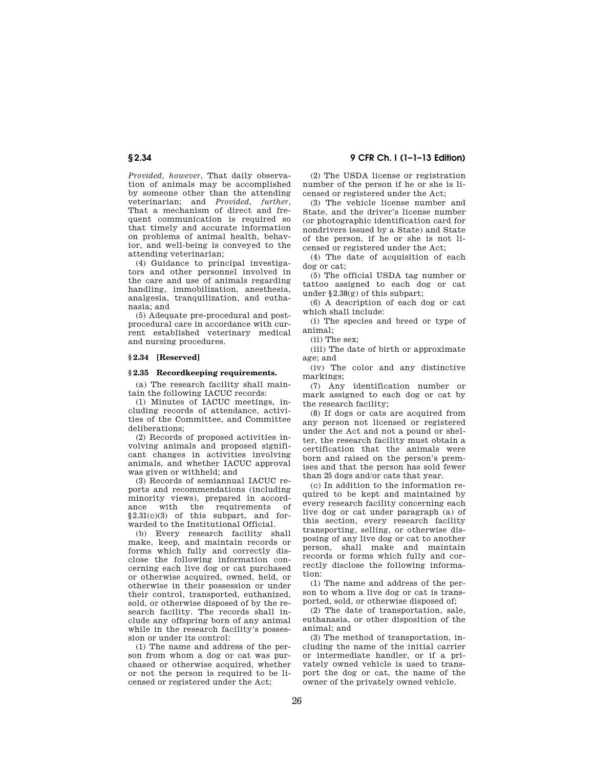## **§ 2.34 9 CFR Ch. I (1–1–13 Edition)**

*Provided, however,* That daily observation of animals may be accomplished by someone other than the attending veterinarian; and *Provided, further,*  That a mechanism of direct and frequent communication is required so that timely and accurate information on problems of animal health, behavior, and well-being is conveyed to the attending veterinarian;

(4) Guidance to principal investigators and other personnel involved in the care and use of animals regarding handling, immobilization, anesthesia, analgesia, tranquilization, and euthanasia; and

(5) Adequate pre-procedural and postprocedural care in accordance with current established veterinary medical and nursing procedures.

#### **§ 2.34 [Reserved]**

#### **§ 2.35 Recordkeeping requirements.**

(a) The research facility shall maintain the following IACUC records:

(1) Minutes of IACUC meetings, including records of attendance, activities of the Committee, and Committee deliberations;

(2) Records of proposed activities involving animals and proposed significant changes in activities involving animals, and whether IACUC approval was given or withheld; and

(3) Records of semiannual IACUC reports and recommendations (including minority views), prepared in accordance with the requirements of  $§2.31(c)(3)$  of this subpart, and forwarded to the Institutional Official.

(b) Every research facility shall make, keep, and maintain records or forms which fully and correctly disclose the following information concerning each live dog or cat purchased or otherwise acquired, owned, held, or otherwise in their possession or under their control, transported, euthanized, sold, or otherwise disposed of by the research facility. The records shall include any offspring born of any animal while in the research facility's possession or under its control:

(1) The name and address of the person from whom a dog or cat was purchased or otherwise acquired, whether or not the person is required to be licensed or registered under the Act;

(2) The USDA license or registration number of the person if he or she is licensed or registered under the Act;

(3) The vehicle license number and State, and the driver's license number (or photographic identification card for nondrivers issued by a State) and State of the person, if he or she is not licensed or registered under the Act;

(4) The date of acquisition of each dog or cat;

(5) The official USDA tag number or tattoo assigned to each dog or cat under §2.38(g) of this subpart;

(6) A description of each dog or cat which shall include:

(i) The species and breed or type of animal;

(ii) The sex;

(iii) The date of birth or approximate age; and

(iv) The color and any distinctive markings;

(7) Any identification number or mark assigned to each dog or cat by the research facility;

(8) If dogs or cats are acquired from any person not licensed or registered under the Act and not a pound or shelter, the research facility must obtain a certification that the animals were born and raised on the person's premises and that the person has sold fewer than 25 dogs and/or cats that year.

(c) In addition to the information required to be kept and maintained by every research facility concerning each live dog or cat under paragraph (a) of this section, every research facility transporting, selling, or otherwise disposing of any live dog or cat to another person, shall make and maintain records or forms which fully and correctly disclose the following information:

(1) The name and address of the person to whom a live dog or cat is transported, sold, or otherwise disposed of;

(2) The date of transportation, sale, euthanasia, or other disposition of the animal; and

(3) The method of transportation, including the name of the initial carrier or intermediate handler, or if a privately owned vehicle is used to transport the dog or cat, the name of the owner of the privately owned vehicle.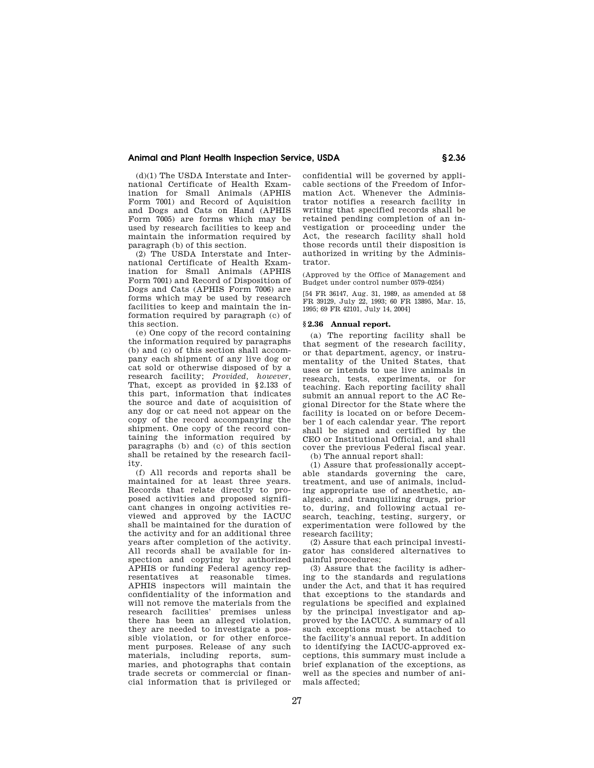(d)(1) The USDA Interstate and International Certificate of Health Examination for Small Animals (APHIS Form 7001) and Record of Aquisition and Dogs and Cats on Hand (APHIS Form 7005) are forms which may be used by research facilities to keep and maintain the information required by paragraph (b) of this section.

(2) The USDA Interstate and International Certificate of Health Examination for Small Animals (APHIS Form 7001) and Record of Disposition of Dogs and Cats (APHIS Form 7006) are forms which may be used by research facilities to keep and maintain the information required by paragraph (c) of this section.

(e) One copy of the record containing the information required by paragraphs (b) and (c) of this section shall accompany each shipment of any live dog or cat sold or otherwise disposed of by a research facility; *Provided, however,*  That, except as provided in §2.133 of this part, information that indicates the source and date of acquisition of any dog or cat need not appear on the copy of the record accompanying the shipment. One copy of the record containing the information required by paragraphs (b) and (c) of this section shall be retained by the research facility.

(f) All records and reports shall be maintained for at least three years. Records that relate directly to proposed activities and proposed significant changes in ongoing activities reviewed and approved by the IACUC shall be maintained for the duration of the activity and for an additional three years after completion of the activity. All records shall be available for inspection and copying by authorized APHIS or funding Federal agency representatives at reasonable times. APHIS inspectors will maintain the confidentiality of the information and will not remove the materials from the research facilities' premises unless there has been an alleged violation, they are needed to investigate a possible violation, or for other enforcement purposes. Release of any such materials, including reports, summaries, and photographs that contain trade secrets or commercial or financial information that is privileged or

confidential will be governed by applicable sections of the Freedom of Information Act. Whenever the Administrator notifies a research facility in writing that specified records shall be retained pending completion of an investigation or proceeding under the Act, the research facility shall hold those records until their disposition is authorized in writing by the Administrator.

(Approved by the Office of Management and Budget under control number 0579–0254)

[54 FR 36147, Aug. 31, 1989, as amended at 58 FR 39129, July 22, 1993; 60 FR 13895, Mar. 15, 1995; 69 FR 42101, July 14, 2004]

#### **§ 2.36 Annual report.**

(a) The reporting facility shall be that segment of the research facility, or that department, agency, or instrumentality of the United States, that uses or intends to use live animals in research, tests, experiments, or for teaching. Each reporting facility shall submit an annual report to the AC Regional Director for the State where the facility is located on or before December 1 of each calendar year. The report shall be signed and certified by the CEO or Institutional Official, and shall cover the previous Federal fiscal year.

(b) The annual report shall:

(1) Assure that professionally acceptable standards governing the care, treatment, and use of animals, including appropriate use of anesthetic, analgesic, and tranquilizing drugs, prior to, during, and following actual research, teaching, testing, surgery, or experimentation were followed by the research facility;

(2) Assure that each principal investigator has considered alternatives to painful procedures;

(3) Assure that the facility is adhering to the standards and regulations under the Act, and that it has required that exceptions to the standards and regulations be specified and explained by the principal investigator and approved by the IACUC. A summary of all such exceptions must be attached to the facility's annual report. In addition to identifying the IACUC-approved exceptions, this summary must include a brief explanation of the exceptions, as well as the species and number of animals affected;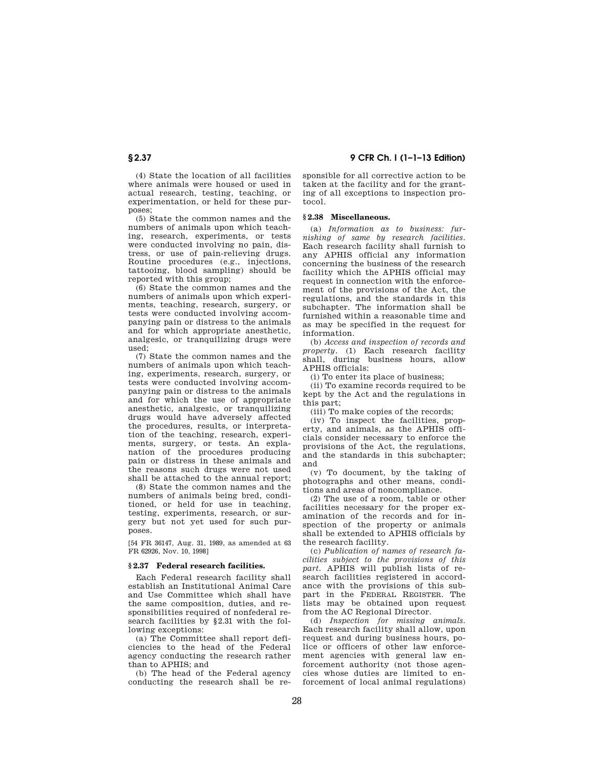(4) State the location of all facilities where animals were housed or used in actual research, testing, teaching, or experimentation, or held for these purposes;

(5) State the common names and the numbers of animals upon which teaching, research, experiments, or tests were conducted involving no pain, distress, or use of pain-relieving drugs. Routine procedures (e.g., injections, tattooing, blood sampling) should be reported with this group;

(6) State the common names and the numbers of animals upon which experiments, teaching, research, surgery, or tests were conducted involving accompanying pain or distress to the animals and for which appropriate anesthetic, analgesic, or tranquilizing drugs were used;

(7) State the common names and the numbers of animals upon which teaching, experiments, research, surgery, or tests were conducted involving accompanying pain or distress to the animals and for which the use of appropriate anesthetic, analgesic, or tranquilizing drugs would have adversely affected the procedures, results, or interpretation of the teaching, research, experiments, surgery, or tests. An explanation of the procedures producing pain or distress in these animals and the reasons such drugs were not used shall be attached to the annual report;

(8) State the common names and the numbers of animals being bred, conditioned, or held for use in teaching, testing, experiments, research, or surgery but not yet used for such purposes.

[54 FR 36147, Aug. 31, 1989, as amended at 63 FR 62926, Nov. 10, 1998]

#### **§ 2.37 Federal research facilities.**

Each Federal research facility shall establish an Institutional Animal Care and Use Committee which shall have the same composition, duties, and responsibilities required of nonfederal research facilities by §2.31 with the following exceptions:

(a) The Committee shall report deficiencies to the head of the Federal agency conducting the research rather than to APHIS; and

(b) The head of the Federal agency conducting the research shall be re-

**§ 2.37 9 CFR Ch. I (1–1–13 Edition)** 

sponsible for all corrective action to be taken at the facility and for the granting of all exceptions to inspection protocol.

#### **§ 2.38 Miscellaneous.**

(a) *Information as to business: furnishing of same by research facilities.*  Each research facility shall furnish to any APHIS official any information concerning the business of the research facility which the APHIS official may request in connection with the enforcement of the provisions of the Act, the regulations, and the standards in this subchapter. The information shall be furnished within a reasonable time and as may be specified in the request for information.

(b) *Access and inspection of records and property.* (1) Each research facility shall, during business hours, allow APHIS officials:

(i) To enter its place of business;

(ii) To examine records required to be kept by the Act and the regulations in this part;

(iii) To make copies of the records;

(iv) To inspect the facilities, property, and animals, as the APHIS officials consider necessary to enforce the provisions of the Act, the regulations, and the standards in this subchapter; and

(v) To document, by the taking of photographs and other means, conditions and areas of noncompliance.

(2) The use of a room, table or other facilities necessary for the proper examination of the records and for inspection of the property or animals shall be extended to APHIS officials by the research facility.

(c) *Publication of names of research facilities subject to the provisions of this part.* APHIS will publish lists of research facilities registered in accordance with the provisions of this subpart in the FEDERAL REGISTER. The lists may be obtained upon request from the AC Regional Director.

(d) *Inspection for missing animals.*  Each research facility shall allow, upon request and during business hours, police or officers of other law enforcement agencies with general law enforcement authority (not those agencies whose duties are limited to enforcement of local animal regulations)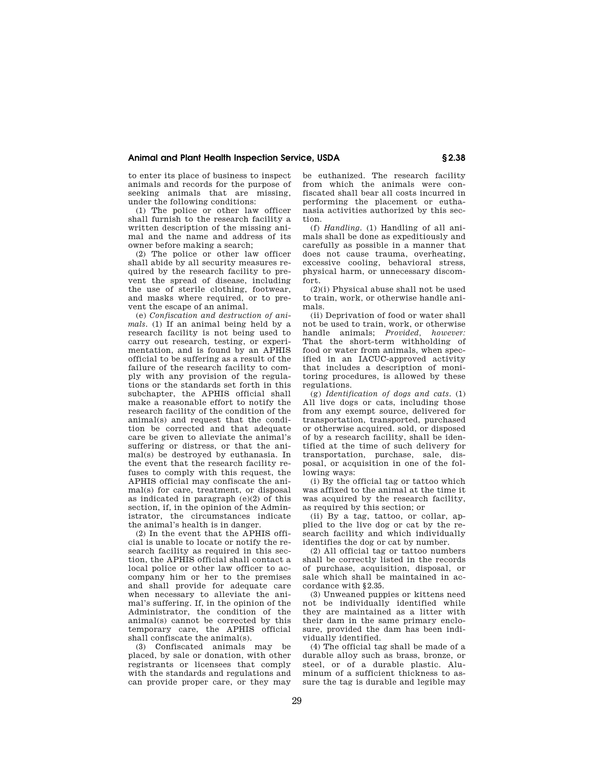to enter its place of business to inspect animals and records for the purpose of seeking animals that are missing, under the following conditions:

(1) The police or other law officer shall furnish to the research facility a written description of the missing animal and the name and address of its owner before making a search;

(2) The police or other law officer shall abide by all security measures required by the research facility to prevent the spread of disease, including the use of sterile clothing, footwear, and masks where required, or to prevent the escape of an animal.

(e) *Confiscation and destruction of animals.* (1) If an animal being held by a research facility is not being used to carry out research, testing, or experimentation, and is found by an APHIS official to be suffering as a result of the failure of the research facility to comply with any provision of the regulations or the standards set forth in this subchapter, the APHIS official shall make a reasonable effort to notify the research facility of the condition of the animal(s) and request that the condition be corrected and that adequate care be given to alleviate the animal's suffering or distress, or that the animal(s) be destroyed by euthanasia. In the event that the research facility refuses to comply with this request, the APHIS official may confiscate the animal(s) for care, treatment, or disposal as indicated in paragraph (e)(2) of this section, if, in the opinion of the Administrator, the circumstances indicate the animal's health is in danger.

(2) In the event that the APHIS official is unable to locate or notify the research facility as required in this section, the APHIS official shall contact a local police or other law officer to accompany him or her to the premises and shall provide for adequate care when necessary to alleviate the animal's suffering. If, in the opinion of the Administrator, the condition of the animal(s) cannot be corrected by this temporary care, the APHIS official shall confiscate the animal(s).

(3) Confiscated animals may be placed, by sale or donation, with other registrants or licensees that comply with the standards and regulations and can provide proper care, or they may be euthanized. The research facility from which the animals were confiscated shall bear all costs incurred in performing the placement or euthanasia activities authorized by this section.

(f) *Handling.* (1) Handling of all animals shall be done as expeditiously and carefully as possible in a manner that does not cause trauma, overheating, excessive cooling, behavioral stress, physical harm, or unnecessary discomfort.

(2)(i) Physical abuse shall not be used to train, work, or otherwise handle animals.

(ii) Deprivation of food or water shall not be used to train, work, or otherwise handle animals; *Provided, however:*  That the short-term withholding of food or water from animals, when specified in an IACUC-approved activity that includes a description of monitoring procedures, is allowed by these regulations.

(g) *Identification of dogs and cats.* (1) All live dogs or cats, including those from any exempt source, delivered for transportation, transported, purchased or otherwise acquired. sold, or disposed of by a research facility, shall be identified at the time of such delivery for transportation, purchase, sale, disposal, or acquisition in one of the following ways:

(i) By the official tag or tattoo which was affixed to the animal at the time it was acquired by the research facility, as required by this section; or

(ii) By a tag, tattoo, or collar, applied to the live dog or cat by the research facility and which individually identifies the dog or cat by number.

(2) All official tag or tattoo numbers shall be correctly listed in the records of purchase, acquisition, disposal, or sale which shall be maintained in accordance with §2.35.

(3) Unweaned puppies or kittens need not be individually identified while they are maintained as a litter with their dam in the same primary enclosure, provided the dam has been individually identified.

(4) The official tag shall be made of a durable alloy such as brass, bronze, or steel, or of a durable plastic. Aluminum of a sufficient thickness to assure the tag is durable and legible may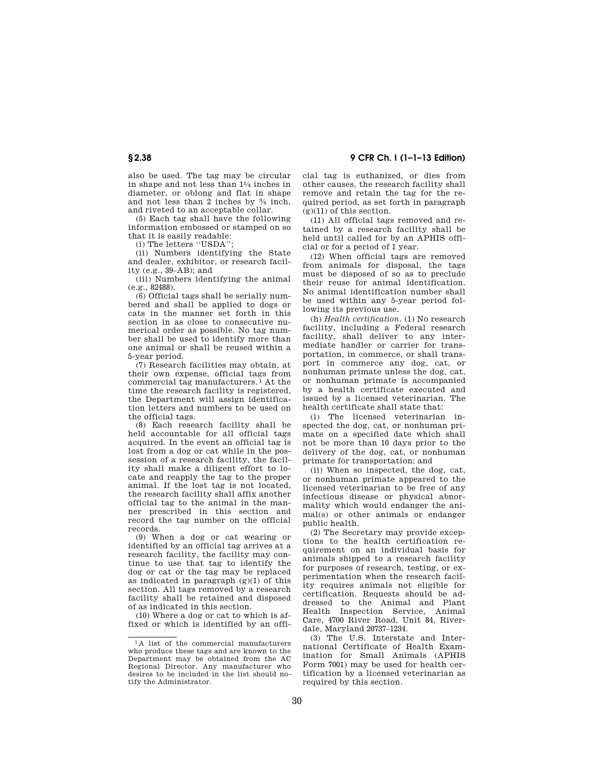## **§ 2.38 9 CFR Ch. I (1–1–13 Edition)**

also be used. The tag may be circular in shape and not less than 11⁄4 inches in diameter, or oblong and flat in shape and not less than 2 inches by 3⁄4 inch, and riveted to an acceptable collar.

(5) Each tag shall have the following information embossed or stamped on so that it is easily readable:

(i) The letters ''USDA'';

(ii) Numbers identifying the State and dealer, exhibitor, or research facility (e.g., 39–AB); and

(iii) Numbers identifying the animal (e.g., 82488).

(6) Official tags shall be serially numbered and shall be applied to dogs or cats in the manner set forth in this section in as close to consecutive numerical order as possible. No tag number shall be used to identify more than one animal or shall be reused within a 5-year period.

(7) Research facilities may obtain, at their own expense, official tags from commercial tag manufacturers. 1 At the time the research facility is registered, the Department will assign identification letters and numbers to be used on the official tags.

(8) Each research facility shall be held accountable for all official tags acquired. In the event an official tag is lost from a dog or cat while in the possession of a research facility, the facility shall make a diligent effort to locate and reapply the tag to the proper animal. If the lost tag is not located, the research facility shall affix another official tag to the animal in the manner prescribed in this section and record the tag number on the official records.

(9) When a dog or cat wearing or identified by an official tag arrives at a research facility, the facility may continue to use that tag to identify the dog or cat or the tag may be replaced as indicated in paragraph  $(g)(1)$  of this section. All tags removed by a research facility shall be retained and disposed of as indicated in this section.

(10) Where a dog or cat to which is affixed or which is identified by an official tag is euthanized, or dies from other causes, the research facility shall remove and retain the tag for the required period, as set forth in paragraph  $(g)(11)$  of this section.

(11) All official tags removed and retained by a research facility shall be held until called for by an APHIS official or for a period of 1 year.

(12) When official tags are removed from animals for disposal, the tags must be disposed of so as to preclude their reuse for animal identification. No animal identification number shall be used within any 5-year period following its previous use.

(h) *Health certification.* (1) No research facility, including a Federal research facility, shall deliver to any intermediate handler or carrier for transportation, in commerce, or shall transport in commerce any dog, cat, or nonhuman primate unless the dog, cat, or nonhuman primate is accompanied by a health certificate executed and issued by a licensed veterinarian. The health certificate shall state that:

(i) The licensed veterinarian inspected the dog, cat, or nonhuman primate on a specified date which shall not be more than 10 days prior to the delivery of the dog, cat, or nonhuman primate for transportation; and

(ii) When so inspected, the dog, cat, or nonhuman primate appeared to the licensed veterinarian to be free of any infectious disease or physical abnormality which would endanger the animal(s) or other animals or endanger public health.

(2) The Secretary may provide exceptions to the health certification requirement on an individual basis for animals shipped to a research facility for purposes of research, testing, or experimentation when the research facility requires animals not eligible for certification. Requests should be addressed to the Animal and Plant Health Inspection Service, Animal Care, 4700 River Road, Unit 84, Riverdale, Maryland 20737–1234.

(3) The U.S. Interstate and International Certificate of Health Examination for Small Animals (APHIS Form 7001) may be used for health certification by a licensed veterinarian as required by this section.

<sup>1</sup> A list of the commercial manufacturers who produce these tags and are known to the Department may be obtained from the AC Regional Director. Any manufacturer who desires to be included in the list should notify the Administrator.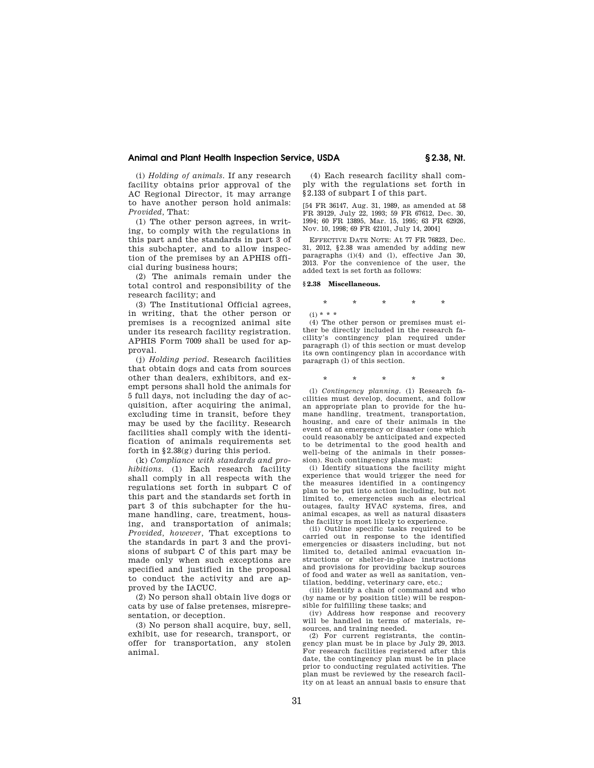(i) *Holding of animals.* If any research facility obtains prior approval of the AC Regional Director, it may arrange to have another person hold animals: *Provided,* That:

(1) The other person agrees, in writing, to comply with the regulations in this part and the standards in part 3 of this subchapter, and to allow inspection of the premises by an APHIS official during business hours;

(2) The animals remain under the total control and responsibility of the research facility; and

(3) The Institutional Official agrees, in writing, that the other person or premises is a recognized animal site under its research facility registration. APHIS Form 7009 shall be used for approval.

(j) *Holding period.* Research facilities that obtain dogs and cats from sources other than dealers, exhibitors, and exempt persons shall hold the animals for 5 full days, not including the day of acquisition, after acquiring the animal, excluding time in transit, before they may be used by the facility. Research facilities shall comply with the identification of animals requirements set forth in §2.38(g) during this period.

(k) *Compliance with standards and prohibitions.* (1) Each research facility shall comply in all respects with the regulations set forth in subpart C of this part and the standards set forth in part 3 of this subchapter for the humane handling, care, treatment, housing, and transportation of animals; *Provided, however,* That exceptions to the standards in part 3 and the provisions of subpart C of this part may be made only when such exceptions are specified and justified in the proposal to conduct the activity and are approved by the IACUC.

(2) No person shall obtain live dogs or cats by use of false pretenses, misrepresentation, or deception.

(3) No person shall acquire, buy, sell, exhibit, use for research, transport, or offer for transportation, any stolen animal.

(4) Each research facility shall comply with the regulations set forth in §2.133 of subpart I of this part.

[54 FR 36147, Aug. 31, 1989, as amended at 58 FR 39129, July 22, 1993; 59 FR 67612, Dec. 30, 1994; 60 FR 13895, Mar. 15, 1995; 63 FR 62926, Nov. 10, 1998; 69 FR 42101, July 14, 2004]

EFFECTIVE DATE NOTE: At 77 FR 76823, Dec. 31, 2012, §2.38 was amended by adding new paragraphs (i)(4) and (l), effective Jan 30, 2013. For the convenience of the user, the added text is set forth as follows:

**§ 2.38 Miscellaneous.** 

## \* \* \* \* \*

 $(i) * * * *$ 

(4) The other person or premises must either be directly included in the research facility's contingency plan required under paragraph (l) of this section or must develop its own contingency plan in accordance with paragraph (l) of this section.

### \* \* \* \* \*

(l) *Contingency planning.* (1) Research facilities must develop, document, and follow an appropriate plan to provide for the humane handling, treatment, transportation, housing, and care of their animals in the event of an emergency or disaster (one which could reasonably be anticipated and expected to be detrimental to the good health and well-being of the animals in their possession). Such contingency plans must:

(i) Identify situations the facility might experience that would trigger the need for the measures identified in a contingency plan to be put into action including, but not limited to, emergencies such as electrical outages, faulty HVAC systems, fires, and animal escapes, as well as natural disasters the facility is most likely to experience.

(ii) Outline specific tasks required to be carried out in response to the identified emergencies or disasters including, but not limited to, detailed animal evacuation instructions or shelter-in-place instructions and provisions for providing backup sources of food and water as well as sanitation, ventilation, bedding, veterinary care, etc.;

(iii) Identify a chain of command and who (by name or by position title) will be responsible for fulfilling these tasks; and

(iv) Address how response and recovery will be handled in terms of materials, resources, and training needed.

(2) For current registrants, the contingency plan must be in place by July 29, 2013. For research facilities registered after this date, the contingency plan must be in place prior to conducting regulated activities. The plan must be reviewed by the research facility on at least an annual basis to ensure that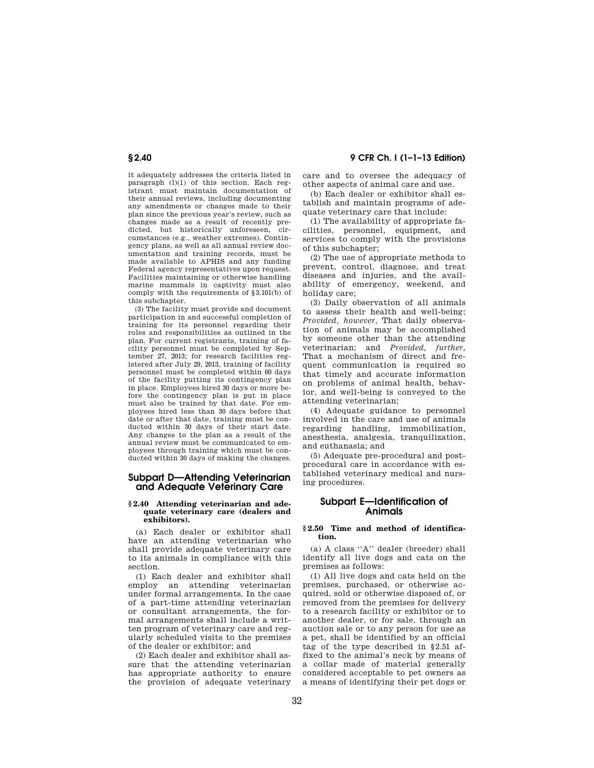## **§ 2.40 9 CFR Ch. I (1–1–13 Edition)**

it adequately addresses the criteria listed in paragraph  $(l)(1)$  of this section. Each registrant must maintain documentation of their annual reviews, including documenting any amendments or changes made to their plan since the previous year's review, such as changes made as a result of recently predicted, but historically unforeseen, circumstances (e.g., weather extremes). Contingency plans, as well as all annual review documentation and training records, must be made available to APHIS and any funding Federal agency representatives upon request. Facilities maintaining or otherwise handling marine mammals in captivity must also comply with the requirements of §3.101(b) of this subchapter.

(3) The facility must provide and document participation in and successful completion of training for its personnel regarding their roles and responsibilities as outlined in the plan. For current registrants, training of facility personnel must be completed by September 27, 2013; for research facilities registered after July 29, 2013, training of facility personnel must be completed within 60 days of the facility putting its contingency plan in place. Employees hired 30 days or more before the contingency plan is put in place must also be trained by that date. For employees hired less than 30 days before that date or after that date, training must be conducted within 30 days of their start date. Any changes to the plan as a result of the annual review must be communicated to employees through training which must be conducted within 30 days of making the changes.

### **Subpart D—Attending Veterinarian and Adequate Veterinary Care**

#### **§ 2.40 Attending veterinarian and adequate veterinary care (dealers and exhibitors).**

(a) Each dealer or exhibitor shall have an attending veterinarian who shall provide adequate veterinary care to its animals in compliance with this section.

(1) Each dealer and exhibitor shall employ an attending veterinarian under formal arrangements. In the case of a part-time attending veterinarian or consultant arrangements, the formal arrangements shall include a written program of veterinary care and regularly scheduled visits to the premises of the dealer or exhibitor; and

(2) Each dealer and exhibitor shall assure that the attending veterinarian has appropriate authority to ensure the provision of adequate veterinary care and to oversee the adequacy of other aspects of animal care and use.

(b) Each dealer or exhibitor shall establish and maintain programs of adequate veterinary care that include:

(1) The availability of appropriate facilities, personnel, equipment, and services to comply with the provisions of this subchapter;

(2) The use of appropriate methods to prevent, control, diagnose, and treat diseases and injuries, and the availability of emergency, weekend, and holiday care;

(3) Daily observation of all animals to assess their health and well-being; *Provided, however,* That daily observation of animals may be accomplished by someone other than the attending veterinarian; and *Provided, further,*  That a mechanism of direct and frequent communication is required so that timely and accurate information on problems of animal health, behavior, and well-being is conveyed to the attending veterinarian;

(4) Adequate guidance to personnel involved in the care and use of animals regarding handling, immobilization, anesthesia, analgesia, tranquilization, and euthanasia; and

(5) Adequate pre-procedural and postprocedural care in accordance with established veterinary medical and nursing procedures.

## **Subpart E—Identification of Animals**

#### **§ 2.50 Time and method of identification.**

(a) A class ''A'' dealer (breeder) shall identify all live dogs and cats on the premises as follows:

(1) All live dogs and cats held on the premises, purchased, or otherwise acquired, sold or otherwise disposed of, or removed from the premises for delivery to a research facility or exhibitor or to another dealer, or for sale, through an auction sale or to any person for use as a pet, shall be identified by an official tag of the type described in §2.51 affixed to the animal's neck by means of a collar made of material generally considered acceptable to pet owners as a means of identifying their pet dogs or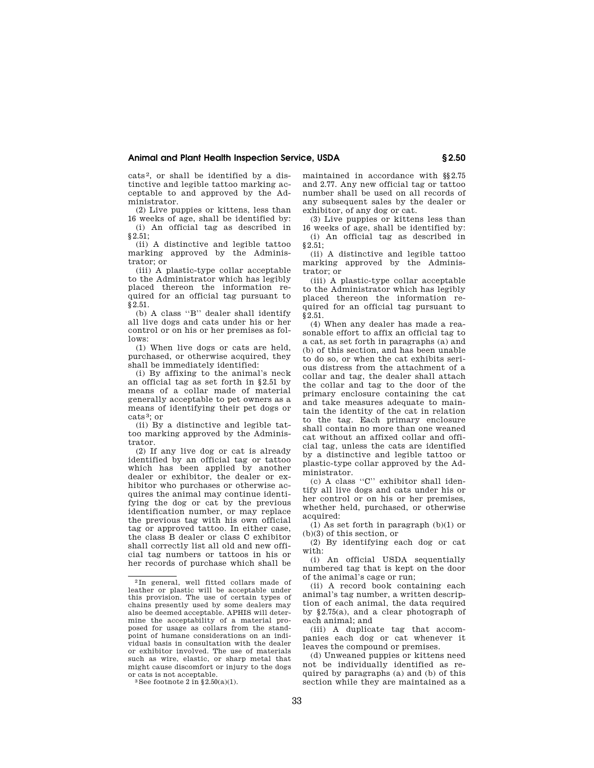cats 2, or shall be identified by a distinctive and legible tattoo marking acceptable to and approved by the Administrator.

(2) Live puppies or kittens, less than 16 weeks of age, shall be identified by: (i) An official tag as described in

§2.51; (ii) A distinctive and legible tattoo

marking approved by the Administrator; or

(iii) A plastic-type collar acceptable to the Administrator which has legibly placed thereon the information required for an official tag pursuant to §2.51.

(b) A class ''B'' dealer shall identify all live dogs and cats under his or her control or on his or her premises as follows:

(1) When live dogs or cats are held, purchased, or otherwise acquired, they shall be immediately identified:

(i) By affixing to the animal's neck an official tag as set forth in §2.51 by means of a collar made of material generally acceptable to pet owners as a means of identifying their pet dogs or cats 3; or

(ii) By a distinctive and legible tattoo marking approved by the Administrator.

(2) If any live dog or cat is already identified by an official tag or tattoo which has been applied by another dealer or exhibitor, the dealer or exhibitor who purchases or otherwise acquires the animal may continue identifying the dog or cat by the previous identification number, or may replace the previous tag with his own official tag or approved tattoo. In either case, the class B dealer or class C exhibitor shall correctly list all old and new official tag numbers or tattoos in his or her records of purchase which shall be

 $3$  See footnote 2 in §2.50(a)(1).

maintained in accordance with §§2.75 and 2.77. Any new official tag or tattoo number shall be used on all records of any subsequent sales by the dealer or exhibitor, of any dog or cat.

(3) Live puppies or kittens less than 16 weeks of age, shall be identified by: (i) An official tag as described in

§2.51; (ii) A distinctive and legible tattoo

marking approved by the Administrator; or

(iii) A plastic-type collar acceptable to the Administrator which has legibly placed thereon the information required for an official tag pursuant to §2.51.

(4) When any dealer has made a reasonable effort to affix an official tag to a cat, as set forth in paragraphs (a) and (b) of this section, and has been unable to do so, or when the cat exhibits serious distress from the attachment of a collar and tag, the dealer shall attach the collar and tag to the door of the primary enclosure containing the cat and take measures adequate to maintain the identity of the cat in relation to the tag. Each primary enclosure shall contain no more than one weaned cat without an affixed collar and official tag, unless the cats are identified by a distinctive and legible tattoo or plastic-type collar approved by the Administrator.

(c) A class ''C'' exhibitor shall identify all live dogs and cats under his or her control or on his or her premises, whether held, purchased, or otherwise acquired:

 $(1)$  As set forth in paragraph  $(b)(1)$  or (b)(3) of this section, or

(2) By identifying each dog or cat with:

(i) An official USDA sequentially numbered tag that is kept on the door of the animal's cage or run;

(ii) A record book containing each animal's tag number, a written description of each animal, the data required by §2.75(a), and a clear photograph of each animal; and

(iii) A duplicate tag that accompanies each dog or cat whenever it leaves the compound or premises.

(d) Unweaned puppies or kittens need not be individually identified as required by paragraphs (a) and (b) of this section while they are maintained as a

<sup>2</sup> In general, well fitted collars made of leather or plastic will be acceptable under this provision. The use of certain types of chains presently used by some dealers may also be deemed acceptable. APHIS will determine the acceptability of a material proposed for usage as collars from the standpoint of humane considerations on an individual basis in consultation with the dealer or exhibitor involved. The use of materials such as wire, elastic, or sharp metal that might cause discomfort or injury to the dogs<br>or cats is not acceptable.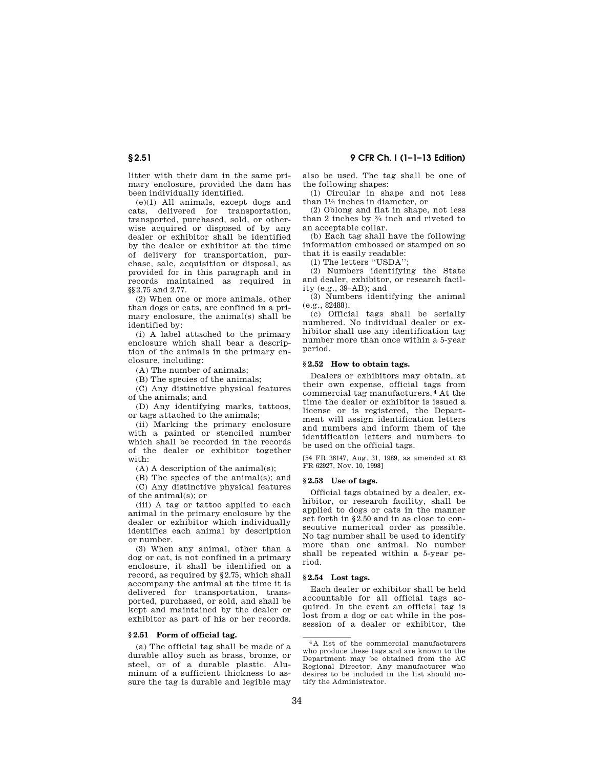litter with their dam in the same primary enclosure, provided the dam has been individually identified.

(e)(1) All animals, except dogs and cats, delivered for transportation, transported, purchased, sold, or otherwise acquired or disposed of by any dealer or exhibitor shall be identified by the dealer or exhibitor at the time of delivery for transportation, purchase, sale, acquisition or disposal, as provided for in this paragraph and in records maintained as required in §§2.75 and 2.77.

(2) When one or more animals, other than dogs or cats, are confined in a primary enclosure, the animal(s) shall be identified by:

(i) A label attached to the primary enclosure which shall bear a description of the animals in the primary enclosure, including:

(A) The number of animals;

(B) The species of the animals;

(C) Any distinctive physical features of the animals; and

(D) Any identifying marks, tattoos, or tags attached to the animals;

(ii) Marking the primary enclosure with a painted or stenciled number which shall be recorded in the records of the dealer or exhibitor together with:

(A) A description of the animal(s);

(B) The species of the animal(s); and (C) Any distinctive physical features of the animal(s); or

(iii) A tag or tattoo applied to each animal in the primary enclosure by the dealer or exhibitor which individually identifies each animal by description or number.

(3) When any animal, other than a dog or cat, is not confined in a primary enclosure, it shall be identified on a record, as required by §2.75, which shall accompany the animal at the time it is delivered for transportation, transported, purchased, or sold, and shall be kept and maintained by the dealer or exhibitor as part of his or her records.

### **§ 2.51 Form of official tag.**

(a) The official tag shall be made of a durable alloy such as brass, bronze, or steel, or of a durable plastic. Aluminum of a sufficient thickness to assure the tag is durable and legible may also be used. The tag shall be one of the following shapes:

(1) Circular in shape and not less than 11⁄4 inches in diameter, or

(2) Oblong and flat in shape, not less than 2 inches by 3⁄4 inch and riveted to an acceptable collar.

(b) Each tag shall have the following information embossed or stamped on so that it is easily readable:

(1) The letters "USDA"

(2) Numbers identifying the State and dealer, exhibitor, or research facility (e.g., 39–AB); and

(3) Numbers identifying the animal (e.g., 82488).

(c) Official tags shall be serially numbered. No individual dealer or exhibitor shall use any identification tag number more than once within a 5-year period.

#### **§ 2.52 How to obtain tags.**

Dealers or exhibitors may obtain, at their own expense, official tags from commercial tag manufacturers. 4 At the time the dealer or exhibitor is issued a license or is registered, the Department will assign identification letters and numbers and inform them of the identification letters and numbers to be used on the official tags.

[54 FR 36147, Aug. 31, 1989, as amended at 63 FR 62927, Nov. 10, 1998]

#### **§ 2.53 Use of tags.**

Official tags obtained by a dealer, exhibitor, or research facility, shall be applied to dogs or cats in the manner set forth in §2.50 and in as close to consecutive numerical order as possible. No tag number shall be used to identify more than one animal. No number shall be repeated within a 5-year period.

#### **§ 2.54 Lost tags.**

Each dealer or exhibitor shall be held accountable for all official tags acquired. In the event an official tag is lost from a dog or cat while in the possession of a dealer or exhibitor, the

<sup>4</sup> A list of the commercial manufacturers who produce these tags and are known to the Department may be obtained from the AC Regional Director. Any manufacturer who desires to be included in the list should notify the Administrator.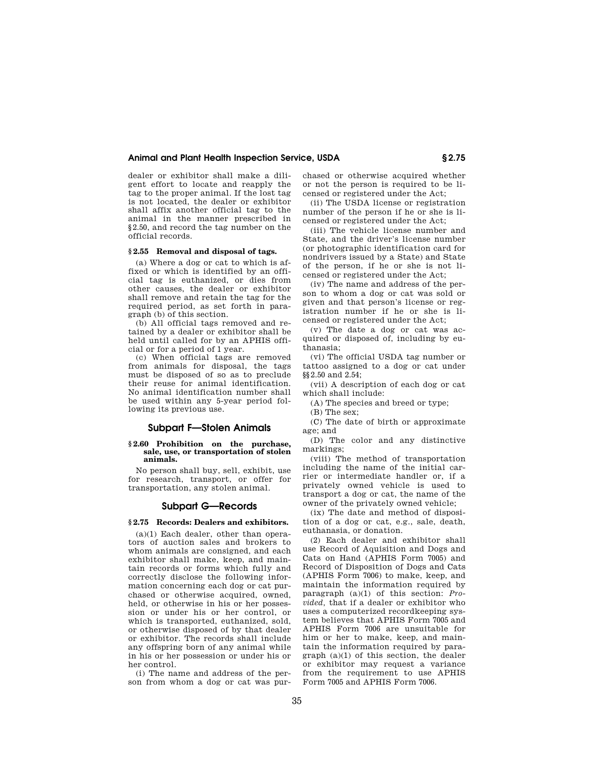dealer or exhibitor shall make a diligent effort to locate and reapply the tag to the proper animal. If the lost tag is not located, the dealer or exhibitor shall affix another official tag to the animal in the manner prescribed in §2.50, and record the tag number on the official records.

#### **§ 2.55 Removal and disposal of tags.**

(a) Where a dog or cat to which is affixed or which is identified by an official tag is euthanized, or dies from other causes, the dealer or exhibitor shall remove and retain the tag for the required period, as set forth in paragraph (b) of this section.

(b) All official tags removed and retained by a dealer or exhibitor shall be held until called for by an APHIS official or for a period of 1 year.

(c) When official tags are removed from animals for disposal, the tags must be disposed of so as to preclude their reuse for animal identification. No animal identification number shall be used within any 5-year period following its previous use.

## **Subpart F—Stolen Animals**

#### **§ 2.60 Prohibition on the purchase, sale, use, or transportation of stolen animals.**

No person shall buy, sell, exhibit, use for research, transport, or offer for transportation, any stolen animal.

#### **Subpart G—Records**

#### **§ 2.75 Records: Dealers and exhibitors.**

(a)(1) Each dealer, other than operators of auction sales and brokers to whom animals are consigned, and each exhibitor shall make, keep, and maintain records or forms which fully and correctly disclose the following information concerning each dog or cat purchased or otherwise acquired, owned, held, or otherwise in his or her possession or under his or her control, or which is transported, euthanized, sold, or otherwise disposed of by that dealer or exhibitor. The records shall include any offspring born of any animal while in his or her possession or under his or her control.

(i) The name and address of the person from whom a dog or cat was pur-

chased or otherwise acquired whether or not the person is required to be licensed or registered under the Act;

(ii) The USDA license or registration number of the person if he or she is licensed or registered under the Act;

(iii) The vehicle license number and State, and the driver's license number (or photographic identification card for nondrivers issued by a State) and State of the person, if he or she is not licensed or registered under the Act;

(iv) The name and address of the person to whom a dog or cat was sold or given and that person's license or registration number if he or she is licensed or registered under the Act;

(v) The date a dog or cat was acquired or disposed of, including by euthanasia;

(vi) The official USDA tag number or tattoo assigned to a dog or cat under §§2.50 and 2.54;

(vii) A description of each dog or cat which shall include:

(A) The species and breed or type;

(B) The sex;

(C) The date of birth or approximate age; and

(D) The color and any distinctive markings;

(viii) The method of transportation including the name of the initial carrier or intermediate handler or, if a privately owned vehicle is used to transport a dog or cat, the name of the owner of the privately owned vehicle;

(ix) The date and method of disposition of a dog or cat, e.g., sale, death, euthanasia, or donation.

(2) Each dealer and exhibitor shall use Record of Aquisition and Dogs and Cats on Hand (APHIS Form 7005) and Record of Disposition of Dogs and Cats (APHIS Form 7006) to make, keep, and maintain the information required by paragraph (a)(1) of this section: *Provided,* that if a dealer or exhibitor who uses a computerized recordkeeping system believes that APHIS Form 7005 and APHIS Form 7006 are unsuitable for him or her to make, keep, and maintain the information required by para $graph (a)(1)$  of this section, the dealer or exhibitor may request a variance from the requirement to use APHIS Form 7005 and APHIS Form 7006.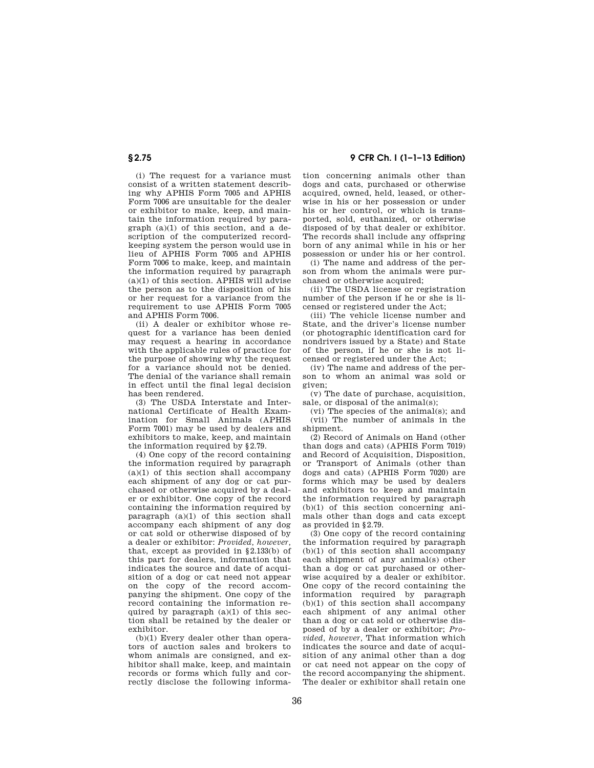(i) The request for a variance must consist of a written statement describing why APHIS Form 7005 and APHIS Form 7006 are unsuitable for the dealer or exhibitor to make, keep, and maintain the information required by paragraph (a)(1) of this section, and a description of the computerized recordkeeping system the person would use in lieu of APHIS Form 7005 and APHIS Form 7006 to make, keep, and maintain the information required by paragraph (a)(1) of this section. APHIS will advise the person as to the disposition of his or her request for a variance from the requirement to use APHIS Form 7005 and APHIS Form 7006.

(ii) A dealer or exhibitor whose request for a variance has been denied may request a hearing in accordance with the applicable rules of practice for the purpose of showing why the request for a variance should not be denied. The denial of the variance shall remain in effect until the final legal decision has been rendered.

(3) The USDA Interstate and International Certificate of Health Examination for Small Animals (APHIS Form 7001) may be used by dealers and exhibitors to make, keep, and maintain the information required by §2.79.

(4) One copy of the record containing the information required by paragraph  $(a)(1)$  of this section shall accompany each shipment of any dog or cat purchased or otherwise acquired by a dealer or exhibitor. One copy of the record containing the information required by paragraph (a)(1) of this section shall accompany each shipment of any dog or cat sold or otherwise disposed of by a dealer or exhibitor: *Provided, however,*  that, except as provided in §2.133(b) of this part for dealers, information that indicates the source and date of acquisition of a dog or cat need not appear on the copy of the record accompanying the shipment. One copy of the record containing the information required by paragraph  $(a)(1)$  of this section shall be retained by the dealer or exhibitor.

(b)(1) Every dealer other than operators of auction sales and brokers to whom animals are consigned, and exhibitor shall make, keep, and maintain records or forms which fully and correctly disclose the following informa-

## **§ 2.75 9 CFR Ch. I (1–1–13 Edition)**

tion concerning animals other than dogs and cats, purchased or otherwise acquired, owned, held, leased, or otherwise in his or her possession or under his or her control, or which is transported, sold, euthanized, or otherwise disposed of by that dealer or exhibitor. The records shall include any offspring born of any animal while in his or her possession or under his or her control.

(i) The name and address of the person from whom the animals were purchased or otherwise acquired;

(ii) The USDA license or registration number of the person if he or she is licensed or registered under the Act;

(iii) The vehicle license number and State, and the driver's license number (or photographic identification card for nondrivers issued by a State) and State of the person, if he or she is not licensed or registered under the Act;

(iv) The name and address of the person to whom an animal was sold or given;

(v) The date of purchase, acquisition, sale, or disposal of the animal(s);

(vi) The species of the animal(s); and (vii) The number of animals in the shipment.

(2) Record of Animals on Hand (other than dogs and cats) (APHIS Form 7019) and Record of Acquisition, Disposition, or Transport of Animals (other than dogs and cats) (APHIS Form 7020) are forms which may be used by dealers and exhibitors to keep and maintain the information required by paragraph (b)(1) of this section concerning animals other than dogs and cats except as provided in §2.79.

(3) One copy of the record containing the information required by paragraph  $(b)(1)$  of this section shall accompany each shipment of any animal(s) other than a dog or cat purchased or otherwise acquired by a dealer or exhibitor. One copy of the record containing the information required by paragraph (b)(1) of this section shall accompany each shipment of any animal other than a dog or cat sold or otherwise disposed of by a dealer or exhibitor; *Provided, however,* That information which indicates the source and date of acquisition of any animal other than a dog or cat need not appear on the copy of the record accompanying the shipment. The dealer or exhibitor shall retain one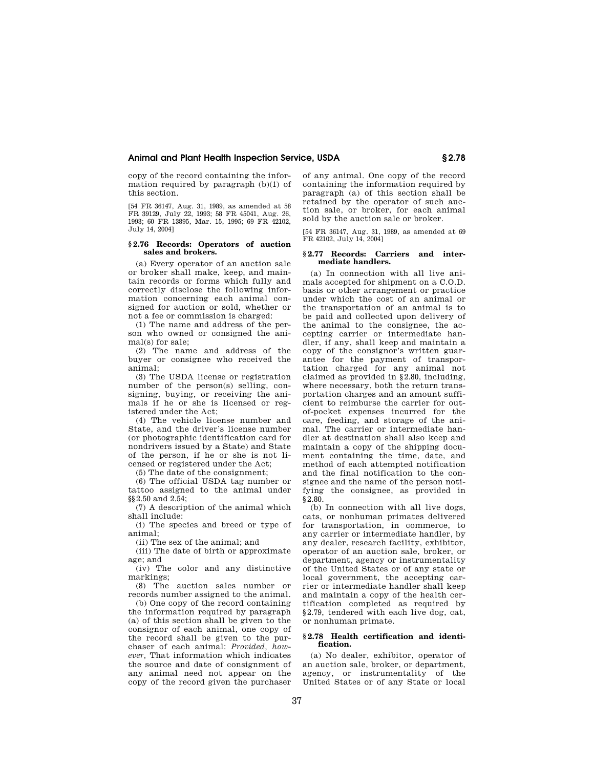copy of the record containing the information required by paragraph (b)(1) of this section.

[54 FR 36147, Aug. 31, 1989, as amended at 58 FR 39129, July 22, 1993; 58 FR 45041, Aug. 26, 1993; 60 FR 13895, Mar. 15, 1995; 69 FR 42102, July 14, 2004]

#### **§ 2.76 Records: Operators of auction sales and brokers.**

(a) Every operator of an auction sale or broker shall make, keep, and maintain records or forms which fully and correctly disclose the following information concerning each animal consigned for auction or sold, whether or not a fee or commission is charged:

(1) The name and address of the person who owned or consigned the animal(s) for sale;

(2) The name and address of the buyer or consignee who received the animal;

(3) The USDA license or registration number of the person(s) selling, consigning, buying, or receiving the animals if he or she is licensed or registered under the Act;

(4) The vehicle license number and State, and the driver's license number (or photographic identification card for nondrivers issued by a State) and State of the person, if he or she is not licensed or registered under the Act;

(5) The date of the consignment;

(6) The official USDA tag number or tattoo assigned to the animal under §§2.50 and 2.54;

(7) A description of the animal which shall include:

(i) The species and breed or type of animal;

(ii) The sex of the animal; and

(iii) The date of birth or approximate

age; and (iv) The color and any distinctive markings;

(8) The auction sales number or records number assigned to the animal.

(b) One copy of the record containing the information required by paragraph (a) of this section shall be given to the consignor of each animal, one copy of the record shall be given to the purchaser of each animal: *Provided, however,* That information which indicates the source and date of consignment of any animal need not appear on the copy of the record given the purchaser of any animal. One copy of the record containing the information required by paragraph (a) of this section shall be retained by the operator of such auction sale, or broker, for each animal sold by the auction sale or broker.

[54 FR 36147, Aug. 31, 1989, as amended at 69 FR 42102, July 14, 2004]

#### **§ 2.77 Records: Carriers and intermediate handlers.**

(a) In connection with all live animals accepted for shipment on a C.O.D. basis or other arrangement or practice under which the cost of an animal or the transportation of an animal is to be paid and collected upon delivery of the animal to the consignee, the accepting carrier or intermediate handler, if any, shall keep and maintain a copy of the consignor's written guarantee for the payment of transportation charged for any animal not claimed as provided in §2.80, including, where necessary, both the return transportation charges and an amount sufficient to reimburse the carrier for outof-pocket expenses incurred for the care, feeding, and storage of the animal. The carrier or intermediate handler at destination shall also keep and maintain a copy of the shipping document containing the time, date, and method of each attempted notification and the final notification to the consignee and the name of the person notifying the consignee, as provided in §2.80.

(b) In connection with all live dogs, cats, or nonhuman primates delivered for transportation, in commerce, to any carrier or intermediate handler, by any dealer, research facility, exhibitor, operator of an auction sale, broker, or department, agency or instrumentality of the United States or of any state or local government, the accepting carrier or intermediate handler shall keep and maintain a copy of the health certification completed as required by §2.79, tendered with each live dog, cat, or nonhuman primate.

#### **§ 2.78 Health certification and identification.**

(a) No dealer, exhibitor, operator of an auction sale, broker, or department, agency, or instrumentality of the United States or of any State or local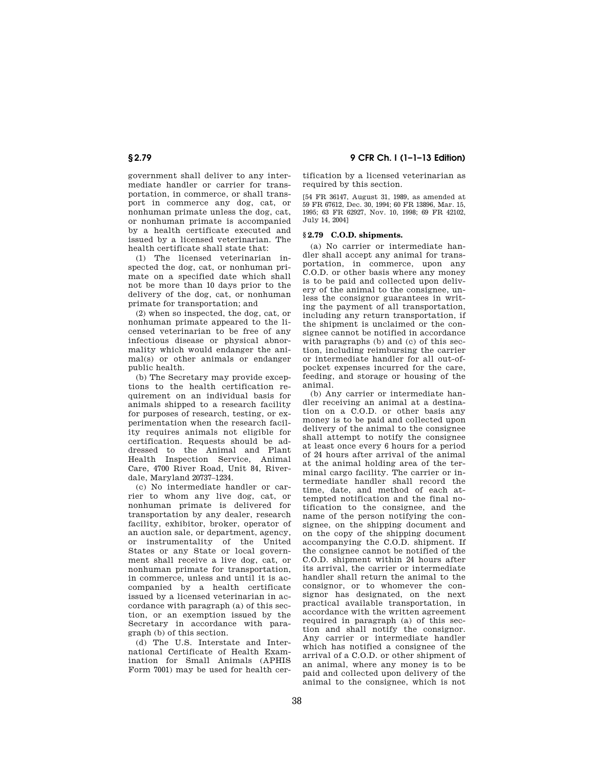## **§ 2.79 9 CFR Ch. I (1–1–13 Edition)**

government shall deliver to any intermediate handler or carrier for transportation, in commerce, or shall transport in commerce any dog, cat, or nonhuman primate unless the dog, cat, or nonhuman primate is accompanied by a health certificate executed and issued by a licensed veterinarian. The health certificate shall state that:

(1) The licensed veterinarian inspected the dog, cat, or nonhuman primate on a specified date which shall not be more than 10 days prior to the delivery of the dog, cat, or nonhuman primate for transportation; and

(2) when so inspected, the dog, cat, or nonhuman primate appeared to the licensed veterinarian to be free of any infectious disease or physical abnormality which would endanger the animal(s) or other animals or endanger public health.

(b) The Secretary may provide exceptions to the health certification requirement on an individual basis for animals shipped to a research facility for purposes of research, testing, or experimentation when the research facility requires animals not eligible for certification. Requests should be addressed to the Animal and Plant Health Inspection Service, Animal Care, 4700 River Road, Unit 84, Riverdale, Maryland 20737–1234.

(c) No intermediate handler or carrier to whom any live dog, cat, or nonhuman primate is delivered for transportation by any dealer, research facility, exhibitor, broker, operator of an auction sale, or department, agency, or instrumentality of the United States or any State or local government shall receive a live dog, cat, or nonhuman primate for transportation, in commerce, unless and until it is accompanied by a health certificate issued by a licensed veterinarian in accordance with paragraph (a) of this section, or an exemption issued by the Secretary in accordance with paragraph (b) of this section.

(d) The U.S. Interstate and International Certificate of Health Examination for Small Animals (APHIS Form 7001) may be used for health certification by a licensed veterinarian as required by this section.

[54 FR 36147, August 31, 1989, as amended at 59 FR 67612, Dec. 30, 1994; 60 FR 13896, Mar. 15, 1995; 63 FR 62927, Nov. 10, 1998; 69 FR 42102, July 14, 2004]

### **§ 2.79 C.O.D. shipments.**

(a) No carrier or intermediate handler shall accept any animal for transportation, in commerce, upon any C.O.D. or other basis where any money is to be paid and collected upon delivery of the animal to the consignee, unless the consignor guarantees in writing the payment of all transportation, including any return transportation, if the shipment is unclaimed or the consignee cannot be notified in accordance with paragraphs (b) and (c) of this section, including reimbursing the carrier or intermediate handler for all out-ofpocket expenses incurred for the care, feeding, and storage or housing of the animal.

(b) Any carrier or intermediate handler receiving an animal at a destination on a C.O.D. or other basis any money is to be paid and collected upon delivery of the animal to the consignee shall attempt to notify the consignee at least once every 6 hours for a period of 24 hours after arrival of the animal at the animal holding area of the terminal cargo facility. The carrier or intermediate handler shall record the time, date, and method of each attempted notification and the final notification to the consignee, and the name of the person notifying the consignee, on the shipping document and on the copy of the shipping document accompanying the C.O.D. shipment. If the consignee cannot be notified of the C.O.D. shipment within 24 hours after its arrival, the carrier or intermediate handler shall return the animal to the consignor, or to whomever the consignor has designated, on the next practical available transportation, in accordance with the written agreement required in paragraph (a) of this section and shall notify the consignor. Any carrier or intermediate handler which has notified a consignee of the arrival of a C.O.D. or other shipment of an animal, where any money is to be paid and collected upon delivery of the animal to the consignee, which is not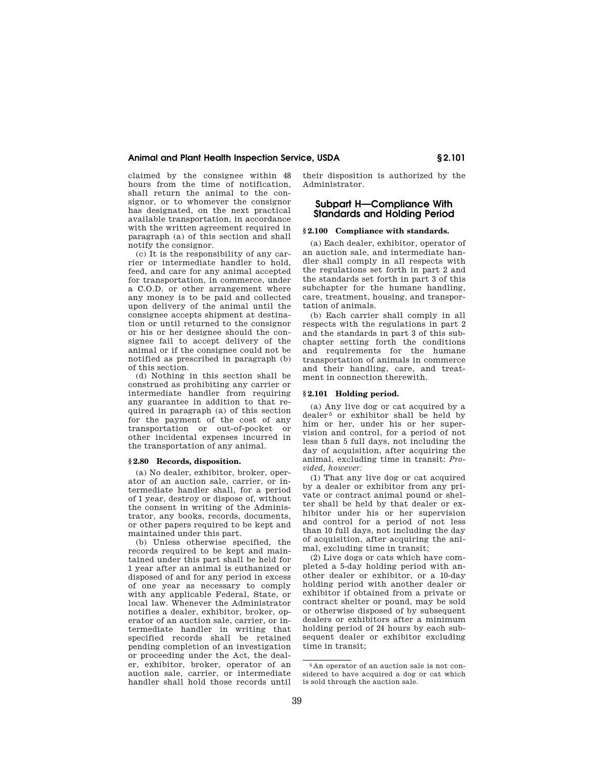claimed by the consignee within 48 hours from the time of notification, shall return the animal to the consignor, or to whomever the consignor has designated, on the next practical available transportation, in accordance with the written agreement required in paragraph (a) of this section and shall notify the consignor.

(c) It is the responsibility of any carrier or intermediate handler to hold, feed, and care for any animal accepted for transportation, in commerce, under a C.O.D. or other arrangement where any money is to be paid and collected upon delivery of the animal until the consignee accepts shipment at destination or until returned to the consignor or his or her designee should the consignee fail to accept delivery of the animal or if the consignee could not be notified as prescribed in paragraph (b) of this section.

(d) Nothing in this section shall be construed as prohibiting any carrier or intermediate handler from requiring any guarantee in addition to that required in paragraph (a) of this section for the payment of the cost of any transportation or out-of-pocket or other incidental expenses incurred in the transportation of any animal.

#### **§ 2.80 Records, disposition.**

(a) No dealer, exhibitor, broker, operator of an auction sale, carrier, or intermediate handler shall, for a period of 1 year, destroy or dispose of, without the consent in writing of the Administrator, any books, records, documents, or other papers required to be kept and maintained under this part.

(b) Unless otherwise specified, the records required to be kept and maintained under this part shall be held for 1 year after an animal is euthanized or disposed of and for any period in excess of one year as necessary to comply with any applicable Federal, State, or local law. Whenever the Administrator notifies a dealer, exhibitor, broker, operator of an auction sale, carrier, or intermediate handler in writing that specified records shall be retained pending completion of an investigation or proceeding under the Act, the dealer, exhibitor, broker, operator of an auction sale, carrier, or intermediate handler shall hold those records until

their disposition is authorized by the Administrator.

## **Subpart H—Compliance With Standards and Holding Period**

#### **§ 2.100 Compliance with standards.**

(a) Each dealer, exhibitor, operator of an auction sale, and intermediate handler shall comply in all respects with the regulations set forth in part 2 and the standards set forth in part 3 of this subchapter for the humane handling, care, treatment, housing, and transportation of animals.

(b) Each carrier shall comply in all respects with the regulations in part 2 and the standards in part 3 of this subchapter setting forth the conditions and requirements for the humane transportation of animals in commerce and their handling, care, and treatment in connection therewith.

#### **§ 2.101 Holding period.**

(a) Any live dog or cat acquired by a dealer<sup>5</sup> or exhibitor shall be held by him or her, under his or her supervision and control, for a period of not less than 5 full days, not including the day of acquisition, after acquiring the animal, excluding time in transit: *Provided, however:* 

(1) That any live dog or cat acquired by a dealer or exhibitor from any private or contract animal pound or shelter shall be held by that dealer or exhibitor under his or her supervision and control for a period of not less than 10 full days, not including the day of acquisition, after acquiring the animal, excluding time in transit;

(2) Live dogs or cats which have completed a 5-day holding period with another dealer or exhibitor, or a 10-day holding period with another dealer or exhibitor if obtained from a private or contract shelter or pound, may be sold or otherwise disposed of by subsequent dealers or exhibitors after a minimum holding period of 24 hours by each subsequent dealer or exhibitor excluding time in transit;

<sup>5</sup> An operator of an auction sale is not considered to have acquired a dog or cat which is sold through the auction sale.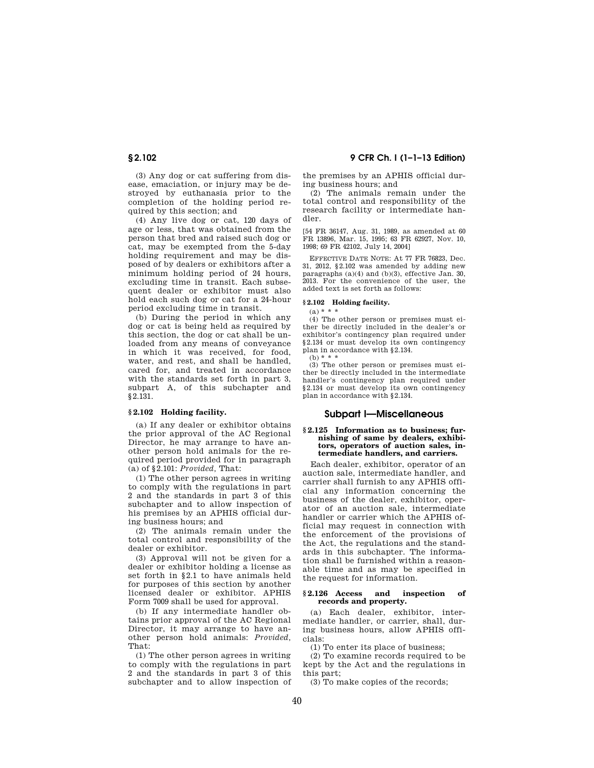(3) Any dog or cat suffering from disease, emaciation, or injury may be destroyed by euthanasia prior to the completion of the holding period required by this section; and

(4) Any live dog or cat, 120 days of age or less, that was obtained from the person that bred and raised such dog or cat, may be exempted from the 5-day holding requirement and may be disposed of by dealers or exhibitors after a minimum holding period of 24 hours, excluding time in transit. Each subsequent dealer or exhibitor must also hold each such dog or cat for a 24-hour period excluding time in transit.

(b) During the period in which any dog or cat is being held as required by this section, the dog or cat shall be unloaded from any means of conveyance in which it was received, for food, water, and rest, and shall be handled, cared for, and treated in accordance with the standards set forth in part 3, subpart A, of this subchapter and §2.131.

#### **§ 2.102 Holding facility.**

(a) If any dealer or exhibitor obtains the prior approval of the AC Regional Director, he may arrange to have another person hold animals for the required period provided for in paragraph (a) of §2.101: *Provided,* That:

(1) The other person agrees in writing to comply with the regulations in part 2 and the standards in part 3 of this subchapter and to allow inspection of his premises by an APHIS official during business hours; and

(2) The animals remain under the total control and responsibility of the dealer or exhibitor.

(3) Approval will not be given for a dealer or exhibitor holding a license as set forth in §2.1 to have animals held for purposes of this section by another licensed dealer or exhibitor. APHIS Form 7009 shall be used for approval.

(b) If any intermediate handler obtains prior approval of the AC Regional Director, it may arrange to have another person hold animals: *Provided,*  That:

(1) The other person agrees in writing to comply with the regulations in part 2 and the standards in part 3 of this subchapter and to allow inspection of

**§ 2.102 9 CFR Ch. I (1–1–13 Edition)** 

the premises by an APHIS official during business hours; and

(2) The animals remain under the total control and responsibility of the research facility or intermediate handler.

[54 FR 36147, Aug. 31, 1989, as amended at 60 FR 13896, Mar. 15, 1995; 63 FR 62927, Nov. 10, 1998; 69 FR 42102, July 14, 2004]

EFFECTIVE DATE NOTE: At 77 FR 76823, Dec. 31, 2012, §2.102 was amended by adding new paragraphs (a)(4) and (b)(3), effective Jan. 30, 2013. For the convenience of the user, the added text is set forth as follows:

#### **§ 2.102 Holding facility.**

 $(a) * * * *$ 

(4) The other person or premises must either be directly included in the dealer's or exhibitor's contingency plan required under §2.134 or must develop its own contingency plan in accordance with §2.134.

 $(b) * * * *$ 

 $(3)$  The other person or premises must either be directly included in the intermediate handler's contingency plan required under §2.134 or must develop its own contingency plan in accordance with §2.134.

### **Subpart I—Miscellaneous**

#### **§ 2.125 Information as to business; furnishing of same by dealers, exhibitors, operators of auction sales, intermediate handlers, and carriers.**

Each dealer, exhibitor, operator of an auction sale, intermediate handler, and carrier shall furnish to any APHIS official any information concerning the business of the dealer, exhibitor, operator of an auction sale, intermediate handler or carrier which the APHIS official may request in connection with the enforcement of the provisions of the Act, the regulations and the standards in this subchapter. The information shall be furnished within a reasonable time and as may be specified in the request for information.

#### **§ 2.126 Access and inspection of records and property.**

(a) Each dealer, exhibitor, intermediate handler, or carrier, shall, during business hours, allow APHIS officials:

(1) To enter its place of business;

(2) To examine records required to be kept by the Act and the regulations in this part;

(3) To make copies of the records;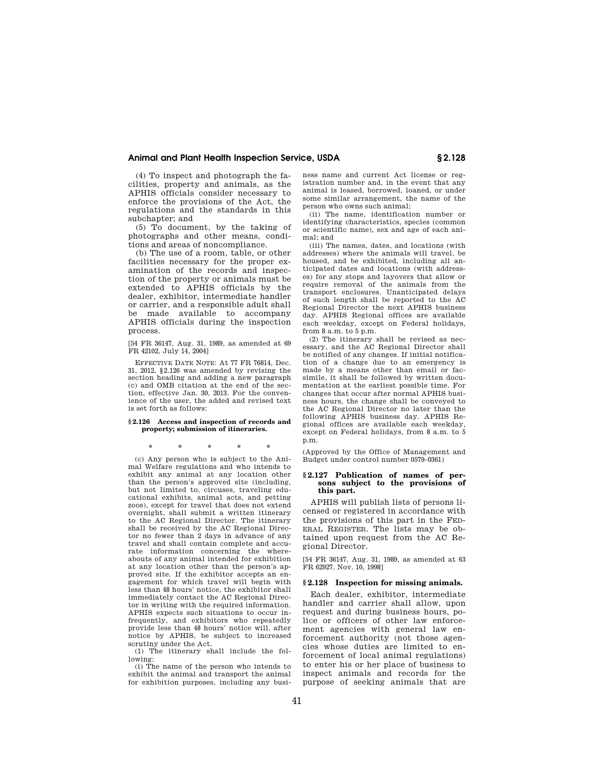(4) To inspect and photograph the facilities, property and animals, as the APHIS officials consider necessary to enforce the provisions of the Act, the regulations and the standards in this subchapter; and

(5) To document, by the taking of photographs and other means, conditions and areas of noncompliance.

(b) The use of a room, table, or other facilities necessary for the proper examination of the records and inspection of the property or animals must be extended to APHIS officials by the dealer, exhibitor, intermediate handler or carrier, and a responsible adult shall be made available to accompany APHIS officials during the inspection process.

[54 FR 36147, Aug. 31, 1989, as amended at 69 FR 42102, July 14, 2004]

EFFECTIVE DATE NOTE: At 77 FR 76814, Dec. 31, 2012, §2.126 was amended by revising the section heading and adding a new paragraph (c) and OMB citation at the end of the section, effective Jan. 30, 2013. For the convenience of the user, the added and revised text is set forth as follows:

#### **§ 2.126 Access and inspection of records and property; submission of itineraries.**

\* \* \* \* \* (c) Any person who is subject to the Animal Welfare regulations and who intends to exhibit any animal at any location other than the person's approved site (including, but not limited to, circuses, traveling educational exhibits, animal acts, and petting zoos), except for travel that does not extend overnight, shall submit a written itinerary to the AC Regional Director. The itinerary shall be received by the AC Regional Director no fewer than 2 days in advance of any travel and shall contain complete and accurate information concerning the whereabouts of any animal intended for exhibition at any location other than the person's approved site. If the exhibitor accepts an engagement for which travel will begin with less than 48 hours' notice, the exhibitor shall immediately contact the AC Regional Director in writing with the required information. APHIS expects such situations to occur infrequently, and exhibitors who repeatedly provide less than 48 hours' notice will, after notice by APHIS, be subject to increased

scrutiny under the Act. (1) The itinerary shall include the following:

(i) The name of the person who intends to exhibit the animal and transport the animal for exhibition purposes, including any busi-

ness name and current Act license or registration number and, in the event that any animal is leased, borrowed, loaned, or under some similar arrangement, the name of the person who owns such animal;

(ii) The name, identification number or identifying characteristics, species (common or scientific name), sex and age of each animal; and

(iii) The names, dates, and locations (with addresses) where the animals will travel, be housed, and be exhibited, including all anticipated dates and locations (with addresses) for any stops and layovers that allow or require removal of the animals from the transport enclosures. Unanticipated delays of such length shall be reported to the AC Regional Director the next APHIS business day. APHIS Regional offices are available each weekday, except on Federal holidays, from 8 a.m. to 5 p.m.

(2) The itinerary shall be revised as necessary, and the AC Regional Director shall be notified of any changes. If initial notification of a change due to an emergency is made by a means other than email or facsimile, it shall be followed by written documentation at the earliest possible time. For changes that occur after normal APHIS business hours, the change shall be conveyed to the AC Regional Director no later than the following APHIS business day. APHIS Regional offices are available each weekday, except on Federal holidays, from 8 a.m. to 5 p.m.

(Approved by the Office of Management and Budget under control number 0579–0361)

#### **§ 2.127 Publication of names of persons subject to the provisions of this part.**

APHIS will publish lists of persons licensed or registered in accordance with the provisions of this part in the FED-ERAL REGISTER. The lists may be obtained upon request from the AC Regional Director.

[54 FR 36147, Aug. 31, 1989, as amended at 63 FR 62927, Nov. 10, 1998]

#### **§ 2.128 Inspection for missing animals.**

Each dealer, exhibitor, intermediate handler and carrier shall allow, upon request and during business hours, police or officers of other law enforcement agencies with general law enforcement authority (not those agencies whose duties are limited to enforcement of local animal regulations) to enter his or her place of business to inspect animals and records for the purpose of seeking animals that are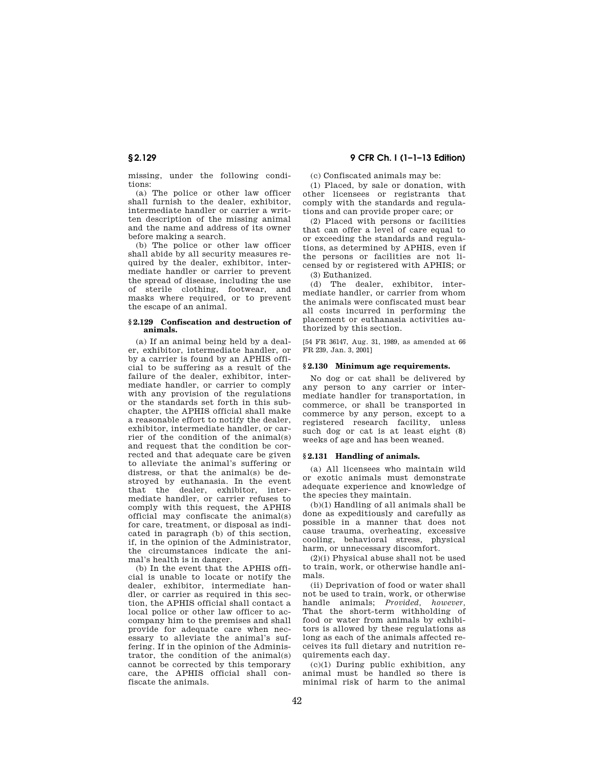**§ 2.129 9 CFR Ch. I (1–1–13 Edition)** 

missing, under the following conditions:

(a) The police or other law officer shall furnish to the dealer, exhibitor, intermediate handler or carrier a written description of the missing animal and the name and address of its owner before making a search.

(b) The police or other law officer shall abide by all security measures required by the dealer, exhibitor, intermediate handler or carrier to prevent the spread of disease, including the use of sterile clothing, footwear, and masks where required, or to prevent the escape of an animal.

#### **§ 2.129 Confiscation and destruction of animals.**

(a) If an animal being held by a dealer, exhibitor, intermediate handler, or by a carrier is found by an APHIS official to be suffering as a result of the failure of the dealer, exhibitor, intermediate handler, or carrier to comply with any provision of the regulations or the standards set forth in this subchapter, the APHIS official shall make a reasonable effort to notify the dealer, exhibitor, intermediate handler, or carrier of the condition of the animal(s) and request that the condition be corrected and that adequate care be given to alleviate the animal's suffering or distress, or that the animal(s) be destroyed by euthanasia. In the event that the dealer, exhibitor, intermediate handler, or carrier refuses to comply with this request, the APHIS official may confiscate the animal(s) for care, treatment, or disposal as indicated in paragraph (b) of this section, if, in the opinion of the Administrator, the circumstances indicate the animal's health is in danger.

(b) In the event that the APHIS official is unable to locate or notify the dealer, exhibitor, intermediate handler, or carrier as required in this section, the APHIS official shall contact a local police or other law officer to accompany him to the premises and shall provide for adequate care when necessary to alleviate the animal's suffering. If in the opinion of the Administrator, the condition of the animal(s) cannot be corrected by this temporary care, the APHIS official shall confiscate the animals.

(c) Confiscated animals may be:

(1) Placed, by sale or donation, with other licensees or registrants that comply with the standards and regulations and can provide proper care; or

(2) Placed with persons or facilities that can offer a level of care equal to or exceeding the standards and regulations, as determined by APHIS, even if the persons or facilities are not licensed by or registered with APHIS; or (3) Euthanized.

(d) The dealer, exhibitor, intermediate handler, or carrier from whom the animals were confiscated must bear all costs incurred in performing the placement or euthanasia activities authorized by this section.

[54 FR 36147, Aug. 31, 1989, as amended at 66 FR 239, Jan. 3, 2001]

#### **§ 2.130 Minimum age requirements.**

No dog or cat shall be delivered by any person to any carrier or intermediate handler for transportation, in commerce, or shall be transported in commerce by any person, except to a registered research facility, unless such dog or cat is at least eight (8) weeks of age and has been weaned.

#### **§ 2.131 Handling of animals.**

(a) All licensees who maintain wild or exotic animals must demonstrate adequate experience and knowledge of the species they maintain.

(b)(1) Handling of all animals shall be done as expeditiously and carefully as possible in a manner that does not cause trauma, overheating, excessive cooling, behavioral stress, physical harm, or unnecessary discomfort.

(2)(i) Physical abuse shall not be used to train, work, or otherwise handle animals.

(ii) Deprivation of food or water shall not be used to train, work, or otherwise handle animals; *Provided, however,*  That the short-term withholding of food or water from animals by exhibitors is allowed by these regulations as long as each of the animals affected receives its full dietary and nutrition requirements each day.

(c)(1) During public exhibition, any animal must be handled so there is minimal risk of harm to the animal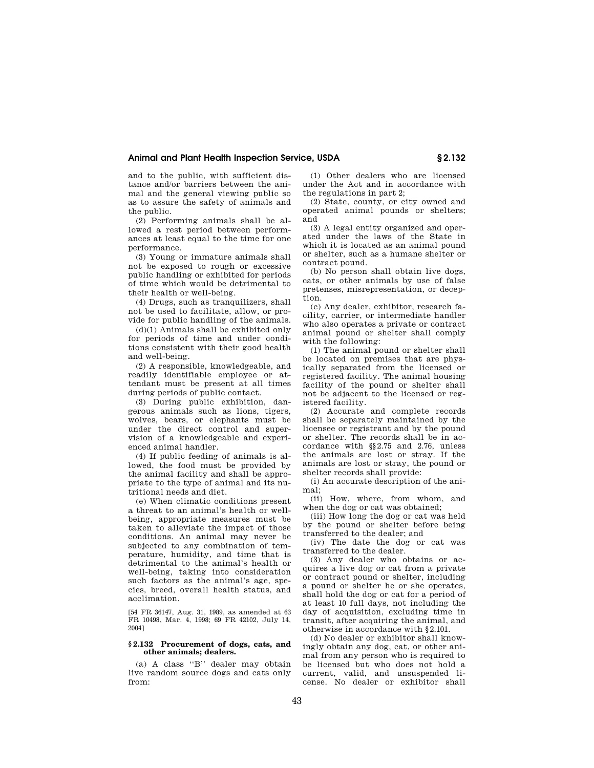and to the public, with sufficient distance and/or barriers between the animal and the general viewing public so as to assure the safety of animals and the public.

(2) Performing animals shall be allowed a rest period between performances at least equal to the time for one performance.

(3) Young or immature animals shall not be exposed to rough or excessive public handling or exhibited for periods of time which would be detrimental to their health or well-being.

(4) Drugs, such as tranquilizers, shall not be used to facilitate, allow, or provide for public handling of the animals.

(d)(1) Animals shall be exhibited only for periods of time and under conditions consistent with their good health and well-being.

(2) A responsible, knowledgeable, and readily identifiable employee or attendant must be present at all times during periods of public contact.

(3) During public exhibition, dangerous animals such as lions, tigers, wolves, bears, or elephants must be under the direct control and supervision of a knowledgeable and experienced animal handler.

(4) If public feeding of animals is allowed, the food must be provided by the animal facility and shall be appropriate to the type of animal and its nutritional needs and diet.

(e) When climatic conditions present a threat to an animal's health or wellbeing, appropriate measures must be taken to alleviate the impact of those conditions. An animal may never be subjected to any combination of temperature, humidity, and time that is detrimental to the animal's health or well-being, taking into consideration such factors as the animal's age, species, breed, overall health status, and acclimation.

[54 FR 36147, Aug. 31, 1989, as amended at 63 FR 10498, Mar. 4, 1998; 69 FR 42102, July 14, 2004]

# **§ 2.132 Procurement of dogs, cats, and other animals; dealers.**

(a) A class ''B'' dealer may obtain live random source dogs and cats only from:

(1) Other dealers who are licensed under the Act and in accordance with the regulations in part 2;

(2) State, county, or city owned and operated animal pounds or shelters; and

(3) A legal entity organized and operated under the laws of the State in which it is located as an animal pound or shelter, such as a humane shelter or contract pound.

(b) No person shall obtain live dogs, cats, or other animals by use of false pretenses, misrepresentation, or deception.

(c) Any dealer, exhibitor, research facility, carrier, or intermediate handler who also operates a private or contract animal pound or shelter shall comply with the following:

(1) The animal pound or shelter shall be located on premises that are physically separated from the licensed or registered facility. The animal housing facility of the pound or shelter shall not be adjacent to the licensed or registered facility.

(2) Accurate and complete records shall be separately maintained by the licensee or registrant and by the pound or shelter. The records shall be in accordance with §§2.75 and 2.76, unless the animals are lost or stray. If the animals are lost or stray, the pound or shelter records shall provide:

(i) An accurate description of the animal;

(ii) How, where, from whom, and when the dog or cat was obtained;

(iii) How long the dog or cat was held by the pound or shelter before being transferred to the dealer; and

(iv) The date the dog or cat was transferred to the dealer.

(3) Any dealer who obtains or acquires a live dog or cat from a private or contract pound or shelter, including a pound or shelter he or she operates, shall hold the dog or cat for a period of at least 10 full days, not including the day of acquisition, excluding time in transit, after acquiring the animal, and otherwise in accordance with §2.101.

(d) No dealer or exhibitor shall knowingly obtain any dog, cat, or other animal from any person who is required to be licensed but who does not hold a current, valid, and unsuspended license. No dealer or exhibitor shall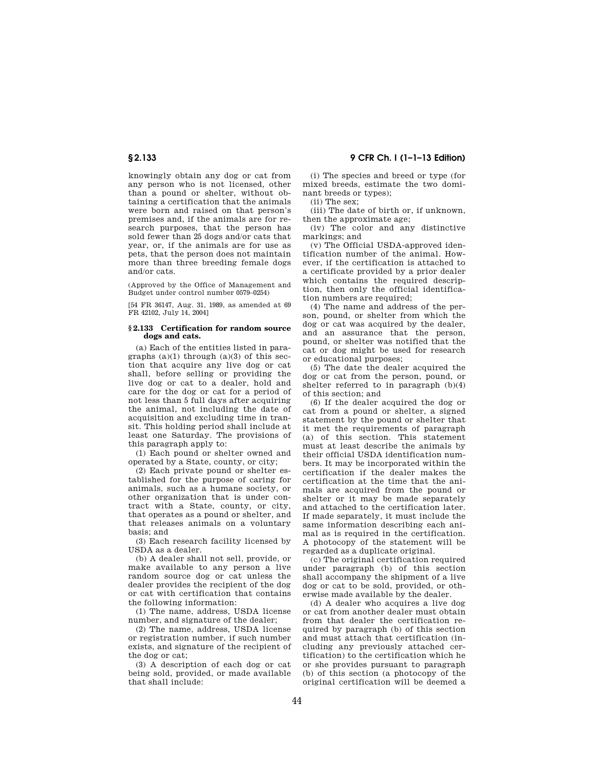# **§ 2.133 9 CFR Ch. I (1–1–13 Edition)**

knowingly obtain any dog or cat from any person who is not licensed, other than a pound or shelter, without obtaining a certification that the animals were born and raised on that person's premises and, if the animals are for research purposes, that the person has sold fewer than 25 dogs and/or cats that year, or, if the animals are for use as pets, that the person does not maintain more than three breeding female dogs and/or cats.

(Approved by the Office of Management and Budget under control number 0579–0254)

[54 FR 36147, Aug. 31, 1989, as amended at 69 FR 42102, July 14, 2004]

### **§ 2.133 Certification for random source dogs and cats.**

(a) Each of the entities listed in paragraphs  $(a)(1)$  through  $(a)(3)$  of this section that acquire any live dog or cat shall, before selling or providing the live dog or cat to a dealer, hold and care for the dog or cat for a period of not less than 5 full days after acquiring the animal, not including the date of acquisition and excluding time in transit. This holding period shall include at least one Saturday. The provisions of this paragraph apply to:

(1) Each pound or shelter owned and operated by a State, county, or city;

(2) Each private pound or shelter established for the purpose of caring for animals, such as a humane society, or other organization that is under contract with a State, county, or city, that operates as a pound or shelter, and that releases animals on a voluntary basis; and

(3) Each research facility licensed by USDA as a dealer.

(b) A dealer shall not sell, provide, or make available to any person a live random source dog or cat unless the dealer provides the recipient of the dog or cat with certification that contains the following information:

(1) The name, address, USDA license number, and signature of the dealer;

(2) The name, address, USDA license or registration number, if such number exists, and signature of the recipient of the dog or cat;

(3) A description of each dog or cat being sold, provided, or made available that shall include:

(i) The species and breed or type (for mixed breeds, estimate the two dominant breeds or types);

(ii) The sex;

(iii) The date of birth or, if unknown, then the approximate age;

(iv) The color and any distinctive markings; and

(v) The Official USDA-approved identification number of the animal. However, if the certification is attached to a certificate provided by a prior dealer which contains the required description, then only the official identification numbers are required;

(4) The name and address of the person, pound, or shelter from which the dog or cat was acquired by the dealer, and an assurance that the person, pound, or shelter was notified that the cat or dog might be used for research or educational purposes;

(5) The date the dealer acquired the dog or cat from the person, pound, or shelter referred to in paragraph (b)(4) of this section; and

(6) If the dealer acquired the dog or cat from a pound or shelter, a signed statement by the pound or shelter that it met the requirements of paragraph (a) of this section. This statement must at least describe the animals by their official USDA identification numbers. It may be incorporated within the certification if the dealer makes the certification at the time that the animals are acquired from the pound or shelter or it may be made separately and attached to the certification later. If made separately, it must include the same information describing each animal as is required in the certification. A photocopy of the statement will be regarded as a duplicate original.

(c) The original certification required under paragraph (b) of this section shall accompany the shipment of a live dog or cat to be sold, provided, or otherwise made available by the dealer.

(d) A dealer who acquires a live dog or cat from another dealer must obtain from that dealer the certification required by paragraph (b) of this section and must attach that certification (including any previously attached certification) to the certification which he or she provides pursuant to paragraph (b) of this section (a photocopy of the original certification will be deemed a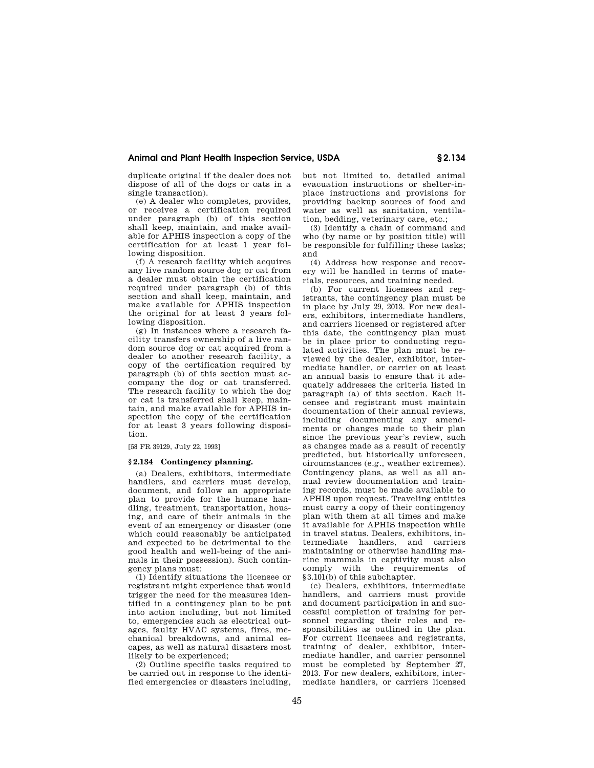duplicate original if the dealer does not dispose of all of the dogs or cats in a single transaction).

(e) A dealer who completes, provides, or receives a certification required under paragraph (b) of this section shall keep, maintain, and make available for APHIS inspection a copy of the certification for at least 1 year following disposition.

(f) A research facility which acquires any live random source dog or cat from a dealer must obtain the certification required under paragraph (b) of this section and shall keep, maintain, and make available for APHIS inspection the original for at least 3 years following disposition.

(g) In instances where a research facility transfers ownership of a live random source dog or cat acquired from a dealer to another research facility, a copy of the certification required by paragraph (b) of this section must accompany the dog or cat transferred. The research facility to which the dog or cat is transferred shall keep, maintain, and make available for APHIS inspection the copy of the certification for at least 3 years following disposition.

[58 FR 39129, July 22, 1993]

# **§ 2.134 Contingency planning.**

(a) Dealers, exhibitors, intermediate handlers, and carriers must develop, document, and follow an appropriate plan to provide for the humane handling, treatment, transportation, housing, and care of their animals in the event of an emergency or disaster (one which could reasonably be anticipated and expected to be detrimental to the good health and well-being of the animals in their possession). Such contingency plans must:

(1) Identify situations the licensee or registrant might experience that would trigger the need for the measures identified in a contingency plan to be put into action including, but not limited to, emergencies such as electrical outages, faulty HVAC systems, fires, mechanical breakdowns, and animal escapes, as well as natural disasters most likely to be experienced;

(2) Outline specific tasks required to be carried out in response to the identified emergencies or disasters including, but not limited to, detailed animal evacuation instructions or shelter-inplace instructions and provisions for providing backup sources of food and water as well as sanitation, ventilation, bedding, veterinary care, etc.;

(3) Identify a chain of command and who (by name or by position title) will be responsible for fulfilling these tasks; and

(4) Address how response and recovery will be handled in terms of materials, resources, and training needed.

(b) For current licensees and registrants, the contingency plan must be in place by July 29, 2013. For new dealers, exhibitors, intermediate handlers, and carriers licensed or registered after this date, the contingency plan must be in place prior to conducting regulated activities. The plan must be reviewed by the dealer, exhibitor, intermediate handler, or carrier on at least an annual basis to ensure that it adequately addresses the criteria listed in paragraph (a) of this section. Each licensee and registrant must maintain documentation of their annual reviews, including documenting any amendments or changes made to their plan since the previous year's review, such as changes made as a result of recently predicted, but historically unforeseen, circumstances (e.g., weather extremes). Contingency plans, as well as all annual review documentation and training records, must be made available to APHIS upon request. Traveling entities must carry a copy of their contingency plan with them at all times and make it available for APHIS inspection while in travel status. Dealers, exhibitors, intermediate handlers, and carriers maintaining or otherwise handling marine mammals in captivity must also comply with the requirements of §3.101(b) of this subchapter.

(c) Dealers, exhibitors, intermediate handlers, and carriers must provide and document participation in and successful completion of training for personnel regarding their roles and responsibilities as outlined in the plan. For current licensees and registrants, training of dealer, exhibitor, intermediate handler, and carrier personnel must be completed by September 27, 2013. For new dealers, exhibitors, intermediate handlers, or carriers licensed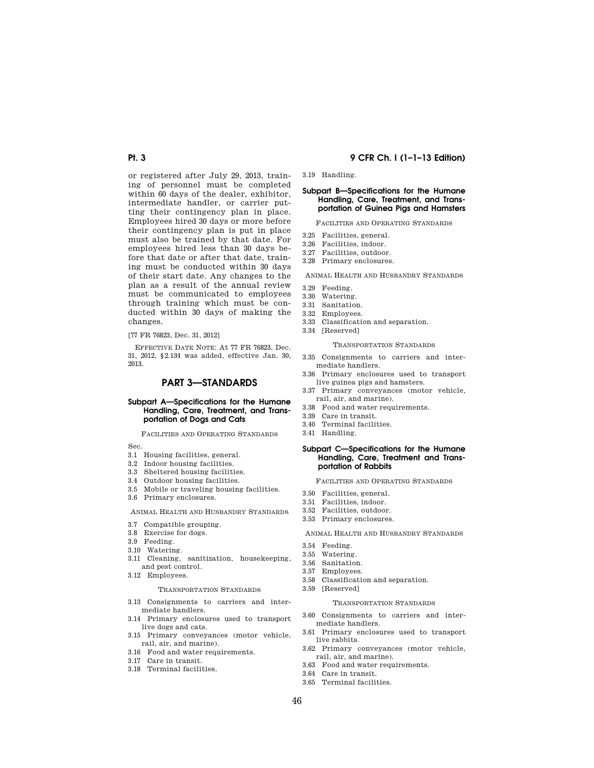# **Pt. 3 9 CFR Ch. I (1–1–13 Edition)**

or registered after July 29, 2013, training of personnel must be completed within 60 days of the dealer, exhibitor, intermediate handler, or carrier putting their contingency plan in place. Employees hired 30 days or more before their contingency plan is put in place must also be trained by that date. For employees hired less than 30 days before that date or after that date, training must be conducted within 30 days of their start date. Any changes to the plan as a result of the annual review must be communicated to employees through training which must be conducted within 30 days of making the changes.

[77 FR 76823, Dec. 31, 2012]

EFFECTIVE DATE NOTE: At 77 FR 76823, Dec. 31, 2012, §2.134 was added, effective Jan. 30, 2013.

# **PART 3—STANDARDS**

# **Subpart A—Specifications for the Humane Handling, Care, Treatment, and Transportation of Dogs and Cats**

FACILITIES AND OPERATING STANDARDS

Sec.

- 3.1 Housing facilities, general.
- 3.2 Indoor housing facilities.
- 3.3 Sheltered housing facilities.
- 3.4 Outdoor housing facilities.
- 3.5 Mobile or traveling housing facilities.
- 3.6 Primary enclosures.

ANIMAL HEALTH AND HUSBANDRY STANDARDS

- 3.7 Compatible grouping.
- 3.8 Exercise for dogs.
- 3.9 Feeding.
- 3.10 Watering.
- 3.11 Cleaning, sanitization, housekeeping, and pest control.
- 3.12 Employees.

#### TRANSPORTATION STANDARDS

- 3.13 Consignments to carriers and intermediate handlers.
- 3.14 Primary enclosures used to transport live dogs and cats.
- 3.15 Primary conveyances (motor vehicle, rail, air, and marine).
- 3.16 Food and water requirements.
- 3.17 Care in transit.
- 3.18 Terminal facilities.

3.19 Handling.

# **Subpart B—Specifications for the Humane Handling, Care, Treatment, and Transportation of Guinea Pigs and Hamsters**

FACILITIES AND OPERATING STANDARDS

- 3.25 Facilities, general.
- 3.26 Facilities, indoor.
- 3.27 Facilities, outdoor.
- 3.28 Primary enclosures.

ANIMAL HEALTH AND HUSBANDRY STANDARDS

- 3.29 Feeding.
- 3.30 Watering.
- 3.31 Sanitation.
- 3.32 Employees.
- 3.33 Classification and separation.
- 3.34 [Reserved]

## TRANSPORTATION STANDARDS

- 3.35 Consignments to carriers and intermediate handlers.
- 3.36 Primary enclosures used to transport live guinea pigs and hamsters.
- 3.37 Primary conveyances (motor vehicle, rail, air, and marine).
- 3.38 Food and water requirements.
- 3.39 Care in transit.
- 3.40 Terminal facilities.
- 3.41 Handling.

# **Subpart C—Specifications for the Humane Handling, Care, Treatment and Transportation of Rabbits**

FACILITIES AND OPERATING STANDARDS

- 3.50 Facilities, general.
- 3.51 Facilities, indoor.
- 3.52 Facilities, outdoor.
- 3.53 Primary enclosures.

# ANIMAL HEALTH AND HUSBANDRY STANDARDS

- 3.54 Feeding.
- 3.55 Watering.
- 3.56 Sanitation.
- 3.57 Employees.
- 3.58 Classification and separation.
- 3.59 [Reserved]

#### TRANSPORTATION STANDARDS

- 3.60 Consignments to carriers and intermediate handlers.
- 3.61 Primary enclosures used to transport live rabbits.
- 3.62 Primary conveyances (motor vehicle, rail, air, and marine).
- 3.63 Food and water requirements.
- 3.64 Care in transit.
- 3.65 Terminal facilities.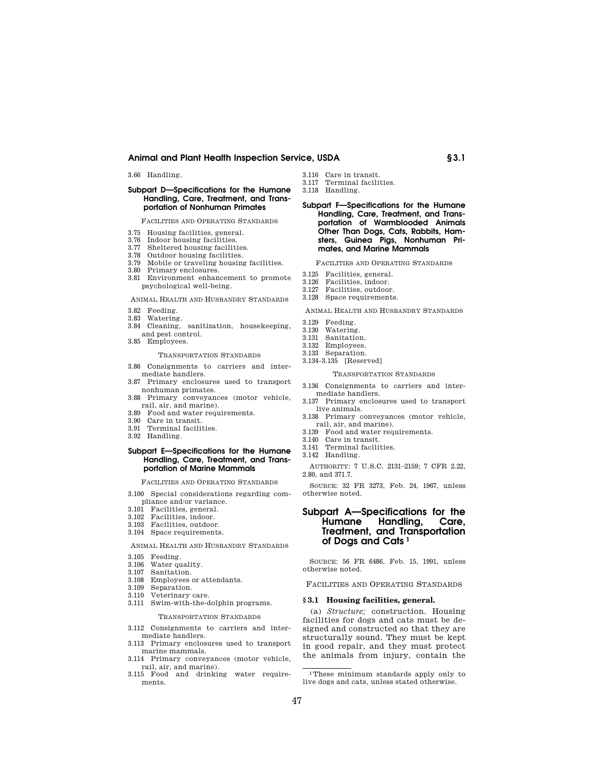3.66 Handling.

### **Subpart D—Specifications for the Humane Handling, Care, Treatment, and Transportation of Nonhuman Primates**

FACILITIES AND OPERATING STANDARDS

- 3.75 Housing facilities, general.
- 3.76 Indoor housing facilities.
- 3.77 Sheltered housing facilities.
- 3.78 Outdoor housing facilities.
- 3.79 Mobile or traveling housing facilities.
- 3.80 Primary enclosures.
- 3.81 Environment enhancement to promote psychological well-being.

ANIMAL HEALTH AND HUSBANDRY STANDARDS

- 3.82 Feeding.
- 3.83 Watering.
- 3.84 Cleaning, sanitization, housekeeping, and pest control.
- 3.85 Employees.

# TRANSPORTATION STANDARDS

- 3.86 Consignments to carriers and intermediate handlers.
- 3.87 Primary enclosures used to transport nonhuman primates.
- 3.88 Primary conveyances (motor vehicle, rail, air, and marine).
- 3.89 Food and water requirements.
- 3.90 Care in transit.
- 3.91 Terminal facilities.
- 3.92 Handling.

# **Subpart E—Specifications for the Humane Handling, Care, Treatment, and Transportation of Marine Mammals**

FACILITIES AND OPERATING STANDARDS

- 3.100 Special considerations regarding compliance and/or variance.
- 3.101 Facilities, general.
- 3.102 Facilities, indoor.
- 3.103 Facilities, outdoor. 3.104 Space requirements.
- 

ANIMAL HEALTH AND HUSBANDRY STANDARDS

- 3.105 Feeding.
- 3.106 Water quality.
- 3.107 Sanitation.
- 3.108 Employees or attendants.
- 3.109 Separation.
- 3.110 Veterinary care.
- 3.111 Swim-with-the-dolphin programs.

#### TRANSPORTATION STANDARDS

- 3.112 Consignments to carriers and intermediate handlers.
- 3.113 Primary enclosures used to transport marine mammals.
- 3.114 Primary conveyances (motor vehicle, rail, air, and marine).
- 3.115 Food and drinking water requirements.
- 3.116 Care in transit.
- 3.117 Terminal facilities.
- 3.118 Handling.
- **Subpart F—Specifications for the Humane Handling, Care, Treatment, and Transportation of Warmblooded Animals Other Than Dogs, Cats, Rabbits, Hamsters, Guinea Pigs, Nonhuman Primates, and Marine Mammals**

#### FACILITIES AND OPERATING STANDARDS

- 3.125 Facilities, general.<br>3.126 Facilities, indoor.
- Facilities, indoor.
- 3.127 Facilities, outdoor.
- 3.128 Space requirements.

ANIMAL HEALTH AND HUSBANDRY STANDARDS

- 3.129 Feeding.
- 3.130 Watering.
- 3.131 Sanitation.
- 3.132 Employees.
- 3.133 Separation.
- 3.134–3.135 [Reserved]

#### TRANSPORTATION STANDARDS

- 3.136 Consignments to carriers and intermediate handlers.
- 3.137 Primary enclosures used to transport live animals.
- 3.138 Primary conveyances (motor vehicle, rail, air, and marine).
- 3.139 Food and water requirements.
- 3.140 Care in transit.
- 3.141 Terminal facilities.
- 3.142 Handling.

AUTHORITY: 7 U.S.C. 2131–2159; 7 CFR 2.22, 2.80, and 371.7.

SOURCE: 32 FR 3273, Feb. 24, 1967, unless otherwise noted.

# **Subpart A—Specifications for the Handling, Treatment, and Transportation of Dogs and Cats 1**

SOURCE: 56 FR 6486, Feb. 15, 1991, unless otherwise noted.

FACILITIES AND OPERATING STANDARDS

#### **§ 3.1 Housing facilities, general.**

(a) *Structure;* construction. Housing facilities for dogs and cats must be designed and constructed so that they are structurally sound. They must be kept in good repair, and they must protect the animals from injury, contain the

- 
- 

<sup>1</sup>These minimum standards apply only to live dogs and cats, unless stated otherwise.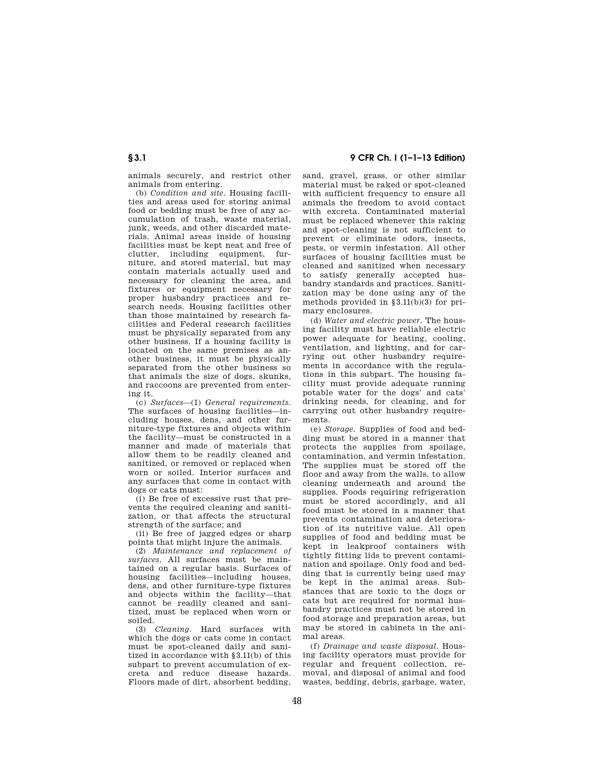# **§ 3.1 9 CFR Ch. I (1–1–13 Edition)**

animals securely, and restrict other animals from entering.

(b) *Condition and site.* Housing facilities and areas used for storing animal food or bedding must be free of any accumulation of trash, waste material, junk, weeds, and other discarded materials. Animal areas inside of housing facilities must be kept neat and free of clutter, including equipment, furniture, and stored material, but may contain materials actually used and necessary for cleaning the area, and fixtures or equipment necessary for proper husbandry practices and research needs. Housing facilities other than those maintained by research facilities and Federal research facilities must be physically separated from any other business. If a housing facility is located on the same premises as another business, it must be physically separated from the other business so that animals the size of dogs, skunks, and raccoons are prevented from entering it.

(c) *Surfaces*—(1) *General requirements.*  The surfaces of housing facilities—including houses, dens, and other furniture-type fixtures and objects within the facility—must be constructed in a manner and made of materials that allow them to be readily cleaned and sanitized, or removed or replaced when worn or soiled. Interior surfaces and any surfaces that come in contact with dogs or cats must:

(i) Be free of excessive rust that prevents the required cleaning and sanitization, or that affects the structural strength of the surface; and

(ii) Be free of jagged edges or sharp points that might injure the animals.

(2) *Maintenance and replacement of surfaces.* All surfaces must be maintained on a regular basis. Surfaces of housing facilities—including houses, dens, and other furniture-type fixtures and objects within the facility—that cannot be readily cleaned and sanitized, must be replaced when worn or soiled.

(3) *Cleaning.* Hard surfaces with which the dogs or cats come in contact must be spot-cleaned daily and sanitized in accordance with §3.11(b) of this subpart to prevent accumulation of excreta and reduce disease hazards. Floors made of dirt, absorbent bedding, sand, gravel, grass, or other similar material must be raked or spot-cleaned with sufficient frequency to ensure all animals the freedom to avoid contact with excreta. Contaminated material must be replaced whenever this raking and spot-cleaning is not sufficient to prevent or eliminate odors, insects, pests, or vermin infestation. All other surfaces of housing facilities must be cleaned and sanitized when necessary to satisfy generally accepted husbandry standards and practices. Sanitization may be done using any of the methods provided in §3.11(b)(3) for primary enclosures.

(d) *Water and electric power.* The housing facility must have reliable electric power adequate for heating, cooling, ventilation, and lighting, and for carrying out other husbandry requirements in accordance with the regulations in this subpart. The housing facility must provide adequate running potable water for the dogs' and cats' drinking needs, for cleaning, and for carrying out other husbandry requirements.

(e) *Storage.* Supplies of food and bedding must be stored in a manner that protects the supplies from spoilage, contamination, and vermin infestation. The supplies must be stored off the floor and away from the walls, to allow cleaning underneath and around the supplies. Foods requiring refrigeration must be stored accordingly, and all food must be stored in a manner that prevents contamination and deterioration of its nutritive value. All open supplies of food and bedding must be kept in leakproof containers with tightly fitting lids to prevent contamination and spoilage. Only food and bedding that is currently being used may be kept in the animal areas. Substances that are toxic to the dogs or cats but are required for normal husbandry practices must not be stored in food storage and preparation areas, but may be stored in cabinets in the animal areas.

(f) *Drainage and waste disposal.* Housing facility operators must provide for regular and frequent collection, removal, and disposal of animal and food wastes, bedding, debris, garbage, water,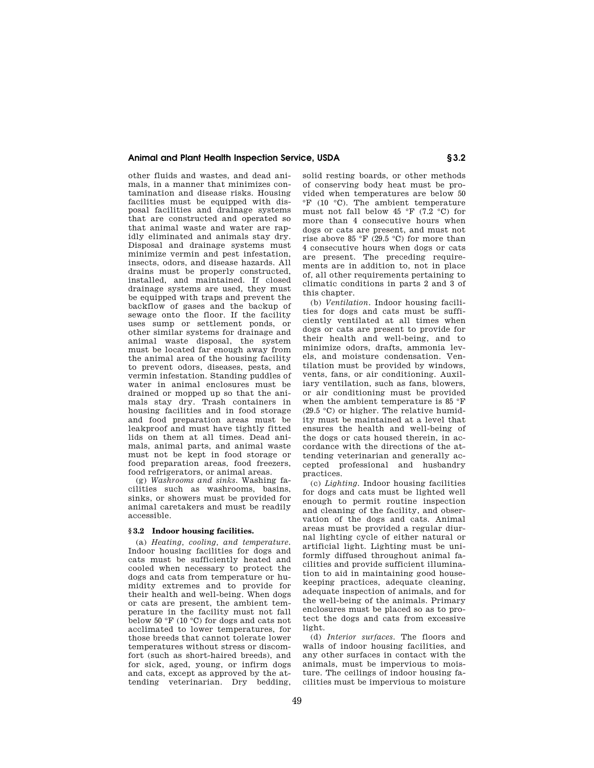other fluids and wastes, and dead animals, in a manner that minimizes contamination and disease risks. Housing facilities must be equipped with disposal facilities and drainage systems that are constructed and operated so that animal waste and water are rapidly eliminated and animals stay dry. Disposal and drainage systems must minimize vermin and pest infestation, insects, odors, and disease hazards. All drains must be properly constructed, installed, and maintained. If closed drainage systems are used, they must be equipped with traps and prevent the backflow of gases and the backup of sewage onto the floor. If the facility uses sump or settlement ponds, or other similar systems for drainage and animal waste disposal, the system must be located far enough away from the animal area of the housing facility to prevent odors, diseases, pests, and vermin infestation. Standing puddles of water in animal enclosures must be drained or mopped up so that the animals stay dry. Trash containers in housing facilities and in food storage and food preparation areas must be leakproof and must have tightly fitted lids on them at all times. Dead animals, animal parts, and animal waste must not be kept in food storage or food preparation areas, food freezers, food refrigerators, or animal areas.

(g) *Washrooms and sinks.* Washing facilities such as washrooms, basins, sinks, or showers must be provided for animal caretakers and must be readily accessible.

#### **§ 3.2 Indoor housing facilities.**

(a) *Heating, cooling, and temperature.*  Indoor housing facilities for dogs and cats must be sufficiently heated and cooled when necessary to protect the dogs and cats from temperature or humidity extremes and to provide for their health and well-being. When dogs or cats are present, the ambient temperature in the facility must not fall below 50 °F (10 °C) for dogs and cats not acclimated to lower temperatures, for those breeds that cannot tolerate lower temperatures without stress or discomfort (such as short-haired breeds), and for sick, aged, young, or infirm dogs and cats, except as approved by the attending veterinarian. Dry bedding,

solid resting boards, or other methods of conserving body heat must be provided when temperatures are below 50  ${}^{\circ}$ F (10  ${}^{\circ}$ C). The ambient temperature must not fall below 45 °F (7.2 °C) for more than 4 consecutive hours when dogs or cats are present, and must not rise above 85 °F (29.5 °C) for more than 4 consecutive hours when dogs or cats are present. The preceding requirements are in addition to, not in place of, all other requirements pertaining to climatic conditions in parts 2 and 3 of this chapter.

(b) *Ventilation.* Indoor housing facilities for dogs and cats must be sufficiently ventilated at all times when dogs or cats are present to provide for their health and well-being, and to minimize odors, drafts, ammonia levels, and moisture condensation. Ventilation must be provided by windows, vents, fans, or air conditioning. Auxiliary ventilation, such as fans, blowers, or air conditioning must be provided when the ambient temperature is 85 °F  $(29.5 \text{ °C})$  or higher. The relative humidity must be maintained at a level that ensures the health and well-being of the dogs or cats housed therein, in accordance with the directions of the attending veterinarian and generally accepted professional and husbandry practices.

(c) *Lighting.* Indoor housing facilities for dogs and cats must be lighted well enough to permit routine inspection and cleaning of the facility, and observation of the dogs and cats. Animal areas must be provided a regular diurnal lighting cycle of either natural or artificial light. Lighting must be uniformly diffused throughout animal facilities and provide sufficient illumination to aid in maintaining good housekeeping practices, adequate cleaning, adequate inspection of animals, and for the well-being of the animals. Primary enclosures must be placed so as to protect the dogs and cats from excessive light.

(d) *Interior surfaces.* The floors and walls of indoor housing facilities, and any other surfaces in contact with the animals, must be impervious to moisture. The ceilings of indoor housing facilities must be impervious to moisture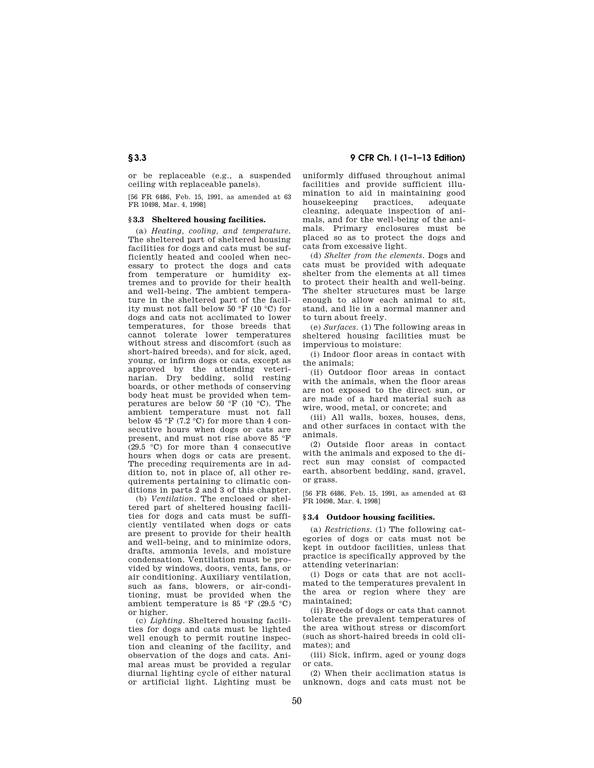**§ 3.3 9 CFR Ch. I (1–1–13 Edition)** 

or be replaceable (e.g., a suspended ceiling with replaceable panels).

[56 FR 6486, Feb. 15, 1991, as amended at 63 FR 10498, Mar. 4, 1998]

# **§ 3.3 Sheltered housing facilities.**

(a) *Heating, cooling, and temperature.*  The sheltered part of sheltered housing facilities for dogs and cats must be sufficiently heated and cooled when necessary to protect the dogs and cats from temperature or humidity extremes and to provide for their health and well-being. The ambient temperature in the sheltered part of the facility must not fall below 50 °F (10 °C) for dogs and cats not acclimated to lower temperatures, for those breeds that cannot tolerate lower temperatures without stress and discomfort (such as short-haired breeds), and for sick, aged, young, or infirm dogs or cats, except as approved by the attending veterinarian. Dry bedding, solid resting boards, or other methods of conserving body heat must be provided when temperatures are below 50  $\degree$ F (10  $\degree$ C). The ambient temperature must not fall below 45 °F (7.2 °C) for more than 4 consecutive hours when dogs or cats are present, and must not rise above 85 °F (29.5 °C) for more than 4 consecutive hours when dogs or cats are present. The preceding requirements are in addition to, not in place of, all other requirements pertaining to climatic conditions in parts 2 and 3 of this chapter.

(b) *Ventilation.* The enclosed or sheltered part of sheltered housing facilities for dogs and cats must be sufficiently ventilated when dogs or cats are present to provide for their health and well-being, and to minimize odors, drafts, ammonia levels, and moisture condensation. Ventilation must be provided by windows, doors, vents, fans, or air conditioning. Auxiliary ventilation, such as fans, blowers, or air-conditioning, must be provided when the ambient temperature is 85 °F (29.5 °C) or higher.

(c) *Lighting.* Sheltered housing facilities for dogs and cats must be lighted well enough to permit routine inspection and cleaning of the facility, and observation of the dogs and cats. Animal areas must be provided a regular diurnal lighting cycle of either natural or artificial light. Lighting must be uniformly diffused throughout animal facilities and provide sufficient illumination to aid in maintaining good housekeeping practices, adequate cleaning, adequate inspection of animals, and for the well-being of the animals. Primary enclosures must be placed so as to protect the dogs and cats from excessive light.

(d) *Shelter from the elements.* Dogs and cats must be provided with adequate shelter from the elements at all times to protect their health and well-being. The shelter structures must be large enough to allow each animal to sit, stand, and lie in a normal manner and to turn about freely.

(e) *Surfaces.* (1) The following areas in sheltered housing facilities must be impervious to moisture:

(i) Indoor floor areas in contact with the animals;

(ii) Outdoor floor areas in contact with the animals, when the floor areas are not exposed to the direct sun, or are made of a hard material such as wire, wood, metal, or concrete; and

(iii) All walls, boxes, houses, dens, and other surfaces in contact with the animals.

(2) Outside floor areas in contact with the animals and exposed to the direct sun may consist of compacted earth, absorbent bedding, sand, gravel, or grass.

[56 FR 6486, Feb. 15, 1991, as amended at 63 FR 10498, Mar. 4, 1998]

#### **§ 3.4 Outdoor housing facilities.**

(a) *Restrictions.* (1) The following categories of dogs or cats must not be kept in outdoor facilities, unless that practice is specifically approved by the attending veterinarian:

(i) Dogs or cats that are not acclimated to the temperatures prevalent in the area or region where they are maintained;

(ii) Breeds of dogs or cats that cannot tolerate the prevalent temperatures of the area without stress or discomfort (such as short-haired breeds in cold climates); and

(iii) Sick, infirm, aged or young dogs or cats.

(2) When their acclimation status is unknown, dogs and cats must not be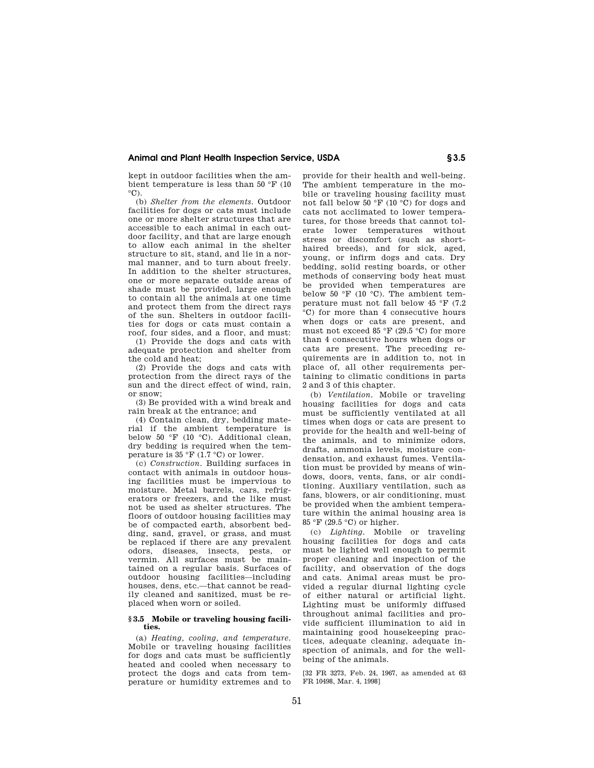kept in outdoor facilities when the ambient temperature is less than 50 °F (10  $^{\circ}$ C)

(b) *Shelter from the elements.* Outdoor facilities for dogs or cats must include one or more shelter structures that are accessible to each animal in each outdoor facility, and that are large enough to allow each animal in the shelter structure to sit, stand, and lie in a normal manner, and to turn about freely. In addition to the shelter structures, one or more separate outside areas of shade must be provided, large enough to contain all the animals at one time and protect them from the direct rays of the sun. Shelters in outdoor facilities for dogs or cats must contain a roof, four sides, and a floor, and must:

(1) Provide the dogs and cats with adequate protection and shelter from the cold and heat;

(2) Provide the dogs and cats with protection from the direct rays of the sun and the direct effect of wind, rain, or snow;

(3) Be provided with a wind break and rain break at the entrance; and

(4) Contain clean, dry, bedding material if the ambient temperature is below 50 °F (10 °C). Additional clean, dry bedding is required when the temperature is  $35 \text{ }^\circ \text{F}$  (1.7  $\text{ }^\circ \text{C}$ ) or lower.

(c) *Construction.* Building surfaces in contact with animals in outdoor housing facilities must be impervious to moisture. Metal barrels, cars, refrigerators or freezers, and the like must not be used as shelter structures. The floors of outdoor housing facilities may be of compacted earth, absorbent bedding, sand, gravel, or grass, and must be replaced if there are any prevalent odors, diseases, insects, pests, or vermin. All surfaces must be maintained on a regular basis. Surfaces of outdoor housing facilities—including houses, dens, etc.—that cannot be readily cleaned and sanitized, must be replaced when worn or soiled.

### **§ 3.5 Mobile or traveling housing facilities.**

(a) *Heating, cooling, and temperature.*  Mobile or traveling housing facilities for dogs and cats must be sufficiently heated and cooled when necessary to protect the dogs and cats from temperature or humidity extremes and to

provide for their health and well-being. The ambient temperature in the mobile or traveling housing facility must not fall below 50 °F (10 °C) for dogs and cats not acclimated to lower temperatures, for those breeds that cannot tolerate lower temperatures without stress or discomfort (such as shorthaired breeds), and for sick, aged, young, or infirm dogs and cats. Dry bedding, solid resting boards, or other methods of conserving body heat must be provided when temperatures are below 50  $\mathrm{F}$  (10  $\mathrm{C}$ ). The ambient temperature must not fall below 45 °F (7.2 °C) for more than 4 consecutive hours when dogs or cats are present, and must not exceed 85 °F (29.5 °C) for more than 4 consecutive hours when dogs or cats are present. The preceding requirements are in addition to, not in place of, all other requirements pertaining to climatic conditions in parts 2 and 3 of this chapter.

(b) *Ventilation.* Mobile or traveling housing facilities for dogs and cats must be sufficiently ventilated at all times when dogs or cats are present to provide for the health and well-being of the animals, and to minimize odors, drafts, ammonia levels, moisture condensation, and exhaust fumes. Ventilation must be provided by means of windows, doors, vents, fans, or air conditioning. Auxiliary ventilation, such as fans, blowers, or air conditioning, must be provided when the ambient temperature within the animal housing area is 85 °F (29.5 °C) or higher.

(c) *Lighting.* Mobile or traveling housing facilities for dogs and cats must be lighted well enough to permit proper cleaning and inspection of the facility, and observation of the dogs and cats. Animal areas must be provided a regular diurnal lighting cycle of either natural or artificial light. Lighting must be uniformly diffused throughout animal facilities and provide sufficient illumination to aid in maintaining good housekeeping practices, adequate cleaning, adequate inspection of animals, and for the wellbeing of the animals.

[32 FR 3273, Feb. 24, 1967, as amended at 63 FR 10498, Mar. 4, 1998]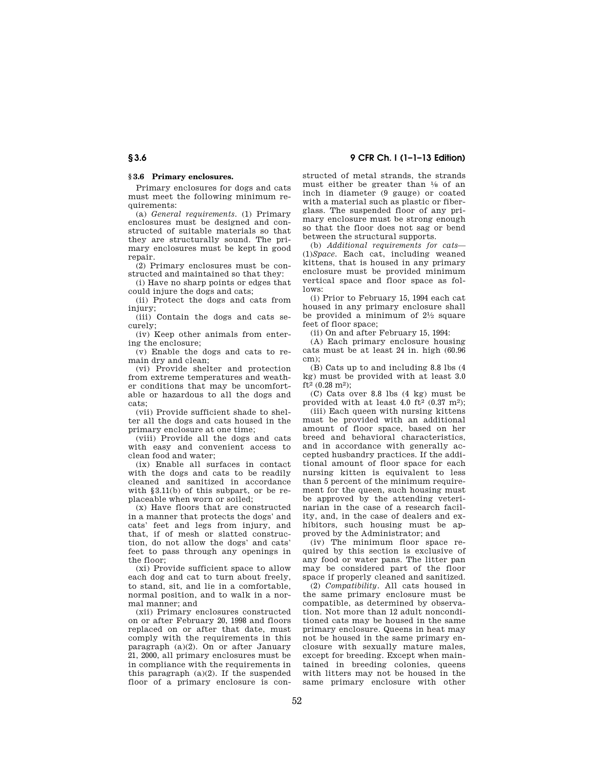# **§ 3.6 9 CFR Ch. I (1–1–13 Edition)**

# **§ 3.6 Primary enclosures.**

Primary enclosures for dogs and cats must meet the following minimum requirements:

(a) *General requirements.* (1) Primary enclosures must be designed and constructed of suitable materials so that they are structurally sound. The primary enclosures must be kept in good repair.

(2) Primary enclosures must be constructed and maintained so that they:

(i) Have no sharp points or edges that could injure the dogs and cats;

(ii) Protect the dogs and cats from injury;

(iii) Contain the dogs and cats securely;

(iv) Keep other animals from entering the enclosure;

(v) Enable the dogs and cats to remain dry and clean;

(vi) Provide shelter and protection from extreme temperatures and weather conditions that may be uncomfortable or hazardous to all the dogs and cats;

(vii) Provide sufficient shade to shelter all the dogs and cats housed in the primary enclosure at one time;

(viii) Provide all the dogs and cats with easy and convenient access to clean food and water;

(ix) Enable all surfaces in contact with the dogs and cats to be readily cleaned and sanitized in accordance with §3.11(b) of this subpart, or be replaceable when worn or soiled;

(x) Have floors that are constructed in a manner that protects the dogs' and cats' feet and legs from injury, and that, if of mesh or slatted construction, do not allow the dogs' and cats' feet to pass through any openings in the floor;

(xi) Provide sufficient space to allow each dog and cat to turn about freely, to stand, sit, and lie in a comfortable, normal position, and to walk in a normal manner; and

(xii) Primary enclosures constructed on or after February 20, 1998 and floors replaced on or after that date, must comply with the requirements in this paragraph (a)(2). On or after January 21, 2000, all primary enclosures must be in compliance with the requirements in this paragraph (a)(2). If the suspended floor of a primary enclosure is con-

structed of metal strands, the strands must either be greater than 1⁄8 of an inch in diameter (9 gauge) or coated with a material such as plastic or fiberglass. The suspended floor of any primary enclosure must be strong enough so that the floor does not sag or bend between the structural supports.

(b) *Additional requirements for cats*— (1)*Space.* Each cat, including weaned kittens, that is housed in any primary enclosure must be provided minimum vertical space and floor space as follows:

(i) Prior to February 15, 1994 each cat housed in any primary enclosure shall be provided a minimum of  $2\frac{1}{2}$  square feet of floor space;

(ii) On and after February 15, 1994:

(A) Each primary enclosure housing cats must be at least 24 in. high (60.96 cm);

(B) Cats up to and including 8.8 lbs (4 kg) must be provided with at least 3.0 ft<sup>2</sup> (0.28 m<sup>2</sup>);

(C) Cats over 8.8 lbs (4 kg) must be provided with at least  $4.0 \text{ ft}^2$   $(0.37 \text{ m}^2)$ ;

(iii) Each queen with nursing kittens must be provided with an additional amount of floor space, based on her breed and behavioral characteristics, and in accordance with generally accepted husbandry practices. If the additional amount of floor space for each nursing kitten is equivalent to less than 5 percent of the minimum requirement for the queen, such housing must be approved by the attending veterinarian in the case of a research facility, and, in the case of dealers and exhibitors, such housing must be approved by the Administrator; and

(iv) The minimum floor space required by this section is exclusive of any food or water pans. The litter pan may be considered part of the floor space if properly cleaned and sanitized.

(2) *Compatibility.* All cats housed in the same primary enclosure must be compatible, as determined by observation. Not more than 12 adult nonconditioned cats may be housed in the same primary enclosure. Queens in heat may not be housed in the same primary enclosure with sexually mature males, except for breeding. Except when maintained in breeding colonies, queens with litters may not be housed in the same primary enclosure with other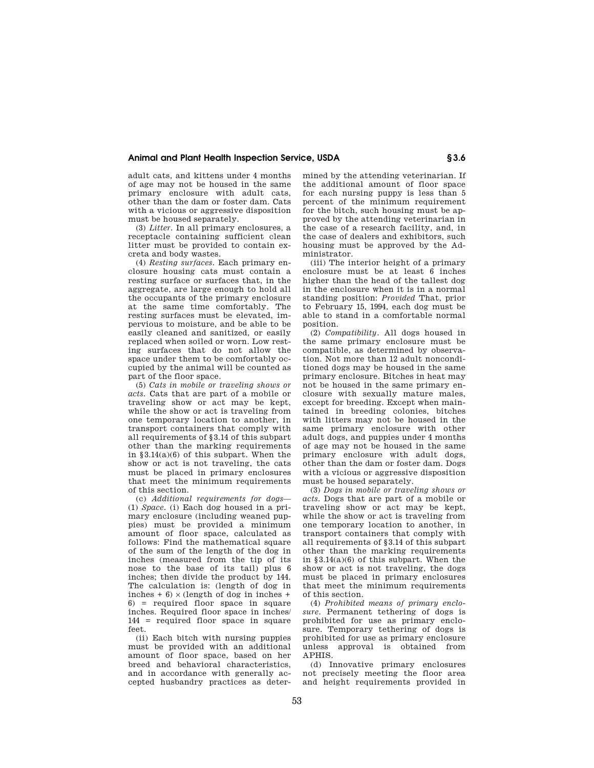adult cats, and kittens under 4 months of age may not be housed in the same primary enclosure with adult cats, other than the dam or foster dam. Cats with a vicious or aggressive disposition must be housed separately.

(3) *Litter.* In all primary enclosures, a receptacle containing sufficient clean litter must be provided to contain excreta and body wastes.

(4) *Resting surfaces.* Each primary enclosure housing cats must contain a resting surface or surfaces that, in the aggregate, are large enough to hold all the occupants of the primary enclosure at the same time comfortably. The resting surfaces must be elevated, impervious to moisture, and be able to be easily cleaned and sanitized, or easily replaced when soiled or worn. Low resting surfaces that do not allow the space under them to be comfortably occupied by the animal will be counted as part of the floor space.

(5) *Cats in mobile or traveling shows or acts.* Cats that are part of a mobile or traveling show or act may be kept, while the show or act is traveling from one temporary location to another, in transport containers that comply with all requirements of §3.14 of this subpart other than the marking requirements in §3.14(a)(6) of this subpart. When the show or act is not traveling, the cats must be placed in primary enclosures that meet the minimum requirements of this section.

(c) *Additional requirements for dogs*— (1) *Space.* (i) Each dog housed in a primary enclosure (including weaned puppies) must be provided a minimum amount of floor space, calculated as follows: Find the mathematical square of the sum of the length of the dog in inches (measured from the tip of its nose to the base of its tail) plus 6 inches; then divide the product by 144. The calculation is: (length of dog in inches  $+ 6$ )  $\times$  (length of dog in inches  $+$ 6) = required floor space in square inches. Required floor space in inches/ 144 = required floor space in square feet.

(ii) Each bitch with nursing puppies must be provided with an additional amount of floor space, based on her breed and behavioral characteristics, and in accordance with generally accepted husbandry practices as determined by the attending veterinarian. If the additional amount of floor space for each nursing puppy is less than 5 percent of the minimum requirement for the bitch, such housing must be approved by the attending veterinarian in the case of a research facility, and, in the case of dealers and exhibitors, such housing must be approved by the Administrator.

(iii) The interior height of a primary enclosure must be at least 6 inches higher than the head of the tallest dog in the enclosure when it is in a normal standing position: *Provided* That, prior to February 15, 1994, each dog must be able to stand in a comfortable normal position.

(2) *Compatibility.* All dogs housed in the same primary enclosure must be compatible, as determined by observation. Not more than 12 adult nonconditioned dogs may be housed in the same primary enclosure. Bitches in heat may not be housed in the same primary enclosure with sexually mature males, except for breeding. Except when maintained in breeding colonies, bitches with litters may not be housed in the same primary enclosure with other adult dogs, and puppies under 4 months of age may not be housed in the same primary enclosure with adult dogs, other than the dam or foster dam. Dogs with a vicious or aggressive disposition must be housed separately.

(3) *Dogs in mobile or traveling shows or acts.* Dogs that are part of a mobile or traveling show or act may be kept, while the show or act is traveling from one temporary location to another, in transport containers that comply with all requirements of §3.14 of this subpart other than the marking requirements in §3.14(a)(6) of this subpart. When the show or act is not traveling, the dogs must be placed in primary enclosures that meet the minimum requirements of this section.

(4) *Prohibited means of primary enclosure.* Permanent tethering of dogs is prohibited for use as primary enclosure. Temporary tethering of dogs is prohibited for use as primary enclosure unless approval is obtained from APHIS.

(d) Innovative primary enclosures not precisely meeting the floor area and height requirements provided in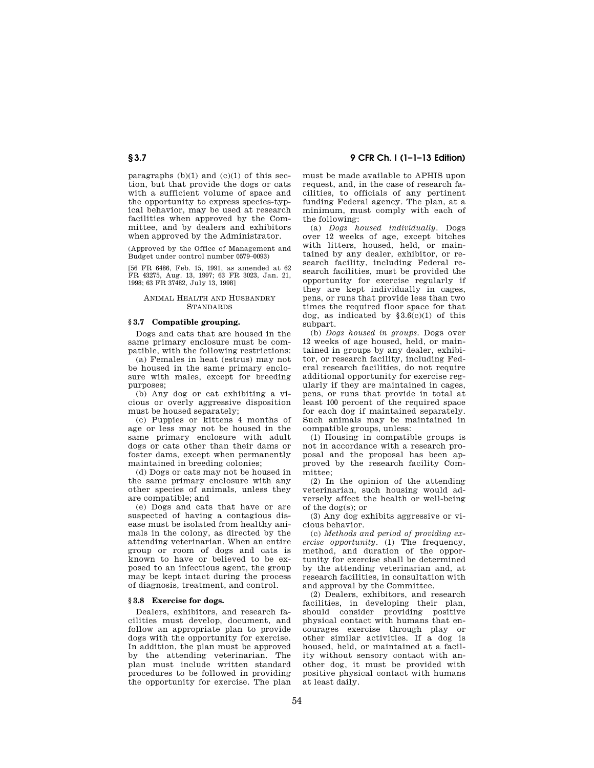# **§ 3.7 9 CFR Ch. I (1–1–13 Edition)**

paragraphs  $(b)(1)$  and  $(c)(1)$  of this section, but that provide the dogs or cats with a sufficient volume of space and the opportunity to express species-typical behavior, may be used at research facilities when approved by the Committee, and by dealers and exhibitors when approved by the Administrator.

(Approved by the Office of Management and Budget under control number 0579–0093)

[56 FR 6486, Feb. 15, 1991, as amended at 62 FR 43275, Aug. 13, 1997; 63 FR 3023, Jan. 21, 1998; 63 FR 37482, July 13, 1998]

#### ANIMAL HEALTH AND HUSBANDRY STANDARDS

### **§ 3.7 Compatible grouping.**

Dogs and cats that are housed in the same primary enclosure must be compatible, with the following restrictions:

(a) Females in heat (estrus) may not be housed in the same primary enclosure with males, except for breeding purposes;

(b) Any dog or cat exhibiting a vicious or overly aggressive disposition must be housed separately;

(c) Puppies or kittens 4 months of age or less may not be housed in the same primary enclosure with adult dogs or cats other than their dams or foster dams, except when permanently maintained in breeding colonies;

(d) Dogs or cats may not be housed in the same primary enclosure with any other species of animals, unless they are compatible; and

(e) Dogs and cats that have or are suspected of having a contagious disease must be isolated from healthy animals in the colony, as directed by the attending veterinarian. When an entire group or room of dogs and cats is known to have or believed to be exposed to an infectious agent, the group may be kept intact during the process of diagnosis, treatment, and control.

# **§ 3.8 Exercise for dogs.**

Dealers, exhibitors, and research facilities must develop, document, and follow an appropriate plan to provide dogs with the opportunity for exercise. In addition, the plan must be approved by the attending veterinarian. The plan must include written standard procedures to be followed in providing the opportunity for exercise. The plan must be made available to APHIS upon request, and, in the case of research facilities, to officials of any pertinent funding Federal agency. The plan, at a minimum, must comply with each of the following:

(a) *Dogs housed individually.* Dogs over 12 weeks of age, except bitches with litters, housed, held, or maintained by any dealer, exhibitor, or research facility, including Federal research facilities, must be provided the opportunity for exercise regularly if they are kept individually in cages, pens, or runs that provide less than two times the required floor space for that dog, as indicated by  $§3.6(c)(1)$  of this subpart.

(b) *Dogs housed in groups.* Dogs over 12 weeks of age housed, held, or maintained in groups by any dealer, exhibitor, or research facility, including Federal research facilities, do not require additional opportunity for exercise regularly if they are maintained in cages, pens, or runs that provide in total at least 100 percent of the required space for each dog if maintained separately. Such animals may be maintained in compatible groups, unless:

(1) Housing in compatible groups is not in accordance with a research proposal and the proposal has been approved by the research facility Committee;

(2) In the opinion of the attending veterinarian, such housing would adversely affect the health or well-being of the dog(s); or

(3) Any dog exhibits aggressive or vicious behavior.

(c) *Methods and period of providing exercise opportunity.* (1) The frequency, method, and duration of the opportunity for exercise shall be determined by the attending veterinarian and, at research facilities, in consultation with and approval by the Committee.

(2) Dealers, exhibitors, and research facilities, in developing their plan, should consider providing positive physical contact with humans that encourages exercise through play or other similar activities. If a dog is housed, held, or maintained at a facility without sensory contact with another dog, it must be provided with positive physical contact with humans at least daily.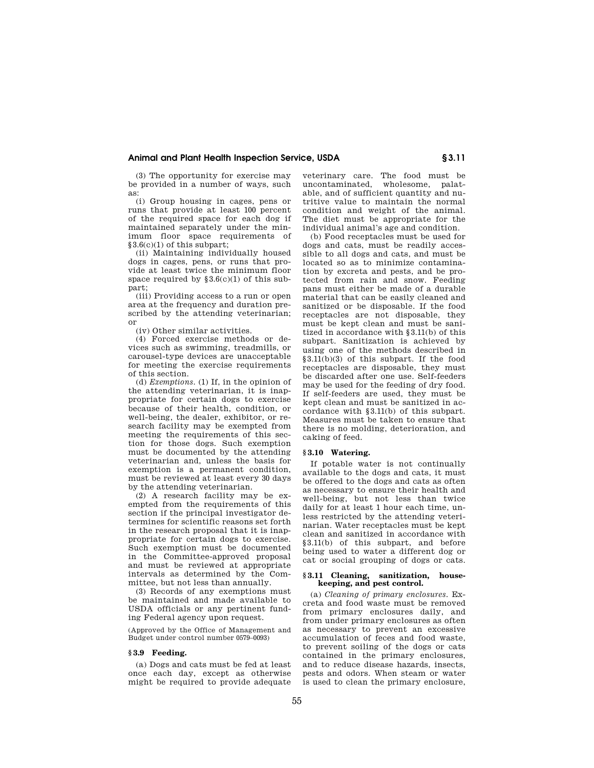(3) The opportunity for exercise may be provided in a number of ways, such as:

(i) Group housing in cages, pens or runs that provide at least 100 percent of the required space for each dog if maintained separately under the minimum floor space requirements of §3.6(c)(1) of this subpart;

(ii) Maintaining individually housed dogs in cages, pens, or runs that provide at least twice the minimum floor space required by  $§3.6(c)(1)$  of this subpart;

(iii) Providing access to a run or open area at the frequency and duration prescribed by the attending veterinarian; or

(iv) Other similar activities.

(4) Forced exercise methods or devices such as swimming, treadmills, or carousel-type devices are unacceptable for meeting the exercise requirements of this section.

(d) *Exemptions.* (1) If, in the opinion of the attending veterinarian, it is inappropriate for certain dogs to exercise because of their health, condition, or well-being, the dealer, exhibitor, or research facility may be exempted from meeting the requirements of this section for those dogs. Such exemption must be documented by the attending veterinarian and, unless the basis for exemption is a permanent condition, must be reviewed at least every 30 days by the attending veterinarian.

(2) A research facility may be exempted from the requirements of this section if the principal investigator determines for scientific reasons set forth in the research proposal that it is inappropriate for certain dogs to exercise. Such exemption must be documented in the Committee-approved proposal and must be reviewed at appropriate intervals as determined by the Committee, but not less than annually.

(3) Records of any exemptions must be maintained and made available to USDA officials or any pertinent funding Federal agency upon request.

(Approved by the Office of Management and Budget under control number 0579–0093)

#### **§ 3.9 Feeding.**

(a) Dogs and cats must be fed at least once each day, except as otherwise might be required to provide adequate veterinary care. The food must be wholesome, palatable, and of sufficient quantity and nutritive value to maintain the normal condition and weight of the animal. The diet must be appropriate for the individual animal's age and condition.

(b) Food receptacles must be used for dogs and cats, must be readily accessible to all dogs and cats, and must be located so as to minimize contamination by excreta and pests, and be protected from rain and snow. Feeding pans must either be made of a durable material that can be easily cleaned and sanitized or be disposable. If the food receptacles are not disposable, they must be kept clean and must be sanitized in accordance with §3.11(b) of this subpart. Sanitization is achieved by using one of the methods described in §3.11(b)(3) of this subpart. If the food receptacles are disposable, they must be discarded after one use. Self-feeders may be used for the feeding of dry food. If self-feeders are used, they must be kept clean and must be sanitized in accordance with §3.11(b) of this subpart. Measures must be taken to ensure that there is no molding, deterioration, and caking of feed.

### **§ 3.10 Watering.**

If potable water is not continually available to the dogs and cats, it must be offered to the dogs and cats as often as necessary to ensure their health and well-being, but not less than twice daily for at least 1 hour each time, unless restricted by the attending veterinarian. Water receptacles must be kept clean and sanitized in accordance with §3.11(b) of this subpart, and before being used to water a different dog or cat or social grouping of dogs or cats.

#### **§ 3.11 Cleaning, sanitization, housekeeping, and pest control.**

(a) *Cleaning of primary enclosures.* Excreta and food waste must be removed from primary enclosures daily, and from under primary enclosures as often as necessary to prevent an excessive accumulation of feces and food waste, to prevent soiling of the dogs or cats contained in the primary enclosures, and to reduce disease hazards, insects, pests and odors. When steam or water is used to clean the primary enclosure,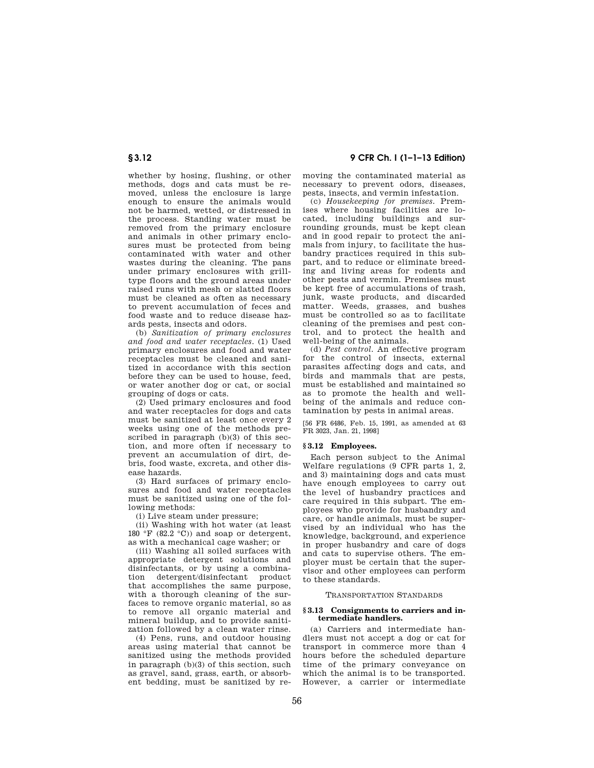# **§ 3.12 9 CFR Ch. I (1–1–13 Edition)**

whether by hosing, flushing, or other methods, dogs and cats must be removed, unless the enclosure is large enough to ensure the animals would not be harmed, wetted, or distressed in the process. Standing water must be removed from the primary enclosure and animals in other primary enclosures must be protected from being contaminated with water and other wastes during the cleaning. The pans under primary enclosures with grilltype floors and the ground areas under raised runs with mesh or slatted floors must be cleaned as often as necessary to prevent accumulation of feces and food waste and to reduce disease hazards pests, insects and odors.

(b) *Sanitization of primary enclosures and food and water receptacles.* (1) Used primary enclosures and food and water receptacles must be cleaned and sanitized in accordance with this section before they can be used to house, feed, or water another dog or cat, or social grouping of dogs or cats.

(2) Used primary enclosures and food and water receptacles for dogs and cats must be sanitized at least once every 2 weeks using one of the methods prescribed in paragraph (b)(3) of this section, and more often if necessary to prevent an accumulation of dirt, debris, food waste, excreta, and other disease hazards.

(3) Hard surfaces of primary enclosures and food and water receptacles must be sanitized using one of the following methods:

(i) Live steam under pressure;

(ii) Washing with hot water (at least 180  $\mathrm{F}$  (82.2  $\mathrm{C}$ )) and soap or detergent, as with a mechanical cage washer; or

(iii) Washing all soiled surfaces with appropriate detergent solutions and disinfectants, or by using a combination detergent/disinfectant product that accomplishes the same purpose, with a thorough cleaning of the surfaces to remove organic material, so as to remove all organic material and mineral buildup, and to provide sanitization followed by a clean water rinse.

(4) Pens, runs, and outdoor housing areas using material that cannot be sanitized using the methods provided in paragraph (b)(3) of this section, such as gravel, sand, grass, earth, or absorbent bedding, must be sanitized by removing the contaminated material as necessary to prevent odors, diseases, pests, insects, and vermin infestation.

(c) *Housekeeping for premises.* Premises where housing facilities are located, including buildings and surrounding grounds, must be kept clean and in good repair to protect the animals from injury, to facilitate the husbandry practices required in this subpart, and to reduce or eliminate breeding and living areas for rodents and other pests and vermin. Premises must be kept free of accumulations of trash, junk, waste products, and discarded matter. Weeds, grasses, and bushes must be controlled so as to facilitate cleaning of the premises and pest control, and to protect the health and well-being of the animals.

(d) *Pest control.* An effective program for the control of insects, external parasites affecting dogs and cats, and birds and mammals that are pests, must be established and maintained so as to promote the health and wellbeing of the animals and reduce contamination by pests in animal areas.

[56 FR 6486, Feb. 15, 1991, as amended at 63 FR 3023, Jan. 21, 19981

## **§ 3.12 Employees.**

Each person subject to the Animal Welfare regulations (9 CFR parts 1, 2, and 3) maintaining dogs and cats must have enough employees to carry out the level of husbandry practices and care required in this subpart. The employees who provide for husbandry and care, or handle animals, must be supervised by an individual who has the knowledge, background, and experience in proper husbandry and care of dogs and cats to supervise others. The employer must be certain that the supervisor and other employees can perform to these standards.

#### TRANSPORTATION STANDARDS

#### **§ 3.13 Consignments to carriers and intermediate handlers.**

(a) Carriers and intermediate handlers must not accept a dog or cat for transport in commerce more than 4 hours before the scheduled departure time of the primary conveyance on which the animal is to be transported. However, a carrier or intermediate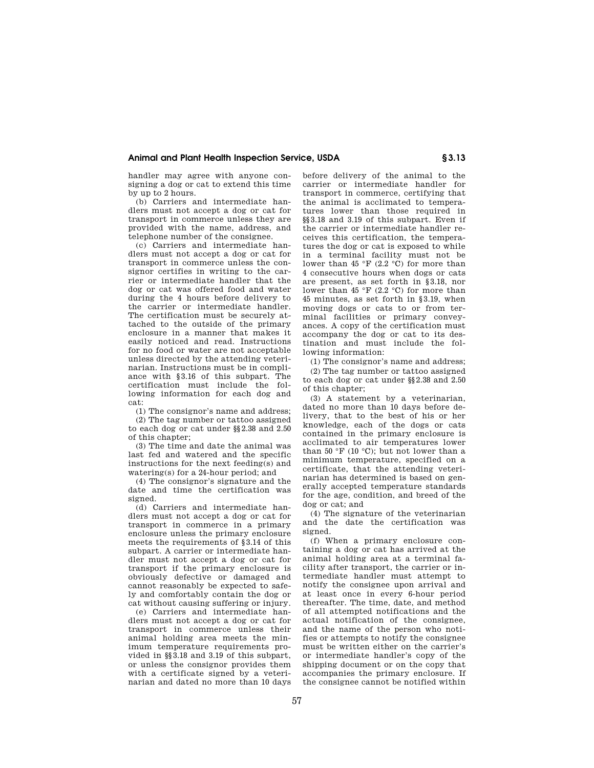handler may agree with anyone consigning a dog or cat to extend this time by up to 2 hours.

(b) Carriers and intermediate handlers must not accept a dog or cat for transport in commerce unless they are provided with the name, address, and telephone number of the consignee.

(c) Carriers and intermediate handlers must not accept a dog or cat for transport in commerce unless the consignor certifies in writing to the carrier or intermediate handler that the dog or cat was offered food and water during the 4 hours before delivery to the carrier or intermediate handler. The certification must be securely attached to the outside of the primary enclosure in a manner that makes it easily noticed and read. Instructions for no food or water are not acceptable unless directed by the attending veterinarian. Instructions must be in compliance with §3.16 of this subpart. The certification must include the following information for each dog and cat:

(1) The consignor's name and address;

(2) The tag number or tattoo assigned to each dog or cat under §§2.38 and 2.50 of this chapter;

(3) The time and date the animal was last fed and watered and the specific instructions for the next feeding(s) and watering(s) for a 24-hour period; and

(4) The consignor's signature and the date and time the certification was signed.

(d) Carriers and intermediate handlers must not accept a dog or cat for transport in commerce in a primary enclosure unless the primary enclosure meets the requirements of §3.14 of this subpart. A carrier or intermediate handler must not accept a dog or cat for transport if the primary enclosure is obviously defective or damaged and cannot reasonably be expected to safely and comfortably contain the dog or cat without causing suffering or injury.

(e) Carriers and intermediate handlers must not accept a dog or cat for transport in commerce unless their animal holding area meets the minimum temperature requirements provided in §§3.18 and 3.19 of this subpart, or unless the consignor provides them with a certificate signed by a veterinarian and dated no more than 10 days before delivery of the animal to the carrier or intermediate handler for transport in commerce, certifying that the animal is acclimated to temperatures lower than those required in §§3.18 and 3.19 of this subpart. Even if the carrier or intermediate handler receives this certification, the temperatures the dog or cat is exposed to while in a terminal facility must not be lower than 45 °F (2.2 °C) for more than 4 consecutive hours when dogs or cats are present, as set forth in §3.18, nor lower than 45 °F (2.2 °C) for more than 45 minutes, as set forth in §3.19, when moving dogs or cats to or from terminal facilities or primary conveyances. A copy of the certification must accompany the dog or cat to its destination and must include the following information:

(1) The consignor's name and address; (2) The tag number or tattoo assigned to each dog or cat under §§2.38 and 2.50 of this chapter;

(3) A statement by a veterinarian, dated no more than 10 days before delivery, that to the best of his or her knowledge, each of the dogs or cats contained in the primary enclosure is acclimated to air temperatures lower than 50 °F (10 °C); but not lower than a minimum temperature, specified on a certificate, that the attending veterinarian has determined is based on generally accepted temperature standards for the age, condition, and breed of the dog or cat; and

(4) The signature of the veterinarian and the date the certification was signed.

(f) When a primary enclosure containing a dog or cat has arrived at the animal holding area at a terminal facility after transport, the carrier or intermediate handler must attempt to notify the consignee upon arrival and at least once in every 6-hour period thereafter. The time, date, and method of all attempted notifications and the actual notification of the consignee, and the name of the person who notifies or attempts to notify the consignee must be written either on the carrier's or intermediate handler's copy of the shipping document or on the copy that accompanies the primary enclosure. If the consignee cannot be notified within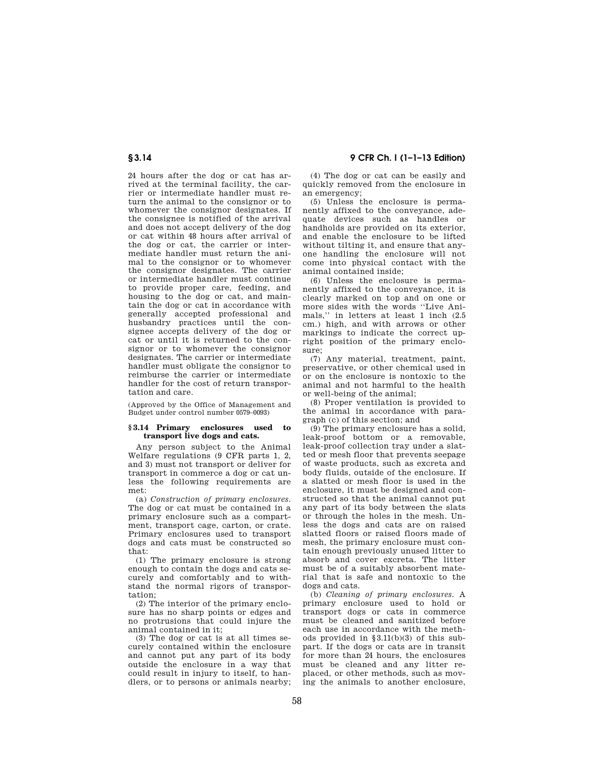# **§ 3.14 9 CFR Ch. I (1–1–13 Edition)**

24 hours after the dog or cat has arrived at the terminal facility, the carrier or intermediate handler must return the animal to the consignor or to whomever the consignor designates. If the consignee is notified of the arrival and does not accept delivery of the dog or cat within 48 hours after arrival of the dog or cat, the carrier or intermediate handler must return the animal to the consignor or to whomever the consignor designates. The carrier or intermediate handler must continue to provide proper care, feeding, and housing to the dog or cat, and maintain the dog or cat in accordance with generally accepted professional and husbandry practices until the consignee accepts delivery of the dog or cat or until it is returned to the consignor or to whomever the consignor designates. The carrier or intermediate handler must obligate the consignor to reimburse the carrier or intermediate handler for the cost of return transportation and care.

(Approved by the Office of Management and Budget under control number 0579–0093)

### **§ 3.14 Primary enclosures used to transport live dogs and cats.**

Any person subject to the Animal Welfare regulations (9 CFR parts 1, 2, and 3) must not transport or deliver for transport in commerce a dog or cat unless the following requirements are met:

(a) *Construction of primary enclosures.*  The dog or cat must be contained in a primary enclosure such as a compartment, transport cage, carton, or crate. Primary enclosures used to transport dogs and cats must be constructed so that:

(1) The primary enclosure is strong enough to contain the dogs and cats securely and comfortably and to withstand the normal rigors of transportation;

(2) The interior of the primary enclosure has no sharp points or edges and no protrusions that could injure the animal contained in it;

(3) The dog or cat is at all times securely contained within the enclosure and cannot put any part of its body outside the enclosure in a way that could result in injury to itself, to handlers, or to persons or animals nearby;

(4) The dog or cat can be easily and quickly removed from the enclosure in an emergency;

(5) Unless the enclosure is permanently affixed to the conveyance, adequate devices such as handles or handholds are provided on its exterior, and enable the enclosure to be lifted without tilting it, and ensure that anyone handling the enclosure will not come into physical contact with the animal contained inside;

(6) Unless the enclosure is permanently affixed to the conveyance, it is clearly marked on top and on one or more sides with the words ''Live Animals,'' in letters at least 1 inch (2.5 cm.) high, and with arrows or other markings to indicate the correct upright position of the primary enclosure;

(7) Any material, treatment, paint, preservative, or other chemical used in or on the enclosure is nontoxic to the animal and not harmful to the health or well-being of the animal;

(8) Proper ventilation is provided to the animal in accordance with paragraph (c) of this section; and

(9) The primary enclosure has a solid, leak-proof bottom or a removable, leak-proof collection tray under a slatted or mesh floor that prevents seepage of waste products, such as excreta and body fluids, outside of the enclosure. If a slatted or mesh floor is used in the enclosure, it must be designed and constructed so that the animal cannot put any part of its body between the slats or through the holes in the mesh. Unless the dogs and cats are on raised slatted floors or raised floors made of mesh, the primary enclosure must contain enough previously unused litter to absorb and cover excreta. The litter must be of a suitably absorbent material that is safe and nontoxic to the dogs and cats.

(b) *Cleaning of primary enclosures.* A primary enclosure used to hold or transport dogs or cats in commerce must be cleaned and sanitized before each use in accordance with the methods provided in §3.11(b)(3) of this subpart. If the dogs or cats are in transit for more than 24 hours, the enclosures must be cleaned and any litter replaced, or other methods, such as moving the animals to another enclosure,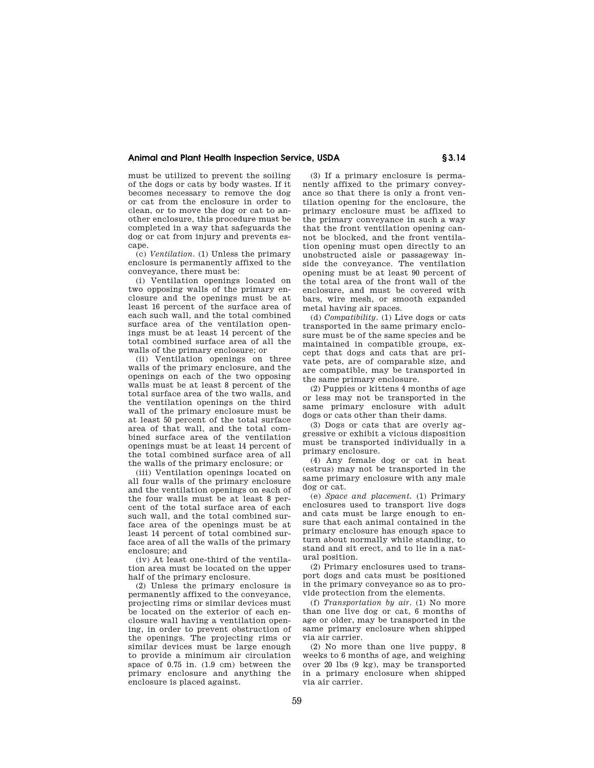must be utilized to prevent the soiling of the dogs or cats by body wastes. If it becomes necessary to remove the dog or cat from the enclosure in order to clean, or to move the dog or cat to another enclosure, this procedure must be completed in a way that safeguards the dog or cat from injury and prevents escape.

(c) *Ventilation.* (1) Unless the primary enclosure is permanently affixed to the conveyance, there must be:

(i) Ventilation openings located on two opposing walls of the primary enclosure and the openings must be at least 16 percent of the surface area of each such wall, and the total combined surface area of the ventilation openings must be at least 14 percent of the total combined surface area of all the walls of the primary enclosure; or

(ii) Ventilation openings on three walls of the primary enclosure, and the openings on each of the two opposing walls must be at least 8 percent of the total surface area of the two walls, and the ventilation openings on the third wall of the primary enclosure must be at least 50 percent of the total surface area of that wall, and the total combined surface area of the ventilation openings must be at least 14 percent of the total combined surface area of all the walls of the primary enclosure; or

(iii) Ventilation openings located on all four walls of the primary enclosure and the ventilation openings on each of the four walls must be at least 8 percent of the total surface area of each such wall, and the total combined surface area of the openings must be at least 14 percent of total combined surface area of all the walls of the primary enclosure; and

(iv) At least one-third of the ventilation area must be located on the upper half of the primary enclosure.

(2) Unless the primary enclosure is permanently affixed to the conveyance, projecting rims or similar devices must be located on the exterior of each enclosure wall having a ventilation opening, in order to prevent obstruction of the openings. The projecting rims or similar devices must be large enough to provide a minimum air circulation space of 0.75 in. (1.9 cm) between the primary enclosure and anything the enclosure is placed against.

(3) If a primary enclosure is permanently affixed to the primary conveyance so that there is only a front ventilation opening for the enclosure, the primary enclosure must be affixed to the primary conveyance in such a way that the front ventilation opening cannot be blocked, and the front ventilation opening must open directly to an unobstructed aisle or passageway inside the conveyance. The ventilation opening must be at least 90 percent of the total area of the front wall of the enclosure, and must be covered with bars, wire mesh, or smooth expanded metal having air spaces.

(d) *Compatibility.* (1) Live dogs or cats transported in the same primary enclosure must be of the same species and be maintained in compatible groups, except that dogs and cats that are private pets, are of comparable size, and are compatible, may be transported in the same primary enclosure.

(2) Puppies or kittens 4 months of age or less may not be transported in the same primary enclosure with adult dogs or cats other than their dams.

(3) Dogs or cats that are overly aggressive or exhibit a vicious disposition must be transported individually in a primary enclosure.

(4) Any female dog or cat in heat (estrus) may not be transported in the same primary enclosure with any male dog or cat.

(e) *Space and placement.* (1) Primary enclosures used to transport live dogs and cats must be large enough to ensure that each animal contained in the primary enclosure has enough space to turn about normally while standing, to stand and sit erect, and to lie in a natural position.

(2) Primary enclosures used to transport dogs and cats must be positioned in the primary conveyance so as to provide protection from the elements.

(f) *Transportation by air.* (1) No more than one live dog or cat, 6 months of age or older, may be transported in the same primary enclosure when shipped via air carrier.

(2) No more than one live puppy, 8 weeks to 6 months of age, and weighing over 20 lbs (9 kg), may be transported in a primary enclosure when shipped via air carrier.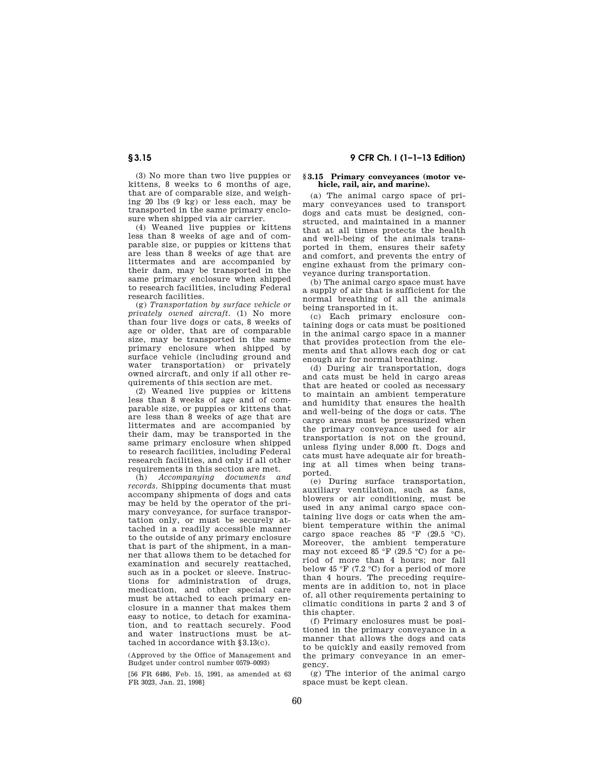**§ 3.15 9 CFR Ch. I (1–1–13 Edition)** 

(3) No more than two live puppies or kittens, 8 weeks to 6 months of age, that are of comparable size, and weighing 20 lbs (9 kg) or less each, may be transported in the same primary enclosure when shipped via air carrier.

(4) Weaned live puppies or kittens less than 8 weeks of age and of comparable size, or puppies or kittens that are less than 8 weeks of age that are littermates and are accompanied by their dam, may be transported in the same primary enclosure when shipped to research facilities, including Federal research facilities.

(g) *Transportation by surface vehicle or privately owned aircraft.* (1) No more than four live dogs or cats, 8 weeks of age or older, that are of comparable size, may be transported in the same primary enclosure when shipped by surface vehicle (including ground and water transportation) or privately owned aircraft, and only if all other requirements of this section are met.

(2) Weaned live puppies or kittens less than 8 weeks of age and of comparable size, or puppies or kittens that are less than 8 weeks of age that are littermates and are accompanied by their dam, may be transported in the same primary enclosure when shipped to research facilities, including Federal research facilities, and only if all other requirements in this section are met.

(h) *Accompanying documents and records.* Shipping documents that must accompany shipments of dogs and cats may be held by the operator of the primary conveyance, for surface transportation only, or must be securely attached in a readily accessible manner to the outside of any primary enclosure that is part of the shipment, in a manner that allows them to be detached for examination and securely reattached, such as in a pocket or sleeve. Instructions for administration of drugs, medication, and other special care must be attached to each primary enclosure in a manner that makes them easy to notice, to detach for examination, and to reattach securely. Food and water instructions must be attached in accordance with §3.13(c).

(Approved by the Office of Management and Budget under control number 0579–0093)

[56 FR 6486, Feb. 15, 1991, as amended at 63 FR 3023, Jan. 21, 1998]

### **§ 3.15 Primary conveyances (motor vehicle, rail, air, and marine).**

(a) The animal cargo space of primary conveyances used to transport dogs and cats must be designed, constructed, and maintained in a manner that at all times protects the health and well-being of the animals transported in them, ensures their safety and comfort, and prevents the entry of engine exhaust from the primary conveyance during transportation.

(b) The animal cargo space must have a supply of air that is sufficient for the normal breathing of all the animals being transported in it.

(c) Each primary enclosure containing dogs or cats must be positioned in the animal cargo space in a manner that provides protection from the elements and that allows each dog or cat enough air for normal breathing.

(d) During air transportation, dogs and cats must be held in cargo areas that are heated or cooled as necessary to maintain an ambient temperature and humidity that ensures the health and well-being of the dogs or cats. The cargo areas must be pressurized when the primary conveyance used for air transportation is not on the ground, unless flying under 8,000 ft. Dogs and cats must have adequate air for breathing at all times when being transported.

(e) During surface transportation, auxiliary ventilation, such as fans, blowers or air conditioning, must be used in any animal cargo space containing live dogs or cats when the ambient temperature within the animal cargo space reaches 85 °F (29.5 °C). Moreover, the ambient temperature may not exceed 85 °F (29.5 °C) for a period of more than 4 hours; nor fall below 45 °F (7.2 °C) for a period of more than 4 hours. The preceding requirements are in addition to, not in place of, all other requirements pertaining to climatic conditions in parts 2 and 3 of this chapter.

(f) Primary enclosures must be positioned in the primary conveyance in a manner that allows the dogs and cats to be quickly and easily removed from the primary conveyance in an emergency.

(g) The interior of the animal cargo space must be kept clean.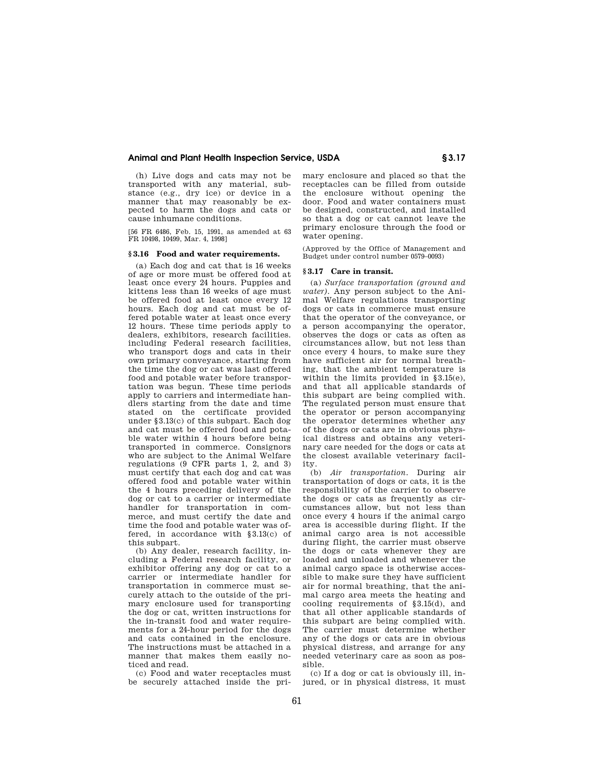(h) Live dogs and cats may not be transported with any material, substance (e.g., dry ice) or device in a manner that may reasonably be expected to harm the dogs and cats or cause inhumane conditions.

[56 FR 6486, Feb. 15, 1991, as amended at 63 FR 10498, 10499, Mar. 4, 1998]

## **§ 3.16 Food and water requirements.**

(a) Each dog and cat that is 16 weeks of age or more must be offered food at least once every 24 hours. Puppies and kittens less than 16 weeks of age must be offered food at least once every 12 hours. Each dog and cat must be offered potable water at least once every 12 hours. These time periods apply to dealers, exhibitors, research facilities. including Federal research facilities, who transport dogs and cats in their own primary conveyance, starting from the time the dog or cat was last offered food and potable water before transportation was begun. These time periods apply to carriers and intermediate handlers starting from the date and time stated on the certificate provided under §3.13(c) of this subpart. Each dog and cat must be offered food and potable water within 4 hours before being transported in commerce. Consignors who are subject to the Animal Welfare regulations (9 CFR parts 1, 2, and 3) must certify that each dog and cat was offered food and potable water within the 4 hours preceding delivery of the dog or cat to a carrier or intermediate handler for transportation in commerce, and must certify the date and time the food and potable water was offered, in accordance with §3.13(c) of this subpart.

(b) Any dealer, research facility, including a Federal research facility, or exhibitor offering any dog or cat to a carrier or intermediate handler for transportation in commerce must securely attach to the outside of the primary enclosure used for transporting the dog or cat, written instructions for the in-transit food and water requirements for a 24-hour period for the dogs and cats contained in the enclosure. The instructions must be attached in a manner that makes them easily noticed and read.

(c) Food and water receptacles must be securely attached inside the primary enclosure and placed so that the receptacles can be filled from outside the enclosure without opening the door. Food and water containers must be designed, constructed, and installed so that a dog or cat cannot leave the primary enclosure through the food or water opening.

(Approved by the Office of Management and Budget under control number 0579–0093)

# **§ 3.17 Care in transit.**

(a) *Surface transportation (ground and water).* Any person subject to the Animal Welfare regulations transporting dogs or cats in commerce must ensure that the operator of the conveyance, or a person accompanying the operator, observes the dogs or cats as often as circumstances allow, but not less than once every 4 hours, to make sure they have sufficient air for normal breathing, that the ambient temperature is within the limits provided in §3.15(e), and that all applicable standards of this subpart are being complied with. The regulated person must ensure that the operator or person accompanying the operator determines whether any of the dogs or cats are in obvious physical distress and obtains any veterinary care needed for the dogs or cats at the closest available veterinary facility.

(b) *Air transportation.* During air transportation of dogs or cats, it is the responsibility of the carrier to observe the dogs or cats as frequently as circumstances allow, but not less than once every 4 hours if the animal cargo area is accessible during flight. If the animal cargo area is not accessible during flight, the carrier must observe the dogs or cats whenever they are loaded and unloaded and whenever the animal cargo space is otherwise accessible to make sure they have sufficient air for normal breathing, that the animal cargo area meets the heating and cooling requirements of §3.15(d), and that all other applicable standards of this subpart are being complied with. The carrier must determine whether any of the dogs or cats are in obvious physical distress, and arrange for any needed veterinary care as soon as possible.

(c) If a dog or cat is obviously ill, injured, or in physical distress, it must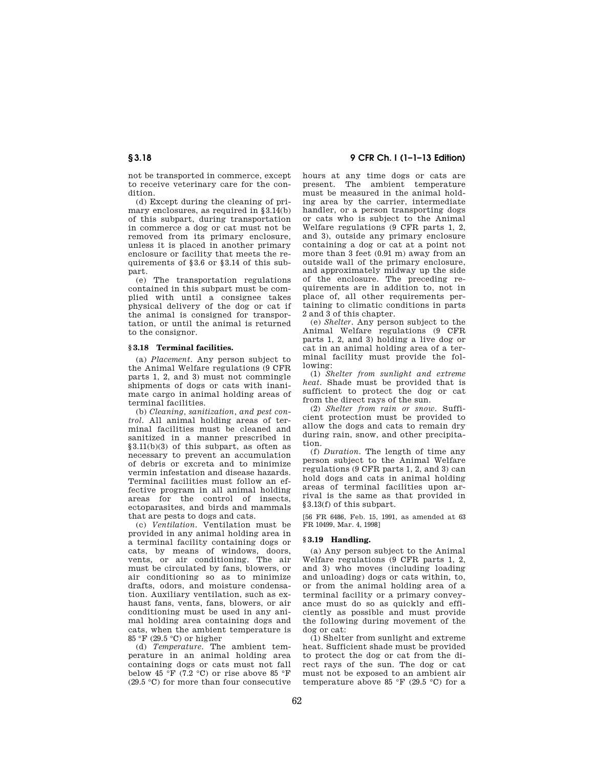not be transported in commerce, except to receive veterinary care for the condition.

(d) Except during the cleaning of primary enclosures, as required in §3.14(b) of this subpart, during transportation in commerce a dog or cat must not be removed from its primary enclosure, unless it is placed in another primary enclosure or facility that meets the requirements of §3.6 or §3.14 of this subpart.

(e) The transportation regulations contained in this subpart must be complied with until a consignee takes physical delivery of the dog or cat if the animal is consigned for transportation, or until the animal is returned to the consignor.

# **§ 3.18 Terminal facilities.**

(a) *Placement.* Any person subject to the Animal Welfare regulations (9 CFR parts 1, 2, and 3) must not commingle shipments of dogs or cats with inanimate cargo in animal holding areas of terminal facilities.

(b) *Cleaning, sanitization, and pest control.* All animal holding areas of terminal facilities must be cleaned and sanitized in a manner prescribed in §3.11(b)(3) of this subpart, as often as necessary to prevent an accumulation of debris or excreta and to minimize vermin infestation and disease hazards. Terminal facilities must follow an effective program in all animal holding areas for the control of insects, ectoparasites, and birds and mammals that are pests to dogs and cats.

(c) *Ventilation.* Ventilation must be provided in any animal holding area in a terminal facility containing dogs or cats, by means of windows, doors, vents, or air conditioning. The air must be circulated by fans, blowers, or air conditioning so as to minimize drafts, odors, and moisture condensation. Auxiliary ventilation, such as exhaust fans, vents, fans, blowers, or air conditioning must be used in any animal holding area containing dogs and cats, when the ambient temperature is 85 °F (29.5 °C) or higher

(d) *Temperature.* The ambient temperature in an animal holding area containing dogs or cats must not fall below 45 °F (7.2 °C) or rise above 85 °F (29.5 °C) for more than four consecutive

# **§ 3.18 9 CFR Ch. I (1–1–13 Edition)**

hours at any time dogs or cats are present. The ambient temperature must be measured in the animal holding area by the carrier, intermediate handler, or a person transporting dogs or cats who is subject to the Animal Welfare regulations (9 CFR parts 1, 2, and 3), outside any primary enclosure containing a dog or cat at a point not more than 3 feet (0.91 m) away from an outside wall of the primary enclosure, and approximately midway up the side of the enclosure. The preceding requirements are in addition to, not in place of, all other requirements pertaining to climatic conditions in parts 2 and 3 of this chapter.

(e) *Shelter.* Any person subject to the Animal Welfare regulations (9 CFR parts 1, 2, and 3) holding a live dog or cat in an animal holding area of a terminal facility must provide the following:

(1) *Shelter from sunlight and extreme heat.* Shade must be provided that is sufficient to protect the dog or cat from the direct rays of the sun.

(2) *Shelter from rain or snow.* Sufficient protection must be provided to allow the dogs and cats to remain dry during rain, snow, and other precipitation.

(f) *Duration.* The length of time any person subject to the Animal Welfare regulations (9 CFR parts 1, 2, and 3) can hold dogs and cats in animal holding areas of terminal facilities upon arrival is the same as that provided in §3.13(f) of this subpart.

[56 FR 6486, Feb. 15, 1991, as amended at 63 FR 10499, Mar. 4, 1998]

### **§ 3.19 Handling.**

(a) Any person subject to the Animal Welfare regulations (9 CFR parts 1, 2, and 3) who moves (including loading and unloading) dogs or cats within, to, or from the animal holding area of a terminal facility or a primary conveyance must do so as quickly and efficiently as possible and must provide the following during movement of the dog or cat:

(1) Shelter from sunlight and extreme heat. Sufficient shade must be provided to protect the dog or cat from the direct rays of the sun. The dog or cat must not be exposed to an ambient air temperature above 85 °F (29.5 °C) for a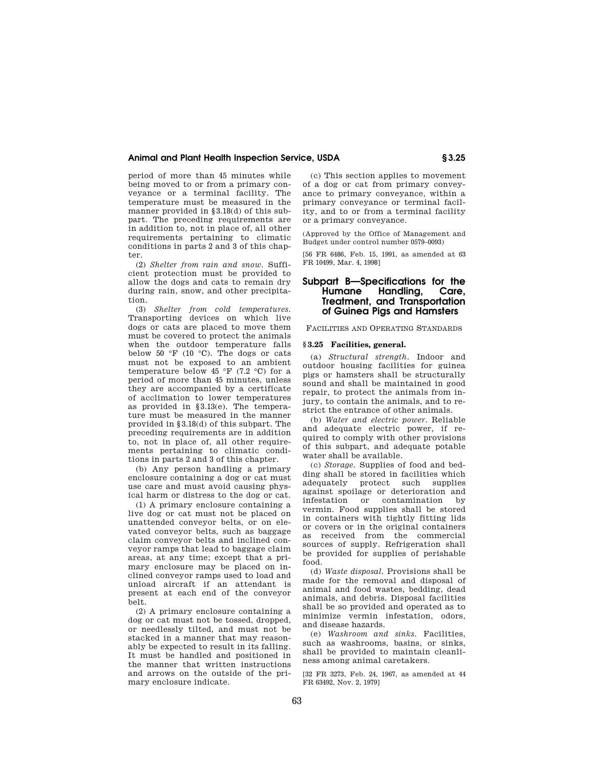period of more than 45 minutes while being moved to or from a primary conveyance or a terminal facility. The temperature must be measured in the manner provided in §3.18(d) of this subpart. The preceding requirements are in addition to, not in place of, all other requirements pertaining to climatic conditions in parts 2 and 3 of this chapter.

(2) *Shelter from rain and snow.* Sufficient protection must be provided to allow the dogs and cats to remain dry during rain, snow, and other precipitation.

(3) *Shelter from cold temperatures.*  Transporting devices on which live dogs or cats are placed to move them must be covered to protect the animals when the outdoor temperature falls below 50 °F (10 °C). The dogs or cats must not be exposed to an ambient temperature below 45 °F (7.2 °C) for a period of more than 45 minutes, unless they are accompanied by a certificate of acclimation to lower temperatures as provided in §3.13(e). The temperature must be measured in the manner provided in §3.18(d) of this subpart. The preceding requirements are in addition to, not in place of, all other requirements pertaining to climatic conditions in parts 2 and 3 of this chapter.

(b) Any person handling a primary enclosure containing a dog or cat must use care and must avoid causing physical harm or distress to the dog or cat.

(1) A primary enclosure containing a live dog or cat must not be placed on unattended conveyor belts, or on elevated conveyor belts, such as baggage claim conveyor belts and inclined conveyor ramps that lead to baggage claim areas, at any time; except that a primary enclosure may be placed on inclined conveyor ramps used to load and unload aircraft if an attendant is present at each end of the conveyor belt.

(2) A primary enclosure containing a dog or cat must not be tossed, dropped, or needlessly tilted, and must not be stacked in a manner that may reasonably be expected to result in its falling. It must be handled and positioned in the manner that written instructions and arrows on the outside of the primary enclosure indicate.

(c) This section applies to movement of a dog or cat from primary conveyance to primary conveyance, within a primary conveyance or terminal facility, and to or from a terminal facility or a primary conveyance.

(Approved by the Office of Management and Budget under control number 0579–0093)

[56 FR 6486, Feb. 15, 1991, as amended at 63 FR 10499, Mar. 4, 1998]

# **Subpart B—Specifications for the Humane Handling, Care, Treatment, and Transportation of Guinea Pigs and Hamsters**

FACILITIES AND OPERATING STANDARDS

#### **§ 3.25 Facilities, general.**

(a) *Structural strength.* Indoor and outdoor housing facilities for guinea pigs or hamsters shall be structurally sound and shall be maintained in good repair, to protect the animals from injury, to contain the animals, and to restrict the entrance of other animals.

(b) *Water and electric power.* Reliable and adequate electric power, if required to comply with other provisions of this subpart, and adequate potable water shall be available.

(c) *Storage.* Supplies of food and bedding shall be stored in facilities which adequately protect such supplies against spoilage or deterioration and infestation or contamination by vermin. Food supplies shall be stored in containers with tightly fitting lids or covers or in the original containers as received from the commercial sources of supply. Refrigeration shall be provided for supplies of perishable food.

(d) *Waste disposal.* Provisions shall be made for the removal and disposal of animal and food wastes, bedding, dead animals, and debris. Disposal facilities shall be so provided and operated as to minimize vermin infestation, odors, and disease hazards.

(e) *Washroom and sinks.* Facilities, such as washrooms, basins, or sinks, shall be provided to maintain cleanliness among animal caretakers.

[32 FR 3273, Feb. 24, 1967, as amended at 44 FR 63492, Nov. 2, 1979]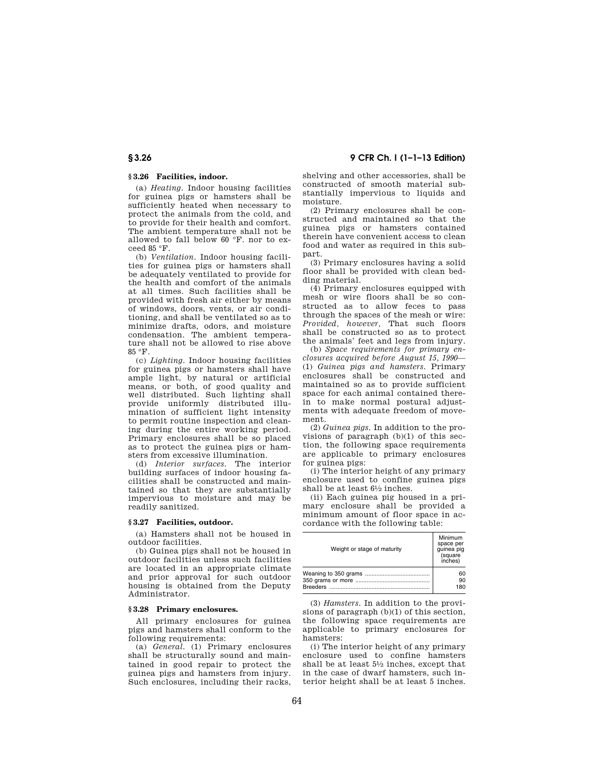# **§ 3.26 9 CFR Ch. I (1–1–13 Edition)**

# **§ 3.26 Facilities, indoor.**

(a) *Heating.* Indoor housing facilities for guinea pigs or hamsters shall be sufficiently heated when necessary to protect the animals from the cold, and to provide for their health and comfort. The ambient temperature shall not be allowed to fall below 60 °F. nor to exceed 85 °F.

(b) *Ventilation.* Indoor housing facilities for guinea pigs or hamsters shall be adequately ventilated to provide for the health and comfort of the animals at all times. Such facilities shall be provided with fresh air either by means of windows, doors, vents, or air conditioning, and shall be ventilated so as to minimize drafts, odors, and moisture condensation. The ambient temperature shall not be allowed to rise above 85 °F.

(c) *Lighting.* Indoor housing facilities for guinea pigs or hamsters shall have ample light, by natural or artificial means, or both, of good quality and well distributed. Such lighting shall provide uniformly distributed illumination of sufficient light intensity to permit routine inspection and cleaning during the entire working period. Primary enclosures shall be so placed as to protect the guinea pigs or hamsters from excessive illumination.

(d) *Interior surfaces.* The interior building surfaces of indoor housing facilities shall be constructed and maintained so that they are substantially impervious to moisture and may be readily sanitized.

#### **§ 3.27 Facilities, outdoor.**

(a) Hamsters shall not be housed in outdoor facilities.

(b) Guinea pigs shall not be housed in outdoor facilities unless such facilities are located in an appropriate climate and prior approval for such outdoor housing is obtained from the Deputy Administrator.

### **§ 3.28 Primary enclosures.**

All primary enclosures for guinea pigs and hamsters shall conform to the following requirements:

(a) *General.* (1) Primary enclosures shall be structurally sound and maintained in good repair to protect the guinea pigs and hamsters from injury. Such enclosures, including their racks, shelving and other accessories, shall be constructed of smooth material substantially impervious to liquids and moisture.

(2) Primary enclosures shall be constructed and maintained so that the guinea pigs or hamsters contained therein have convenient access to clean food and water as required in this subpart.

(3) Primary enclosures having a solid floor shall be provided with clean bedding material.

(4) Primary enclosures equipped with mesh or wire floors shall be so constructed as to allow feces to pass through the spaces of the mesh or wire: *Provided, however,* That such floors shall be constructed so as to protect the animals' feet and legs from injury.

(b) *Space requirements for primary enclosures acquired before August 15, 1990*— (1) *Guinea pigs and hamsters.* Primary enclosures shall be constructed and maintained so as to provide sufficient space for each animal contained therein to make normal postural adjustments with adequate freedom of movement.

(2) *Guinea pigs.* In addition to the provisions of paragraph (b)(1) of this section, the following space requirements are applicable to primary enclosures for guinea pigs:

(i) The interior height of any primary enclosure used to confine guinea pigs shall be at least 61⁄2 inches.

(ii) Each guinea pig housed in a primary enclosure shall be provided a minimum amount of floor space in accordance with the following table:

| Weight or stage of maturity | Minimum<br>space per<br>quinea pig<br>(square<br>inches) |
|-----------------------------|----------------------------------------------------------|
|                             | 60                                                       |
|                             | 90                                                       |
|                             | 180                                                      |

(3) *Hamsters.* In addition to the provisions of paragraph (b)(1) of this section, the following space requirements are applicable to primary enclosures for hamsters:

(i) The interior height of any primary enclosure used to confine hamsters shall be at least  $5\frac{1}{2}$  inches, except that in the case of dwarf hamsters, such interior height shall be at least 5 inches.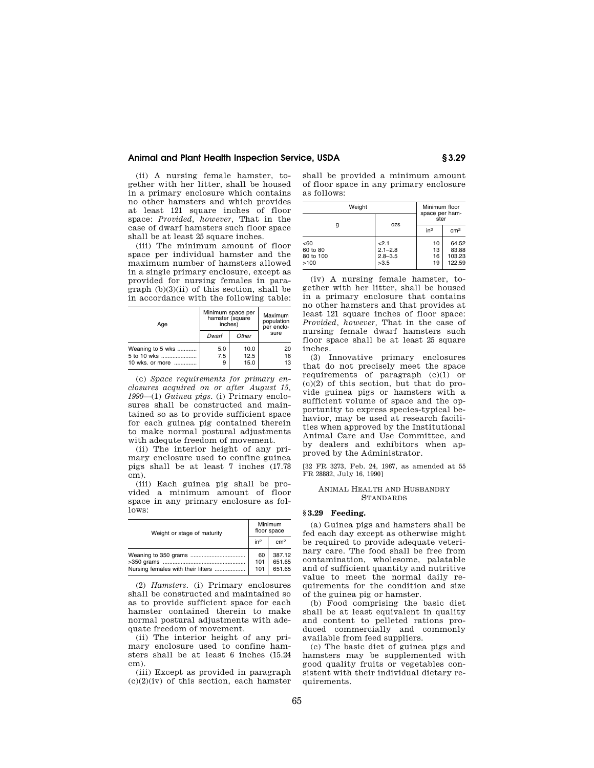(ii) A nursing female hamster, together with her litter, shall be housed in a primary enclosure which contains no other hamsters and which provides at least 121 square inches of floor space: *Provided, however,* That in the case of dwarf hamsters such floor space shall be at least 25 square inches.

(iii) The minimum amount of floor space per individual hamster and the maximum number of hamsters allowed in a single primary enclosure, except as provided for nursing females in paragraph (b)(3)(ii) of this section, shall be in accordance with the following table:

| Age              | Minimum space per<br>hamster (square<br>inches) | Maximum<br>population<br>per enclo- |      |  |
|------------------|-------------------------------------------------|-------------------------------------|------|--|
|                  | Dwarf                                           | Other                               | sure |  |
| Weaning to 5 wks | 5.0                                             | 10.0                                | 20   |  |
| 5 to 10 wks      | 7.5                                             | 12.5                                | 16   |  |
| 10 wks. or more  | 9                                               | 15.0                                | 13   |  |

(c) *Space requirements for primary enclosures acquired on or after August 15, 1990*—(1) *Guinea pigs.* (i) Primary enclosures shall be constructed and maintained so as to provide sufficient space for each guinea pig contained therein to make normal postural adjustments with adequte freedom of movement.

(ii) The interior height of any primary enclosure used to confine guinea pigs shall be at least 7 inches (17.78 cm).

(iii) Each guinea pig shall be provided a minimum amount of floor space in any primary enclosure as follows:

| Weight or stage of maturity        | Minimum<br>floor space |                            |  |
|------------------------------------|------------------------|----------------------------|--|
|                                    |                        | cm <sup>2</sup>            |  |
| Nursing females with their litters | 60<br>101<br>101       | 387.12<br>651.65<br>651.65 |  |

(2) *Hamsters.* (i) Primary enclosures shall be constructed and maintained so as to provide sufficient space for each hamster contained therein to make normal postural adjustments with adequate freedom of movement.

(ii) The interior height of any primary enclosure used to confine hamsters shall be at least 6 inches (15.24 cm).

(iii) Except as provided in paragraph  $(c)(2)(iv)$  of this section, each hamster

shall be provided a minimum amount of floor space in any primary enclosure as follows:

| Weight    |             |                 | Minimum floor<br>space per ham- |  |  |
|-----------|-------------|-----------------|---------------------------------|--|--|
|           | <b>OZS</b>  | ster            |                                 |  |  |
| g         |             | in <sup>2</sup> | cm <sup>2</sup>                 |  |  |
| <60       | < 2.1       | 10              | 64.52                           |  |  |
| 60 to 80  | $2.1 - 2.8$ | 13              | 83.88                           |  |  |
| 80 to 100 | $2.8 - 3.5$ | 16              | 103.23                          |  |  |
| >100      | >3.5        | 19              | 122.59                          |  |  |

(iv) A nursing female hamster, together with her litter, shall be housed in a primary enclosure that contains no other hamsters and that provides at least 121 square inches of floor space: *Provided, however,* That in the case of nursing female dwarf hamsters such floor space shall be at least 25 square inches.

(3) Innovative primary enclosures that do not precisely meet the space requirements of paragraph (c)(1) or (c)(2) of this section, but that do provide guinea pigs or hamsters with a sufficient volume of space and the opportunity to express species-typical behavior, may be used at research facilities when approved by the Institutional Animal Care and Use Committee, and by dealers and exhibitors when approved by the Administrator.

[32 FR 3273, Feb. 24, 1967, as amended at 55 FR 28882, July 16, 1990]

## ANIMAL HEALTH AND HUSBANDRY **STANDARDS**

# **§ 3.29 Feeding.**

(a) Guinea pigs and hamsters shall be fed each day except as otherwise might be required to provide adequate veterinary care. The food shall be free from contamination, wholesome, palatable and of sufficient quantity and nutritive value to meet the normal daily requirements for the condition and size of the guinea pig or hamster.

(b) Food comprising the basic diet shall be at least equivalent in quality and content to pelleted rations produced commercially and commonly available from feed suppliers.

(c) The basic diet of guinea pigs and hamsters may be supplemented with good quality fruits or vegetables consistent with their individual dietary requirements.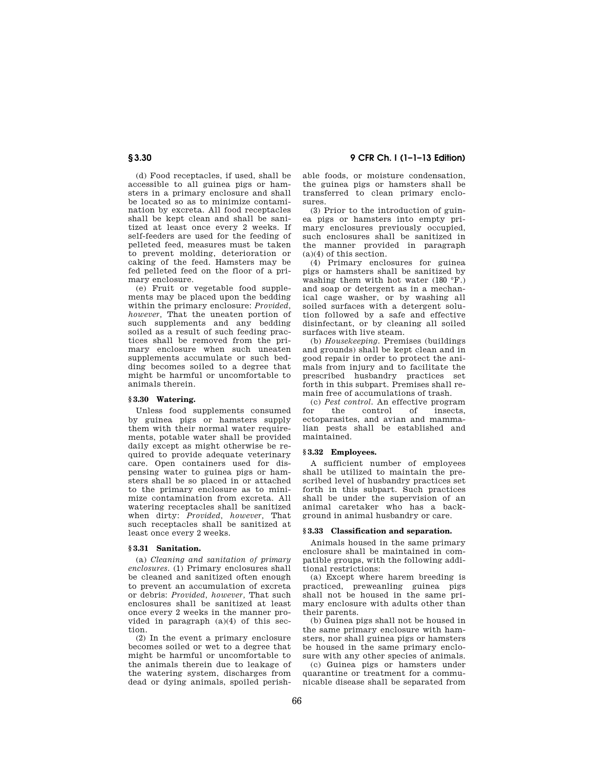(d) Food receptacles, if used, shall be accessible to all guinea pigs or hamsters in a primary enclosure and shall be located so as to minimize contamination by excreta. All food receptacles shall be kept clean and shall be sanitized at least once every 2 weeks. If self-feeders are used for the feeding of pelleted feed, measures must be taken to prevent molding, deterioration or caking of the feed. Hamsters may be fed pelleted feed on the floor of a primary enclosure.

(e) Fruit or vegetable food supplements may be placed upon the bedding within the primary enclosure: *Provided, however,* That the uneaten portion of such supplements and any bedding soiled as a result of such feeding practices shall be removed from the primary enclosure when such uneaten supplements accumulate or such bedding becomes soiled to a degree that might be harmful or uncomfortable to animals therein.

## **§ 3.30 Watering.**

Unless food supplements consumed by guinea pigs or hamsters supply them with their normal water requirements, potable water shall be provided daily except as might otherwise be required to provide adequate veterinary care. Open containers used for dispensing water to guinea pigs or hamsters shall be so placed in or attached to the primary enclosure as to minimize contamination from excreta. All watering receptacles shall be sanitized when dirty: *Provided, however,* That such receptacles shall be sanitized at least once every 2 weeks.

### **§ 3.31 Sanitation.**

(a) *Cleaning and sanitation of primary enclosures.* (1) Primary enclosures shall be cleaned and sanitized often enough to prevent an accumulation of excreta or debris: *Provided, however,* That such enclosures shall be sanitized at least once every 2 weeks in the manner provided in paragraph (a)(4) of this section.

(2) In the event a primary enclosure becomes soiled or wet to a degree that might be harmful or uncomfortable to the animals therein due to leakage of the watering system, discharges from dead or dying animals, spoiled perish-

**§ 3.30 9 CFR Ch. I (1–1–13 Edition)** 

able foods, or moisture condensation, the guinea pigs or hamsters shall be transferred to clean primary enclosures.

(3) Prior to the introduction of guinea pigs or hamsters into empty primary enclosures previously occupied, such enclosures shall be sanitized in the manner provided in paragraph (a)(4) of this section.

(4) Primary enclosures for guinea pigs or hamsters shall be sanitized by washing them with hot water (180 °F.) and soap or detergent as in a mechanical cage washer, or by washing all soiled surfaces with a detergent solution followed by a safe and effective disinfectant, or by cleaning all soiled surfaces with live steam.

(b) *Housekeeping.* Premises (buildings and grounds) shall be kept clean and in good repair in order to protect the animals from injury and to facilitate the prescribed husbandry practices set forth in this subpart. Premises shall remain free of accumulations of trash.

(c) *Pest control.* An effective program control ectoparasites, and avian and mammalian pests shall be established and maintained.

# **§ 3.32 Employees.**

A sufficient number of employees shall be utilized to maintain the prescribed level of husbandry practices set forth in this subpart. Such practices shall be under the supervision of an animal caretaker who has a background in animal husbandry or care.

# **§ 3.33 Classification and separation.**

Animals housed in the same primary enclosure shall be maintained in compatible groups, with the following additional restrictions:

(a) Except where harem breeding is practiced, preweanling guinea pigs shall not be housed in the same primary enclosure with adults other than their parents.

(b) Guinea pigs shall not be housed in the same primary enclosure with hamsters, nor shall guinea pigs or hamsters be housed in the same primary enclosure with any other species of animals.

(c) Guinea pigs or hamsters under quarantine or treatment for a communicable disease shall be separated from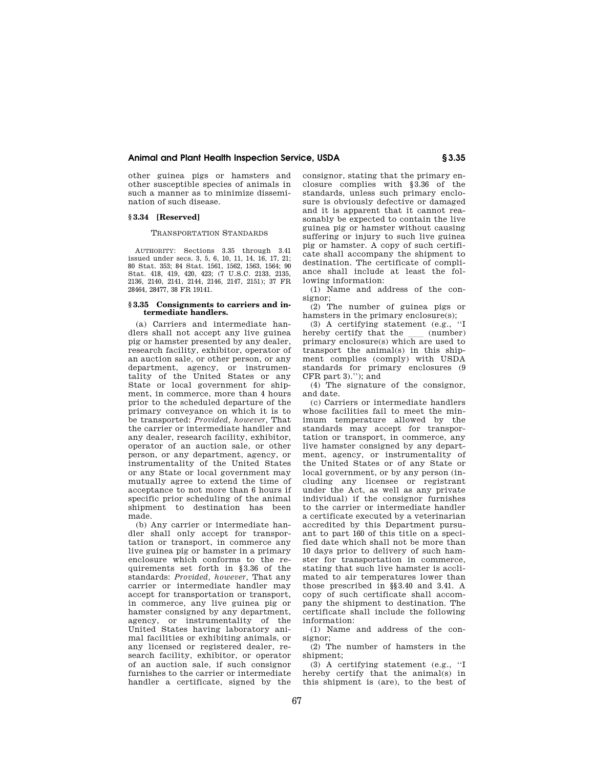other guinea pigs or hamsters and other susceptible species of animals in such a manner as to minimize dissemination of such disease.

## **§ 3.34 [Reserved]**

TRANSPORTATION STANDARDS

AUTHORITY: Sections 3.35 through 3.41 issued under secs. 3, 5, 6, 10, 11, 14, 16, 17, 21; 80 Stat. 353; 84 Stat. 1561, 1562, 1563, 1564; 90 Stat. 418, 419, 420, 423; (7 U.S.C. 2133, 2135, 2136, 2140, 2141, 2144, 2146, 2147, 2151); 37 FR 28464, 28477, 38 FR 19141.

#### **§ 3.35 Consignments to carriers and intermediate handlers.**

(a) Carriers and intermediate handlers shall not accept any live guinea pig or hamster presented by any dealer, research facility, exhibitor, operator of an auction sale, or other person, or any department, agency, or instrumentality of the United States or any State or local government for shipment, in commerce, more than 4 hours prior to the scheduled departure of the primary conveyance on which it is to be transported: *Provided, however,* That the carrier or intermediate handler and any dealer, research facility, exhibitor, operator of an auction sale, or other person, or any department, agency, or instrumentality of the United States or any State or local government may mutually agree to extend the time of acceptance to not more than 6 hours if specific prior scheduling of the animal shipment to destination has been made.

(b) Any carrier or intermediate handler shall only accept for transportation or transport, in commerce any live guinea pig or hamster in a primary enclosure which conforms to the requirements set forth in §3.36 of the standards: *Provided, however,* That any carrier or intermediate handler may accept for transportation or transport, in commerce, any live guinea pig or hamster consigned by any department, agency, or instrumentality of the United States having laboratory animal facilities or exhibiting animals, or any licensed or registered dealer, research facility, exhibitor, or operator of an auction sale, if such consignor furnishes to the carrier or intermediate handler a certificate, signed by the consignor, stating that the primary enclosure complies with §3.36 of the standards, unless such primary enclosure is obviously defective or damaged and it is apparent that it cannot reasonably be expected to contain the live guinea pig or hamster without causing suffering or injury to such live guinea pig or hamster. A copy of such certificate shall accompany the shipment to destination. The certificate of compliance shall include at least the following information:

(1) Name and address of the consignor;

(2) The number of guinea pigs or hamsters in the primary enclosure(s);

(3) A certifying statement  $(e.g., "Theorem 1]$  (a) certify that the  $(number)$ hereby certify that the \_\_\_\_ (number)<br>primary enclosure(s) which are used to transport the animal(s) in this shipment complies (comply) with USDA standards for primary enclosures (9 CFR part 3).''); and

(4) The signature of the consignor, and date.

(c) Carriers or intermediate handlers whose facilities fail to meet the minimum temperature allowed by the standards may accept for transportation or transport, in commerce, any live hamster consigned by any department, agency, or instrumentality of the United States or of any State or local government, or by any person (including any licensee or registrant under the Act, as well as any private individual) if the consignor furnishes to the carrier or intermediate handler a certificate executed by a veterinarian accredited by this Department pursuant to part 160 of this title on a specified date which shall not be more than 10 days prior to delivery of such hamster for transportation in commerce, stating that such live hamster is acclimated to air temperatures lower than those prescribed in §§3.40 and 3.41. A copy of such certificate shall accompany the shipment to destination. The certificate shall include the following information:

(1) Name and address of the consignor;

(2) The number of hamsters in the shipment;

(3) A certifying statement (e.g., ''I hereby certify that the animal(s) in this shipment is (are), to the best of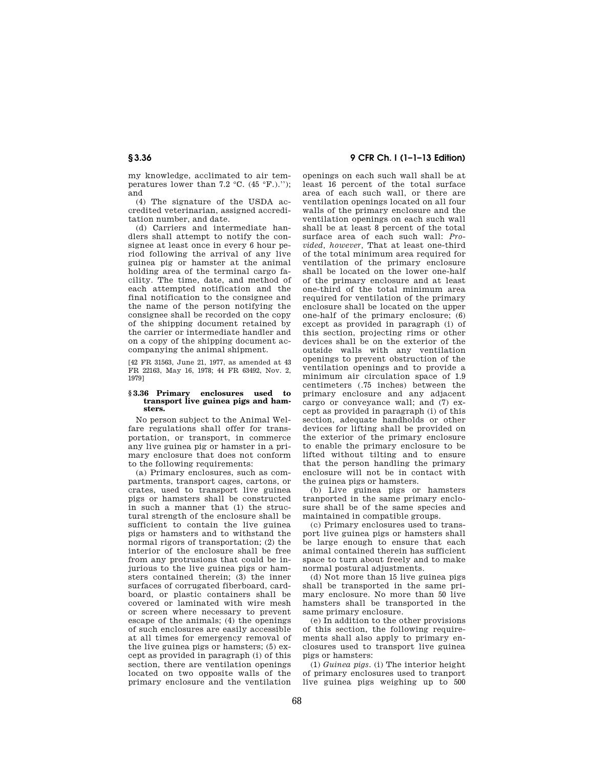my knowledge, acclimated to air temperatures lower than 7.2  $°C.$  (45  $°F.$ ).''); and

(4) The signature of the USDA accredited veterinarian, assigned accreditation number, and date.

(d) Carriers and intermediate handlers shall attempt to notify the consignee at least once in every 6 hour period following the arrival of any live guinea pig or hamster at the animal holding area of the terminal cargo facility. The time, date, and method of each attempted notification and the final notification to the consignee and the name of the person notifying the consignee shall be recorded on the copy of the shipping document retained by the carrier or intermediate handler and on a copy of the shipping document accompanying the animal shipment.

[42 FR 31563, June 21, 1977, as amended at 43 FR 22163, May 16, 1978; 44 FR 63492, Nov. 2, 1979]

#### **§ 3.36 Primary enclosures used to transport live guinea pigs and hamsters.**

No person subject to the Animal Welfare regulations shall offer for transportation, or transport, in commerce any live guinea pig or hamster in a primary enclosure that does not conform to the following requirements:

(a) Primary enclosures, such as compartments, transport cages, cartons, or crates, used to transport live guinea pigs or hamsters shall be constructed in such a manner that (1) the structural strength of the enclosure shall be sufficient to contain the live guinea pigs or hamsters and to withstand the normal rigors of transportation; (2) the interior of the enclosure shall be free from any protrusions that could be injurious to the live guinea pigs or hamsters contained therein; (3) the inner surfaces of corrugated fiberboard, cardboard, or plastic containers shall be covered or laminated with wire mesh or screen where necessary to prevent escape of the animals; (4) the openings of such enclosures are easily accessible at all times for emergency removal of the live guinea pigs or hamsters; (5) except as provided in paragraph (i) of this section, there are ventilation openings located on two opposite walls of the primary enclosure and the ventilation

# **§ 3.36 9 CFR Ch. I (1–1–13 Edition)**

openings on each such wall shall be at least 16 percent of the total surface area of each such wall, or there are ventilation openings located on all four walls of the primary enclosure and the ventilation openings on each such wall shall be at least 8 percent of the total surface area of each such wall: *Provided, however,* That at least one-third of the total minimum area required for ventilation of the primary enclosure shall be located on the lower one-half of the primary enclosure and at least one-third of the total minimum area required for ventilation of the primary enclosure shall be located on the upper one-half of the primary enclosure; (6) except as provided in paragraph (i) of this section, projecting rims or other devices shall be on the exterior of the outside walls with any ventilation openings to prevent obstruction of the ventilation openings and to provide a minimum air circulation space of 1.9 centimeters (.75 inches) between the primary enclosure and any adjacent cargo or conveyance wall; and (7) except as provided in paragraph (i) of this section, adequate handholds or other devices for lifting shall be provided on the exterior of the primary enclosure to enable the primary enclosure to be lifted without tilting and to ensure that the person handling the primary enclosure will not be in contact with the guinea pigs or hamsters.

(b) Live guinea pigs or hamsters tranported in the same primary enclosure shall be of the same species and maintained in compatible groups.

(c) Primary enclosures used to transport live guinea pigs or hamsters shall be large enough to ensure that each animal contained therein has sufficient space to turn about freely and to make normal postural adjustments.

(d) Not more than 15 live guinea pigs shall be transported in the same primary enclosure. No more than 50 live hamsters shall be transported in the same primary enclosure.

(e) In addition to the other provisions of this section, the following requirements shall also apply to primary enclosures used to transport live guinea pigs or hamsters:

(1) *Guinea pigs.* (i) The interior height of primary enclosures used to tranport live guinea pigs weighing up to 500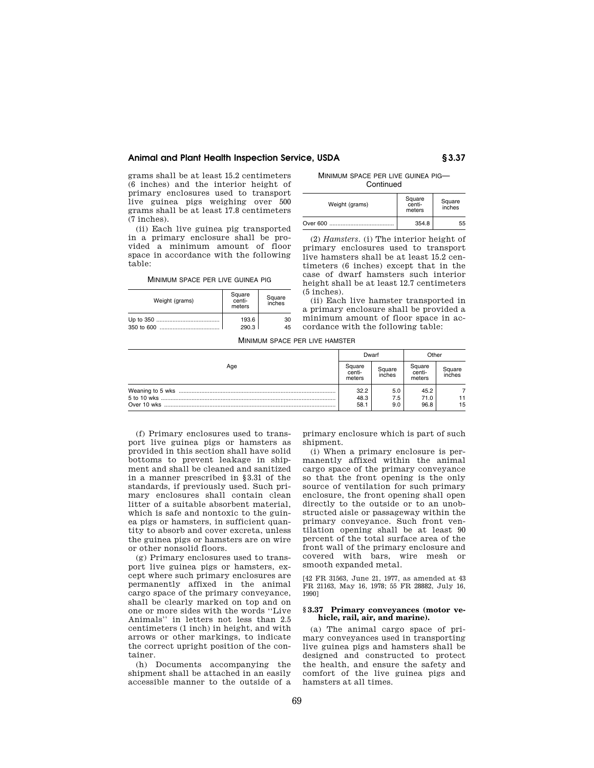grams shall be at least 15.2 centimeters (6 inches) and the interior height of primary enclosures used to transport live guinea pigs weighing over 500 grams shall be at least 17.8 centimeters (7 inches).

(ii) Each live guinea pig transported in a primary enclosure shall be provided a minimum amount of floor space in accordance with the following table:

MINIMUM SPACE PER LIVE GUINEA PIG

| Weight (grams) | Square<br>centi-<br>meters | Square<br>inches |  |
|----------------|----------------------------|------------------|--|
|                | 193.6                      | 30               |  |
|                | 290.3                      | 45               |  |
|                |                            |                  |  |

MINIMUM SPACE PER LIVE GUINEA PIG— **Continued** 

| Weight (grams) | Square<br>centi-<br>meters | Square<br>inches |  |
|----------------|----------------------------|------------------|--|
| Over 600       | 354.8                      | 55               |  |

(2) *Hamsters.* (i) The interior height of primary enclosures used to transport live hamsters shall be at least 15.2 centimeters (6 inches) except that in the case of dwarf hamsters such interior height shall be at least 12.7 centimeters (5 inches).

(ii) Each live hamster transported in a primary enclosure shall be provided a minimum amount of floor space in accordance with the following table:

MINIMUM SPACE PER LIVE HAMSTER

|     |                            | Dwarf            |                            | Other            |  |
|-----|----------------------------|------------------|----------------------------|------------------|--|
| Aqe | Square<br>centi-<br>meters | Square<br>inches | Square<br>centi-<br>meters | Square<br>inches |  |
|     | 32.2                       | 5.0              | 45.2                       |                  |  |
|     | 48.3<br>58.1               | 7.5<br>9.0       | 71.0<br>96.8               | 11<br>15         |  |

(f) Primary enclosures used to transport live guinea pigs or hamsters as provided in this section shall have solid bottoms to prevent leakage in shipment and shall be cleaned and sanitized in a manner prescribed in §3.31 of the standards, if previously used. Such primary enclosures shall contain clean litter of a suitable absorbent material, which is safe and nontoxic to the guinea pigs or hamsters, in sufficient quantity to absorb and cover excreta, unless the guinea pigs or hamsters are on wire or other nonsolid floors.

(g) Primary enclosures used to transport live guinea pigs or hamsters, except where such primary enclosures are permanently affixed in the animal cargo space of the primary conveyance, shall be clearly marked on top and on one or more sides with the words ''Live Animals'' in letters not less than 2.5 centimeters (1 inch) in height, and with arrows or other markings, to indicate the correct upright position of the container.

(h) Documents accompanying the shipment shall be attached in an easily accessible manner to the outside of a primary enclosure which is part of such shipment.

(i) When a primary enclosure is permanently affixed within the animal cargo space of the primary conveyance so that the front opening is the only source of ventilation for such primary enclosure, the front opening shall open directly to the outside or to an unobstructed aisle or passageway within the primary conveyance. Such front ventilation opening shall be at least 90 percent of the total surface area of the front wall of the primary enclosure and covered with bars, wire mesh or smooth expanded metal.

[42 FR 31563, June 21, 1977, as amended at 43 FR 21163, May 16, 1978; 55 FR 28882, July 16, 1990]

# **§ 3.37 Primary conveyances (motor vehicle, rail, air, and marine).**

(a) The animal cargo space of primary conveyances used in transporting live guinea pigs and hamsters shall be designed and constructed to protect the health, and ensure the safety and comfort of the live guinea pigs and hamsters at all times.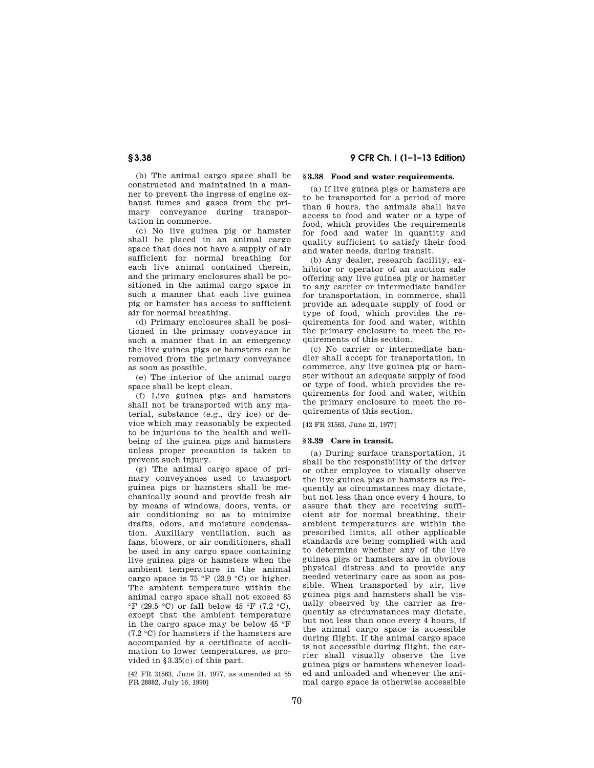**§ 3.38 9 CFR Ch. I (1–1–13 Edition)** 

(b) The animal cargo space shall be constructed and maintained in a manner to prevent the ingress of engine exhaust fumes and gases from the primary conveyance during transportation in commerce.

(c) No live guinea pig or hamster shall be placed in an animal cargo space that does not have a supply of air sufficient for normal breathing for each live animal contained therein, and the primary enclosures shall be positioned in the animal cargo space in such a manner that each live guinea pig or hamster has access to sufficient air for normal breathing.

(d) Primary enclosures shall be positioned in the primary conveyance in such a manner that in an emergency the live guinea pigs or hamsters can be removed from the primary conveyance as soon as possible.

(e) The interior of the animal cargo space shall be kept clean.

(f) Live guinea pigs and hamsters shall not be transported with any material, substance (e.g., dry ice) or device which may reasonably be expected to be injurious to the health and wellbeing of the guinea pigs and hamsters unless proper precaution is taken to prevent such injury.

(g) The animal cargo space of primary conveyances used to transport guinea pigs or hamsters shall be mechanically sound and provide fresh air by means of windows, doors, vents, or air conditioning so as to minimize drafts, odors, and moisture condensation. Auxiliary ventilation, such as fans, blowers, or air conditioners, shall be used in any cargo space containing live guinea pigs or hamsters when the ambient temperature in the animal cargo space is 75 °F (23.9 °C) or higher. The ambient temperature within the animal cargo space shall not exceed 85  $\mathrm{^{\circ}F}$  (29.5  $\mathrm{^{\circ}C}$ ) or fall below 45  $\mathrm{^{\circ}F}$  (7.2  $\mathrm{^{\circ}C}$ ), except that the ambient temperature in the cargo space may be below 45 °F (7.2 °C) for hamsters if the hamsters are accompanied by a certificate of acclimation to lower temperatures, as provided in §3.35(c) of this part.

[42 FR 31563, June 21, 1977, as amended at 55 FR 28882, July 16, 1990]

# **§ 3.38 Food and water requirements.**

(a) If live guinea pigs or hamsters are to be transported for a period of more than 6 hours, the animals shall have access to food and water or a type of food, which provides the requirements for food and water in quantity and quality sufficient to satisfy their food and water needs, during transit.

(b) Any dealer, research facility, exhibitor or operator of an auction sale offering any live guinea pig or hamster to any carrier or intermediate handler for transportation, in commerce, shall provide an adequate supply of food or type of food, which provides the requirements for food and water, within the primary enclosure to meet the requirements of this section.

(c) No carrier or intermediate handler shall accept for transportation, in commerce, any live guinea pig or hamster without an adequate supply of food or type of food, which provides the requirements for food and water, within the primary enclosure to meet the requirements of this section.

[42 FR 31563, June 21, 1977]

### **§ 3.39 Care in transit.**

(a) During surface transportation, it shall be the responsibility of the driver or other employee to visually observe the live guinea pigs or hamsters as frequently as circumstances may dictate, but not less than once every 4 hours, to assure that they are receiving sufficient air for normal breathing, their ambient temperatures are within the prescribed limits, all other applicable standards are being complied with and to determine whether any of the live guinea pigs or hamsters are in obvious physical distress and to provide any needed veterinary care as soon as possible. When transported by air, live guinea pigs and hamsters shall be visually observed by the carrier as frequently as circumstances may dictate, but not less than once every 4 hours, if the animal cargo space is accessible during flight. If the animal cargo space is not accessible during flight, the carrier shall visually observe the live guinea pigs or hamsters whenever loaded and unloaded and whenever the animal cargo space is otherwise accessible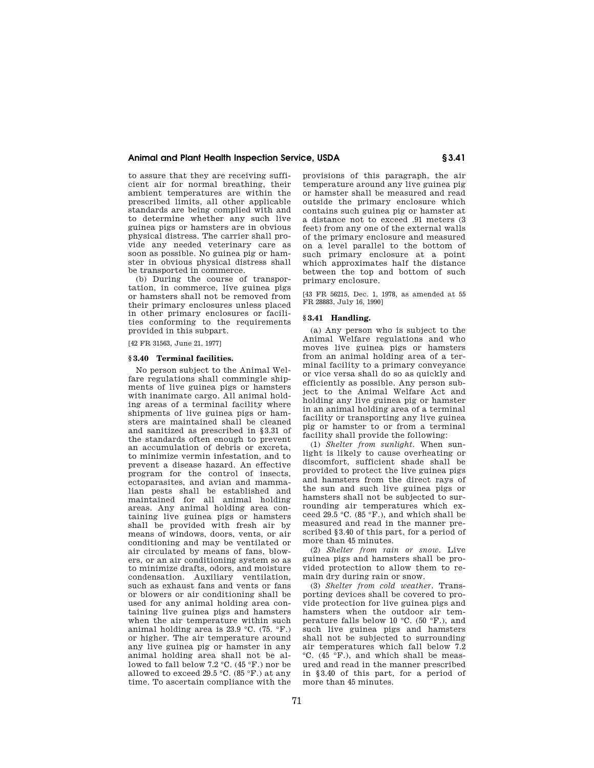to assure that they are receiving sufficient air for normal breathing, their ambient temperatures are within the prescribed limits, all other applicable standards are being complied with and to determine whether any such live guinea pigs or hamsters are in obvious physical distress. The carrier shall provide any needed veterinary care as soon as possible. No guinea pig or hamster in obvious physical distress shall be transported in commerce.

(b) During the course of transportation, in commerce, live guinea pigs or hamsters shall not be removed from their primary enclosures unless placed in other primary enclosures or facilities conforming to the requirements provided in this subpart.

[42 FR 31563, June 21, 1977]

### **§ 3.40 Terminal facilities.**

No person subject to the Animal Welfare regulations shall commingle shipments of live guinea pigs or hamsters with inanimate cargo. All animal holding areas of a terminal facility where shipments of live guinea pigs or hamsters are maintained shall be cleaned and sanitized as prescribed in §3.31 of the standards often enough to prevent an accumulation of debris or excreta, to minimize vermin infestation, and to prevent a disease hazard. An effective program for the control of insects, ectoparasites, and avian and mammalian pests shall be established and maintained for all animal holding areas. Any animal holding area containing live guinea pigs or hamsters shall be provided with fresh air by means of windows, doors, vents, or air conditioning and may be ventilated or air circulated by means of fans, blowers, or an air conditioning system so as to minimize drafts, odors, and moisture condensation. Auxiliary ventilation, such as exhaust fans and vents or fans or blowers or air conditioning shall be used for any animal holding area containing live guinea pigs and hamsters when the air temperature within such animal holding area is  $23.9 \text{ °C}$ . (75.  $\text{ °F}$ .) or higher. The air temperature around any live guinea pig or hamster in any animal holding area shall not be allowed to fall below 7.2 °C. (45 °F.) nor be allowed to exceed 29.5 °C. (85 °F.) at any time. To ascertain compliance with the

provisions of this paragraph, the air temperature around any live guinea pig or hamster shall be measured and read outside the primary enclosure which contains such guinea pig or hamster at a distance not to exceed .91 meters (3 feet) from any one of the external walls of the primary enclosure and measured on a level parallel to the bottom of such primary enclosure at a point which approximates half the distance between the top and bottom of such primary enclosure.

[43 FR 56215, Dec. 1, 1978, as amended at 55 FR 28883, July 16, 1990]

# **§ 3.41 Handling.**

(a) Any person who is subject to the Animal Welfare regulations and who moves live guinea pigs or hamsters from an animal holding area of a terminal facility to a primary conveyance or vice versa shall do so as quickly and efficiently as possible. Any person subject to the Animal Welfare Act and holding any live guinea pig or hamster in an animal holding area of a terminal facility or transporting any live guinea pig or hamster to or from a terminal facility shall provide the following:

(1) *Shelter from sunlight.* When sunlight is likely to cause overheating or discomfort, sufficient shade shall be provided to protect the live guinea pigs and hamsters from the direct rays of the sun and such live guinea pigs or hamsters shall not be subjected to surrounding air temperatures which exceed 29.5 °C. (85 °F.), and which shall be measured and read in the manner prescribed §3.40 of this part, for a period of more than 45 minutes.

(2) *Shelter from rain or snow.* Live guinea pigs and hamsters shall be provided protection to allow them to remain dry during rain or snow.

(3) *Shelter from cold weather.* Transporting devices shall be covered to provide protection for live guinea pigs and hamsters when the outdoor air temperature falls below 10  $^{\circ}$ C. (50  $^{\circ}$ F.), and such live guinea pigs and hamsters shall not be subjected to surrounding air temperatures which fall below 7.2  $°C.$  (45  $\overline{P}$ .), and which shall be measured and read in the manner prescribed in §3.40 of this part, for a period of more than 45 minutes.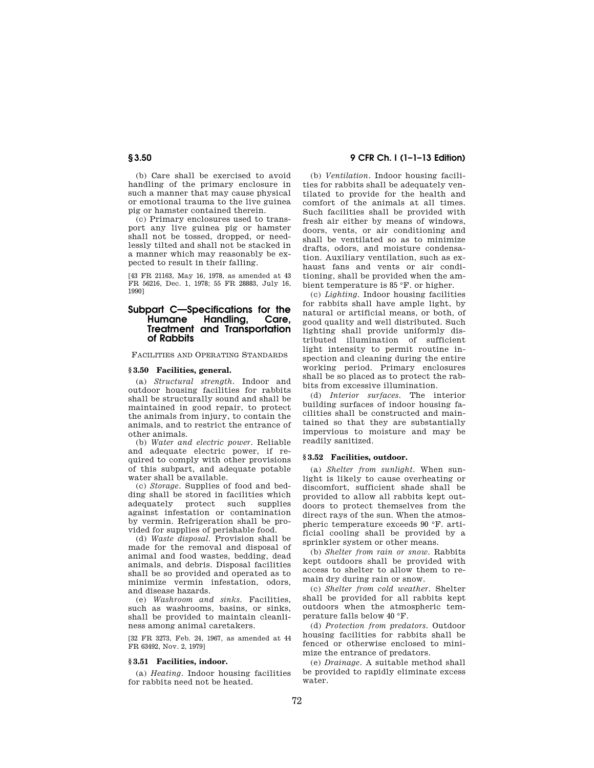(b) Care shall be exercised to avoid handling of the primary enclosure in such a manner that may cause physical or emotional trauma to the live guinea pig or hamster contained therein.

(c) Primary enclosures used to transport any live guinea pig or hamster shall not be tossed, dropped, or needlessly tilted and shall not be stacked in a manner which may reasonably be expected to result in their falling.

[43 FR 21163, May 16, 1978, as amended at 43 FR 56216, Dec. 1, 1978; 55 FR 28883, July 16, 1990]

# **Subpart C—Specifications for the Humane Handling, Care, Treatment and Transportation of Rabbits**

FACILITIES AND OPERATING STANDARDS

#### **§ 3.50 Facilities, general.**

(a) *Structural strength.* Indoor and outdoor housing facilities for rabbits shall be structurally sound and shall be maintained in good repair, to protect the animals from injury, to contain the animals, and to restrict the entrance of other animals.

(b) *Water and electric power.* Reliable and adequate electric power, if required to comply with other provisions of this subpart, and adequate potable water shall be available.

(c) *Storage.* Supplies of food and bedding shall be stored in facilities which adequately protect such supplies against infestation or contamination by vermin. Refrigeration shall be provided for supplies of perishable food.

(d) *Waste disposal.* Provision shall be made for the removal and disposal of animal and food wastes, bedding, dead animals, and debris. Disposal facilities shall be so provided and operated as to minimize vermin infestation, odors, and disease hazards.

(e) *Washroom and sinks.* Facilities, such as washrooms, basins, or sinks, shall be provided to maintain cleanliness among animal caretakers.

[32 FR 3273, Feb. 24, 1967, as amended at 44 FR 63492, Nov. 2, 1979]

### **§ 3.51 Facilities, indoor.**

(a) *Heating.* Indoor housing facilities for rabbits need not be heated.

# **§ 3.50 9 CFR Ch. I (1–1–13 Edition)**

(b) *Ventilation.* Indoor housing facilities for rabbits shall be adequately ventilated to provide for the health and comfort of the animals at all times. Such facilities shall be provided with fresh air either by means of windows, doors, vents, or air conditioning and shall be ventilated so as to minimize drafts, odors, and moisture condensation. Auxiliary ventilation, such as exhaust fans and vents or air conditioning, shall be provided when the ambient temperature is 85 °F. or higher.

(c) *Lighting.* Indoor housing facilities for rabbits shall have ample light, by natural or artificial means, or both, of good quality and well distributed. Such lighting shall provide uniformly distributed illumination of sufficient light intensity to permit routine inspection and cleaning during the entire working period. Primary enclosures shall be so placed as to protect the rabbits from excessive illumination.

(d) *Interior surfaces.* The interior building surfaces of indoor housing facilities shall be constructed and maintained so that they are substantially impervious to moisture and may be readily sanitized.

### **§ 3.52 Facilities, outdoor.**

(a) *Shelter from sunlight.* When sunlight is likely to cause overheating or discomfort, sufficient shade shall be provided to allow all rabbits kept outdoors to protect themselves from the direct rays of the sun. When the atmospheric temperature exceeds 90 °F. artificial cooling shall be provided by a sprinkler system or other means.

(b) *Shelter from rain or snow.* Rabbits kept outdoors shall be provided with access to shelter to allow them to remain dry during rain or snow.

(c) *Shelter from cold weather.* Shelter shall be provided for all rabbits kept outdoors when the atmospheric temperature falls below 40 °F.

(d) *Protection from predators.* Outdoor housing facilities for rabbits shall be fenced or otherwise enclosed to minimize the entrance of predators.

(e) *Drainage.* A suitable method shall be provided to rapidly eliminate excess water.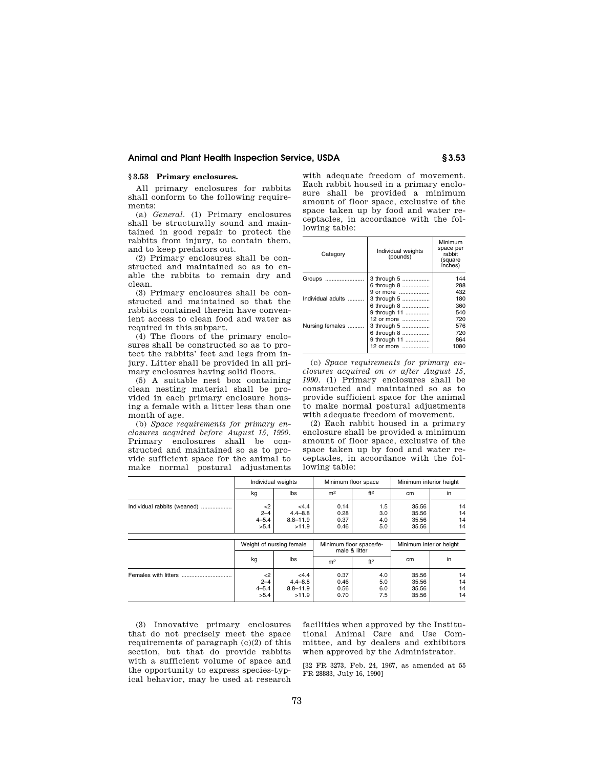# **§ 3.53 Primary enclosures.**

All primary enclosures for rabbits shall conform to the following requirements:

(a) *General.* (1) Primary enclosures shall be structurally sound and maintained in good repair to protect the rabbits from injury, to contain them, and to keep predators out.

(2) Primary enclosures shall be constructed and maintained so as to enable the rabbits to remain dry and clean.

(3) Primary enclosures shall be constructed and maintained so that the rabbits contained therein have convenient access to clean food and water as required in this subpart.

(4) The floors of the primary enclosures shall be constructed so as to protect the rabbits' feet and legs from injury. Litter shall be provided in all primary enclosures having solid floors.

(5) A suitable nest box containing clean nesting material shall be provided in each primary enclosure housing a female with a litter less than one month of age.

(b) *Space requirements for primary enclosures acquired before August 15, 1990.*  Primary enclosures shall be constructed and maintained so as to provide sufficient space for the animal to make normal postural adjustments

with adequate freedom of movement. Each rabbit housed in a primary enclosure shall be provided a minimum amount of floor space, exclusive of the space taken up by food and water receptacles, in accordance with the following table:

| Category          | Individual weights<br>(pounds) | Minimum<br>space per<br>rabbit<br>(square<br>inches) |
|-------------------|--------------------------------|------------------------------------------------------|
| Groups            | 3 through 5                    | 144                                                  |
|                   | 6 through 8                    | 288                                                  |
|                   | 9 or more                      | 432                                                  |
| Individual adults | 3 through 5                    | 180                                                  |
|                   | 6 through 8                    | 360                                                  |
|                   | 9 through 11                   | 540                                                  |
|                   | 12 or more                     | 720                                                  |
| Nursing females   | 3 through 5                    | 576                                                  |
|                   | 6 through 8                    | 720                                                  |
|                   | 9 through 11                   | 864                                                  |
|                   | 12 or more                     | 1080                                                 |
|                   |                                |                                                      |

(c) *Space requirements for primary enclosures acquired on or after August 15, 1990.* (1) Primary enclosures shall be constructed and maintained so as to provide sufficient space for the animal to make normal postural adjustments with adequate freedom of movement.

(2) Each rabbit housed in a primary enclosure shall be provided a minimum amount of floor space, exclusive of the space taken up by food and water receptacles, in accordance with the following table:

|                             | Individual weights       |              | Minimum floor space                      |                 | Minimum interior height |    |
|-----------------------------|--------------------------|--------------|------------------------------------------|-----------------|-------------------------|----|
|                             | kg                       | lbs          | m <sup>2</sup>                           | ft <sup>2</sup> | cm                      | in |
| Individual rabbits (weaned) | $<$ 2                    | <4.4         | 0.14                                     | 1.5             | 35.56                   | 14 |
|                             | $2 - 4$                  | $4.4 - 8.8$  | 0.28                                     | 3.0             | 35.56                   | 14 |
|                             | $4 - 5.4$                | $8.8 - 11.9$ | 0.37                                     | 4.0             | 35.56                   | 14 |
|                             | >5.4                     | >11.9        | 0.46                                     | 5.0             | 35.56                   | 14 |
|                             |                          |              |                                          |                 |                         |    |
|                             | Weight of nursing female |              | Minimum floor space/fe-<br>male & litter |                 | Minimum interior height |    |
|                             |                          |              |                                          |                 |                         |    |
|                             | kg                       | lbs          | m <sup>2</sup>                           | ft <sup>2</sup> | cm                      | in |
|                             | $<$ 2                    | <4.4         | 0.37                                     | 4.0             | 35.56                   | 14 |
|                             | $2 - 4$                  | $4.4 - 8.8$  | 0.46                                     | 5.0             | 35.56                   | 14 |
|                             | $4 - 5.4$                | $8.8 - 11.9$ | 0.56                                     | 6.0             | 35.56                   | 14 |
|                             | >5.4                     | >11.9        | 0.70                                     | 7.5             | 35.56                   | 14 |

(3) Innovative primary enclosures that do not precisely meet the space requirements of paragraph (c)(2) of this section, but that do provide rabbits with a sufficient volume of space and the opportunity to express species-typical behavior, may be used at research

facilities when approved by the Institutional Animal Care and Use Committee, and by dealers and exhibitors when approved by the Administrator.

[32 FR 3273, Feb. 24, 1967, as amended at 55 FR 28883, July 16, 1990]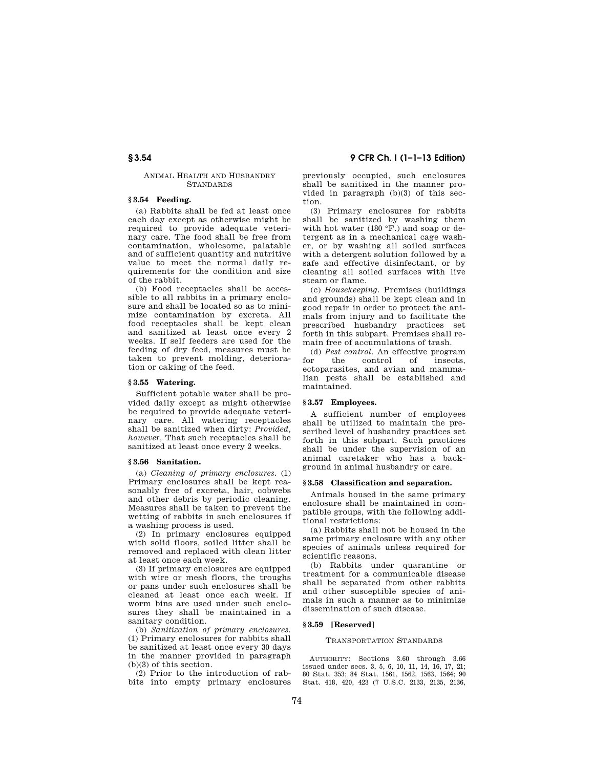### ANIMAL HEALTH AND HUSBANDRY **STANDARDS**

## **§ 3.54 Feeding.**

(a) Rabbits shall be fed at least once each day except as otherwise might be required to provide adequate veterinary care. The food shall be free from contamination, wholesome, palatable and of sufficient quantity and nutritive value to meet the normal daily requirements for the condition and size of the rabbit.

(b) Food receptacles shall be accessible to all rabbits in a primary enclosure and shall be located so as to minimize contamination by excreta. All food receptacles shall be kept clean and sanitized at least once every 2 weeks. If self feeders are used for the feeding of dry feed, measures must be taken to prevent molding, deterioration or caking of the feed.

# **§ 3.55 Watering.**

Sufficient potable water shall be provided daily except as might otherwise be required to provide adequate veterinary care. All watering receptacles shall be sanitized when dirty: *Provided, however,* That such receptacles shall be sanitized at least once every 2 weeks.

#### **§ 3.56 Sanitation.**

(a) *Cleaning of primary enclosures.* (1) Primary enclosures shall be kept reasonably free of excreta, hair, cobwebs and other debris by periodic cleaning. Measures shall be taken to prevent the wetting of rabbits in such enclosures if a washing process is used.

(2) In primary enclosures equipped with solid floors, soiled litter shall be removed and replaced with clean litter at least once each week.

(3) If primary enclosures are equipped with wire or mesh floors, the troughs or pans under such enclosures shall be cleaned at least once each week. If worm bins are used under such enclosures they shall be maintained in a sanitary condition.

(b) *Sanitization of primary enclosures.*  (1) Primary enclosures for rabbits shall be sanitized at least once every 30 days in the manner provided in paragraph (b)(3) of this section.

(2) Prior to the introduction of rabbits into empty primary enclosures

# **§ 3.54 9 CFR Ch. I (1–1–13 Edition)**

previously occupied, such enclosures shall be sanitized in the manner provided in paragraph (b)(3) of this section.

(3) Primary enclosures for rabbits shall be sanitized by washing them with hot water (180 °F.) and soap or detergent as in a mechanical cage washer, or by washing all soiled surfaces with a detergent solution followed by a safe and effective disinfectant, or by cleaning all soiled surfaces with live steam or flame.

(c) *Housekeeping.* Premises (buildings and grounds) shall be kept clean and in good repair in order to protect the animals from injury and to facilitate the prescribed husbandry practices set forth in this subpart. Premises shall remain free of accumulations of trash.

(d) *Pest control.* An effective program<br>or the control of insects. for the control of insects, ectoparasites, and avian and mammalian pests shall be established and maintained.

## **§ 3.57 Employees.**

A sufficient number of employees shall be utilized to maintain the prescribed level of husbandry practices set forth in this subpart. Such practices shall be under the supervision of an animal caretaker who has a background in animal husbandry or care.

# **§ 3.58 Classification and separation.**

Animals housed in the same primary enclosure shall be maintained in compatible groups, with the following additional restrictions:

(a) Rabbits shall not be housed in the same primary enclosure with any other species of animals unless required for scientific reasons.

(b) Rabbits under quarantine or treatment for a communicable disease shall be separated from other rabbits and other susceptible species of animals in such a manner as to minimize dissemination of such disease.

### **§ 3.59 [Reserved]**

#### TRANSPORTATION STANDARDS

AUTHORITY: Sections 3.60 through 3.66 issued under secs. 3, 5, 6, 10, 11, 14, 16, 17, 21; 80 Stat. 353; 84 Stat. 1561, 1562, 1563, 1564; 90 Stat. 418, 420, 423 (7 U.S.C. 2133, 2135, 2136,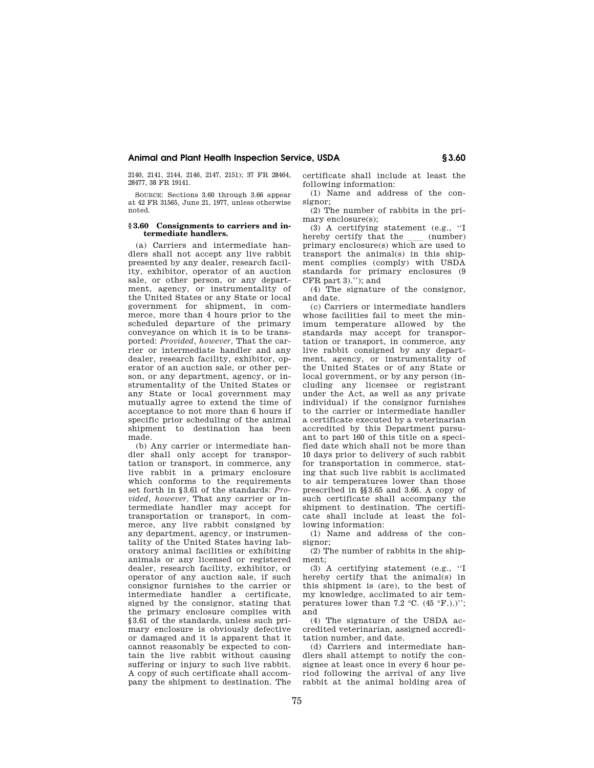2140, 2141, 2144, 2146, 2147, 2151); 37 FR 28464, 28477, 38 FR 19141.

SOURCE: Sections 3.60 through 3.66 appear at 42 FR 31565, June 21, 1977, unless otherwise noted.

#### **§ 3.60 Consignments to carriers and intermediate handlers.**

(a) Carriers and intermediate handlers shall not accept any live rabbit presented by any dealer, research facility, exhibitor, operator of an auction sale, or other person, or any department, agency, or instrumentality of the United States or any State or local government for shipment, in commerce, more than 4 hours prior to the scheduled departure of the primary conveyance on which it is to be transported: *Provided, however,* That the carrier or intermediate handler and any dealer, research facility, exhibitor, operator of an auction sale, or other person, or any department, agency, or instrumentality of the United States or any State or local government may mutually agree to extend the time of acceptance to not more than 6 hours if specific prior scheduling of the animal shipment to destination has been made.

(b) Any carrier or intermediate handler shall only accept for transportation or transport, in commerce, any live rabbit in a primary enclosure which conforms to the requirements set forth in §3.61 of the standards: *Provided, however,* That any carrier or intermediate handler may accept for transportation or transport, in commerce, any live rabbit consigned by any department, agency, or instrumentality of the United States having laboratory animal facilities or exhibiting animals or any licensed or registered dealer, research facility, exhibitor, or operator of any auction sale, if such consignor furnishes to the carrier or intermediate handler a certificate, signed by the consignor, stating that the primary enclosure complies with §3.61 of the standards, unless such primary enclosure is obviously defective or damaged and it is apparent that it cannot reasonably be expected to contain the live rabbit without causing suffering or injury to such live rabbit. A copy of such certificate shall accompany the shipment to destination. The

certificate shall include at least the following information:

(1) Name and address of the consignor;

(2) The number of rabbits in the primary enclosure(s);

(3) A certifying statement (e.g., "I hereby certify that the (number) hereby certify that the \_\_\_\_ (number)<br>primary enclosure(s) which are used to transport the animal(s) in this shipment complies (comply) with USDA standards for primary enclosures (9 CFR part 3).''); and

(4) The signature of the consignor, and date.

(c) Carriers or intermediate handlers whose facilities fail to meet the minimum temperature allowed by the standards may accept for transportation or transport, in commerce, any live rabbit consigned by any department, agency, or instrumentality of the United States or of any State or local government, or by any person (including any licensee or registrant under the Act, as well as any private individual) if the consignor furnishes to the carrier or intermediate handler a certificate executed by a veterinarian accredited by this Department pursuant to part 160 of this title on a specified date which shall not be more than 10 days prior to delivery of such rabbit for transportation in commerce, stating that such live rabbit is acclimated to air temperatures lower than those prescribed in §§3.65 and 3.66. A copy of such certificate shall accompany the shipment to destination. The certificate shall include at least the following information:

(1) Name and address of the consignor;

(2) The number of rabbits in the shipment;

(3) A certifying statement (e.g., ''I hereby certify that the animal(s) in this shipment is (are), to the best of my knowledge, acclimated to air temperatures lower than 7.2  $°C.$  (45  $°F.).$ )'; and

(4) The signature of the USDA accredited veterinarian, assigned accreditation number, and date.

(d) Carriers and intermediate handlers shall attempt to notify the consignee at least once in every 6 hour period following the arrival of any live rabbit at the animal holding area of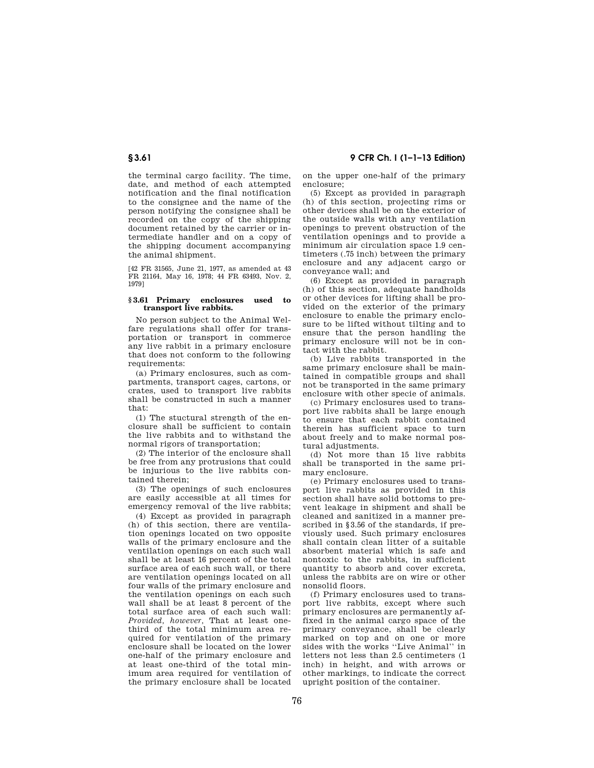# **§ 3.61 9 CFR Ch. I (1–1–13 Edition)**

the terminal cargo facility. The time, date, and method of each attempted notification and the final notification to the consignee and the name of the person notifying the consignee shall be recorded on the copy of the shipping document retained by the carrier or intermediate handler and on a copy of the shipping document accompanying the animal shipment.

[42 FR 31565, June 21, 1977, as amended at 43 FR 21164, May 16, 1978; 44 FR 63493, Nov. 2, 1979]

### **§ 3.61 Primary enclosures used to transport live rabbits.**

No person subject to the Animal Welfare regulations shall offer for transportation or transport in commerce any live rabbit in a primary enclosure that does not conform to the following requirements:

(a) Primary enclosures, such as compartments, transport cages, cartons, or crates, used to transport live rabbits shall be constructed in such a manner that:

(1) The stuctural strength of the enclosure shall be sufficient to contain the live rabbits and to withstand the normal rigors of transportation;

(2) The interior of the enclosure shall be free from any protrusions that could be injurious to the live rabbits contained therein;

(3) The openings of such enclosures are easily accessible at all times for emergency removal of the live rabbits;

(4) Except as provided in paragraph (h) of this section, there are ventilation openings located on two opposite walls of the primary enclosure and the ventilation openings on each such wall shall be at least 16 percent of the total surface area of each such wall, or there are ventilation openings located on all four walls of the primary enclosure and the ventilation openings on each such wall shall be at least 8 percent of the total surface area of each such wall: *Provided, however,* That at least onethird of the total minimum area required for ventilation of the primary enclosure shall be located on the lower one-half of the primary enclosure and at least one-third of the total minimum area required for ventilation of the primary enclosure shall be located

on the upper one-half of the primary enclosure;

(5) Except as provided in paragraph (h) of this section, projecting rims or other devices shall be on the exterior of the outside walls with any ventilation openings to prevent obstruction of the ventilation openings and to provide a minimum air circulation space 1.9 centimeters (.75 inch) between the primary enclosure and any adjacent cargo or conveyance wall; and

(6) Except as provided in paragraph (h) of this section, adequate handholds or other devices for lifting shall be provided on the exterior of the primary enclosure to enable the primary enclosure to be lifted without tilting and to ensure that the person handling the primary enclosure will not be in contact with the rabbit.

(b) Live rabbits transported in the same primary enclosure shall be maintained in compatible groups and shall not be transported in the same primary enclosure with other specie of animals.

(c) Primary enclosures used to transport live rabbits shall be large enough to ensure that each rabbit contained therein has sufficient space to turn about freely and to make normal postural adjustments.

(d) Not more than 15 live rabbits shall be transported in the same primary enclosure.

(e) Primary enclosures used to transport live rabbits as provided in this section shall have solid bottoms to prevent leakage in shipment and shall be cleaned and sanitized in a manner prescribed in §3.56 of the standards, if previously used. Such primary enclosures shall contain clean litter of a suitable absorbent material which is safe and nontoxic to the rabbits, in sufficient quantity to absorb and cover excreta, unless the rabbits are on wire or other nonsolid floors.

(f) Primary enclosures used to transport live rabbits, except where such primary enclosures are permanently affixed in the animal cargo space of the primary conveyance, shall be clearly marked on top and on one or more sides with the works ''Live Animal'' in letters not less than 2.5 centimeters (1 inch) in height, and with arrows or other markings, to indicate the correct upright position of the container.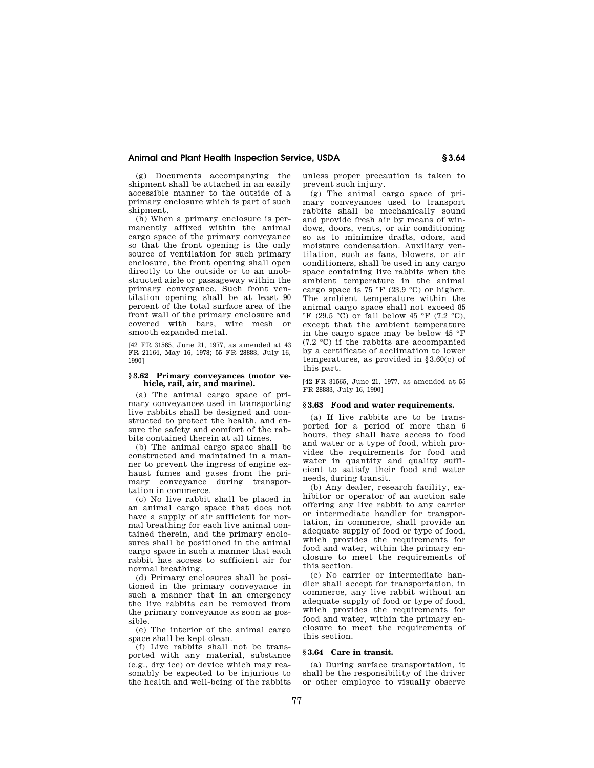(g) Documents accompanying the shipment shall be attached in an easily accessible manner to the outside of a primary enclosure which is part of such

shipment. (h) When a primary enclosure is permanently affixed within the animal cargo space of the primary conveyance so that the front opening is the only source of ventilation for such primary enclosure, the front opening shall open directly to the outside or to an unobstructed aisle or passageway within the primary conveyance. Such front ventilation opening shall be at least 90 percent of the total surface area of the front wall of the primary enclosure and covered with bars, wire mesh or smooth expanded metal.

[42 FR 31565, June 21, 1977, as amended at 43 FR 21164, May 16, 1978; 55 FR 28883, July 16, 1990]

#### **§ 3.62 Primary conveyances (motor vehicle, rail, air, and marine).**

(a) The animal cargo space of primary conveyances used in transporting live rabbits shall be designed and constructed to protect the health, and ensure the safety and comfort of the rabbits contained therein at all times.

(b) The animal cargo space shall be constructed and maintained in a manner to prevent the ingress of engine exhaust fumes and gases from the primary conveyance during transportation in commerce.

(c) No live rabbit shall be placed in an animal cargo space that does not have a supply of air sufficient for normal breathing for each live animal contained therein, and the primary enclosures shall be positioned in the animal cargo space in such a manner that each rabbit has access to sufficient air for normal breathing.

(d) Primary enclosures shall be positioned in the primary conveyance in such a manner that in an emergency the live rabbits can be removed from the primary conveyance as soon as possible.

(e) The interior of the animal cargo space shall be kept clean.

(f) Live rabbits shall not be transported with any material, substance (e.g., dry ice) or device which may reasonably be expected to be injurious to the health and well-being of the rabbits unless proper precaution is taken to prevent such injury.

(g) The animal cargo space of primary conveyances used to transport rabbits shall be mechanically sound and provide fresh air by means of windows, doors, vents, or air conditioning so as to minimize drafts, odors, and moisture condensation. Auxiliary ventilation, such as fans, blowers, or air conditioners, shall be used in any cargo space containing live rabbits when the ambient temperature in the animal cargo space is 75 °F (23.9 °C) or higher. The ambient temperature within the animal cargo space shall not exceed 85  $\mathrm{^{\circ}F}$  (29.5  $\mathrm{^{\circ}C}$ ) or fall below 45  $\mathrm{^{\circ}F}$  (7.2  $\mathrm{^{\circ}C}$ ), except that the ambient temperature in the cargo space may be below 45 °F (7.2 °C) if the rabbits are accompanied by a certificate of acclimation to lower temperatures, as provided in §3.60(c) of this part.

[42 FR 31565, June 21, 1977, as amended at 55 FR 28883, July 16, 1990]

#### **§ 3.63 Food and water requirements.**

(a) If live rabbits are to be transported for a period of more than 6 hours, they shall have access to food and water or a type of food, which provides the requirements for food and water in quantity and quality sufficient to satisfy their food and water needs, during transit.

(b) Any dealer, research facility, exhibitor or operator of an auction sale offering any live rabbit to any carrier or intermediate handler for transportation, in commerce, shall provide an adequate supply of food or type of food, which provides the requirements for food and water, within the primary enclosure to meet the requirements of this section.

(c) No carrier or intermediate handler shall accept for transportation, in commerce, any live rabbit without an adequate supply of food or type of food, which provides the requirements for food and water, within the primary enclosure to meet the requirements of this section.

## **§ 3.64 Care in transit.**

(a) During surface transportation, it shall be the responsibility of the driver or other employee to visually observe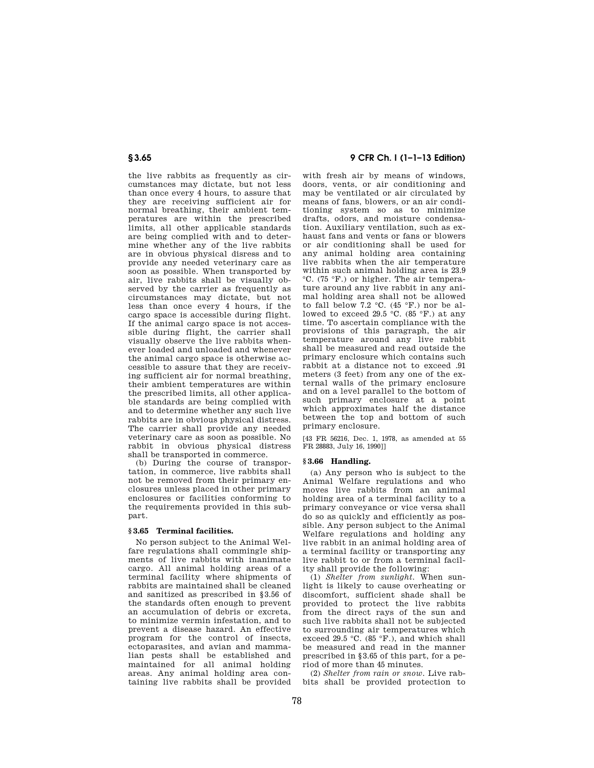the live rabbits as frequently as circumstances may dictate, but not less than once every 4 hours, to assure that they are receiving sufficient air for normal breathing, their ambient temperatures are within the prescribed limits, all other applicable standards are being complied with and to determine whether any of the live rabbits are in obvious physical disress and to provide any needed veterinary care as soon as possible. When transported by air, live rabbits shall be visually observed by the carrier as frequently as circumstances may dictate, but not less than once every 4 hours, if the cargo space is accessible during flight. If the animal cargo space is not accessible during flight, the carrier shall visually observe the live rabbits whenever loaded and unloaded and whenever the animal cargo space is otherwise accessible to assure that they are receiving sufficient air for normal breathing, their ambient temperatures are within the prescribed limits, all other applicable standards are being complied with and to determine whether any such live rabbits are in obvious physical distress. The carrier shall provide any needed veterinary care as soon as possible. No rabbit in obvious physical distress shall be transported in commerce.

(b) During the course of transportation, in commerce, live rabbits shall not be removed from their primary enclosures unless placed in other primary enclosures or facilities conforming to the requirements provided in this subpart.

#### **§ 3.65 Terminal facilities.**

No person subject to the Animal Welfare regulations shall commingle shipments of live rabbits with inanimate cargo. All animal holding areas of a terminal facility where shipments of rabbits are maintained shall be cleaned and sanitized as prescribed in §3.56 of the standards often enough to prevent an accumulation of debris or excreta, to minimize vermin infestation, and to prevent a disease hazard. An effective program for the control of insects, ectoparasites, and avian and mammalian pests shall be established and maintained for all animal holding areas. Any animal holding area containing live rabbits shall be provided

# **§ 3.65 9 CFR Ch. I (1–1–13 Edition)**

with fresh air by means of windows, doors, vents, or air conditioning and may be ventilated or air circulated by means of fans, blowers, or an air conditioning system so as to minimize drafts, odors, and moisture condensation. Auxiliary ventilation, such as exhaust fans and vents or fans or blowers or air conditioning shall be used for any animal holding area containing live rabbits when the air temperature within such animal holding area is 23.9 °C. (75 °F.) or higher. The air temperature around any live rabbit in any animal holding area shall not be allowed to fall below 7.2  $\mathrm{C}$ . (45  $\mathrm{F}$ .) nor be allowed to exceed 29.5 °C. (85 °F.) at any time. To ascertain compliance with the provisions of this paragraph, the air temperature around any live rabbit shall be measured and read outside the primary enclosure which contains such rabbit at a distance not to exceed .91 meters (3 feet) from any one of the external walls of the primary enclosure and on a level parallel to the bottom of such primary enclosure at a point which approximates half the distance between the top and bottom of such primary enclosure.

[43 FR 56216, Dec. 1, 1978, as amended at 55 FR 28883, July 16, 1990]]

## **§ 3.66 Handling.**

(a) Any person who is subject to the Animal Welfare regulations and who moves live rabbits from an animal holding area of a terminal facility to a primary conveyance or vice versa shall do so as quickly and efficiently as possible. Any person subject to the Animal Welfare regulations and holding any live rabbit in an animal holding area of a terminal facility or transporting any live rabbit to or from a terminal facility shall provide the following:

(1) *Shelter from sunlight.* When sunlight is likely to cause overheating or discomfort, sufficient shade shall be provided to protect the live rabbits from the direct rays of the sun and such live rabbits shall not be subjected to surrounding air temperatures which exceed 29.5 °C. (85 °F.), and which shall be measured and read in the manner prescribed in §3.65 of this part, for a period of more than 45 minutes.

(2) *Shelter from rain or snow.* Live rabbits shall be provided protection to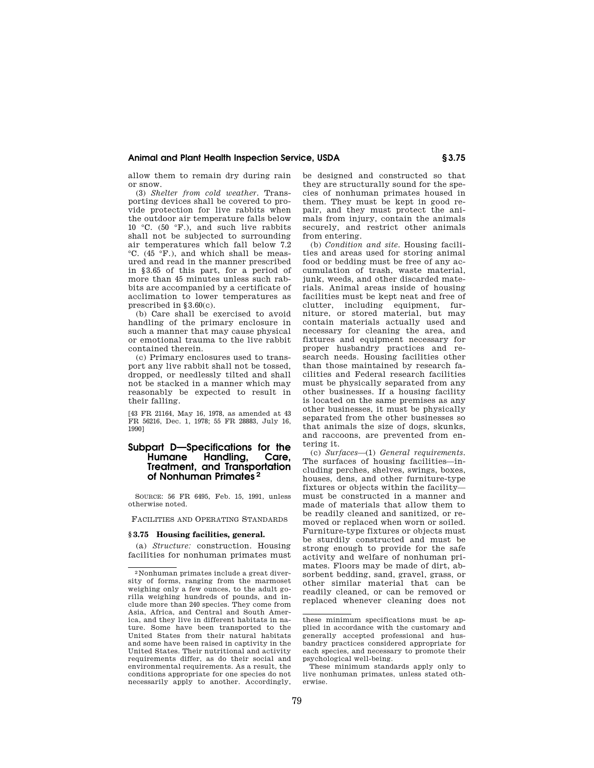allow them to remain dry during rain or snow.

(3) *Shelter from cold weather.* Transporting devices shall be covered to provide protection for live rabbits when the outdoor air temperature falls below 10 °C. (50 °F.), and such live rabbits shall not be subjected to surrounding air temperatures which fall below 7.2 °C. (45 °F.), and which shall be measured and read in the manner prescribed in §3.65 of this part, for a period of more than 45 minutes unless such rabbits are accompanied by a certificate of acclimation to lower temperatures as prescribed in §3.60(c).

(b) Care shall be exercised to avoid handling of the primary enclosure in such a manner that may cause physical or emotional trauma to the live rabbit contained therein.

(c) Primary enclosures used to transport any live rabbit shall not be tossed, dropped, or needlessly tilted and shall not be stacked in a manner which may reasonably be expected to result in their falling.

[43 FR 21164, May 16, 1978, as amended at 43 FR 56216, Dec. 1, 1978; 55 FR 28883, July 16, 1990]

# **Subpart D—Specifications for the Handling, Treatment, and Transportation of Nonhuman Primates 2**

SOURCE: 56 FR 6495, Feb. 15, 1991, unless otherwise noted.

FACILITIES AND OPERATING STANDARDS

#### **§ 3.75 Housing facilities, general.**

(a) *Structure:* construction. Housing facilities for nonhuman primates must be designed and constructed so that they are structurally sound for the species of nonhuman primates housed in them. They must be kept in good repair, and they must protect the animals from injury, contain the animals securely, and restrict other animals from entering.

(b) *Condition and site.* Housing facilities and areas used for storing animal food or bedding must be free of any accumulation of trash, waste material, junk, weeds, and other discarded materials. Animal areas inside of housing facilities must be kept neat and free of clutter, including equipment, furniture, or stored material, but may contain materials actually used and necessary for cleaning the area, and fixtures and equipment necessary for proper husbandry practices and research needs. Housing facilities other than those maintained by research facilities and Federal research facilities must be physically separated from any other businesses. If a housing facility is located on the same premises as any other businesses, it must be physically separated from the other businesses so that animals the size of dogs, skunks, and raccoons, are prevented from entering it.

(c) *Surfaces*—(1) *General requirements.*  The surfaces of housing facilities—including perches, shelves, swings, boxes, houses, dens, and other furniture-type fixtures or objects within the facility must be constructed in a manner and made of materials that allow them to be readily cleaned and sanitized, or removed or replaced when worn or soiled. Furniture-type fixtures or objects must be sturdily constructed and must be strong enough to provide for the safe activity and welfare of nonhuman primates. Floors may be made of dirt, absorbent bedding, sand, gravel, grass, or other similar material that can be readily cleaned, or can be removed or replaced whenever cleaning does not

<sup>2</sup> Nonhuman primates include a great diversity of forms, ranging from the marmoset weighing only a few ounces, to the adult gorilla weighing hundreds of pounds, and include more than 240 species. They come from Asia, Africa, and Central and South America, and they live in different habitats in nature. Some have been transported to the United States from their natural habitats and some have been raised in captivity in the United States. Their nutritional and activity requirements differ, as do their social and environmental requirements. As a result, the conditions appropriate for one species do not necessarily apply to another. Accordingly,

these minimum specifications must be applied in accordance with the customary and generally accepted professional and husbandry practices considered appropriate for each species, and necessary to promote their psychological well-being.

These minimum standards apply only to live nonhuman primates, unless stated otherwise.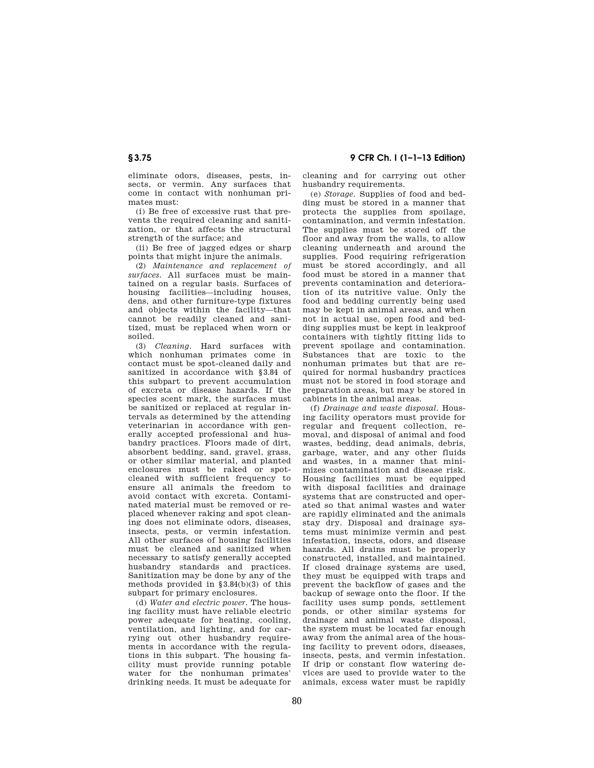**§ 3.75 9 CFR Ch. I (1–1–13 Edition)** 

eliminate odors, diseases, pests, insects, or vermin. Any surfaces that

come in contact with nonhuman primates must: (i) Be free of excessive rust that prevents the required cleaning and saniti-

zation, or that affects the structural strength of the surface; and

(ii) Be free of jagged edges or sharp points that might injure the animals.

(2) *Maintenance and replacement of surfaces.* All surfaces must be maintained on a regular basis. Surfaces of housing facilities—including houses, dens, and other furniture-type fixtures and objects within the facility—that cannot be readily cleaned and sanitized, must be replaced when worn or soiled.

(3) *Cleaning.* Hard surfaces with which nonhuman primates come in contact must be spot-cleaned daily and sanitized in accordance with §3.84 of this subpart to prevent accumulation of excreta or disease hazards. If the species scent mark, the surfaces must be sanitized or replaced at regular intervals as determined by the attending veterinarian in accordance with generally accepted professional and husbandry practices. Floors made of dirt, absorbent bedding, sand, gravel, grass, or other similar material, and planted enclosures must be raked or spotcleaned with sufficient frequency to ensure all animals the freedom to avoid contact with excreta. Contaminated material must be removed or replaced whenever raking and spot cleaning does not eliminate odors, diseases, insects, pests, or vermin infestation. All other surfaces of housing facilities must be cleaned and sanitized when necessary to satisfy generally accepted husbandry standards and practices. Sanitization may be done by any of the methods provided in §3.84(b)(3) of this subpart for primary enclosures.

(d) *Water and electric power.* The housing facility must have reliable electric power adequate for heating, cooling, ventilation, and lighting, and for carrying out other husbandry requirements in accordance with the regulations in this subpart. The housing facility must provide running potable water for the nonhuman primates' drinking needs. It must be adequate for

cleaning and for carrying out other husbandry requirements.

(e) *Storage.* Supplies of food and bedding must be stored in a manner that protects the supplies from spoilage, contamination, and vermin infestation. The supplies must be stored off the floor and away from the walls, to allow cleaning underneath and around the supplies. Food requiring refrigeration must be stored accordingly, and all food must be stored in a manner that prevents contamination and deterioration of its nutritive value. Only the food and bedding currently being used may be kept in animal areas, and when not in actual use, open food and bedding supplies must be kept in leakproof containers with tightly fitting lids to prevent spoilage and contamination. Substances that are toxic to the nonhuman primates but that are required for normal husbandry practices must not be stored in food storage and preparation areas, but may be stored in cabinets in the animal areas.

(f) *Drainage and waste disposal.* Housing facility operators must provide for regular and frequent collection, removal, and disposal of animal and food wastes, bedding, dead animals, debris, garbage, water, and any other fluids and wastes, in a manner that minimizes contamination and disease risk. Housing facilities must be equipped with disposal facilities and drainage systems that are constructed and operated so that animal wastes and water are rapidly eliminated and the animals stay dry. Disposal and drainage systems must minimize vermin and pest infestation, insects, odors, and disease hazards. All drains must be properly constructed, installed, and maintained. If closed drainage systems are used, they must be equipped with traps and prevent the backflow of gases and the backup of sewage onto the floor. If the facility uses sump ponds, settlement ponds, or other similar systems for drainage and animal waste disposal, the system must be located far enough away from the animal area of the housing facility to prevent odors, diseases, insects, pests, and vermin infestation. If drip or constant flow watering devices are used to provide water to the animals, excess water must be rapidly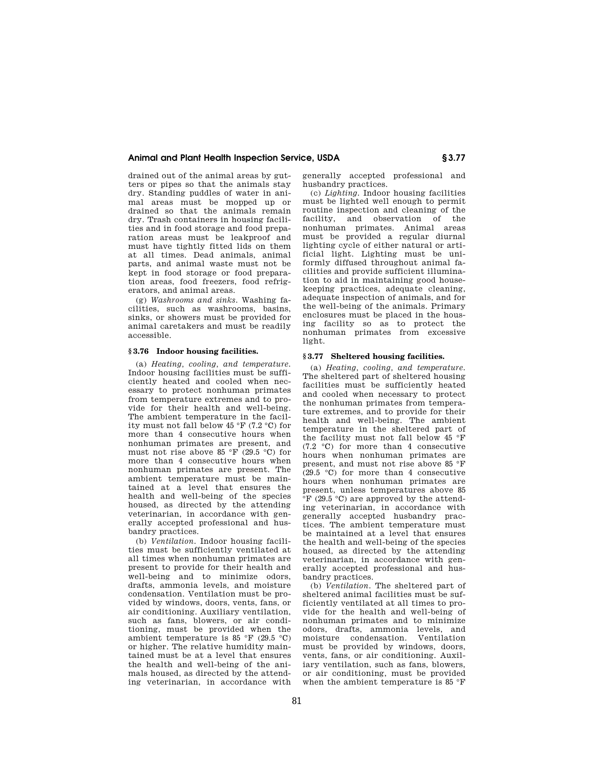drained out of the animal areas by gutters or pipes so that the animals stay dry. Standing puddles of water in animal areas must be mopped up or drained so that the animals remain dry. Trash containers in housing facilities and in food storage and food preparation areas must be leakproof and must have tightly fitted lids on them at all times. Dead animals, animal parts, and animal waste must not be kept in food storage or food preparation areas, food freezers, food refrigerators, and animal areas.

(g) *Washrooms and sinks.* Washing facilities, such as washrooms, basins, sinks, or showers must be provided for animal caretakers and must be readily accessible.

### **§ 3.76 Indoor housing facilities.**

(a) *Heating, cooling, and temperature.*  Indoor housing facilities must be sufficiently heated and cooled when necessary to protect nonhuman primates from temperature extremes and to provide for their health and well-being. The ambient temperature in the facility must not fall below 45 °F (7.2 °C) for more than 4 consecutive hours when nonhuman primates are present, and must not rise above 85  $\mathrm{^{\circ}F}$  (29.5  $\mathrm{^{\circ}C}$ ) for more than 4 consecutive hours when nonhuman primates are present. The ambient temperature must be maintained at a level that ensures the health and well-being of the species housed, as directed by the attending veterinarian, in accordance with generally accepted professional and husbandry practices.

(b) *Ventilation.* Indoor housing facilities must be sufficiently ventilated at all times when nonhuman primates are present to provide for their health and well-being and to minimize odors, drafts, ammonia levels, and moisture condensation. Ventilation must be provided by windows, doors, vents, fans, or air conditioning. Auxiliary ventilation, such as fans, blowers, or air conditioning, must be provided when the ambient temperature is 85 °F (29.5 °C) or higher. The relative humidity maintained must be at a level that ensures the health and well-being of the animals housed, as directed by the attending veterinarian, in accordance with

generally accepted professional and husbandry practices.

(c) *Lighting.* Indoor housing facilities must be lighted well enough to permit routine inspection and cleaning of the facility, and observation of the nonhuman primates. Animal areas must be provided a regular diurnal lighting cycle of either natural or artificial light. Lighting must be uniformly diffused throughout animal facilities and provide sufficient illumination to aid in maintaining good housekeeping practices, adequate cleaning, adequate inspection of animals, and for the well-being of the animals. Primary enclosures must be placed in the housing facility so as to protect the nonhuman primates from excessive light.

## **§ 3.77 Sheltered housing facilities.**

(a) *Heating, cooling, and temperature.*  The sheltered part of sheltered housing facilities must be sufficiently heated and cooled when necessary to protect the nonhuman primates from temperature extremes, and to provide for their health and well-being. The ambient temperature in the sheltered part of the facility must not fall below 45 °F (7.2 °C) for more than 4 consecutive hours when nonhuman primates are present, and must not rise above 85 °F (29.5 °C) for more than 4 consecutive hours when nonhuman primates are present, unless temperatures above 85 °F (29.5 °C) are approved by the attending veterinarian, in accordance with generally accepted husbandry practices. The ambient temperature must be maintained at a level that ensures the health and well-being of the species housed, as directed by the attending veterinarian, in accordance with generally accepted professional and husbandry practices.

(b) *Ventilation.* The sheltered part of sheltered animal facilities must be sufficiently ventilated at all times to provide for the health and well-being of nonhuman primates and to minimize odors, drafts, ammonia levels, and moisture condensation. must be provided by windows, doors, vents, fans, or air conditioning. Auxiliary ventilation, such as fans, blowers or air conditioning, must be provided when the ambient temperature is 85 °F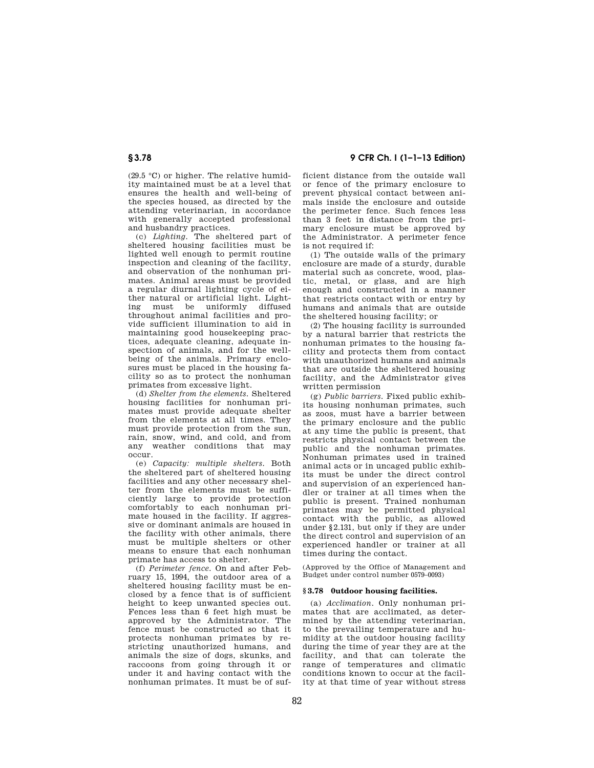$(29.5 \text{ °C})$  or higher. The relative humidity maintained must be at a level that ensures the health and well-being of the species housed, as directed by the attending veterinarian, in accordance with generally accepted professional and husbandry practices.

(c) *Lighting.* The sheltered part of sheltered housing facilities must be lighted well enough to permit routine inspection and cleaning of the facility, and observation of the nonhuman primates. Animal areas must be provided a regular diurnal lighting cycle of either natural or artificial light. Lighting must be uniformly diffused throughout animal facilities and provide sufficient illumination to aid in maintaining good housekeeping practices, adequate cleaning, adequate inspection of animals, and for the wellbeing of the animals. Primary enclosures must be placed in the housing facility so as to protect the nonhuman primates from excessive light.

(d) *Shelter from the elements.* Sheltered housing facilities for nonhuman primates must provide adequate shelter from the elements at all times. They must provide protection from the sun, rain, snow, wind, and cold, and from any weather conditions that may occur.

(e) *Capacity: multiple shelters.* Both the sheltered part of sheltered housing facilities and any other necessary shelter from the elements must be sufficiently large to provide protection comfortably to each nonhuman primate housed in the facility. If aggressive or dominant animals are housed in the facility with other animals, there must be multiple shelters or other means to ensure that each nonhuman primate has access to shelter.

(f) *Perimeter fence.* On and after February 15, 1994, the outdoor area of a sheltered housing facility must be enclosed by a fence that is of sufficient height to keep unwanted species out. Fences less than 6 feet high must be approved by the Administrator. The fence must be constructed so that it protects nonhuman primates by restricting unauthorized humans, and animals the size of dogs, skunks, and raccoons from going through it or under it and having contact with the nonhuman primates. It must be of suf-

**§ 3.78 9 CFR Ch. I (1–1–13 Edition)** 

ficient distance from the outside wall or fence of the primary enclosure to prevent physical contact between animals inside the enclosure and outside the perimeter fence. Such fences less than 3 feet in distance from the primary enclosure must be approved by the Administrator. A perimeter fence is not required if:

(1) The outside walls of the primary enclosure are made of a sturdy, durable material such as concrete, wood, plastic, metal, or glass, and are high enough and constructed in a manner that restricts contact with or entry by humans and animals that are outside the sheltered housing facility; or

(2) The housing facility is surrounded by a natural barrier that restricts the nonhuman primates to the housing facility and protects them from contact with unauthorized humans and animals that are outside the sheltered housing facility, and the Administrator gives written permission

(g) *Public barriers.* Fixed public exhibits housing nonhuman primates, such as zoos, must have a barrier between the primary enclosure and the public at any time the public is present, that restricts physical contact between the public and the nonhuman primates. Nonhuman primates used in trained animal acts or in uncaged public exhibits must be under the direct control and supervision of an experienced handler or trainer at all times when the public is present. Trained nonhuman primates may be permitted physical contact with the public, as allowed under §2.131, but only if they are under the direct control and supervision of an experienced handler or trainer at all times during the contact.

(Approved by the Office of Management and Budget under control number 0579–0093)

## **§ 3.78 0utdoor housing facilities.**

(a) *Acclimation.* Only nonhuman primates that are acclimated, as determined by the attending veterinarian, to the prevailing temperature and humidity at the outdoor housing facility during the time of year they are at the facility, and that can tolerate the range of temperatures and climatic conditions known to occur at the facility at that time of year without stress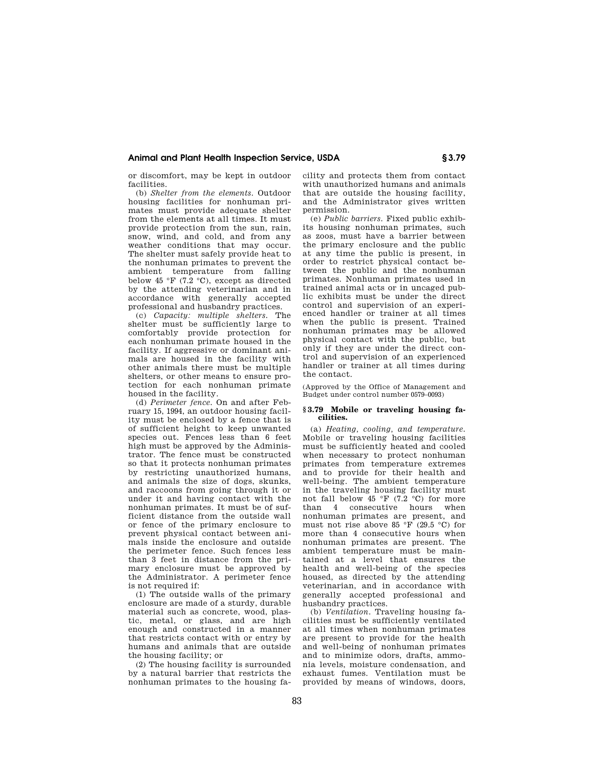or discomfort, may be kept in outdoor facilities.

(b) *Shelter from the elements.* Outdoor housing facilities for nonhuman primates must provide adequate shelter from the elements at all times. It must provide protection from the sun, rain, snow, wind, and cold, and from any weather conditions that may occur. The shelter must safely provide heat to the nonhuman primates to prevent the ambient temperature from falling below  $45 \text{ }^{\circ}\text{F}$  (7.2  $^{\circ}\text{C}$ ), except as directed by the attending veterinarian and in accordance with generally accepted professional and husbandry practices.

(c) *Capacity: multiple shelters.* The shelter must be sufficiently large to comfortably provide protection for each nonhuman primate housed in the facility. If aggressive or dominant animals are housed in the facility with other animals there must be multiple shelters, or other means to ensure protection for each nonhuman primate housed in the facility.

(d) *Perimeter fence.* On and after February 15, 1994, an outdoor housing facility must be enclosed by a fence that is of sufficient height to keep unwanted species out. Fences less than 6 feet high must be approved by the Administrator. The fence must be constructed so that it protects nonhuman primates by restricting unauthorized humans, and animals the size of dogs, skunks, and raccoons from going through it or under it and having contact with the nonhuman primates. It must be of sufficient distance from the outside wall or fence of the primary enclosure to prevent physical contact between animals inside the enclosure and outside the perimeter fence. Such fences less than 3 feet in distance from the primary enclosure must be approved by the Administrator. A perimeter fence is not required if:

(1) The outside walls of the primary enclosure are made of a sturdy, durable material such as concrete, wood, plastic, metal, or glass, and are high enough and constructed in a manner that restricts contact with or entry by humans and animals that are outside the housing facility; or

(2) The housing facility is surrounded by a natural barrier that restricts the nonhuman primates to the housing facility and protects them from contact with unauthorized humans and animals that are outside the housing facility, and the Administrator gives written permission.

(e) *Public barriers.* Fixed public exhibits housing nonhuman primates, such as zoos, must have a barrier between the primary enclosure and the public at any time the public is present, in order to restrict physical contact between the public and the nonhuman primates. Nonhuman primates used in trained animal acts or in uncaged public exhibits must be under the direct control and supervision of an experienced handler or trainer at all times when the public is present. Trained nonhuman primates may be allowed physical contact with the public, but only if they are under the direct control and supervision of an experienced handler or trainer at all times during the contact.

(Approved by the Office of Management and Budget under control number 0579–0093)

#### **§ 3.79 Mobile or traveling housing facilities.**

(a) *Heating, cooling, and temperature.*  Mobile or traveling housing facilities must be sufficiently heated and cooled when necessary to protect nonhuman primates from temperature extremes and to provide for their health and well-being. The ambient temperature in the traveling housing facility must not fall below 45 °F (7.2 °C) for more than 4 consecutive hours when nonhuman primates are present, and must not rise above 85 °F (29.5 °C) for more than 4 consecutive hours when nonhuman primates are present. The ambient temperature must be maintained at a level that ensures the health and well-being of the species housed, as directed by the attending veterinarian, and in accordance with generally accepted professional and husbandry practices.

(b) *Ventilation.* Traveling housing facilities must be sufficiently ventilated at all times when nonhuman primates are present to provide for the health and well-being of nonhuman primates and to minimize odors, drafts, ammonia levels, moisture condensation, and exhaust fumes. Ventilation must be provided by means of windows, doors,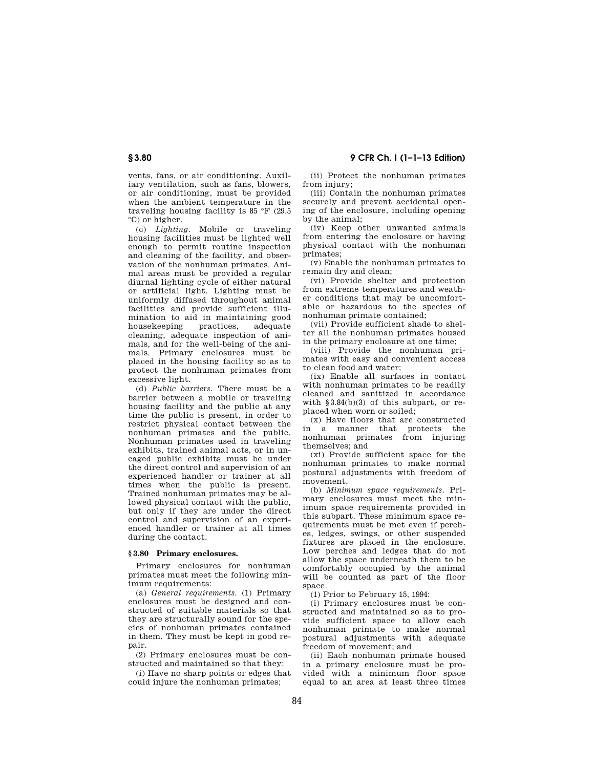vents, fans, or air conditioning. Auxiliary ventilation, such as fans, blowers, or air conditioning, must be provided when the ambient temperature in the traveling housing facility is 85 °F (29.5 °C) or higher.

(c) *Lighting.* Mobile or traveling housing facilities must be lighted well enough to permit routine inspection and cleaning of the facility, and observation of the nonhuman primates. Animal areas must be provided a regular diurnal lighting cycle of either natural or artificial light. Lighting must be uniformly diffused throughout animal facilities and provide sufficient illumination to aid in maintaining good housekeeping practices, adequate cleaning, adequate inspection of animals, and for the well-being of the animals. Primary enclosures must be placed in the housing facility so as to protect the nonhuman primates from excessive light.

(d) *Public barriers.* There must be a barrier between a mobile or traveling housing facility and the public at any time the public is present, in order to restrict physical contact between the nonhuman primates and the public. Nonhuman primates used in traveling exhibits, trained animal acts, or in uncaged public exhibits must be under the direct control and supervision of an experienced handler or trainer at all times when the public is present. Trained nonhuman primates may be allowed physical contact with the public, but only if they are under the direct control and supervision of an experienced handler or trainer at all times during the contact.

#### **§ 3.80 Primary enclosures.**

Primary enclosures for nonhuman primates must meet the following minimum requirements:

(a) *General requirements.* (1) Primary enclosures must be designed and constructed of suitable materials so that they are structurally sound for the species of nonhuman primates contained in them. They must be kept in good repair.

(2) Primary enclosures must be constructed and maintained so that they:

(i) Have no sharp points or edges that could injure the nonhuman primates;

(ii) Protect the nonhuman primates from injury;

(iii) Contain the nonhuman primates securely and prevent accidental opening of the enclosure, including opening by the animal;

(iv) Keep other unwanted animals from entering the enclosure or having physical contact with the nonhuman primates;

(v) Enable the nonhuman primates to remain dry and clean;

(vi) Provide shelter and protection from extreme temperatures and weather conditions that may be uncomfortable or hazardous to the species of nonhuman primate contained;

(vii) Provide sufficient shade to shelter all the nonhuman primates housed in the primary enclosure at one time;

(viii) Provide the nonhuman primates with easy and convenient access to clean food and water;

(ix) Enable all surfaces in contact with nonhuman primates to be readily cleaned and sanitized in accordance with §3.84(b)(3) of this subpart, or replaced when worn or soiled;

(x) Have floors that are constructed in a manner that protects the nonhuman primates from injuring themselves; and

(xi) Provide sufficient space for the nonhuman primates to make normal postural adjustments with freedom of movement.

(b) *Minimum space requirements.* Primary enclosures must meet the minimum space requirements provided in this subpart. These minimum space requirements must be met even if perches, ledges, swings, or other suspended fixtures are placed in the enclosure. Low perches and ledges that do not allow the space underneath them to be comfortably occupied by the animal will be counted as part of the floor space.

(1) Prior to February 15, 1994:

(i) Primary enclosures must be constructed and maintained so as to provide sufficient space to allow each nonhuman primate to make normal postural adjustments with adequate freedom of movement; and

(ii) Each nonhuman primate housed in a primary enclosure must be provided with a minimum floor space equal to an area at least three times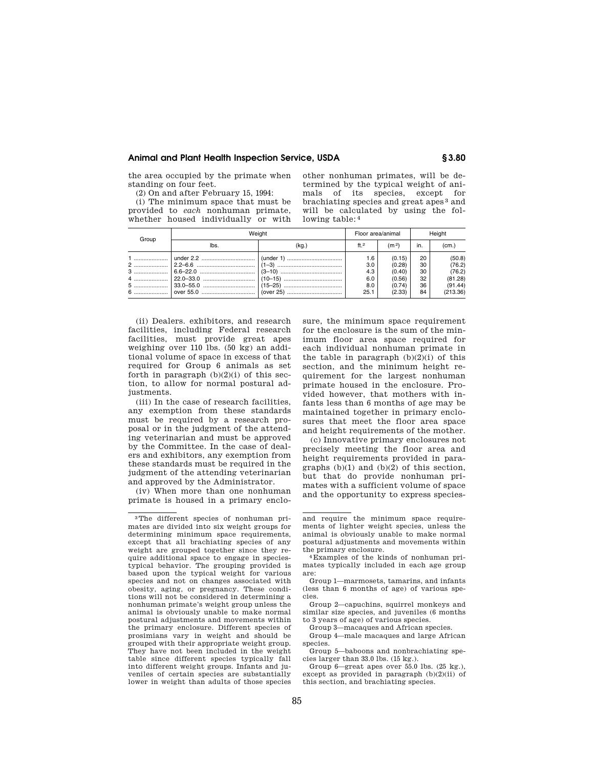the area occupied by the primate when standing on four feet.

(2) On and after February 15, 1994:

(i) The minimum space that must be provided to *each* nonhuman primate, whether housed individually or with other nonhuman primates, will be determined by the typical weight of animals of its species, except for brachiating species and great apes 3 and will be calculated by using the following table: 4

| Group |      | Weight | Floor area/animal                       |                                                          | Height                           |                                                              |
|-------|------|--------|-----------------------------------------|----------------------------------------------------------|----------------------------------|--------------------------------------------------------------|
|       | lbs. | (kg.)  | ft <sub>2</sub>                         | (m <sup>2</sup> )                                        | in.                              | (cm.)                                                        |
|       |      |        | 1.6<br>3.0<br>4.3<br>6.0<br>8.0<br>25.1 | (0.15)<br>(0.28)<br>(0.40)<br>(0.56)<br>(0.74)<br>(2.33) | 20<br>30<br>30<br>32<br>36<br>84 | (50.8)<br>(76.2)<br>(76.2)<br>(81.28)<br>(91.44)<br>(213.36) |

(ii) Dealers. exhibitors, and research facilities, including Federal research facilities, must provide great apes weighing over 110 lbs. (50 kg) an additional volume of space in excess of that required for Group 6 animals as set forth in paragraph  $(b)(2)(i)$  of this section, to allow for normal postural adjustments.

(iii) In the case of research facilities, any exemption from these standards must be required by a research proposal or in the judgment of the attending veterinarian and must be approved by the Committee. In the case of dealers and exhibitors, any exemption from these standards must be required in the judgment of the attending veterinarian and approved by the Administrator.

(iv) When more than one nonhuman primate is housed in a primary enclosure, the minimum space requirement for the enclosure is the sum of the minimum floor area space required for each individual nonhuman primate in the table in paragraph  $(b)(2)(i)$  of this section, and the minimum height requirement for the largest nonhuman primate housed in the enclosure. Provided however, that mothers with infants less than 6 months of age may be maintained together in primary enclosures that meet the floor area space and height requirements of the mother.

(c) Innovative primary enclosures not precisely meeting the floor area and height requirements provided in paragraphs (b)(1) and (b)(2) of this section, but that do provide nonhuman primates with a sufficient volume of space and the opportunity to express species-

Group 1—marmosets, tamarins, and infants (less than 6 months of age) of various species.

Group 2—capuchins, squirrel monkeys and similar size species, and juveniles (6 months to 3 years of age) of various species.

Group 3—macaques and African species.

Group 4—male macaques and large African species.

Group 5—baboons and nonbrachiating species larger than 33.0 lbs. (15 kg.).

Group 6—great apes over 55.0 lbs. (25 kg.), except as provided in paragraph (b)(2)(ii) of this section, and brachiating species.

<sup>3</sup>The different species of nonhuman primates are divided into six weight groups for determining minimum space requirements, except that all brachiating species of any weight are grouped together since they require additional space to engage in speciestypical behavior. The grouping provided is based upon the typical weight for various species and not on changes associated with obesity, aging, or pregnancy. These conditions will not be considered in determining a nonhuman primate's weight group unless the animal is obviously unable to make normal postural adjustments and movements within the primary enclosure. Different species of prosimians vary in weight and should be grouped with their appropriate weight group. They have not been included in the weight table since different species typically fall into different weight groups. Infants and juveniles of certain species are substantially lower in weight than adults of those species

and require the minimum space requirements of lighter weight species, unless the animal is obviously unable to make normal postural adjustments and movements within

<sup>&</sup>lt;sup>4</sup>Examples of the kinds of nonhuman primates typically included in each age group are: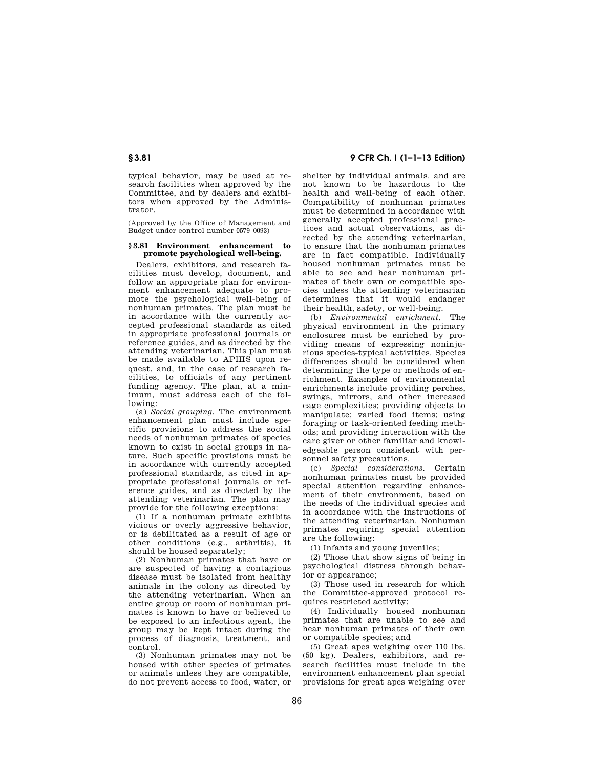typical behavior, may be used at research facilities when approved by the Committee, and by dealers and exhibitors when approved by the Administrator.

(Approved by the Office of Management and Budget under control number 0579–0093)

#### **§ 3.81 Environment enhancement to promote psychological well-being.**

Dealers, exhibitors, and research facilities must develop, document, and follow an appropriate plan for environment enhancement adequate to promote the psychological well-being of nonhuman primates. The plan must be in accordance with the currently accepted professional standards as cited in appropriate professional journals or reference guides, and as directed by the attending veterinarian. This plan must be made available to APHIS upon request, and, in the case of research facilities, to officials of any pertinent funding agency. The plan, at a minimum, must address each of the following:

(a) *Social grouping.* The environment enhancement plan must include specific provisions to address the social needs of nonhuman primates of species known to exist in social groups in nature. Such specific provisions must be in accordance with currently accepted professional standards, as cited in appropriate professional journals or reference guides, and as directed by the attending veterinarian. The plan may provide for the following exceptions:

(1) If a nonhuman primate exhibits vicious or overly aggressive behavior, or is debilitated as a result of age or other conditions (e.g., arthritis), it should be housed separately;

(2) Nonhuman primates that have or are suspected of having a contagious disease must be isolated from healthy animals in the colony as directed by the attending veterinarian. When an entire group or room of nonhuman primates is known to have or believed to be exposed to an infectious agent, the group may be kept intact during the process of diagnosis, treatment, and control.

(3) Nonhuman primates may not be housed with other species of primates or animals unless they are compatible, do not prevent access to food, water, or

# **§ 3.81 9 CFR Ch. I (1–1–13 Edition)**

shelter by individual animals. and are not known to be hazardous to the health and well-being of each other. Compatibility of nonhuman primates must be determined in accordance with generally accepted professional practices and actual observations, as directed by the attending veterinarian, to ensure that the nonhuman primates are in fact compatible. Individually housed nonhuman primates must be able to see and hear nonhuman primates of their own or compatible species unless the attending veterinarian determines that it would endanger their health, safety, or well-being.

(b) *Environmental enrichment.* The physical environment in the primary enclosures must be enriched by providing means of expressing noninjurious species-typical activities. Species differences should be considered when determining the type or methods of enrichment. Examples of environmental enrichments include providing perches, swings, mirrors, and other increased cage complexities; providing objects to manipulate; varied food items; using foraging or task-oriented feeding methods; and providing interaction with the care giver or other familiar and knowledgeable person consistent with personnel safety precautions.

(c) *Special considerations.* Certain nonhuman primates must be provided special attention regarding enhancement of their environment, based on the needs of the individual species and in accordance with the instructions of the attending veterinarian. Nonhuman primates requiring special attention are the following:

(1) Infants and young juveniles;

(2) Those that show signs of being in psychological distress through behavior or appearance;

(3) Those used in research for which the Committee-approved protocol requires restricted activity;

(4) Individually housed nonhuman primates that are unable to see and hear nonhuman primates of their own or compatible species; and

(5) Great apes weighing over 110 lbs. (50 kg). Dealers, exhibitors, and research facilities must include in the environment enhancement plan special provisions for great apes weighing over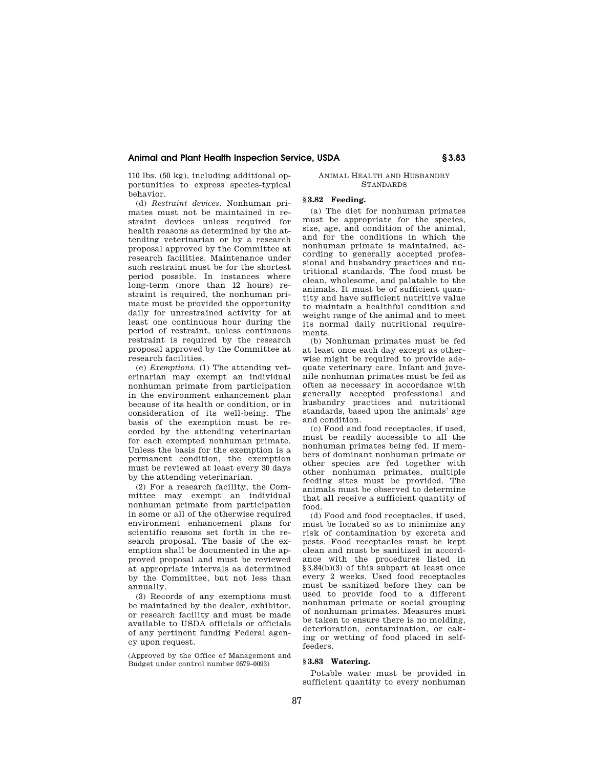110 lbs. (50 kg), including additional opportunities to express species-typical behavior.

(d) *Restraint devices.* Nonhuman primates must not be maintained in restraint devices unless required for health reasons as determined by the attending veterinarian or by a research proposal approved by the Committee at research facilities. Maintenance under such restraint must be for the shortest period possible. In instances where long-term (more than 12 hours) restraint is required, the nonhuman primate must be provided the opportunity daily for unrestrained activity for at least one continuous hour during the period of restraint, unless continuous restraint is required by the research proposal approved by the Committee at research facilities.

(e) *Exemptions.* (1) The attending veterinarian may exempt an individual nonhuman primate from participation in the environment enhancement plan because of its health or condition, or in consideration of its well-being. The basis of the exemption must be recorded by the attending veterinarian for each exempted nonhuman primate. Unless the basis for the exemption is a permanent condition, the exemption must be reviewed at least every 30 days by the attending veterinarian.

(2) For a research facility, the Committee may exempt an individual nonhuman primate from participation in some or all of the otherwise required environment enhancement plans for scientific reasons set forth in the research proposal. The basis of the exemption shall be documented in the approved proposal and must be reviewed at appropriate intervals as determined by the Committee, but not less than annually.

(3) Records of any exemptions must be maintained by the dealer, exhibitor, or research facility and must be made available to USDA officials or officials of any pertinent funding Federal agency upon request.

(Approved by the Office of Management and Budget under control number 0579–0093)

### ANIMAL HEALTH AND HUSBANDRY **STANDARDS**

### **§ 3.82 Feeding.**

(a) The diet for nonhuman primates must be appropriate for the species, size, age, and condition of the animal, and for the conditions in which the nonhuman primate is maintained, according to generally accepted professional and husbandry practices and nutritional standards. The food must be clean, wholesome, and palatable to the animals. It must be of sufficient quantity and have sufficient nutritive value to maintain a healthful condition and weight range of the animal and to meet its normal daily nutritional requirements.

(b) Nonhuman primates must be fed at least once each day except as otherwise might be required to provide adequate veterinary care. Infant and juvenile nonhuman primates must be fed as often as necessary in accordance with generally accepted professional and husbandry practices and nutritional standards, based upon the animals' age and condition.

(c) Food and food receptacles, if used, must be readily accessible to all the nonhuman primates being fed. If members of dominant nonhuman primate or other species are fed together with other nonhuman primates, multiple feeding sites must be provided. The animals must be observed to determine that all receive a sufficient quantity of food.

(d) Food and food receptacles, if used, must be located so as to minimize any risk of contamination by excreta and pests. Food receptacles must be kept clean and must be sanitized in accordance with the procedures listed in §3.84(b)(3) of this subpart at least once every 2 weeks. Used food receptacles must be sanitized before they can be used to provide food to a different nonhuman primate or social grouping of nonhuman primates. Measures must be taken to ensure there is no molding, deterioration, contamination, or caking or wetting of food placed in selffeeders.

#### **§ 3.83 Watering.**

Potable water must be provided in sufficient quantity to every nonhuman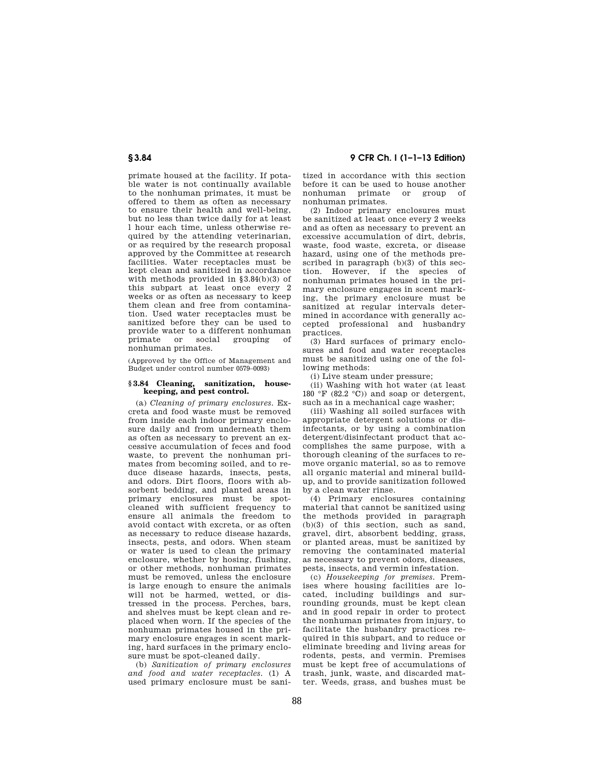# **§ 3.84 9 CFR Ch. I (1–1–13 Edition)**

primate housed at the facility. If potable water is not continually available to the nonhuman primates, it must be offered to them as often as necessary to ensure their health and well-being, but no less than twice daily for at least l hour each time, unless otherwise required by the attending veterinarian, or as required by the research proposal approved by the Committee at research facilities. Water receptacles must be kept clean and sanitized in accordance with methods provided in §3.84(b)(3) of this subpart at least once every 2 weeks or as often as necessary to keep them clean and free from contamination. Used water receptacles must be sanitized before they can be used to provide water to a different nonhuman primate or social grouping of nonhuman primates.

(Approved by the Office of Management and Budget under control number 0579–0093)

#### **§ 3.84 Cleaning, sanitization, housekeeping, and pest control.**

(a) *Cleaning of primary enclosures.* Excreta and food waste must be removed from inside each indoor primary enclosure daily and from underneath them as often as necessary to prevent an excessive accumulation of feces and food waste, to prevent the nonhuman primates from becoming soiled, and to reduce disease hazards, insects, pests, and odors. Dirt floors, floors with absorbent bedding, and planted areas in primary enclosures must be spotcleaned with sufficient frequency to ensure all animals the freedom to avoid contact with excreta, or as often as necessary to reduce disease hazards, insects, pests, and odors. When steam or water is used to clean the primary enclosure, whether by hosing, flushing, or other methods, nonhuman primates must be removed, unless the enclosure is large enough to ensure the animals will not be harmed, wetted, or distressed in the process. Perches, bars, and shelves must be kept clean and replaced when worn. If the species of the nonhuman primates housed in the primary enclosure engages in scent marking, hard surfaces in the primary enclosure must be spot-cleaned daily.

(b) *Sanitization of primary enclosures and food and water receptacles.* (1) A used primary enclosure must be sani-

tized in accordance with this section before it can be used to house another nonhuman primate or group of nonhuman primates.

(2) Indoor primary enclosures must be sanitized at least once every 2 weeks and as often as necessary to prevent an excessive accumulation of dirt, debris, waste, food waste, excreta, or disease hazard, using one of the methods prescribed in paragraph (b)(3) of this section. However, if the species of nonhuman primates housed in the primary enclosure engages in scent marking, the primary enclosure must be sanitized at regular intervals determined in accordance with generally accepted professional and husbandry practices.

(3) Hard surfaces of primary enclosures and food and water receptacles must be sanitized using one of the following methods:

(i) Live steam under pressure;

(ii) Washing with hot water (at least 180 °F (82.2 °C)) and soap or detergent, such as in a mechanical cage washer;

(iii) Washing all soiled surfaces with appropriate detergent solutions or disinfectants, or by using a combination detergent/disinfectant product that accomplishes the same purpose, with a thorough cleaning of the surfaces to remove organic material, so as to remove all organic material and mineral buildup, and to provide sanitization followed by a clean water rinse.

(4) Primary enclosures containing material that cannot be sanitized using the methods provided in paragraph (b)(3) of this section, such as sand, gravel, dirt, absorbent bedding, grass, or planted areas, must be sanitized by removing the contaminated material as necessary to prevent odors, diseases, pests, insects, and vermin infestation.

(c) *Housekeeping for premises.* Premises where housing facilities are located, including buildings and surrounding grounds, must be kept clean and in good repair in order to protect the nonhuman primates from injury, to facilitate the husbandry practices required in this subpart, and to reduce or eliminate breeding and living areas for rodents, pests, and vermin. Premises must be kept free of accumulations of trash, junk, waste, and discarded matter. Weeds, grass, and bushes must be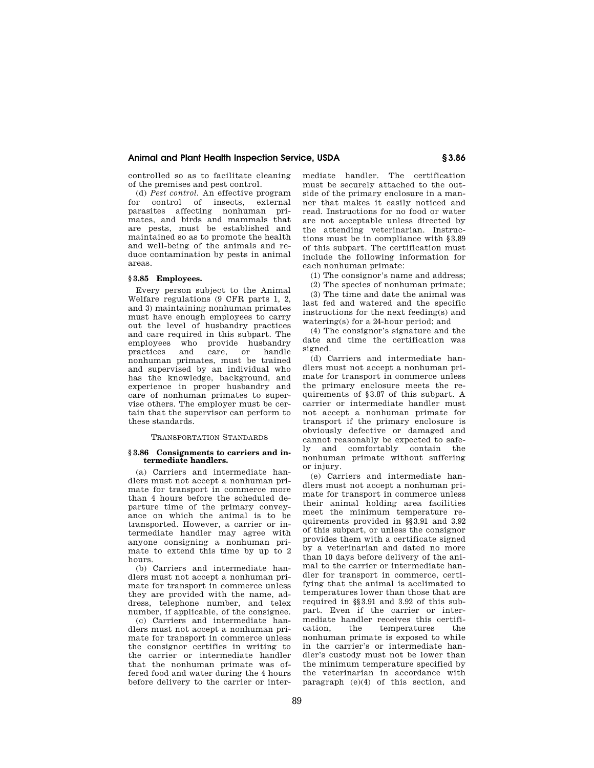controlled so as to facilitate cleaning of the premises and pest control.

(d) *Pest control.* An effective program for control of insects, external parasites affecting nonhuman primates, and birds and mammals that are pests, must be established and maintained so as to promote the health and well-being of the animals and reduce contamination by pests in animal areas.

## **§ 3.85 Employees.**

Every person subject to the Animal Welfare regulations (9 CFR parts 1, 2, and 3) maintaining nonhuman primates must have enough employees to carry out the level of husbandry practices and care required in this subpart. The employees who provide husbandry<br>practices and care or handle care, or handle nonhuman primates, must be trained and supervised by an individual who has the knowledge, background, and experience in proper husbandry and care of nonhuman primates to supervise others. The employer must be certain that the supervisor can perform to these standards.

#### TRANSPORTATION STANDARDS

#### **§ 3.86 Consignments to carriers and intermediate handlers.**

(a) Carriers and intermediate handlers must not accept a nonhuman primate for transport in commerce more than 4 hours before the scheduled departure time of the primary conveyance on which the animal is to be transported. However, a carrier or intermediate handler may agree with anyone consigning a nonhuman primate to extend this time by up to 2 hours.

(b) Carriers and intermediate handlers must not accept a nonhuman primate for transport in commerce unless they are provided with the name, address, telephone number, and telex number, if applicable, of the consignee.

(c) Carriers and intermediate handlers must not accept a nonhuman primate for transport in commerce unless the consignor certifies in writing to the carrier or intermediate handler that the nonhuman primate was offered food and water during the 4 hours before delivery to the carrier or intermediate handler. The certification must be securely attached to the outside of the primary enclosure in a manner that makes it easily noticed and read. Instructions for no food or water are not acceptable unless directed by the attending veterinarian. Instructions must be in compliance with §3.89 of this subpart. The certification must include the following information for each nonhuman primate:

(1) The consignor's name and address;

(2) The species of nonhuman primate; (3) The time and date the animal was last fed and watered and the specific instructions for the next feeding(s) and

watering(s) for a 24-hour period; and (4) The consignor's signature and the date and time the certification was

signed. (d) Carriers and intermediate handlers must not accept a nonhuman primate for transport in commerce unless the primary enclosure meets the requirements of §3.87 of this subpart. A carrier or intermediate handler must not accept a nonhuman primate for transport if the primary enclosure is obviously defective or damaged and cannot reasonably be expected to safely and comfortably contain the nonhuman primate without suffering or injury.

(e) Carriers and intermediate handlers must not accept a nonhuman primate for transport in commerce unless their animal holding area facilities meet the minimum temperature requirements provided in §§3.91 and 3.92 of this subpart, or unless the consignor provides them with a certificate signed by a veterinarian and dated no more than 10 days before delivery of the animal to the carrier or intermediate handler for transport in commerce, certifying that the animal is acclimated to temperatures lower than those that are required in §§3.91 and 3.92 of this subpart. Even if the carrier or intermediate handler receives this certification, the temperatures the nonhuman primate is exposed to while in the carrier's or intermediate handler's custody must not be lower than the minimum temperature specified by the veterinarian in accordance with paragraph (e)(4) of this section, and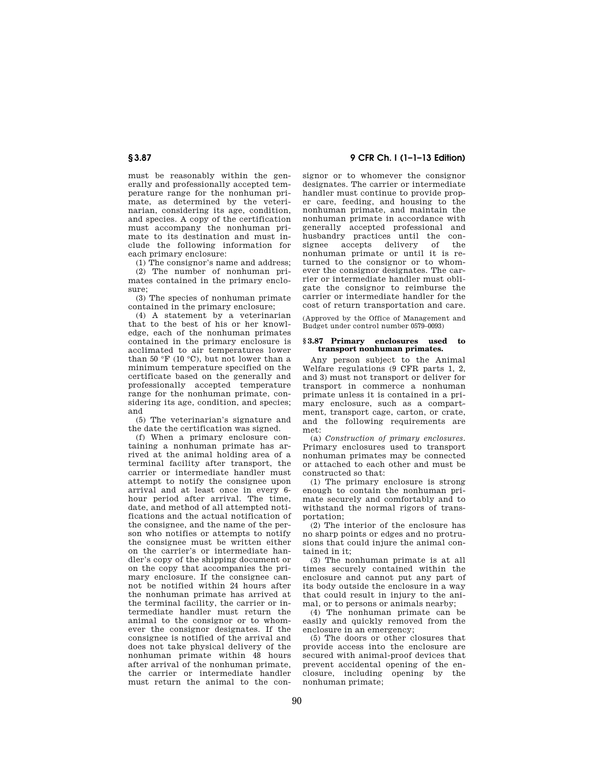must be reasonably within the generally and professionally accepted temperature range for the nonhuman primate, as determined by the veterinarian, considering its age, condition, and species. A copy of the certification must accompany the nonhuman primate to its destination and must include the following information for each primary enclosure:

(1) The consignor's name and address; (2) The number of nonhuman primates contained in the primary enclosure;

(3) The species of nonhuman primate contained in the primary enclosure;

(4) A statement by a veterinarian that to the best of his or her knowledge, each of the nonhuman primates contained in the primary enclosure is acclimated to air temperatures lower than 50 °F (10 °C), but not lower than a minimum temperature specified on the certificate based on the generally and professionally accepted temperature range for the nonhuman primate, considering its age, condition, and species; and

(5) The veterinarian's signature and the date the certification was signed.

(f) When a primary enclosure containing a nonhuman primate has arrived at the animal holding area of a terminal facility after transport, the carrier or intermediate handler must attempt to notify the consignee upon arrival and at least once in every 6 hour period after arrival. The time, date, and method of all attempted notifications and the actual notification of the consignee, and the name of the person who notifies or attempts to notify the consignee must be written either on the carrier's or intermediate handler's copy of the shipping document or on the copy that accompanies the primary enclosure. If the consignee cannot be notified within 24 hours after the nonhuman primate has arrived at the terminal facility, the carrier or intermediate handler must return the animal to the consignor or to whomever the consignor designates. If the consignee is notified of the arrival and does not take physical delivery of the nonhuman primate within 48 hours after arrival of the nonhuman primate, the carrier or intermediate handler must return the animal to the con-

# **§ 3.87 9 CFR Ch. I (1–1–13 Edition)**

signor or to whomever the consignor designates. The carrier or intermediate handler must continue to provide proper care, feeding, and housing to the nonhuman primate, and maintain the nonhuman primate in accordance with generally accepted professional and husbandry practices until the consignee accepts delivery of the nonhuman primate or until it is returned to the consignor or to whomever the consignor designates. The carrier or intermediate handler must obligate the consignor to reimburse the carrier or intermediate handler for the cost of return transportation and care.

(Approved by the Office of Management and Budget under control number 0579–0093)

#### **§ 3.87 Primary enclosures used to transport nonhuman primates.**

Any person subject to the Animal Welfare regulations (9 CFR parts 1, 2, and 3) must not transport or deliver for transport in commerce a nonhuman primate unless it is contained in a primary enclosure, such as a compartment, transport cage, carton, or crate, and the following requirements are met:

(a) *Construction of primary enclosures.*  Primary enclosures used to transport nonhuman primates may be connected or attached to each other and must be constructed so that:

(1) The primary enclosure is strong enough to contain the nonhuman primate securely and comfortably and to withstand the normal rigors of transportation;

(2) The interior of the enclosure has no sharp points or edges and no protrusions that could injure the animal contained in it;

(3) The nonhuman primate is at all times securely contained within the enclosure and cannot put any part of its body outside the enclosure in a way that could result in injury to the animal, or to persons or animals nearby;

(4) The nonhuman primate can be easily and quickly removed from the enclosure in an emergency;

(5) The doors or other closures that provide access into the enclosure are secured with animal-proof devices that prevent accidental opening of the enclosure, including opening by the nonhuman primate;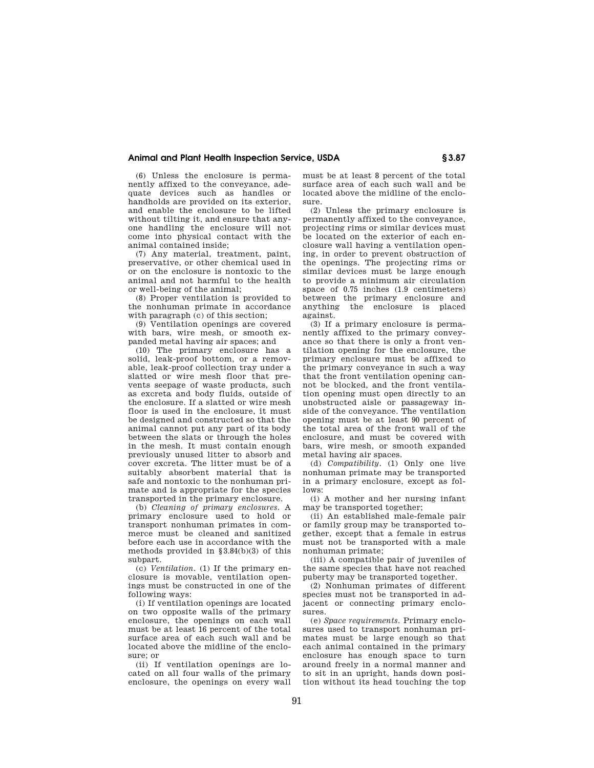(6) Unless the enclosure is permanently affixed to the conveyance, adequate devices such as handles or handholds are provided on its exterior, and enable the enclosure to be lifted without tilting it, and ensure that anyone handling the enclosure will not come into physical contact with the animal contained inside;

(7) Any material, treatment, paint, preservative, or other chemical used in or on the enclosure is nontoxic to the animal and not harmful to the health or well-being of the animal;

(8) Proper ventilation is provided to the nonhuman primate in accordance with paragraph (c) of this section;

(9) Ventilation openings are covered with bars, wire mesh, or smooth expanded metal having air spaces; and

(10) The primary enclosure has a solid, leak-proof bottom, or a removable, leak-proof collection tray under a slatted or wire mesh floor that prevents seepage of waste products, such as excreta and body fluids, outside of the enclosure. If a slatted or wire mesh floor is used in the enclosure, it must be designed and constructed so that the animal cannot put any part of its body between the slats or through the holes in the mesh. It must contain enough previously unused litter to absorb and cover excreta. The litter must be of a suitably absorbent material that is safe and nontoxic to the nonhuman primate and is appropriate for the species transported in the primary enclosure.

(b) *Cleaning of primary enclosures.* A primary enclosure used to hold or transport nonhuman primates in commerce must be cleaned and sanitized before each use in accordance with the methods provided in §3.84(b)(3) of this subpart.

(c) *Ventilation.* (1) If the primary enclosure is movable, ventilation openings must be constructed in one of the following ways:

(i) If ventilation openings are located on two opposite walls of the primary enclosure, the openings on each wall must be at least 16 percent of the total surface area of each such wall and be located above the midline of the enclosure; or

(ii) If ventilation openings are located on all four walls of the primary enclosure, the openings on every wall must be at least 8 percent of the total surface area of each such wall and be located above the midline of the enclosure.

(2) Unless the primary enclosure is permanently affixed to the conveyance, projecting rims or similar devices must be located on the exterior of each enclosure wall having a ventilation opening, in order to prevent obstruction of the openings. The projecting rims or similar devices must be large enough to provide a minimum air circulation space of 0.75 inches (1.9 centimeters) between the primary enclosure and anything the enclosure is placed against.

(3) If a primary enclosure is permanently affixed to the primary conveyance so that there is only a front ventilation opening for the enclosure, the primary enclosure must be affixed to the primary conveyance in such a way that the front ventilation opening cannot be blocked, and the front ventilation opening must open directly to an unobstructed aisle or passageway inside of the conveyance. The ventilation opening must be at least 90 percent of the total area of the front wall of the enclosure, and must be covered with bars, wire mesh, or smooth expanded metal having air spaces.

(d) *Compatibility.* (1) Only one live nonhuman primate may be transported in a primary enclosure, except as follows:

(i) A mother and her nursing infant may be transported together;

(ii) An established male-female pair or family group may be transported together, except that a female in estrus must not be transported with a male nonhuman primate;

(iii) A compatible pair of juveniles of the same species that have not reached puberty may be transported together.

(2) Nonhuman primates of different species must not be transported in adjacent or connecting primary enclosures.

(e) *Space requirements.* Primary enclosures used to transport nonhuman primates must be large enough so that each animal contained in the primary enclosure has enough space to turn around freely in a normal manner and to sit in an upright, hands down position without its head touching the top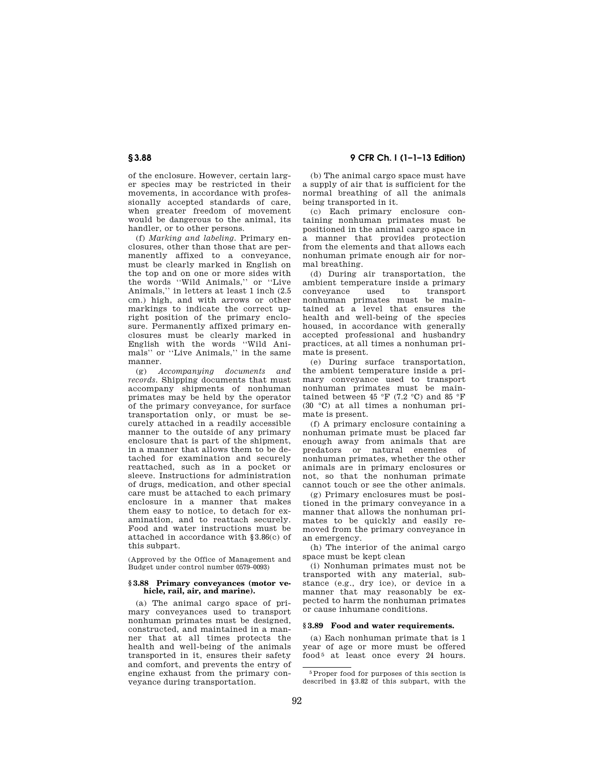of the enclosure. However, certain larger species may be restricted in their movements, in accordance with professionally accepted standards of care, when greater freedom of movement would be dangerous to the animal, its handler, or to other persons.

(f) *Marking and labeling.* Primary enclosures, other than those that are permanently affixed to a conveyance, must be clearly marked in English on the top and on one or more sides with the words ''Wild Animals,'' or ''Live Animals,'' in letters at least 1 inch (2.5 cm.) high, and with arrows or other markings to indicate the correct upright position of the primary enclosure. Permanently affixed primary enclosures must be clearly marked in English with the words ''Wild Animals'' or ''Live Animals,'' in the same manner.

(g) *Accompanying documents and records.* Shipping documents that must accompany shipments of nonhuman primates may be held by the operator of the primary conveyance, for surface transportation only, or must be securely attached in a readily accessible manner to the outside of any primary enclosure that is part of the shipment, in a manner that allows them to be detached for examination and securely reattached, such as in a pocket or sleeve. Instructions for administration of drugs, medication, and other special care must be attached to each primary enclosure in a manner that makes them easy to notice, to detach for examination, and to reattach securely. Food and water instructions must be attached in accordance with §3.86(c) of this subpart.

(Approved by the Office of Management and Budget under control number 0579–0093)

#### **§ 3.88 Primary conveyances (motor vehicle, rail, air, and marine).**

(a) The animal cargo space of primary conveyances used to transport nonhuman primates must be designed, constructed, and maintained in a manner that at all times protects the health and well-being of the animals transported in it, ensures their safety and comfort, and prevents the entry of engine exhaust from the primary conveyance during transportation.

# **§ 3.88 9 CFR Ch. I (1–1–13 Edition)**

(b) The animal cargo space must have a supply of air that is sufficient for the normal breathing of all the animals being transported in it.

(c) Each primary enclosure containing nonhuman primates must be positioned in the animal cargo space in a manner that provides protection from the elements and that allows each nonhuman primate enough air for normal breathing.

(d) During air transportation, the ambient temperature inside a primary conveyance used to transport nonhuman primates must be maintained at a level that ensures the health and well-being of the species housed, in accordance with generally accepted professional and husbandry practices, at all times a nonhuman primate is present.

(e) During surface transportation, the ambient temperature inside a primary conveyance used to transport nonhuman primates must be maintained between 45 °F (7.2 °C) and 85 °F (30 °C) at all times a nonhuman primate is present.

(f) A primary enclosure containing a nonhuman primate must be placed far enough away from animals that are predators or natural enemies of nonhuman primates, whether the other animals are in primary enclosures or not, so that the nonhuman primate cannot touch or see the other animals.

(g) Primary enclosures must be positioned in the primary conveyance in a manner that allows the nonhuman primates to be quickly and easily removed from the primary conveyance in an emergency.

(h) The interior of the animal cargo space must be kept clean

(i) Nonhuman primates must not be transported with any material, substance (e.g., dry ice), or device in a manner that may reasonably be expected to harm the nonhuman primates or cause inhumane conditions.

#### **§ 3.89 Food and water requirements.**

(a) Each nonhuman primate that is 1 year of age or more must be offered food<sup>5</sup> at least once every 24 hours.

<sup>5</sup>Proper food for purposes of this section is described in §3.82 of this subpart, with the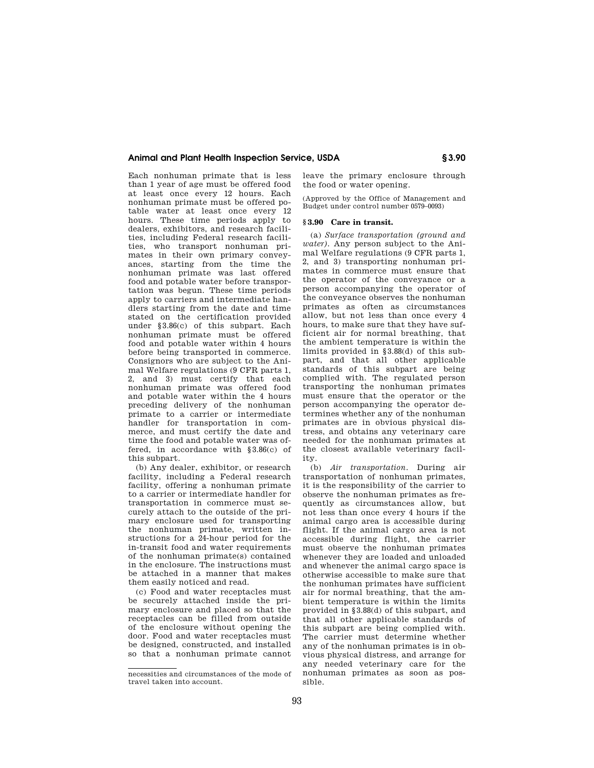Each nonhuman primate that is less than 1 year of age must be offered food at least once every 12 hours. Each nonhuman primate must be offered potable water at least once every 12 hours. These time periods apply to dealers, exhibitors, and research facilities, including Federal research facilities, who transport nonhuman primates in their own primary conveyances, starting from the time the nonhuman primate was last offered food and potable water before transportation was begun. These time periods apply to carriers and intermediate handlers starting from the date and time stated on the certification provided under §3.86(c) of this subpart. Each nonhuman primate must be offered food and potable water within 4 hours before being transported in commerce. Consignors who are subject to the Animal Welfare regulations (9 CFR parts 1, 2, and 3) must certify that each nonhuman primate was offered food and potable water within the 4 hours preceding delivery of the nonhuman primate to a carrier or intermediate handler for transportation in commerce, and must certify the date and time the food and potable water was offered, in accordance with §3.86(c) of this subpart.

(b) Any dealer, exhibitor, or research facility, including a Federal research facility, offering a nonhuman primate to a carrier or intermediate handler for transportation in commerce must securely attach to the outside of the primary enclosure used for transporting the nonhuman primate, written instructions for a  $24$ -hour period for the in-transit food and water requirements of the nonhuman primate(s) contained in the enclosure. The instructions must be attached in a manner that makes them easily noticed and read.

(c) Food and water receptacles must be securely attached inside the primary enclosure and placed so that the receptacles can be filled from outside of the enclosure without opening the door. Food and water receptacles must be designed, constructed, and installed so that a nonhuman primate cannot

leave the primary enclosure through the food or water opening.

(Approved by the Office of Management and Budget under control number 0579–0093)

#### **§ 3.90 Care in transit.**

(a) *Surface transportation (ground and water).* Any person subject to the Animal Welfare regulations (9 CFR parts 1, 2, and 3) transporting nonhuman primates in commerce must ensure that the operator of the conveyance or a person accompanying the operator of the conveyance observes the nonhuman primates as often as circumstances allow, but not less than once every 4 hours, to make sure that they have sufficient air for normal breathing, that the ambient temperature is within the limits provided in §3.88(d) of this subpart, and that all other applicable standards of this subpart are being complied with. The regulated person transporting the nonhuman primates must ensure that the operator or the person accompanying the operator determines whether any of the nonhuman primates are in obvious physical distress, and obtains any veterinary care needed for the nonhuman primates at the closest available veterinary facility.

(b) *Air transportation.* During air transportation of nonhuman primates, it is the responsibility of the carrier to observe the nonhuman primates as frequently as circumstances allow, but not less than once every 4 hours if the animal cargo area is accessible during flight. If the animal cargo area is not accessible during flight, the carrier must observe the nonhuman primates whenever they are loaded and unloaded and whenever the animal cargo space is otherwise accessible to make sure that the nonhuman primates have sufficient air for normal breathing, that the ambient temperature is within the limits provided in §3.88(d) of this subpart, and that all other applicable standards of this subpart are being complied with. The carrier must determine whether any of the nonhuman primates is in obvious physical distress, and arrange for any needed veterinary care for the nonhuman primates as soon as possible.

necessities and circumstances of the mode of travel taken into account.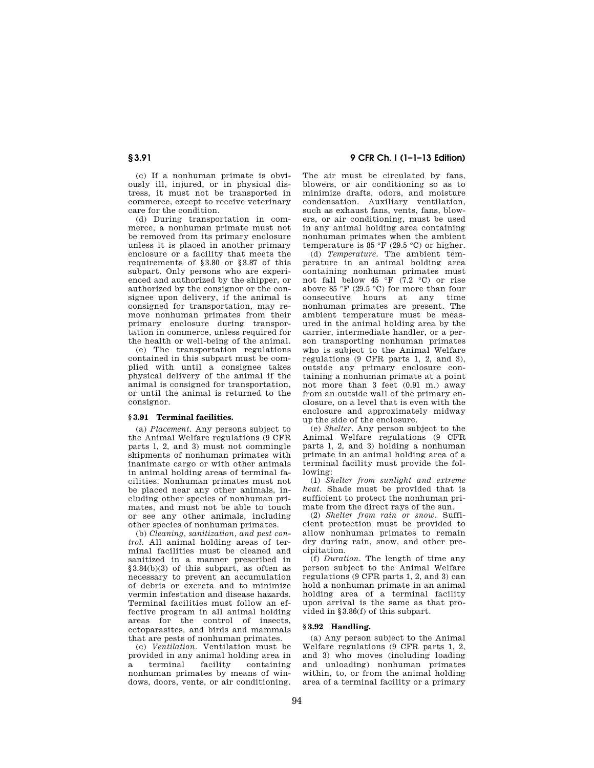(c) If a nonhuman primate is obviously ill, injured, or in physical distress, it must not be transported in commerce, except to receive veterinary care for the condition.

(d) During transportation in commerce, a nonhuman primate must not be removed from its primary enclosure unless it is placed in another primary enclosure or a facility that meets the requirements of §3.80 or §3.87 of this subpart. Only persons who are experienced and authorized by the shipper, or authorized by the consignor or the consignee upon delivery, if the animal is consigned for transportation, may remove nonhuman primates from their primary enclosure during transportation in commerce, unless required for the health or well-being of the animal.

(e) The transportation regulations contained in this subpart must be complied with until a consignee takes physical delivery of the animal if the animal is consigned for transportation, or until the animal is returned to the consignor.

### **§ 3.91 Terminal facilities.**

(a) *Placement.* Any persons subject to the Animal Welfare regulations (9 CFR parts l, 2, and 3) must not commingle shipments of nonhuman primates with inanimate cargo or with other animals in animal holding areas of terminal facilities. Nonhuman primates must not be placed near any other animals, including other species of nonhuman primates, and must not be able to touch or see any other animals, including other species of nonhuman primates.

(b) *Cleaning, sanitization, and pest control.* All animal holding areas of terminal facilities must be cleaned and sanitized in a manner prescribed in §3.84(b)(3) of this subpart, as often as necessary to prevent an accumulation of debris or excreta and to minimize vermin infestation and disease hazards. Terminal facilities must follow an effective program in all animal holding areas for the control of insects, ectoparasites, and birds and mammals that are pests of nonhuman primates.

(c) *Ventilation.* Ventilation must be provided in any animal holding area in a terminal facility containing nonhuman primates by means of windows, doors, vents, or air conditioning.

# **§ 3.91 9 CFR Ch. I (1–1–13 Edition)**

The air must be circulated by fans, blowers, or air conditioning so as to minimize drafts, odors, and moisture condensation. Auxiliary ventilation, such as exhaust fans, vents, fans, blowers, or air conditioning, must be used in any animal holding area containing nonhuman primates when the ambient temperature is  $85 \text{ }^\circ \text{F}$  (29.5  $\text{ }^\circ \text{C}$ ) or higher.

(d) *Temperature.* The ambient temperature in an animal holding area containing nonhuman primates must not fall below 45 °F  $(7.2 \degree C)$  or rise above 85 °F (29.5 °C) for more than four consecutive hours at any time nonhuman primates are present. The ambient temperature must be measured in the animal holding area by the carrier, intermediate handler, or a person transporting nonhuman primates who is subject to the Animal Welfare regulations (9 CFR parts 1, 2, and 3), outside any primary enclosure containing a nonhuman primate at a point not more than 3 feet (0.91 m.) away from an outside wall of the primary enclosure, on a level that is even with the enclosure and approximately midway up the side of the enclosure.

(e) *Shelter.* Any person subject to the Animal Welfare regulations (9 CFR parts l, 2, and 3) holding a nonhuman primate in an animal holding area of a terminal facility must provide the following:

(1) *Shelter from sunlight and extreme heat.* Shade must be provided that is sufficient to protect the nonhuman primate from the direct rays of the sun.

(2) *Shelter from rain or snow.* Sufficient protection must be provided to allow nonhuman primates to remain dry during rain, snow, and other precipitation.

(f) *Duration.* The length of time any person subject to the Animal Welfare regulations (9 CFR parts 1, 2, and 3) can hold a nonhuman primate in an animal holding area of a terminal facility upon arrival is the same as that provided in §3.86(f) of this subpart.

#### **§ 3.92 Handling.**

(a) Any person subject to the Animal Welfare regulations (9 CFR parts 1, 2, and 3) who moves (including loading and unloading) nonhuman primates within, to, or from the animal holding area of a terminal facility or a primary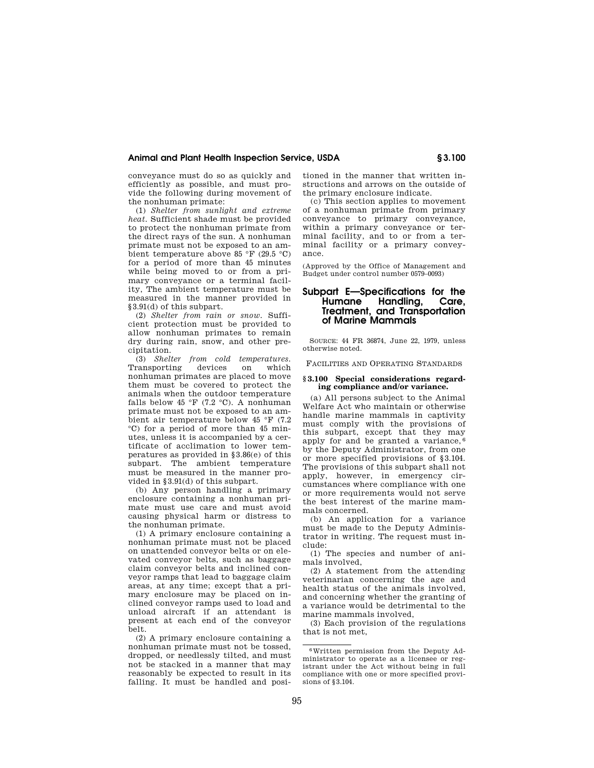conveyance must do so as quickly and efficiently as possible, and must provide the following during movement of the nonhuman primate:

(1) *Shelter from sunlight and extreme heat.* Sufficient shade must be provided to protect the nonhuman primate from the direct rays of the sun. A nonhuman primate must not be exposed to an ambient temperature above 85 °F (29.5 °C) for a period of more than 45 minutes while being moved to or from a primary conveyance or a terminal facility, The ambient temperature must be measured in the manner provided in §3.91(d) of this subpart.

(2) *Shelter from rain or snow.* Sufficient protection must be provided to allow nonhuman primates to remain dry during rain, snow, and other precipitation.

(3) *Shelter from cold temperatures.*  Transporting devices on which nonhuman primates are placed to move them must be covered to protect the animals when the outdoor temperature falls below 45 °F (7.2 °C). A nonhuman primate must not be exposed to an ambient air temperature below 45 °F (7.2 °C) for a period of more than 45 minutes, unless it is accompanied by a certificate of acclimation to lower temperatures as provided in §3.86(e) of this subpart. The ambient temperature must be measured in the manner provided in §3.91(d) of this subpart.

(b) Any person handling a primary enclosure containing a nonhuman primate must use care and must avoid causing physical harm or distress to the nonhuman primate.

(1) A primary enclosure containing a nonhuman primate must not be placed on unattended conveyor belts or on elevated conveyor belts, such as baggage claim conveyor belts and inclined conveyor ramps that lead to baggage claim areas, at any time; except that a primary enclosure may be placed on inclined conveyor ramps used to load and unload aircraft if an attendant is present at each end of the conveyor belt.

(2) A primary enclosure containing a nonhuman primate must not be tossed, dropped, or needlessly tilted, and must not be stacked in a manner that may reasonably be expected to result in its falling. It must be handled and positioned in the manner that written instructions and arrows on the outside of the primary enclosure indicate.

(c) This section applies to movement of a nonhuman primate from primary conveyance to primary conveyance, within a primary conveyance or terminal facility, and to or from a terminal facility or a primary conveyance.

(Approved by the Office of Management and Budget under control number 0579–0093)

# **Subpart E—Specifications for the Humane Handling, Care, Treatment, and Transportation of Marine Mammals**

SOURCE: 44 FR 36874, June 22, 1979, unless otherwise noted.

FACILITIES AND OPERATING STANDARDS

#### **§ 3.100 Special considerations regarding compliance and/or variance.**

(a) All persons subject to the Animal Welfare Act who maintain or otherwise handle marine mammals in captivity must comply with the provisions of this subpart, except that they may apply for and be granted a variance, 6 by the Deputy Administrator, from one or more specified provisions of §3.104. The provisions of this subpart shall not apply, however, in emergency circumstances where compliance with one or more requirements would not serve the best interest of the marine mammals concerned.

(b) An application for a variance must be made to the Deputy Administrator in writing. The request must include:

(1) The species and number of animals involved,

(2) A statement from the attending veterinarian concerning the age and health status of the animals involved, and concerning whether the granting of a variance would be detrimental to the marine mammals involved,

(3) Each provision of the regulations that is not met,

<sup>6</sup>Written permission from the Deputy Administrator to operate as a licensee or registrant under the Act without being in full compliance with one or more specified provisions of §3.104.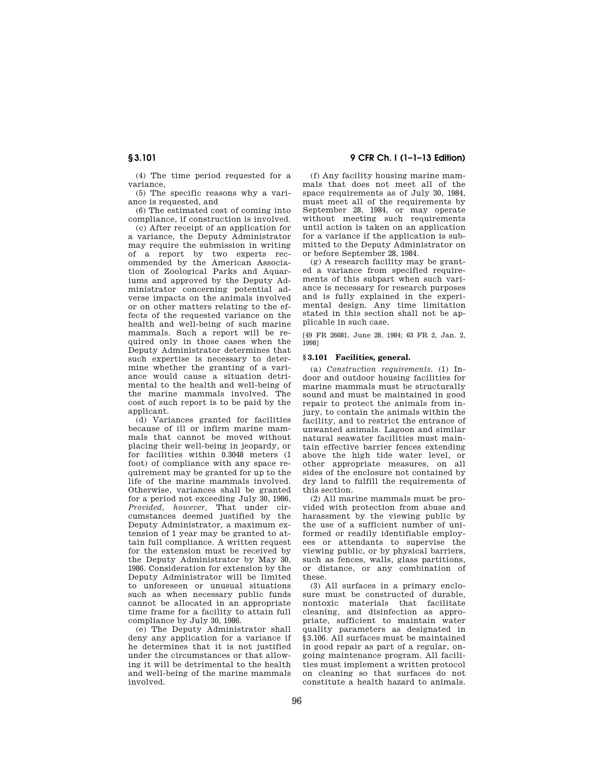(4) The time period requested for a variance,

(5) The specific reasons why a variance is requested, and

(6) The estimated cost of coming into compliance, if construction is involved.

(c) After receipt of an application for a variance, the Deputy Administrator may require the submission in writing of a report by two experts recommended by the American Association of Zoological Parks and Aquariums and approved by the Deputy Administrator concerning potential adverse impacts on the animals involved or on other matters relating to the effects of the requested variance on the health and well-being of such marine mammals. Such a report will be required only in those cases when the Deputy Administrator determines that such expertise is necessary to determine whether the granting of a variance would cause a situation detrimental to the health and well-being of the marine mammals involved. The cost of such report is to be paid by the applicant.

(d) Variances granted for facilities because of ill or infirm marine mammals that cannot be moved without placing their well-being in jeopardy, or for facilities within 0.3048 meters (1 foot) of compliance with any space requirement may be granted for up to the life of the marine mammals involved. Otherwise, variances shall be granted for a period not exceeding July 30, 1986, *Provided, however,* That under circumstances deemed justified by the Deputy Administrator, a maximum extension of 1 year may be granted to attain full compliance. A written request for the extension must be received by the Deputy Administrator by May 30, 1986. Consideration for extension by the Deputy Administrator will be limited to unforeseen or unusual situations such as when necessary public funds cannot be allocated in an appropriate time frame for a facility to attain full compliance by July 30, 1986.

(e) The Deputy Administrator shall deny any application for a variance if he determines that it is not justified under the circumstances or that allowing it will be detrimental to the health and well-being of the marine mammals involved.

# **§ 3.101 9 CFR Ch. I (1–1–13 Edition)**

(f) Any facility housing marine mammals that does not meet all of the space requirements as of July 30, 1984, must meet all of the requirements by September 28, 1984, or may operate without meeting such requirements until action is taken on an application for a variance if the application is submitted to the Deputy Administrator on or before September 28, 1984.

(g) A research facility may be granted a variance from specified requirements of this subpart when such variance is necessary for research purposes and is fully explained in the experimental design. Any time limitation stated in this section shall not be applicable in such case.

[49 FR 26681, June 28, 1984; 63 FR 2, Jan. 2, 1998]

### **§ 3.101 Facilities, general.**

(a) *Construction requirements.* (1) Indoor and outdoor housing facilities for marine mammals must be structurally sound and must be maintained in good repair to protect the animals from injury, to contain the animals within the facility, and to restrict the entrance of unwanted animals. Lagoon and similar natural seawater facilities must maintain effective barrier fences extending above the high tide water level, or other appropriate measures, on all sides of the enclosure not contained by dry land to fulfill the requirements of this section.

(2) All marine mammals must be provided with protection from abuse and harassment by the viewing public by the use of a sufficient number of uniformed or readily identifiable employees or attendants to supervise the viewing public, or by physical barriers, such as fences, walls, glass partitions, or distance, or any combination of these.

(3) All surfaces in a primary enclosure must be constructed of durable, nontoxic materials that facilitate cleaning, and disinfection as appropriate, sufficient to maintain water quality parameters as designated in §3.106. All surfaces must be maintained in good repair as part of a regular, ongoing maintenance program. All facilities must implement a written protocol on cleaning so that surfaces do not constitute a health hazard to animals.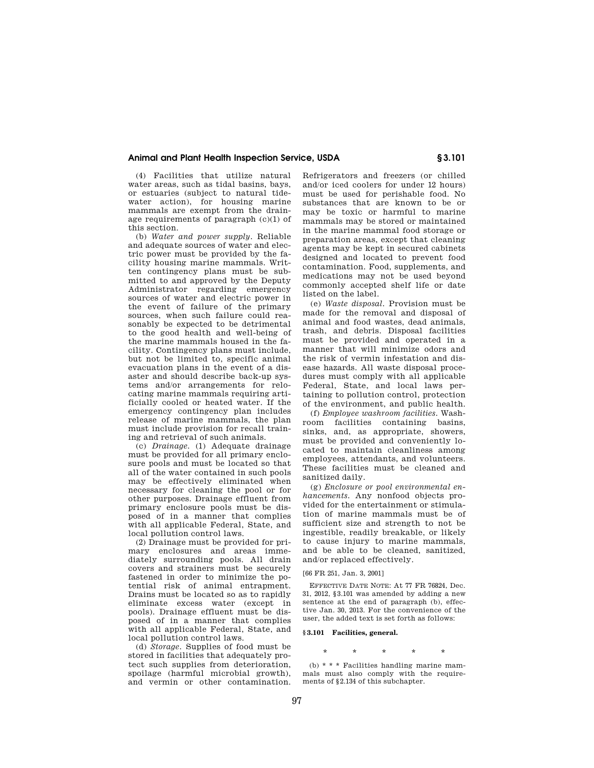(4) Facilities that utilize natural water areas, such as tidal basins, bays, or estuaries (subject to natural tidewater action), for housing marine mammals are exempt from the drainage requirements of paragraph (c)(1) of this section.

(b) *Water and power supply.* Reliable and adequate sources of water and electric power must be provided by the facility housing marine mammals. Written contingency plans must be submitted to and approved by the Deputy Administrator regarding emergency sources of water and electric power in the event of failure of the primary sources, when such failure could reasonably be expected to be detrimental to the good health and well-being of the marine mammals housed in the facility. Contingency plans must include, but not be limited to, specific animal evacuation plans in the event of a disaster and should describe back-up systems and/or arrangements for relocating marine mammals requiring artificially cooled or heated water. If the emergency contingency plan includes release of marine mammals, the plan must include provision for recall training and retrieval of such animals.

(c) *Drainage.* (1) Adequate drainage must be provided for all primary enclosure pools and must be located so that all of the water contained in such pools may be effectively eliminated when necessary for cleaning the pool or for other purposes. Drainage effluent from primary enclosure pools must be disposed of in a manner that complies with all applicable Federal, State, and local pollution control laws.

(2) Drainage must be provided for primary enclosures and areas immediately surrounding pools. All drain covers and strainers must be securely fastened in order to minimize the potential risk of animal entrapment. Drains must be located so as to rapidly eliminate excess water (except in pools). Drainage effluent must be disposed of in a manner that complies with all applicable Federal, State, and local pollution control laws.

(d) *Storage.* Supplies of food must be stored in facilities that adequately protect such supplies from deterioration, spoilage (harmful microbial growth), and vermin or other contamination. Refrigerators and freezers (or chilled and/or iced coolers for under 12 hours) must be used for perishable food. No substances that are known to be or may be toxic or harmful to marine mammals may be stored or maintained in the marine mammal food storage or preparation areas, except that cleaning agents may be kept in secured cabinets designed and located to prevent food contamination. Food, supplements, and medications may not be used beyond commonly accepted shelf life or date listed on the label.

(e) *Waste disposal.* Provision must be made for the removal and disposal of animal and food wastes, dead animals, trash, and debris. Disposal facilities must be provided and operated in a manner that will minimize odors and the risk of vermin infestation and disease hazards. All waste disposal procedures must comply with all applicable Federal, State, and local laws pertaining to pollution control, protection of the environment, and public health.

(f) *Employee washroom facilities.* Washroom facilities containing basins, sinks, and, as appropriate, showers, must be provided and conveniently located to maintain cleanliness among employees, attendants, and volunteers. These facilities must be cleaned and sanitized daily.

(g) *Enclosure or pool environmental enhancements.* Any nonfood objects provided for the entertainment or stimulation of marine mammals must be of sufficient size and strength to not be ingestible, readily breakable, or likely to cause injury to marine mammals, and be able to be cleaned, sanitized, and/or replaced effectively.

#### [66 FR 251, Jan. 3, 2001]

EFFECTIVE DATE NOTE: At 77 FR 76824, Dec. 31, 2012, §3.101 was amended by adding a new sentence at the end of paragraph (b), effective Jan. 30, 2013. For the convenience of the user, the added text is set forth as follows:

#### **§ 3.101 Facilities, general.**

\* \* \* \* \*

(b) \* \* \* Facilities handling marine mammals must also comply with the requirements of §2.134 of this subchapter.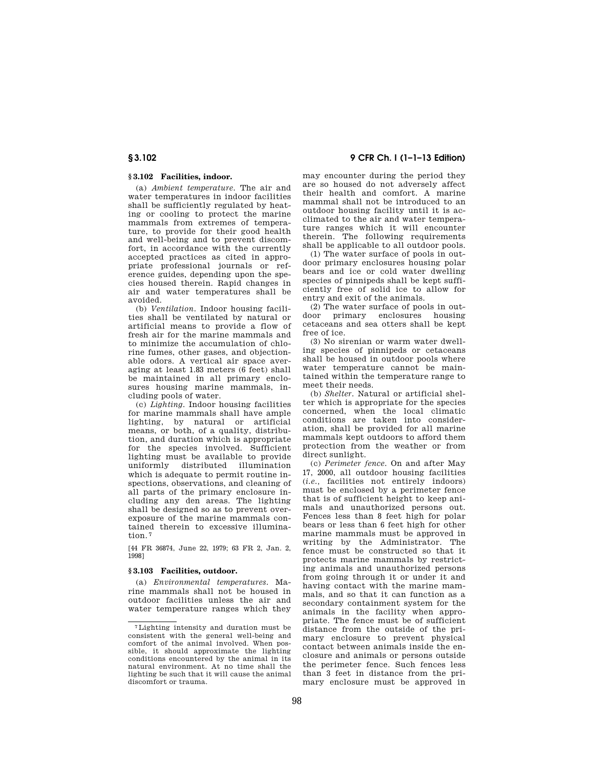### **§ 3.102 Facilities, indoor.**

(a) *Ambient temperature.* The air and water temperatures in indoor facilities shall be sufficiently regulated by heating or cooling to protect the marine mammals from extremes of temperature, to provide for their good health and well-being and to prevent discomfort, in accordance with the currently accepted practices as cited in appropriate professional journals or reference guides, depending upon the species housed therein. Rapid changes in air and water temperatures shall be avoided.

(b) *Ventilation.* Indoor housing facilities shall be ventilated by natural or artificial means to provide a flow of fresh air for the marine mammals and to minimize the accumulation of chlorine fumes, other gases, and objectionable odors. A vertical air space averaging at least 1.83 meters (6 feet) shall be maintained in all primary enclosures housing marine mammals, including pools of water.

(c) *Lighting.* Indoor housing facilities for marine mammals shall have ample lighting, by natural or artificial means, or both, of a quality, distribution, and duration which is appropriate for the species involved. Sufficient lighting must be available to provide uniformly distributed illumination which is adequate to permit routine inspections, observations, and cleaning of all parts of the primary enclosure including any den areas. The lighting shall be designed so as to prevent overexposure of the marine mammals contained therein to excessive illumination. 7

[44 FR 36874, June 22, 1979; 63 FR 2, Jan. 2, 1998]

#### **§ 3.103 Facilities, outdoor.**

(a) *Environmental temperatures.* Marine mammals shall not be housed in outdoor facilities unless the air and water temperature ranges which they

# **§ 3.102 9 CFR Ch. I (1–1–13 Edition)**

may encounter during the period they are so housed do not adversely affect their health and comfort. A marine mammal shall not be introduced to an outdoor housing facility until it is acclimated to the air and water temperature ranges which it will encounter therein. The following requirements shall be applicable to all outdoor pools.

(1) The water surface of pools in outdoor primary enclosures housing polar bears and ice or cold water dwelling species of pinnipeds shall be kept sufficiently free of solid ice to allow for entry and exit of the animals.

(2) The water surface of pools in outdoor primary enclosures housing cetaceans and sea otters shall be kept free of ice.

(3) No sirenian or warm water dwelling species of pinnipeds or cetaceans shall be housed in outdoor pools where water temperature cannot be maintained within the temperature range to meet their needs.

(b) *Shelter.* Natural or artificial shelter which is appropriate for the species concerned, when the local climatic conditions are taken into consideration, shall be provided for all marine mammals kept outdoors to afford them protection from the weather or from direct sunlight.

(c) *Perimeter fence.* On and after May 17, 2000, all outdoor housing facilities (*i.e.,* facilities not entirely indoors) must be enclosed by a perimeter fence that is of sufficient height to keep animals and unauthorized persons out. Fences less than 8 feet high for polar bears or less than 6 feet high for other marine mammals must be approved in writing by the Administrator. The fence must be constructed so that it protects marine mammals by restricting animals and unauthorized persons from going through it or under it and having contact with the marine mammals, and so that it can function as a secondary containment system for the animals in the facility when appropriate. The fence must be of sufficient distance from the outside of the primary enclosure to prevent physical contact between animals inside the enclosure and animals or persons outside the perimeter fence. Such fences less than 3 feet in distance from the primary enclosure must be approved in

<sup>7</sup>Lighting intensity and duration must be consistent with the general well-being and comfort of the animal involved. When possible, it should approximate the lighting conditions encountered by the animal in its natural environment. At no time shall the lighting be such that it will cause the animal discomfort or trauma.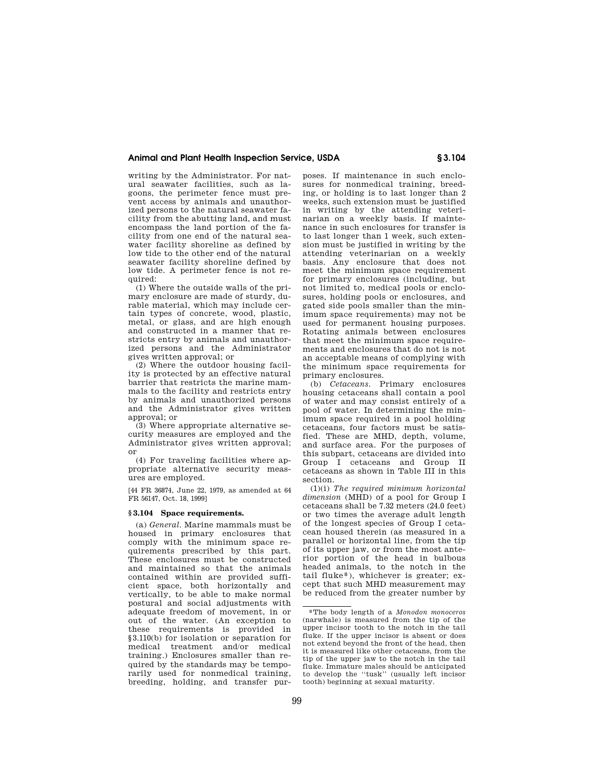writing by the Administrator. For natural seawater facilities, such as lagoons, the perimeter fence must prevent access by animals and unauthorized persons to the natural seawater facility from the abutting land, and must encompass the land portion of the facility from one end of the natural seawater facility shoreline as defined by low tide to the other end of the natural seawater facility shoreline defined by low tide. A perimeter fence is not required:

(1) Where the outside walls of the primary enclosure are made of sturdy, durable material, which may include certain types of concrete, wood, plastic, metal, or glass, and are high enough and constructed in a manner that restricts entry by animals and unauthorized persons and the Administrator gives written approval; or

(2) Where the outdoor housing facility is protected by an effective natural barrier that restricts the marine mammals to the facility and restricts entry by animals and unauthorized persons and the Administrator gives written approval; or

(3) Where appropriate alternative security measures are employed and the Administrator gives written approval; or

(4) For traveling facilities where appropriate alternative security measures are employed.

[44 FR 36874, June 22, 1979, as amended at 64 FR 56147, Oct. 18, 1999]

#### **§ 3.104 Space requirements.**

(a) *General.* Marine mammals must be housed in primary enclosures that comply with the minimum space requirements prescribed by this part. These enclosures must be constructed and maintained so that the animals contained within are provided sufficient space, both horizontally and vertically, to be able to make normal postural and social adjustments with adequate freedom of movement, in or out of the water. (An exception to these requirements is provided in §3.110(b) for isolation or separation for medical treatment and/or medical training.) Enclosures smaller than required by the standards may be temporarily used for nonmedical training, breeding, holding, and transfer pur-

poses. If maintenance in such enclosures for nonmedical training, breeding, or holding is to last longer than 2 weeks, such extension must be justified in writing by the attending veterinarian on a weekly basis. If maintenance in such enclosures for transfer is to last longer than 1 week, such extension must be justified in writing by the attending veterinarian on a weekly basis. Any enclosure that does not meet the minimum space requirement for primary enclosures (including, but not limited to, medical pools or enclosures, holding pools or enclosures, and gated side pools smaller than the minimum space requirements) may not be used for permanent housing purposes. Rotating animals between enclosures that meet the minimum space requirements and enclosures that do not is not an acceptable means of complying with the minimum space requirements for primary enclosures.

(b) *Cetaceans.* Primary enclosures housing cetaceans shall contain a pool of water and may consist entirely of a pool of water. In determining the minimum space required in a pool holding cetaceans, four factors must be satisfied. These are MHD, depth, volume, and surface area. For the purposes of this subpart, cetaceans are divided into Group I cetaceans and Group II cetaceans as shown in Table III in this section.

(1)(i) *The required minimum horizontal dimension* (MHD) of a pool for Group I cetaceans shall be 7.32 meters (24.0 feet) or two times the average adult length of the longest species of Group I cetacean housed therein (as measured in a parallel or horizontal line, from the tip of its upper jaw, or from the most anterior portion of the head in bulbous headed animals, to the notch in the tail fluke<sup>8</sup>), whichever is greater; except that such MHD measurement may be reduced from the greater number by

<sup>8</sup>The body length of a *Monodon monoceros*  (narwhale) is measured from the tip of the upper incisor tooth to the notch in the tail fluke. If the upper incisor is absent or does not extend beyond the front of the head, then it is measured like other cetaceans, from the tip of the upper jaw to the notch in the tail fluke. Immature males should be anticipated to develop the ''tusk'' (usually left incisor tooth) beginning at sexual maturity.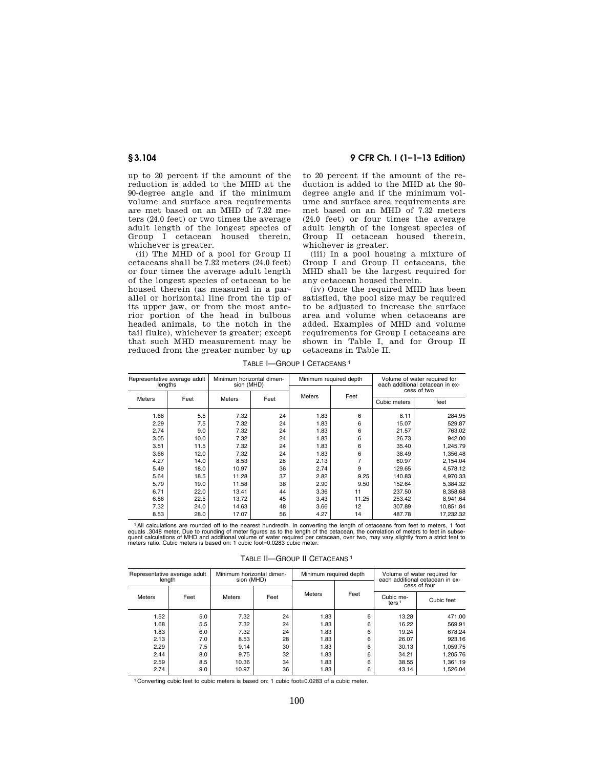up to 20 percent if the amount of the reduction is added to the MHD at the 90-degree angle and if the minimum volume and surface area requirements are met based on an MHD of 7.32 meters (24.0 feet) or two times the average adult length of the longest species of Group I cetacean housed therein, whichever is greater.

(ii) The MHD of a pool for Group II cetaceans shall be 7.32 meters (24.0 feet) or four times the average adult length of the longest species of cetacean to be housed therein (as measured in a parallel or horizontal line from the tip of its upper jaw, or from the most anterior portion of the head in bulbous headed animals, to the notch in the tail fluke), whichever is greater; except that such MHD measurement may be reduced from the greater number by up

# **§ 3.104 9 CFR Ch. I (1–1–13 Edition)**

to 20 percent if the amount of the reduction is added to the MHD at the 90 degree angle and if the minimum volume and surface area requirements are met based on an MHD of 7.32 meters (24.0 feet) or four times the average adult length of the longest species of Group II cetacean housed therein, whichever is greater.

(iii) In a pool housing a mixture of Group I and Group II cetaceans, the MHD shall be the largest required for any cetacean housed therein.

(iv) Once the required MHD has been satisfied, the pool size may be required to be adjusted to increase the surface area and volume when cetaceans are added. Examples of MHD and volume requirements for Group I cetaceans are shown in Table I, and for Group II cetaceans in Table II.

| Representative average adult<br>lengths |      | Minimum horizontal dimen-<br>sion (MHD) |      |        | Minimum required depth |              | Volume of water required for<br>each additional cetacean in ex- |
|-----------------------------------------|------|-----------------------------------------|------|--------|------------------------|--------------|-----------------------------------------------------------------|
|                                         |      |                                         |      | Meters | Feet                   |              | cess of two                                                     |
| Meters                                  | Feet | <b>Meters</b>                           | Feet |        |                        | Cubic meters | feet                                                            |
| 1.68                                    | 5.5  | 7.32                                    | 24   | 1.83   | 6                      | 8.11         | 284.95                                                          |
| 2.29                                    | 7.5  | 7.32                                    | 24   | 1.83   | 6                      | 15.07        | 529.87                                                          |
| 2.74                                    | 9.0  | 7.32                                    | 24   | 1.83   | 6                      | 21.57        | 763.02                                                          |
| 3.05                                    | 10.0 | 7.32                                    | 24   | 1.83   | 6                      | 26.73        | 942.00                                                          |
| 3.51                                    | 11.5 | 7.32                                    | 24   | 1.83   | 6                      | 35.40        | 1,245.79                                                        |
| 3.66                                    | 12.0 | 7.32                                    | 24   | 1.83   | 6                      | 38.49        | 1,356.48                                                        |
| 4.27                                    | 14.0 | 8.53                                    | 28   | 2.13   | 7                      | 60.97        | 2,154.04                                                        |
| 5.49                                    | 18.0 | 10.97                                   | 36   | 2.74   | 9                      | 129.65       | 4.578.12                                                        |
| 5.64                                    | 18.5 | 11.28                                   | 37   | 2.82   | 9.25                   | 140.83       | 4,970.33                                                        |
| 5.79                                    | 19.0 | 11.58                                   | 38   | 2.90   | 9.50                   | 152.64       | 5.384.32                                                        |
| 6.71                                    | 22.0 | 13.41                                   | 44   | 3.36   | 11                     | 237.50       | 8.358.68                                                        |
| 6.86                                    | 22.5 | 13.72                                   | 45   | 3.43   | 11.25                  | 253.42       | 8.941.64                                                        |
| 7.32                                    | 24.0 | 14.63                                   | 48   | 3.66   | 12                     | 307.89       | 10,851.84                                                       |
| 8.53                                    | 28.0 | 17.07                                   | 56   | 4.27   | 14                     | 487.78       | 17,232.32                                                       |

TABLE I—GROUP I CETACEANS 1

<sup>1</sup> All calculations are rounded off to the nearest hundredth. In converting the length of cetaceans from feet to meters, 1 foot equals .3048 meters to meter the matter figures as to the length of the cetacean, the correla

TABLE II—GROUP II CETACEANS 1

|               | Representative average adult<br>length | Minimum horizontal dimen-<br>sion (MHD) |      | Minimum required depth |      | Volume of water required for<br>each additional cetacean in ex- |              |
|---------------|----------------------------------------|-----------------------------------------|------|------------------------|------|-----------------------------------------------------------------|--------------|
|               |                                        |                                         |      |                        |      |                                                                 | cess of four |
| <b>Meters</b> | Feet                                   | Meters                                  | Feet | <b>Meters</b>          | Feet | Cubic me-<br>ters <sup>1</sup>                                  | Cubic feet   |
| 1.52          | 5.0                                    | 7.32                                    | 24   | 1.83                   | 6    | 13.28                                                           | 471.00       |
| 1.68          | 5.5                                    | 7.32                                    | 24   | 1.83                   | 6    | 16.22                                                           | 569.91       |
| 1.83          | 6.0                                    | 7.32                                    | 24   | 1.83                   | 6    | 19.24                                                           | 678.24       |
| 2.13          | 7.0                                    | 8.53                                    | 28   | 1.83                   | 6    | 26.07                                                           | 923.16       |
| 2.29          | 7.5                                    | 9.14                                    | 30   | 1.83                   | 6    | 30.13                                                           | 1.059.75     |
| 2.44          | 8.0                                    | 9.75                                    | 32   | 1.83                   | 6    | 34.21                                                           | 1.205.76     |
| 2.59          | 8.5                                    | 10.36                                   | 34   | 1.83                   | 6    | 38.55                                                           | 1.361.19     |
| 2.74          | 9.0                                    | 10.97                                   | 36   | 1.83                   | 6    | 43.14                                                           | 1.526.04     |

1 Converting cubic feet to cubic meters is based on: 1 cubic foot=0.0283 of a cubic meter.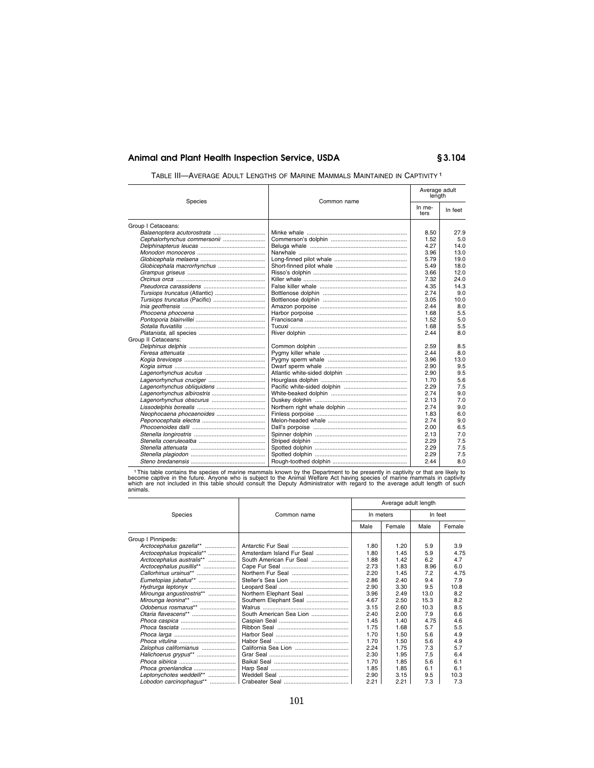| TABLE III—AVERAGE ADULT LENGTHS OF MARINE MAMMALS MAINTAINED IN CAPTIVITY <sup>1</sup> |  |
|----------------------------------------------------------------------------------------|--|
|----------------------------------------------------------------------------------------|--|

| Species                     | Common name | Average adult<br>length |         |
|-----------------------------|-------------|-------------------------|---------|
|                             |             | In me-<br>ters          | In feet |
| Group I Cetaceans:          |             |                         |         |
|                             |             | 8.50                    | 27.9    |
| Cephalorhynchus commersonii |             | 1.52                    | 5.0     |
|                             |             | 4.27                    | 14.0    |
|                             |             | 3.96                    | 13.0    |
|                             |             | 5.79                    | 19.0    |
|                             |             | 5.49                    | 18.0    |
|                             |             | 3.66                    | 12.0    |
|                             |             | 7.32                    | 24.0    |
|                             |             | 4.35                    | 14.3    |
|                             |             | 2.74                    | 9.0     |
|                             |             | 3.05                    | 10.0    |
|                             |             | 2.44                    | 8.0     |
|                             |             | 1.68                    | 5.5     |
|                             |             | 1.52                    | 5.0     |
|                             |             | 1.68                    | 5.5     |
|                             |             | 2.44                    | 8.0     |
| Group II Cetaceans:         |             |                         |         |
|                             |             | 2.59                    | 8.5     |
|                             |             | 2.44                    | 8.0     |
|                             |             | 3.96                    | 13.0    |
|                             |             | 2.90                    | 9.5     |
|                             |             | 2.90                    | 9.5     |
|                             |             | 1.70                    | 5.6     |
| Lagenorhynchus obliquidens  |             | 2.29                    | 7.5     |
|                             |             | 2.74                    | 9.0     |
|                             |             | 2.13                    | 7.0     |
|                             |             | 2.74                    | 9.0     |
|                             |             | 1.83                    | 6.0     |
|                             |             | 2.74                    | 9.0     |
|                             |             | 2.00                    | 6.5     |
|                             |             | 2.13                    | 7.0     |
|                             |             | 2.29                    | 7.5     |
|                             |             | 2.29                    | 7.5     |
|                             |             | 2.29                    | 7.5     |
|                             |             | 2.44                    | 8.0     |

<sup>1</sup> This table contains the species of marine mammals known by the Department to be presently in captivity or that are likely to become captive in the future. Anyone who is subject to the Animal Welfare Act having species

|                            |                           | Average adult length |        |         |        |
|----------------------------|---------------------------|----------------------|--------|---------|--------|
| Species                    | Common name               | In meters            |        | In feet |        |
|                            |                           | Male                 | Female | Male    | Female |
| Group I Pinnipeds:         |                           |                      |        |         |        |
| Arctocephalus qazella**    |                           | 1.80                 | 1.20   | 5.9     | 3.9    |
| Arctocephalus tropicalis** | Amsterdam Island Fur Seal | 1.80                 | 1.45   | 5.9     | 4.75   |
| Arctocephalus australis**  | South American Fur Seal   | 1.88                 | 1.42   | 6.2     | 4.7    |
| Arctocephalus pusillis**   |                           | 2.73                 | 1.83   | 8.96    | 6.0    |
| Callorhinus ursinus**      |                           | 2.20                 | 1.45   | 7.2     | 4.75   |
| Eumetopias jubatus**       |                           | 2.86                 | 2.40   | 9.4     | 7.9    |
|                            |                           | 2.90                 | 3.30   | 9.5     | 10.8   |
| Mirounga angustirostris**  | Northern Elephant Seal    | 3.96                 | 2.49   | 13.0    | 8.2    |
| Mirounga leonina**         | Southern Elephant Seal    | 4.67                 | 2.50   | 15.3    | 8.2    |
| Odobenus rosmarus**        |                           | 3.15                 | 2.60   | 10.3    | 8.5    |
|                            | South American Sea Lion   | 2.40                 | 2.00   | 7.9     | 6.6    |
|                            |                           | 1.45                 | 1.40   | 4.75    | 4.6    |
|                            |                           | 1.75                 | 1.68   | 5.7     | 5.5    |
|                            |                           | 1.70                 | 1.50   | 5.6     | 4.9    |
|                            |                           | 1.70                 | 1.50   | 5.6     | 4.9    |
| Zalophus californianus     |                           | 2.24                 | 1.75   | 7.3     | 5.7    |
| Halichoerus grypus**       |                           | 2.30                 | 1.95   | 7.5     | 6.4    |
|                            |                           | 1.70                 | 1.85   | 5.6     | 6.1    |
| Phoca groenlandica         |                           | 1.85                 | 1.85   | 6.1     | 6.1    |
| Leptonychotes weddelli**   |                           | 2.90                 | 3.15   | 9.5     | 10.3   |
| Lobodon carcinophagus**    |                           | 2.21                 | 2.21   | 7.3     | 7.3    |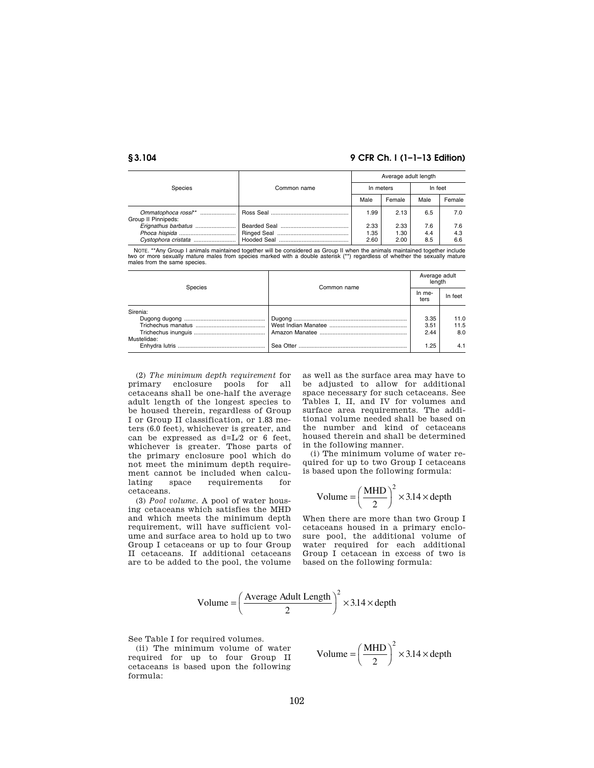# **§ 3.104 9 CFR Ch. I (1–1–13 Edition)**

|                                            |             | Average adult length |              |                 |            |  |
|--------------------------------------------|-------------|----------------------|--------------|-----------------|------------|--|
| Species                                    | Common name | In meters            |              | In feet<br>Male |            |  |
|                                            |             | Male                 | Female       |                 | Female     |  |
| Ommatophoca rossi**<br>Group II Pinnipeds: |             | 1.99                 | 2.13         | 6.5             | 7.0        |  |
| Erignathus barbatus                        |             | 2.33<br>1.35         | 2.33<br>1.30 | 7.6<br>4.4      | 7.6<br>4.3 |  |
|                                            |             | 2.60                 | 2.00         | 8.5             | 6.6        |  |

NOTE. \*\*Any Group I animals maintained together will be considered as Group II when the animals maintained together include<br>two or more sexually mature males from species marked with a double asterisk (\*\*) regardless of wh

|             |             | Average adult<br>lenath |         |
|-------------|-------------|-------------------------|---------|
| Species     | Common name | In me-<br>ters          | In feet |
| Sirenia:    |             |                         |         |
|             |             | 3.35                    | 11.0    |
|             |             | 3.51                    | 11.5    |
|             |             | 2.44                    | 8.0     |
| Mustelidae: |             |                         |         |
|             |             | 1.25                    | 4.1     |

(2) *The minimum depth requirement* for primary enclosure pools for all cetaceans shall be one-half the average adult length of the longest species to be housed therein, regardless of Group I or Group II classification, or 1.83 meters (6.0 feet), whichever is greater, and can be expressed as  $d=L/2$  or 6 feet, whichever is greater. Those parts of the primary enclosure pool which do not meet the minimum depth requirement cannot be included when calculating space requirements for cetaceans.

(3) *Pool volume.* A pool of water housing cetaceans which satisfies the MHD and which meets the minimum depth requirement, will have sufficient volume and surface area to hold up to two Group I cetaceans or up to four Group II cetaceans. If additional cetaceans are to be added to the pool, the volume as well as the surface area may have to be adjusted to allow for additional space necessary for such cetaceans. See Tables I, II, and IV for volumes and surface area requirements. The additional volume needed shall be based on the number and kind of cetaceans housed therein and shall be determined in the following manner.

(i) The minimum volume of water required for up to two Group I cetaceans is based upon the following formula:

Volume = 
$$
\left(\frac{\text{MHD}}{2}\right)^2 \times 3.14 \times \text{depth}
$$

When there are more than two Group I cetaceans housed in a primary enclosure pool, the additional volume of water required for each additional Group I cetacean in excess of two is based on the following formula:

Volume = 
$$
\left(\frac{\text{Average Adult Length}}{2}\right)^2 \times 3.14 \times \text{depth}
$$

See Table I for required volumes.

(ii) The minimum volume of water required for up to four Group II cetaceans is based upon the following formula:

Volume = 
$$
\left(\frac{\text{MHD}}{2}\right)^2 \times 3.14 \times \text{depth}
$$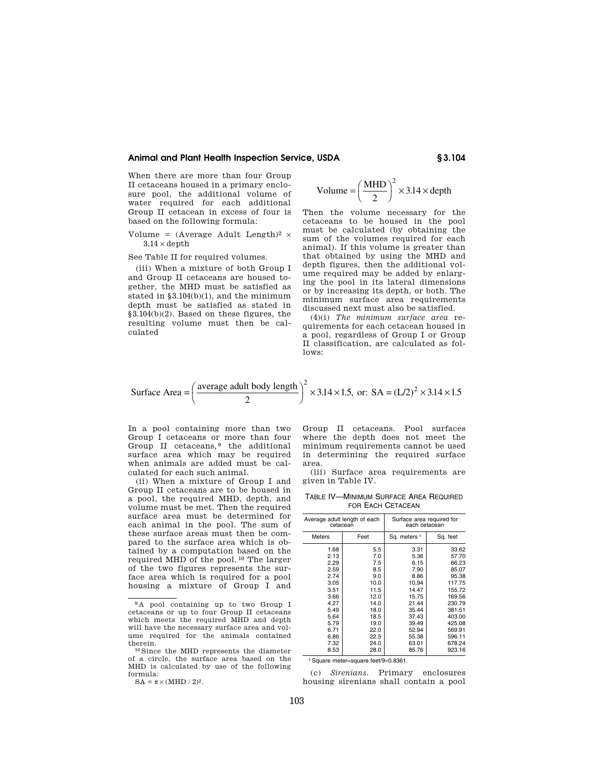When there are more than four Group II cetaceans housed in a primary enclosure pool, the additional volume of water required for each additional Group II cetacean in excess of four is based on the following formula:

#### Volume = (Average Adult Length)<sup>2</sup>  $\times$  $3.14 \times$  depth

See Table II for required volumes.

(iii) When a mixture of both Group I and Group II cetaceans are housed together, the MHD must be satisfied as stated in  $$3.104(b)(1)$ , and the minimum depth must be satisfied as stated in §3.104(b)(2). Based on these figures, the resulting volume must then be calculated

Volume = 
$$
\left(\frac{\text{MHD}}{2}\right)^2 \times 3.14 \times \text{depth}
$$

Then the volume necessary for the cetaceans to be housed in the pool must be calculated (by obtaining the sum of the volumes required for each animal). If this volume is greater than that obtained by using the MHD and depth figures, then the additional volume required may be added by enlarging the pool in its lateral dimensions or by increasing its depth, or both. The minimum surface area requirements discussed next must also be satisfied.

(4)(i) *The minimum surface area* requirements for each cetacean housed in a pool, regardless of Group I or Group II classification, are calculated as follows:

Surface Area = 
$$
\left(\frac{\text{average adult body length}}{2}\right)^2 \times 3.14 \times 1.5
$$
, or: SA =  $(L/2)^2 \times 3.14 \times 1.5$ 

In a pool containing more than two Group I cetaceans or more than four Group II cetaceans, 9 the additional surface area which may be required when animals are added must be calculated for each such animal.

(ii) When a mixture of Group I and Group II cetaceans are to be housed in a pool, the required MHD, depth, and volume must be met. Then the required surface area must be determined for each animal in the pool. The sum of these surface areas must then be compared to the surface area which is obtained by a computation based on the required MHD of the pool. 10 The larger of the two figures represents the surface area which is required for a pool housing a mixture of Group I and

Group II cetaceans. Pool surfaces where the depth does not meet the minimum requirements cannot be used in determining the required surface area.

(iii) Surface area requirements are given in Table IV.

TABLE IV—MINIMUM SURFACE AREA REQUIRED FOR EACH CETACEAN

| Average adult length of each<br>cetacean |      | Surface area required for<br>each cetacean |          |
|------------------------------------------|------|--------------------------------------------|----------|
| <b>Meters</b>                            | Feet | Sq. meters <sup>1</sup>                    | Sq. feet |
| 1.68                                     | 5.5  | 3.31                                       | 33.62    |
| 2.13                                     | 7.0  | 5.36                                       | 57.70    |
| 2.29                                     | 7.5  | 6.15                                       | 66.23    |
| 2.59                                     | 8.5  | 7.90                                       | 85.07    |
| 2.74                                     | 9.0  | 8.86                                       | 95.38    |
| 3.05                                     | 10.0 | 10.94                                      | 117.75   |
| 3.51                                     | 11.5 | 14.47                                      | 155.72   |
| 3.66                                     | 12.0 | 15.75                                      | 169.56   |
| 4.27                                     | 14.0 | 21.44                                      | 230.79   |
| 5.49                                     | 18.0 | 35.44                                      | 381.51   |
| 5.64                                     | 18.5 | 37.43                                      | 403.00   |
| 5.79                                     | 19.0 | 39.49                                      | 425.08   |
| 6.71                                     | 22.0 | 52.94                                      | 569.91   |
| 6.86                                     | 22.5 | 55.38                                      | 596.11   |
| 7.32                                     | 24.0 | 63.01                                      | 678.24   |
| 8.53                                     | 28.0 | 85.76                                      | 923.16   |
|                                          |      |                                            |          |

1Square meter=square feet/9×0.8361.

(c) *Sirenians.* Primary enclosures housing sirenians shall contain a pool

<sup>9</sup> A pool containing up to two Group I cetaceans or up to four Group II cetaceans which meets the required MHD and depth will have the necessary surface area and volume required for the animals contained therein.  $\rm ^{10}\,Since$  the MHD represents the diameter

of a circle, the surface area based on the MHD is calculated by use of the following formula:

 $SA = \pi \times (MHD / 2)^2$ .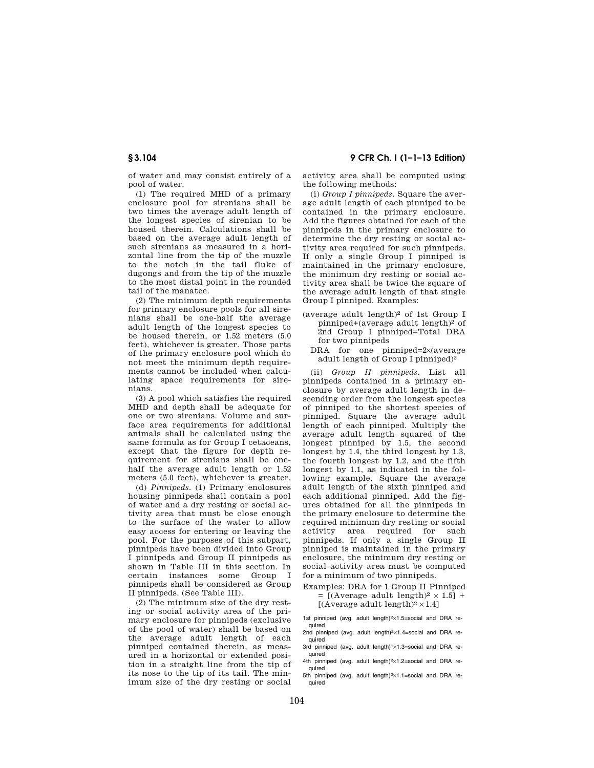of water and may consist entirely of a pool of water.

(1) The required MHD of a primary enclosure pool for sirenians shall be two times the average adult length of the longest species of sirenian to be housed therein. Calculations shall be based on the average adult length of such sirenians as measured in a horizontal line from the tip of the muzzle to the notch in the tail fluke of dugongs and from the tip of the muzzle to the most distal point in the rounded tail of the manatee.

(2) The minimum depth requirements for primary enclosure pools for all sirenians shall be one-half the average adult length of the longest species to be housed therein, or 1.52 meters (5.0 feet), whichever is greater. Those parts of the primary enclosure pool which do not meet the minimum depth requirements cannot be included when calculating space requirements for sirenians.

(3) A pool which satisfies the required MHD and depth shall be adequate for one or two sirenians. Volume and surface area requirements for additional animals shall be calculated using the same formula as for Group I cetaceans, except that the figure for depth requirement for sirenians shall be onehalf the average adult length or 1.52 meters (5.0 feet), whichever is greater.

(d) *Pinnipeds.* (1) Primary enclosures housing pinnipeds shall contain a pool of water and a dry resting or social activity area that must be close enough to the surface of the water to allow easy access for entering or leaving the pool. For the purposes of this subpart, pinnipeds have been divided into Group I pinnipeds and Group II pinnipeds as shown in Table III in this section. In certain instances some Group I pinnipeds shall be considered as Group II pinnipeds. (See Table III).

(2) The minimum size of the dry resting or social activity area of the primary enclosure for pinnipeds (exclusive of the pool of water) shall be based on the average adult length of each pinniped contained therein, as measured in a horizontal or extended position in a straight line from the tip of its nose to the tip of its tail. The minimum size of the dry resting or social

**§ 3.104 9 CFR Ch. I (1–1–13 Edition)** 

activity area shall be computed using the following methods:

(i) *Group I pinnipeds.* Square the average adult length of each pinniped to be contained in the primary enclosure. Add the figures obtained for each of the pinnipeds in the primary enclosure to determine the dry resting or social activity area required for such pinnipeds. If only a single Group I pinniped is maintained in the primary enclosure, the minimum dry resting or social activity area shall be twice the square of the average adult length of that single Group I pinniped. Examples:

- (average adult length)<sup>2</sup> of 1st Group I pinniped+(average adult length)<sup>2</sup> of 2nd Group I pinniped=Total DRA for two pinnipeds
	- DRA for one pinniped=2×(average adult length of Group I pinniped)2

(ii) *Group II pinnipeds.* List all pinnipeds contained in a primary enclosure by average adult length in descending order from the longest species of pinniped to the shortest species of pinniped. Square the average adult length of each pinniped. Multiply the average adult length squared of the longest pinniped by 1.5, the second longest by 1.4, the third longest by 1.3, the fourth longest by 1.2, and the fifth longest by 1.1, as indicated in the following example. Square the average adult length of the sixth pinniped and each additional pinniped. Add the figures obtained for all the pinnipeds in the primary enclosure to determine the required minimum dry resting or social activity area required for such pinnipeds. If only a single Group II pinniped is maintained in the primary enclosure, the minimum dry resting or social activity area must be computed for a minimum of two pinnipeds.

Examples: DRA for 1 Group II Pinniped  $=$  [(Average adult length)<sup>2</sup>  $\times$  1.5] + [(Average adult length)<sup>2</sup>  $\times$  1.4]

1st pinniped (avg. adult length)2×1.5=social and DRA required

- 2nd pinniped (avg. adult length) $2\times1.4$ =social and DRA required
- 3rd pinniped (avg. adult length) $1 \times 1.3$ =social and DRA required 4th pinniped (avg. adult length)2×1.2=social and DRA re-
- quired
- 5th pinniped (avg. adult length)<sup>2</sup>×1.1=social and DRA required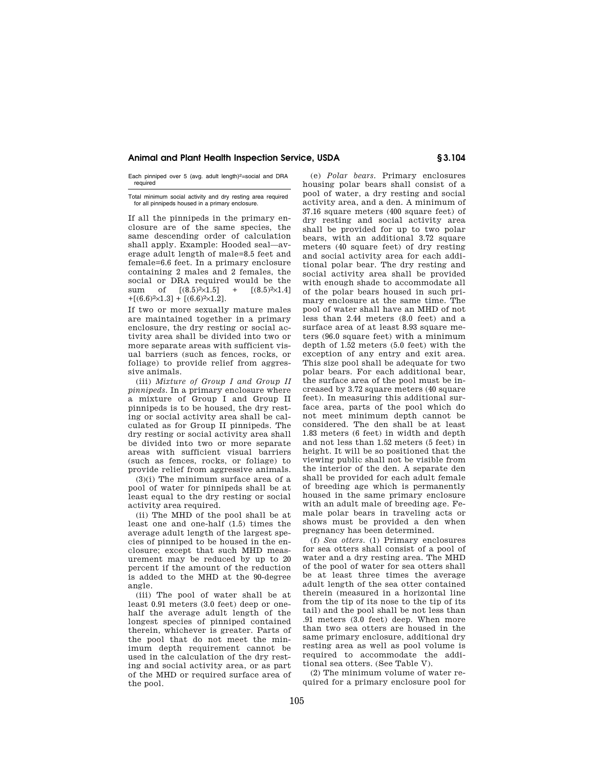Each pinniped over 5 (avg. adult length)<sup>2</sup>=social and DRA required

Total minimum social activity and dry resting area required for all pinnipeds housed in a primary enclosure.

If all the pinnipeds in the primary enclosure are of the same species, the same descending order of calculation shall apply. Example: Hooded seal—average adult length of male=8.5 feet and female=6.6 feet. In a primary enclosure containing 2 males and 2 females, the social or DRA required would be the sum of  $[(8.5)^{2} \times 1.5]$  +  $[(8.5)^{2} \times 1.4]$  $+[(6.6)^{2}\times1.3] + [(6.6)^{2}\times1.2].$ 

If two or more sexually mature males are maintained together in a primary enclosure, the dry resting or social activity area shall be divided into two or more separate areas with sufficient visual barriers (such as fences, rocks, or foliage) to provide relief from aggressive animals.

(iii) *Mixture of Group I and Group II pinnipeds.* In a primary enclosure where a mixture of Group I and Group II pinnipeds is to be housed, the dry resting or social activity area shall be calculated as for Group II pinnipeds. The dry resting or social activity area shall be divided into two or more separate areas with sufficient visual barriers (such as fences, rocks, or foliage) to provide relief from aggressive animals.

(3)(i) The minimum surface area of a pool of water for pinnipeds shall be at least equal to the dry resting or social activity area required.

(ii) The MHD of the pool shall be at least one and one-half (1.5) times the average adult length of the largest species of pinniped to be housed in the enclosure; except that such MHD measurement may be reduced by up to 20 percent if the amount of the reduction is added to the MHD at the 90-degree angle.

(iii) The pool of water shall be at least 0.91 meters (3.0 feet) deep or onehalf the average adult length of the longest species of pinniped contained therein, whichever is greater. Parts of the pool that do not meet the minimum depth requirement cannot be used in the calculation of the dry resting and social activity area, or as part of the MHD or required surface area of the pool.

(e) *Polar bears.* Primary enclosures housing polar bears shall consist of a pool of water, a dry resting and social activity area, and a den. A minimum of 37.16 square meters (400 square feet) of dry resting and social activity area shall be provided for up to two polar bears, with an additional 3.72 square meters (40 square feet) of dry resting and social activity area for each additional polar bear. The dry resting and social activity area shall be provided with enough shade to accommodate all of the polar bears housed in such primary enclosure at the same time. The pool of water shall have an MHD of not less than 2.44 meters (8.0 feet) and a surface area of at least 8.93 square meters (96.0 square feet) with a minimum depth of 1.52 meters (5.0 feet) with the exception of any entry and exit area. This size pool shall be adequate for two polar bears. For each additional bear, the surface area of the pool must be increased by 3.72 square meters (40 square feet). In measuring this additional surface area, parts of the pool which do not meet minimum depth cannot be considered. The den shall be at least 1.83 meters (6 feet) in width and depth and not less than 1.52 meters (5 feet) in height. It will be so positioned that the viewing public shall not be visible from the interior of the den. A separate den shall be provided for each adult female of breeding age which is permanently housed in the same primary enclosure with an adult male of breeding age. Female polar bears in traveling acts or shows must be provided a den when pregnancy has been determined.

(f) *Sea otters.* (1) Primary enclosures for sea otters shall consist of a pool of water and a dry resting area. The MHD of the pool of water for sea otters shall be at least three times the average adult length of the sea otter contained therein (measured in a horizontal line from the tip of its nose to the tip of its tail) and the pool shall be not less than .91 meters (3.0 feet) deep. When more than two sea otters are housed in the same primary enclosure, additional dry resting area as well as pool volume is required to accommodate the additional sea otters. (See Table V).

(2) The minimum volume of water required for a primary enclosure pool for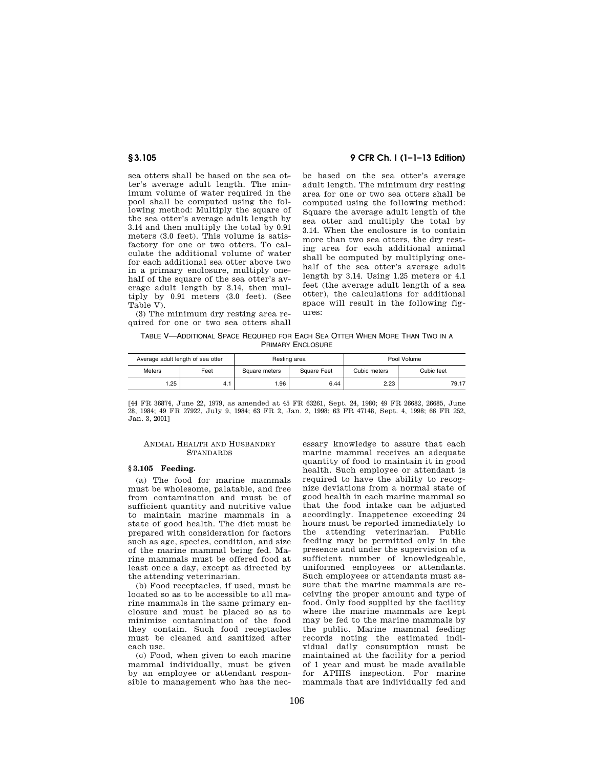# **§ 3.105 9 CFR Ch. I (1–1–13 Edition)**

sea otters shall be based on the sea otter's average adult length. The minimum volume of water required in the pool shall be computed using the following method: Multiply the square of the sea otter's average adult length by 3.14 and then multiply the total by 0.91 meters (3.0 feet). This volume is satisfactory for one or two otters. To calculate the additional volume of water for each additional sea otter above two in a primary enclosure, multiply onehalf of the square of the sea otter's average adult length by 3.14, then multiply by 0.91 meters (3.0 feet). (See Table V).

be based on the sea otter's average adult length. The minimum dry resting area for one or two sea otters shall be computed using the following method: Square the average adult length of the sea otter and multiply the total by 3.14. When the enclosure is to contain more than two sea otters, the dry resting area for each additional animal shall be computed by multiplying onehalf of the sea otter's average adult length by 3.14. Using 1.25 meters or 4.1 feet (the average adult length of a sea otter), the calculations for additional space will result in the following figures:

(3) The minimum dry resting area required for one or two sea otters shall

TABLE V—ADDITIONAL SPACE REQUIRED FOR EACH SEA OTTER WHEN MORE THAN TWO IN A PRIMARY FNCLOSURE

| Average adult length of sea otter |      | Resting area  |             |              | Pool Volume |
|-----------------------------------|------|---------------|-------------|--------------|-------------|
| <b>Meters</b>                     | Feet | Square meters | Square Feet | Cubic meters | Cubic feet  |
| .25                               | 4.1  | .96           | 6.44        | 2.23         | 79.17       |

[44 FR 36874, June 22, 1979, as amended at 45 FR 63261, Sept. 24, 1980; 49 FR 26682, 26685, June 28, 1984; 49 FR 27922, July 9, 1984; 63 FR 2, Jan. 2, 1998; 63 FR 47148, Sept. 4, 1998; 66 FR 252, Jan. 3, 2001]

#### ANIMAL HEALTH AND HUSBANDRY STANDARDS

# **§ 3.105 Feeding.**

(a) The food for marine mammals must be wholesome, palatable, and free from contamination and must be of sufficient quantity and nutritive value to maintain marine mammals in a state of good health. The diet must be prepared with consideration for factors such as age, species, condition, and size of the marine mammal being fed. Marine mammals must be offered food at least once a day, except as directed by the attending veterinarian.

(b) Food receptacles, if used, must be located so as to be accessible to all marine mammals in the same primary enclosure and must be placed so as to minimize contamination of the food they contain. Such food receptacles must be cleaned and sanitized after each use.

(c) Food, when given to each marine mammal individually, must be given by an employee or attendant responsible to management who has the necessary knowledge to assure that each marine mammal receives an adequate quantity of food to maintain it in good health. Such employee or attendant is required to have the ability to recognize deviations from a normal state of good health in each marine mammal so that the food intake can be adjusted accordingly. Inappetence exceeding 24 hours must be reported immediately to the attending veterinarian. Public feeding may be permitted only in the presence and under the supervision of a sufficient number of knowledgeable, uniformed employees or attendants. Such employees or attendants must assure that the marine mammals are receiving the proper amount and type of food. Only food supplied by the facility where the marine mammals are kept may be fed to the marine mammals by the public. Marine mammal feeding records noting the estimated individual daily consumption must be maintained at the facility for a period of 1 year and must be made available for APHIS inspection. For marine mammals that are individually fed and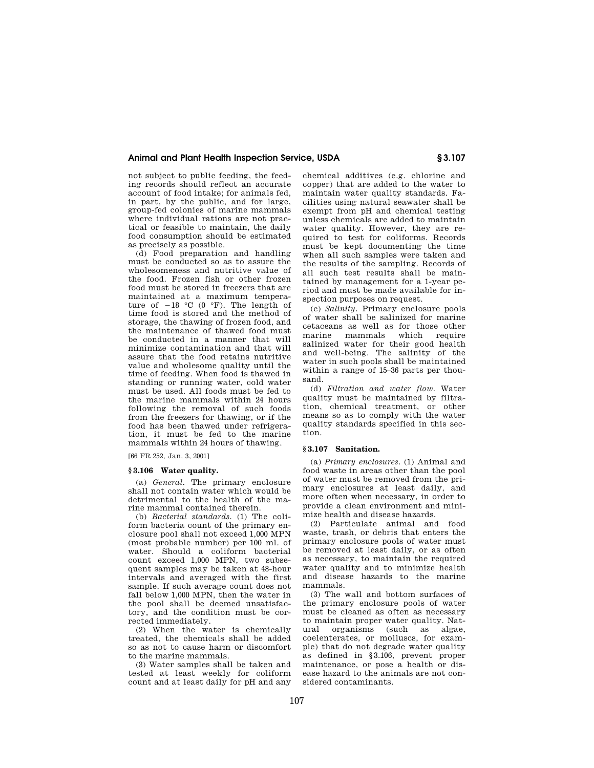not subject to public feeding, the feeding records should reflect an accurate account of food intake; for animals fed, in part, by the public, and for large, group-fed colonies of marine mammals where individual rations are not practical or feasible to maintain, the daily food consumption should be estimated as precisely as possible.

(d) Food preparation and handling must be conducted so as to assure the wholesomeness and nutritive value of the food. Frozen fish or other frozen food must be stored in freezers that are maintained at a maximum temperature of  $-18$  °C (0 °F). The length of time food is stored and the method of storage, the thawing of frozen food, and the maintenance of thawed food must be conducted in a manner that will minimize contamination and that will assure that the food retains nutritive value and wholesome quality until the time of feeding. When food is thawed in standing or running water, cold water must be used. All foods must be fed to the marine mammals within 24 hours following the removal of such foods from the freezers for thawing, or if the food has been thawed under refrigeration, it must be fed to the marine mammals within 24 hours of thawing.

[66 FR 252, Jan. 3, 2001]

## **§ 3.106 Water quality.**

(a) *General.* The primary enclosure shall not contain water which would be detrimental to the health of the marine mammal contained therein.

(b) *Bacterial standards.* (1) The coliform bacteria count of the primary enclosure pool shall not exceed 1,000 MPN (most probable number) per 100 ml. of water. Should a coliform bacterial count exceed 1,000 MPN, two subsequent samples may be taken at 48-hour intervals and averaged with the first sample. If such average count does not fall below 1,000 MPN, then the water in the pool shall be deemed unsatisfactory, and the condition must be corrected immediately.

(2) When the water is chemically treated, the chemicals shall be added so as not to cause harm or discomfort to the marine mammals.

(3) Water samples shall be taken and tested at least weekly for coliform count and at least daily for pH and any

chemical additives (e.g. chlorine and copper) that are added to the water to maintain water quality standards. Facilities using natural seawater shall be exempt from pH and chemical testing unless chemicals are added to maintain water quality. However, they are required to test for coliforms. Records must be kept documenting the time when all such samples were taken and the results of the sampling. Records of all such test results shall be maintained by management for a 1-year period and must be made available for inspection purposes on request.

(c) *Salinity.* Primary enclosure pools of water shall be salinized for marine cetaceans as well as for those other marine mammals which require salinized water for their good health and well-being. The salinity of the water in such pools shall be maintained within a range of 15–36 parts per thousand.

(d) *Filtration and water flow.* Water quality must be maintained by filtration, chemical treatment, or other means so as to comply with the water quality standards specified in this section.

# **§ 3.107 Sanitation.**

(a) *Primary enclosures.* (1) Animal and food waste in areas other than the pool of water must be removed from the primary enclosures at least daily, and more often when necessary, in order to provide a clean environment and minimize health and disease hazards.

(2) Particulate animal and food waste, trash, or debris that enters the primary enclosure pools of water must be removed at least daily, or as often as necessary, to maintain the required water quality and to minimize health and disease hazards to the marine mammals.

(3) The wall and bottom surfaces of the primary enclosure pools of water must be cleaned as often as necessary to maintain proper water quality. Natural organisms (such as algae, coelenterates, or molluscs, for example) that do not degrade water quality as defined in §3.106, prevent proper maintenance, or pose a health or disease hazard to the animals are not considered contaminants.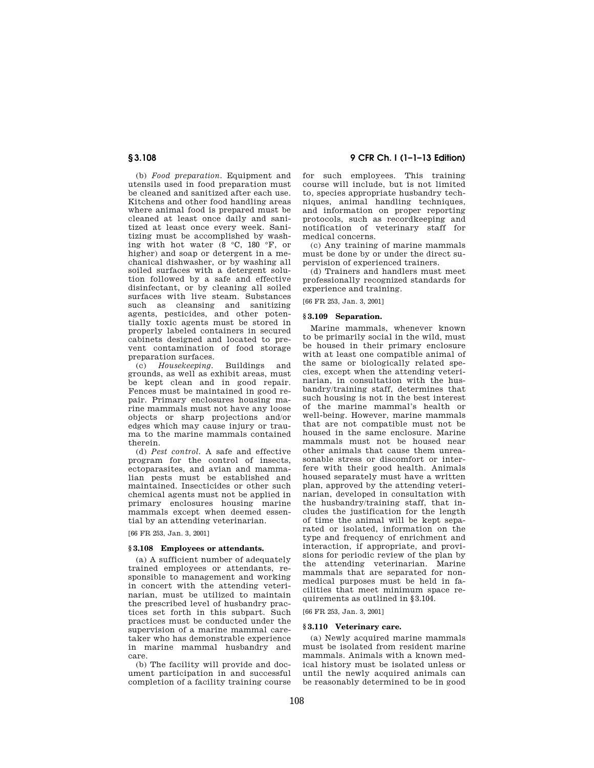(b) *Food preparation.* Equipment and utensils used in food preparation must be cleaned and sanitized after each use. Kitchens and other food handling areas where animal food is prepared must be cleaned at least once daily and sanitized at least once every week. Sanitizing must be accomplished by washing with hot water (8 °C, 180 °F, or higher) and soap or detergent in a mechanical dishwasher, or by washing all soiled surfaces with a detergent solution followed by a safe and effective disinfectant, or by cleaning all soiled surfaces with live steam. Substances such as cleansing and sanitizing agents, pesticides, and other potentially toxic agents must be stored in properly labeled containers in secured cabinets designed and located to prevent contamination of food storage preparation surfaces.

(c) *Housekeeping.* Buildings and grounds, as well as exhibit areas, must be kept clean and in good repair. Fences must be maintained in good repair. Primary enclosures housing marine mammals must not have any loose objects or sharp projections and/or edges which may cause injury or trauma to the marine mammals contained therein.

(d) *Pest control.* A safe and effective program for the control of insects, ectoparasites, and avian and mammalian pests must be established and maintained. Insecticides or other such chemical agents must not be applied in primary enclosures housing marine mammals except when deemed essential by an attending veterinarian.

[66 FR 253, Jan. 3, 2001]

#### **§ 3.108 Employees or attendants.**

(a) A sufficient number of adequately trained employees or attendants, responsible to management and working in concert with the attending veterinarian, must be utilized to maintain the prescribed level of husbandry practices set forth in this subpart. Such practices must be conducted under the supervision of a marine mammal caretaker who has demonstrable experience in marine mammal husbandry and care.

(b) The facility will provide and document participation in and successful completion of a facility training course

# **§ 3.108 9 CFR Ch. I (1–1–13 Edition)**

for such employees. This training course will include, but is not limited to, species appropriate husbandry techniques, animal handling techniques, and information on proper reporting protocols, such as recordkeeping and notification of veterinary staff for medical concerns.

(c) Any training of marine mammals must be done by or under the direct supervision of experienced trainers.

(d) Trainers and handlers must meet professionally recognized standards for experience and training.

[66 FR 253, Jan. 3, 2001]

#### **§ 3.109 Separation.**

Marine mammals, whenever known to be primarily social in the wild, must be housed in their primary enclosure with at least one compatible animal of the same or biologically related species, except when the attending veterinarian, in consultation with the husbandry/training staff, determines that such housing is not in the best interest of the marine mammal's health or well-being. However, marine mammals that are not compatible must not be housed in the same enclosure. Marine mammals must not be housed near other animals that cause them unreasonable stress or discomfort or interfere with their good health. Animals housed separately must have a written plan, approved by the attending veterinarian, developed in consultation with the husbandry/training staff, that includes the justification for the length of time the animal will be kept separated or isolated, information on the type and frequency of enrichment and interaction, if appropriate, and provisions for periodic review of the plan by the attending veterinarian. Marine mammals that are separated for nonmedical purposes must be held in facilities that meet minimum space requirements as outlined in §3.104.

[66 FR 253, Jan. 3, 2001]

#### **§ 3.110 Veterinary care.**

(a) Newly acquired marine mammals must be isolated from resident marine mammals. Animals with a known medical history must be isolated unless or until the newly acquired animals can be reasonably determined to be in good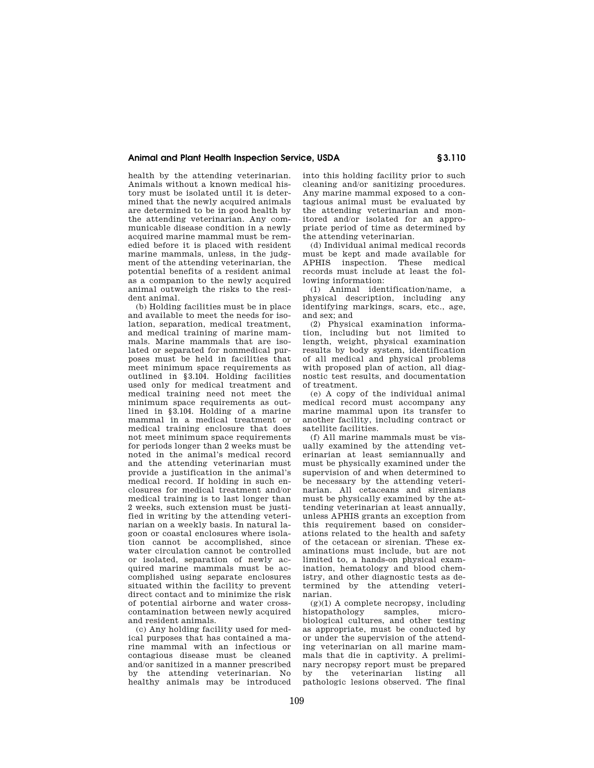health by the attending veterinarian. Animals without a known medical history must be isolated until it is determined that the newly acquired animals are determined to be in good health by the attending veterinarian. Any communicable disease condition in a newly acquired marine mammal must be remedied before it is placed with resident marine mammals, unless, in the judgment of the attending veterinarian, the potential benefits of a resident animal as a companion to the newly acquired animal outweigh the risks to the resident animal.

(b) Holding facilities must be in place and available to meet the needs for isolation, separation, medical treatment, and medical training of marine mammals. Marine mammals that are isolated or separated for nonmedical purposes must be held in facilities that meet minimum space requirements as outlined in §3.104. Holding facilities used only for medical treatment and medical training need not meet the minimum space requirements as outlined in §3.104. Holding of a marine mammal in a medical treatment or medical training enclosure that does not meet minimum space requirements for periods longer than 2 weeks must be noted in the animal's medical record and the attending veterinarian must provide a justification in the animal's medical record. If holding in such enclosures for medical treatment and/or medical training is to last longer than 2 weeks, such extension must be justified in writing by the attending veterinarian on a weekly basis. In natural lagoon or coastal enclosures where isolation cannot be accomplished, since water circulation cannot be controlled or isolated, separation of newly acquired marine mammals must be accomplished using separate enclosures situated within the facility to prevent direct contact and to minimize the risk of potential airborne and water crosscontamination between newly acquired and resident animals.

(c) Any holding facility used for medical purposes that has contained a marine mammal with an infectious or contagious disease must be cleaned and/or sanitized in a manner prescribed by the attending veterinarian. No healthy animals may be introduced into this holding facility prior to such cleaning and/or sanitizing procedures. Any marine mammal exposed to a contagious animal must be evaluated by the attending veterinarian and monitored and/or isolated for an appropriate period of time as determined by the attending veterinarian.

(d) Individual animal medical records must be kept and made available for APHIS inspection. These medical records must include at least the following information:

(1) Animal identification/name, a physical description, including any identifying markings, scars, etc., age, and sex; and

(2) Physical examination information, including but not limited to length, weight, physical examination results by body system, identification of all medical and physical problems with proposed plan of action, all diagnostic test results, and documentation of treatment.

(e) A copy of the individual animal medical record must accompany any marine mammal upon its transfer to another facility, including contract or satellite facilities.

(f) All marine mammals must be visually examined by the attending veterinarian at least semiannually and must be physically examined under the supervision of and when determined to be necessary by the attending veterinarian. All cetaceans and sirenians must be physically examined by the attending veterinarian at least annually, unless APHIS grants an exception from this requirement based on considerations related to the health and safety of the cetacean or sirenian. These examinations must include, but are not limited to, a hands-on physical examination, hematology and blood chemistry, and other diagnostic tests as determined by the attending veterinarian.

 $(g)(1)$  A complete necropsy, including<br>istopathology samples, microhistopathology samples, biological cultures, and other testing as appropriate, must be conducted by or under the supervision of the attending veterinarian on all marine mammals that die in captivity. A preliminary necropsy report must be prepared by the veterinarian listing all pathologic lesions observed. The final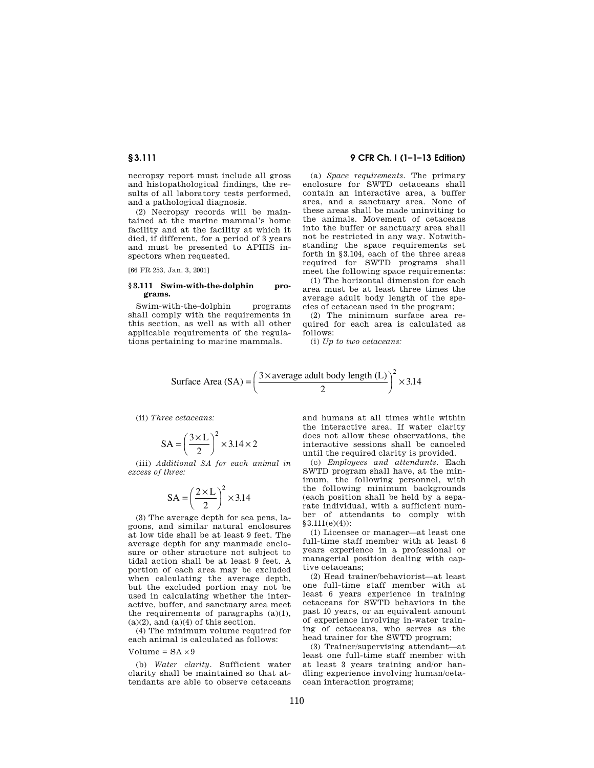necropsy report must include all gross and histopathological findings, the results of all laboratory tests performed, and a pathological diagnosis.

(2) Necropsy records will be maintained at the marine mammal's home facility and at the facility at which it died, if different, for a period of 3 years and must be presented to APHIS inspectors when requested.

[66 FR 253, Jan. 3, 2001]

#### **§ 3.111 Swim-with-the-dolphin programs.**

Swim-with-the-dolphin programs shall comply with the requirements in this section, as well as with all other applicable requirements of the regulations pertaining to marine mammals.

# **§ 3.111 9 CFR Ch. I (1–1–13 Edition)**

(a) *Space requirements.* The primary enclosure for SWTD cetaceans shall contain an interactive area, a buffer area, and a sanctuary area. None of these areas shall be made uninviting to the animals. Movement of cetaceans into the buffer or sanctuary area shall not be restricted in any way. Notwithstanding the space requirements set forth in §3.104, each of the three areas required for SWTD programs shall meet the following space requirements:

(1) The horizontal dimension for each area must be at least three times the average adult body length of the species of cetacean used in the program;

(2) The minimum surface area required for each area is calculated as follows:

(i) *Up to two cetaceans:* 

Surface Area (SA) = 
$$
\left(\frac{3 \times \text{average adult body length (L)}}{2}\right)^2 \times 3.14
$$

(ii) *Three cetaceans:* 

$$
SA = \left(\frac{3 \times L}{2}\right)^2 \times 3.14 \times 2
$$

(iii) *Additional SA for each animal in excess of three:* 

$$
SA = \left(\frac{2 \times L}{2}\right)^2 \times 3.14
$$

(3) The average depth for sea pens, lagoons, and similar natural enclosures at low tide shall be at least 9 feet. The average depth for any manmade enclosure or other structure not subject to tidal action shall be at least 9 feet. A portion of each area may be excluded when calculating the average depth, but the excluded portion may not be used in calculating whether the interactive, buffer, and sanctuary area meet the requirements of paragraphs  $(a)(1)$ ,  $(a)(2)$ , and  $(a)(4)$  of this section.

(4) The minimum volume required for each animal is calculated as follows:

Volume =  $SA \times 9$ 

(b) *Water clarity.* Sufficient water clarity shall be maintained so that attendants are able to observe cetaceans and humans at all times while within the interactive area. If water clarity does not allow these observations, the interactive sessions shall be canceled until the required clarity is provided.

(c) *Employees and attendants.* Each SWTD program shall have, at the minimum, the following personnel, with the following minimum backgrounds (each position shall be held by a separate individual, with a sufficient number of attendants to comply with  $$3.111(e)(4))$ :

(1) Licensee or manager—at least one full-time staff member with at least 6 years experience in a professional or managerial position dealing with captive cetaceans;

(2) Head trainer/behaviorist—at least one full-time staff member with at least 6 years experience in training cetaceans for SWTD behaviors in the past 10 years, or an equivalent amount of experience involving in-water training of cetaceans, who serves as the head trainer for the SWTD program;

(3) Trainer/supervising attendant—at least one full-time staff member with at least 3 years training and/or handling experience involving human/cetacean interaction programs;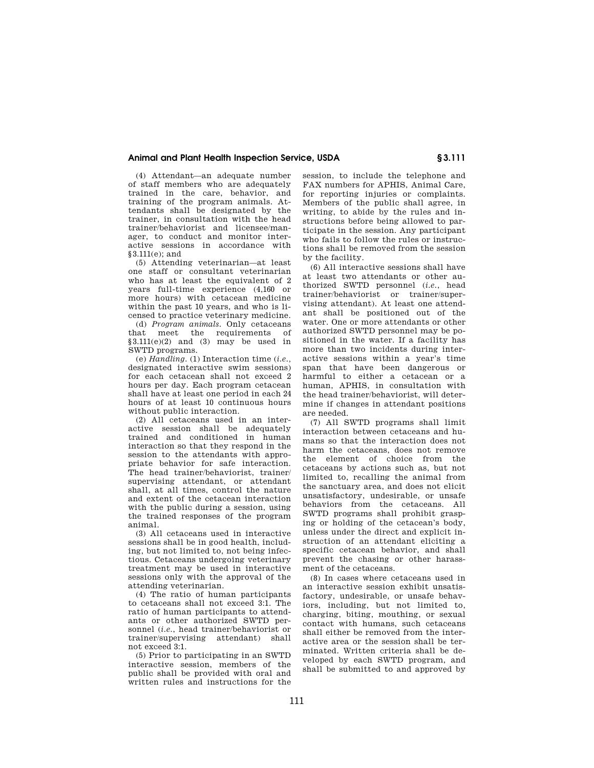(4) Attendant—an adequate number of staff members who are adequately trained in the care, behavior, and training of the program animals. Attendants shall be designated by the trainer, in consultation with the head trainer/behaviorist and licensee/manager, to conduct and monitor interactive sessions in accordance with  $$3.111(e)'$  and

(5) Attending veterinarian—at least one staff or consultant veterinarian who has at least the equivalent of 2 years full-time experience (4,160 or more hours) with cetacean medicine within the past 10 years, and who is licensed to practice veterinary medicine.

(d) *Program animals*. Only cetaceans<br>that meet the requirements of meet the requirements of  $§3.111(e)(2)$  and  $(3)$  may be used in SWTD programs.

(e) *Handling.* (1) Interaction time (*i.e.,*  designated interactive swim sessions) for each cetacean shall not exceed 2 hours per day. Each program cetacean shall have at least one period in each 24 hours of at least 10 continuous hours without public interaction.

(2) All cetaceans used in an interactive session shall be adequately trained and conditioned in human interaction so that they respond in the session to the attendants with appropriate behavior for safe interaction. .<br>The head trainer/behaviorist, trainer/ supervising attendant, or attendant shall, at all times, control the nature and extent of the cetacean interaction with the public during a session, using the trained responses of the program animal.

(3) All cetaceans used in interactive sessions shall be in good health, including, but not limited to, not being infectious. Cetaceans undergoing veterinary treatment may be used in interactive sessions only with the approval of the attending veterinarian.

(4) The ratio of human participants to cetaceans shall not exceed 3:1. The ratio of human participants to attendants or other authorized SWTD personnel (*i.e.*, head trainer/behaviorist or trainer/supervising attendant) shall not exceed 3:1.

(5) Prior to participating in an SWTD interactive session, members of the public shall be provided with oral and written rules and instructions for the session, to include the telephone and FAX numbers for APHIS, Animal Care, for reporting injuries or complaints. Members of the public shall agree, in writing, to abide by the rules and instructions before being allowed to participate in the session. Any participant who fails to follow the rules or instructions shall be removed from the session by the facility.

(6) All interactive sessions shall have at least two attendants or other authorized SWTD personnel (*i.e.*, head trainer/behaviorist or trainer/supervising attendant). At least one attendant shall be positioned out of the water. One or more attendants or other authorized SWTD personnel may be positioned in the water. If a facility has more than two incidents during interactive sessions within a year's time span that have been dangerous or harmful to either a cetacean or a human, APHIS, in consultation with the head trainer/behaviorist, will determine if changes in attendant positions are needed.

(7) All SWTD programs shall limit interaction between cetaceans and humans so that the interaction does not harm the cetaceans, does not remove the element of choice from the cetaceans by actions such as, but not limited to, recalling the animal from the sanctuary area, and does not elicit unsatisfactory, undesirable, or unsafe behaviors from the cetaceans. All SWTD programs shall prohibit grasping or holding of the cetacean's body, unless under the direct and explicit instruction of an attendant eliciting a specific cetacean behavior, and shall prevent the chasing or other harassment of the cetaceans.

(8) In cases where cetaceans used in an interactive session exhibit unsatisfactory, undesirable, or unsafe behaviors, including, but not limited to, charging, biting, mouthing, or sexual contact with humans, such cetaceans shall either be removed from the interactive area or the session shall be terminated. Written criteria shall be developed by each SWTD program, and shall be submitted to and approved by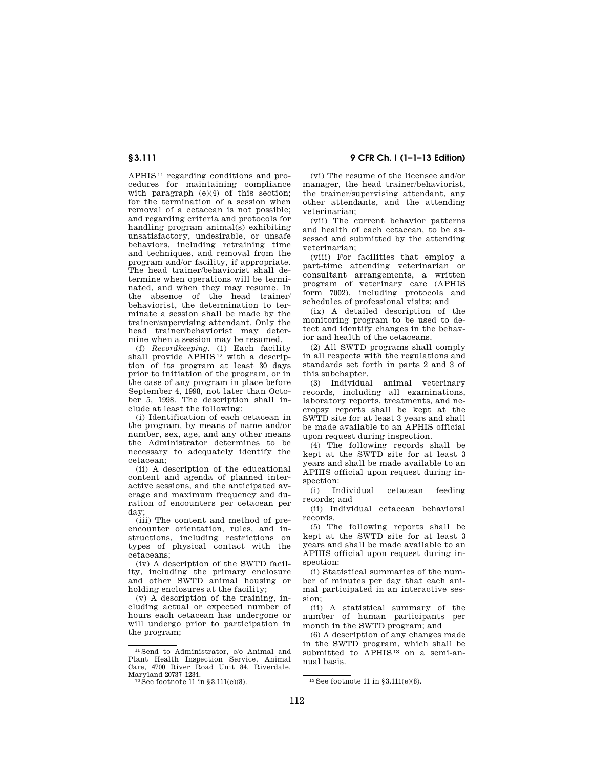# **§ 3.111 9 CFR Ch. I (1–1–13 Edition)**

APHIS 11 regarding conditions and procedures for maintaining compliance with paragraph (e)(4) of this section; for the termination of a session when removal of a cetacean is not possible; and regarding criteria and protocols for handling program animal(s) exhibiting unsatisfactory, undesirable, or unsafe behaviors, including retraining time and techniques, and removal from the program and/or facility, if appropriate. The head trainer/behaviorist shall determine when operations will be terminated, and when they may resume. In the absence of the head trainer/ behaviorist, the determination to terminate a session shall be made by the trainer/supervising attendant. Only the head trainer/behaviorist may determine when a session may be resumed.

(f) *Recordkeeping.* (1) Each facility shall provide  $APHIS$ <sup>12</sup> with a description of its program at least 30 days prior to initiation of the program, or in the case of any program in place before September 4, 1998, not later than October 5, 1998. The description shall include at least the following:

(i) Identification of each cetacean in the program, by means of name and/or number, sex, age, and any other means the Administrator determines to be necessary to adequately identify the cetacean;

(ii) A description of the educational content and agenda of planned interactive sessions, and the anticipated average and maximum frequency and duration of encounters per cetacean per day;

(iii) The content and method of preencounter orientation, rules, and instructions, including restrictions on types of physical contact with the cetaceans;

(iv) A description of the SWTD facility, including the primary enclosure and other SWTD animal housing or holding enclosures at the facility;

(v) A description of the training, including actual or expected number of hours each cetacean has undergone or will undergo prior to participation in the program;

(vi) The resume of the licensee and/or manager, the head trainer/behaviorist, the trainer/supervising attendant, any other attendants, and the attending veterinarian;

(vii) The current behavior patterns and health of each cetacean, to be assessed and submitted by the attending veterinarian;

(viii) For facilities that employ a part-time attending veterinarian or consultant arrangements, a written program of veterinary care (APHIS form 7002), including protocols and schedules of professional visits; and

(ix) A detailed description of the monitoring program to be used to detect and identify changes in the behavior and health of the cetaceans.

(2) All SWTD programs shall comply in all respects with the regulations and standards set forth in parts 2 and 3 of this subchapter.

(3) Individual animal veterinary records, including all examinations, laboratory reports, treatments, and necropsy reports shall be kept at the SWTD site for at least 3 years and shall be made available to an APHIS official upon request during inspection.

(4) The following records shall be kept at the SWTD site for at least 3 years and shall be made available to an APHIS official upon request during inspection:

(i) Individual cetacean feeding records; and

(ii) Individual cetacean behavioral records.

(5) The following reports shall be kept at the SWTD site for at least 3 years and shall be made available to an APHIS official upon request during inspection:

(i) Statistical summaries of the number of minutes per day that each animal participated in an interactive session;

(ii) A statistical summary of the number of human participants per month in the SWTD program; and

(6) A description of any changes made in the SWTD program, which shall be submitted to APHIS<sup>13</sup> on a semi-annual basis.

<sup>11</sup> Send to Administrator, c/o Animal and Plant Health Inspection Service, Animal Care, 4700 River Road Unit 84, Riverdale,

 $^{12}$  See footnote 11 in §3.111(e)(8).  $^{13}$  See footnote 11 in §3.111(e)(8).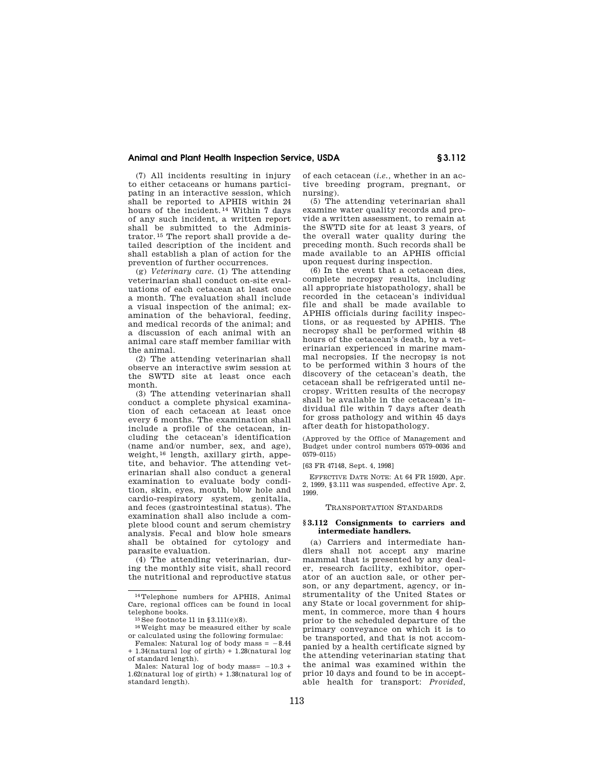(7) All incidents resulting in injury to either cetaceans or humans participating in an interactive session, which shall be reported to APHIS within 24 hours of the incident. 14 Within 7 days of any such incident, a written report shall be submitted to the Administrator. 15 The report shall provide a detailed description of the incident and shall establish a plan of action for the prevention of further occurrences.

(g) *Veterinary care.* (1) The attending veterinarian shall conduct on-site evaluations of each cetacean at least once a month. The evaluation shall include a visual inspection of the animal; examination of the behavioral, feeding, and medical records of the animal; and a discussion of each animal with an animal care staff member familiar with the animal.

(2) The attending veterinarian shall observe an interactive swim session at the SWTD site at least once each month.

(3) The attending veterinarian shall conduct a complete physical examination of each cetacean at least once every 6 months. The examination shall include a profile of the cetacean, including the cetacean's identification (name and/or number, sex, and age), weight, 16 length, axillary girth, appetite, and behavior. The attending veterinarian shall also conduct a general examination to evaluate body condition, skin, eyes, mouth, blow hole and cardio-respiratory system, genitalia, and feces (gastrointestinal status). The examination shall also include a complete blood count and serum chemistry analysis. Fecal and blow hole smears shall be obtained for cytology and parasite evaluation.

(4) The attending veterinarian, during the monthly site visit, shall record the nutritional and reproductive status of each cetacean (*i.e.,* whether in an active breeding program, pregnant, or nursing).

(5) The attending veterinarian shall examine water quality records and provide a written assessment, to remain at the SWTD site for at least 3 years, of the overall water quality during the preceding month. Such records shall be made available to an APHIS official upon request during inspection.

(6) In the event that a cetacean dies, complete necropsy results, including all appropriate histopathology, shall be recorded in the cetacean's individual file and shall be made available to APHIS officials during facility inspections, or as requested by APHIS. The necropsy shall be performed within 48 hours of the cetacean's death, by a veterinarian experienced in marine mammal necropsies. If the necropsy is not to be performed within 3 hours of the discovery of the cetacean's death, the cetacean shall be refrigerated until necropsy. Written results of the necropsy shall be available in the cetacean's individual file within 7 days after death for gross pathology and within 45 days after death for histopathology.

(Approved by the Office of Management and Budget under control numbers 0579–0036 and 0579–0115)

[63 FR 47148, Sept. 4, 1998]

EFFECTIVE DATE NOTE: At 64 FR 15920, Apr. 2, 1999, §3.111 was suspended, effective Apr. 2, 1999.

#### TRANSPORTATION STANDARDS

#### **§ 3.112 Consignments to carriers and intermediate handlers.**

(a) Carriers and intermediate handlers shall not accept any marine mammal that is presented by any dealer, research facility, exhibitor, operator of an auction sale, or other person, or any department, agency, or instrumentality of the United States or any State or local government for shipment, in commerce, more than 4 hours prior to the scheduled departure of the primary conveyance on which it is to be transported, and that is not accompanied by a health certificate signed by the attending veterinarian stating that the animal was examined within the prior 10 days and found to be in acceptable health for transport: *Provided,* 

<sup>14</sup>Telephone numbers for APHIS, Animal Care, regional offices can be found in local

<sup>&</sup>lt;sup>15</sup> See footnote 11 in §3.111(e)(8). <sup>16</sup> Weight may be measured either by scale or calculated using the following formulae:

Females: Natural log of body mass  $= -8.44$ + 1.34(natural log of girth) + 1.28(natural log of standard length).

Males: Natural log of body mass=  $-10.3 +$ 1.62(natural log of girth) + 1.38(natural log of standard length).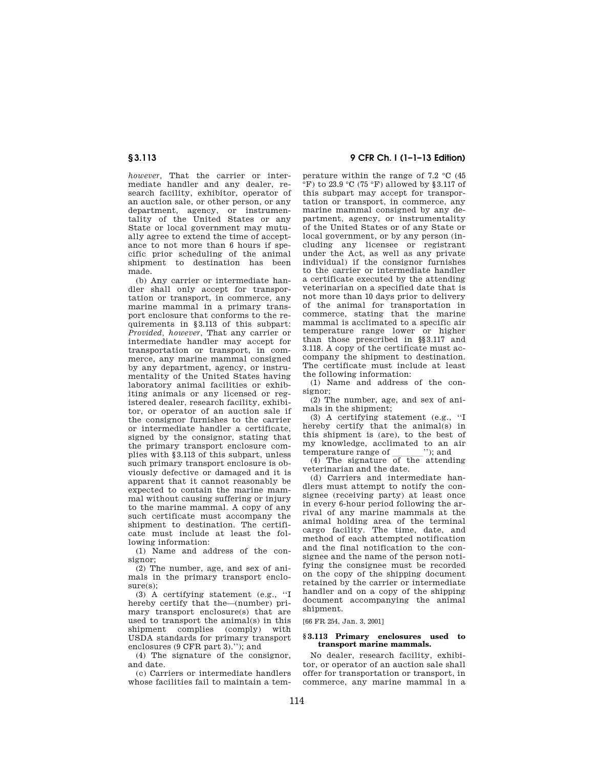*however,* That the carrier or intermediate handler and any dealer, research facility, exhibitor, operator of an auction sale, or other person, or any department, agency, or instrumentality of the United States or any State or local government may mutually agree to extend the time of acceptance to not more than 6 hours if specific prior scheduling of the animal shipment to destination has been made.

(b) Any carrier or intermediate handler shall only accept for transportation or transport, in commerce, any marine mammal in a primary transport enclosure that conforms to the requirements in §3.113 of this subpart: *Provided, however,* That any carrier or intermediate handler may accept for transportation or transport, in commerce, any marine mammal consigned by any department, agency, or instrumentality of the United States having laboratory animal facilities or exhibiting animals or any licensed or registered dealer, research facility, exhibitor, or operator of an auction sale if the consignor furnishes to the carrier or intermediate handler a certificate, signed by the consignor, stating that the primary transport enclosure complies with §3.113 of this subpart, unless such primary transport enclosure is obviously defective or damaged and it is apparent that it cannot reasonably be expected to contain the marine mammal without causing suffering or injury to the marine mammal. A copy of any such certificate must accompany the shipment to destination. The certificate must include at least the following information:

(1) Name and address of the consignor;

(2) The number, age, and sex of animals in the primary transport enclosure(s);

(3) A certifying statement (e.g., ''I hereby certify that the—(number) primary transport enclosure(s) that are used to transport the animal(s) in this shipment complies (comply) with USDA standards for primary transport enclosures (9 CFR part 3).''); and

(4) The signature of the consignor, and date.

(c) Carriers or intermediate handlers whose facilities fail to maintain a tem-

# **§ 3.113 9 CFR Ch. I (1–1–13 Edition)**

perature within the range of 7.2 °C (45  $\rm^{\circ}F)$  to 23.9  $\rm^{\circ}C$  (75  $\rm^{\circ}F)$  allowed by §3.117 of this subpart may accept for transportation or transport, in commerce, any marine mammal consigned by any department, agency, or instrumentality of the United States or of any State or local government, or by any person (including any licensee or registrant under the Act, as well as any private individual) if the consignor furnishes to the carrier or intermediate handler a certificate executed by the attending veterinarian on a specified date that is not more than 10 days prior to delivery of the animal for transportation in commerce, stating that the marine mammal is acclimated to a specific air temperature range lower or higher than those prescribed in §§3.117 and 3.118. A copy of the certificate must accompany the shipment to destination. The certificate must include at least the following information:

(1) Name and address of the consignor;

(2) The number, age, and sex of animals in the shipment;

(3) A certifying statement (e.g., ''I hereby certify that the animal(s) in this shipment is (are), to the best of my knowledge, acclimated to an air temperature range of  $\cdots$ ; and

temperature range of  $\frac{\ }{}$ "); and (4) The signature of the attending veterinarian and the date.

(d) Carriers and intermediate handlers must attempt to notify the consignee (receiving party) at least once in every 6-hour period following the arrival of any marine mammals at the animal holding area of the terminal cargo facility. The time, date, and method of each attempted notification and the final notification to the consignee and the name of the person notifying the consignee must be recorded on the copy of the shipping document retained by the carrier or intermediate handler and on a copy of the shipping document accompanying the animal shipment.

[66 FR 254, Jan. 3, 2001]

#### **§ 3.113 Primary enclosures used to transport marine mammals.**

No dealer, research facility, exhibitor, or operator of an auction sale shall offer for transportation or transport, in commerce, any marine mammal in a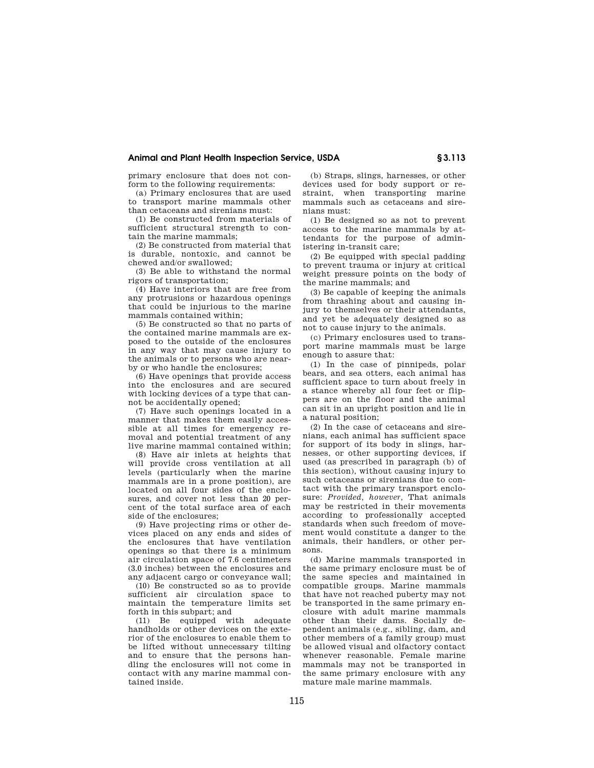primary enclosure that does not conform to the following requirements:

(a) Primary enclosures that are used to transport marine mammals other than cetaceans and sirenians must:

(1) Be constructed from materials of sufficient structural strength to contain the marine mammals;

(2) Be constructed from material that is durable, nontoxic, and cannot be chewed and/or swallowed;

(3) Be able to withstand the normal rigors of transportation;

(4) Have interiors that are free from any protrusions or hazardous openings that could be injurious to the marine mammals contained within;

(5) Be constructed so that no parts of the contained marine mammals are exposed to the outside of the enclosures in any way that may cause injury to the animals or to persons who are nearby or who handle the enclosures;

(6) Have openings that provide access into the enclosures and are secured with locking devices of a type that cannot be accidentally opened;

(7) Have such openings located in a manner that makes them easily accessible at all times for emergency removal and potential treatment of any live marine mammal contained within;

(8) Have air inlets at heights that will provide cross ventilation at all levels (particularly when the marine mammals are in a prone position), are located on all four sides of the enclosures, and cover not less than 20 percent of the total surface area of each side of the enclosures;

(9) Have projecting rims or other devices placed on any ends and sides of the enclosures that have ventilation openings so that there is a minimum air circulation space of 7.6 centimeters (3.0 inches) between the enclosures and any adjacent cargo or conveyance wall;

(10) Be constructed so as to provide sufficient air circulation space to maintain the temperature limits set forth in this subpart; and

(11) Be equipped with adequate handholds or other devices on the exterior of the enclosures to enable them to be lifted without unnecessary tilting and to ensure that the persons handling the enclosures will not come in contact with any marine mammal contained inside.

(b) Straps, slings, harnesses, or other devices used for body support or restraint, when transporting marine mammals such as cetaceans and sirenians must:

(1) Be designed so as not to prevent access to the marine mammals by attendants for the purpose of administering in-transit care;

(2) Be equipped with special padding to prevent trauma or injury at critical weight pressure points on the body of the marine mammals; and

(3) Be capable of keeping the animals from thrashing about and causing injury to themselves or their attendants, and yet be adequately designed so as not to cause injury to the animals.

(c) Primary enclosures used to transport marine mammals must be large enough to assure that:

(1) In the case of pinnipeds, polar bears, and sea otters, each animal has sufficient space to turn about freely in a stance whereby all four feet or flippers are on the floor and the animal can sit in an upright position and lie in a natural position;

(2) In the case of cetaceans and sirenians, each animal has sufficient space for support of its body in slings, harnesses, or other supporting devices, if used (as prescribed in paragraph (b) of this section), without causing injury to such cetaceans or sirenians due to contact with the primary transport enclosure: *Provided, however,* That animals may be restricted in their movements according to professionally accepted standards when such freedom of movement would constitute a danger to the animals, their handlers, or other persons.

(d) Marine mammals transported in the same primary enclosure must be of the same species and maintained in compatible groups. Marine mammals that have not reached puberty may not be transported in the same primary enclosure with adult marine mammals other than their dams. Socially dependent animals (e.g., sibling, dam, and other members of a family group) must be allowed visual and olfactory contact whenever reasonable. Female marine mammals may not be transported in the same primary enclosure with any mature male marine mammals.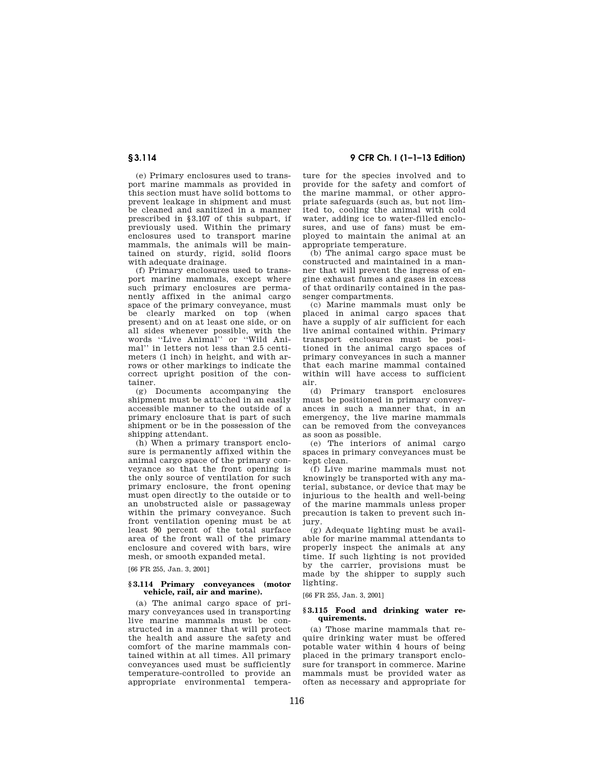(e) Primary enclosures used to transport marine mammals as provided in this section must have solid bottoms to prevent leakage in shipment and must be cleaned and sanitized in a manner prescribed in §3.107 of this subpart, if previously used. Within the primary enclosures used to transport marine mammals, the animals will be maintained on sturdy, rigid, solid floors with adequate drainage.

(f) Primary enclosures used to transport marine mammals, except where such primary enclosures are permanently affixed in the animal cargo space of the primary conveyance, must be clearly marked on top (when present) and on at least one side, or on all sides whenever possible, with the words ''Live Animal'' or ''Wild Animal'' in letters not less than 2.5 centimeters (1 inch) in height, and with arrows or other markings to indicate the correct upright position of the container.

(g) Documents accompanying the shipment must be attached in an easily accessible manner to the outside of a primary enclosure that is part of such shipment or be in the possession of the shipping attendant.

(h) When a primary transport enclosure is permanently affixed within the animal cargo space of the primary conveyance so that the front opening is the only source of ventilation for such primary enclosure, the front opening must open directly to the outside or to an unobstructed aisle or passageway within the primary conveyance. Such front ventilation opening must be at least 90 percent of the total surface area of the front wall of the primary enclosure and covered with bars, wire mesh, or smooth expanded metal.

[66 FR 255, Jan. 3, 2001]

## **§ 3.114 Primary conveyances (motor vehicle, rail, air and marine).**

(a) The animal cargo space of primary conveyances used in transporting live marine mammals must be constructed in a manner that will protect the health and assure the safety and comfort of the marine mammals contained within at all times. All primary conveyances used must be sufficiently temperature-controlled to provide an appropriate environmental tempera-

# **§ 3.114 9 CFR Ch. I (1–1–13 Edition)**

ture for the species involved and to provide for the safety and comfort of the marine mammal, or other appropriate safeguards (such as, but not limited to, cooling the animal with cold water, adding ice to water-filled enclosures, and use of fans) must be employed to maintain the animal at an appropriate temperature.

(b) The animal cargo space must be constructed and maintained in a manner that will prevent the ingress of engine exhaust fumes and gases in excess of that ordinarily contained in the passenger compartments.

(c) Marine mammals must only be placed in animal cargo spaces that have a supply of air sufficient for each live animal contained within. Primary transport enclosures must be positioned in the animal cargo spaces of primary conveyances in such a manner that each marine mammal contained within will have access to sufficient air.

(d) Primary transport enclosures must be positioned in primary conveyances in such a manner that, in an emergency, the live marine mammals can be removed from the conveyances as soon as possible.

(e) The interiors of animal cargo spaces in primary conveyances must be kept clean.

(f) Live marine mammals must not knowingly be transported with any material, substance, or device that may be injurious to the health and well-being of the marine mammals unless proper precaution is taken to prevent such injury.

(g) Adequate lighting must be available for marine mammal attendants to properly inspect the animals at any time. If such lighting is not provided by the carrier, provisions must be made by the shipper to supply such lighting.

[66 FR 255, Jan. 3, 2001]

## **§ 3.115 Food and drinking water requirements.**

(a) Those marine mammals that require drinking water must be offered potable water within 4 hours of being placed in the primary transport enclosure for transport in commerce. Marine mammals must be provided water as often as necessary and appropriate for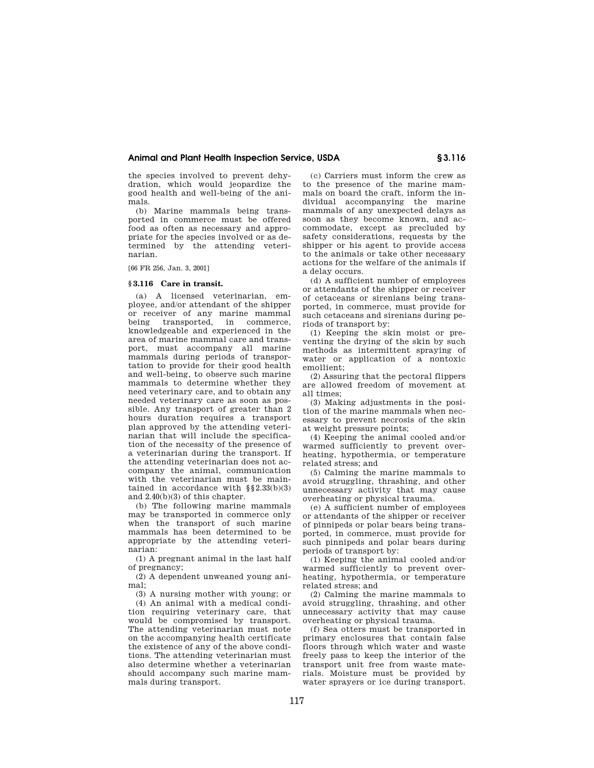the species involved to prevent dehydration, which would jeopardize the good health and well-being of the animals.

(b) Marine mammals being transported in commerce must be offered food as often as necessary and appropriate for the species involved or as determined by the attending veterinarian.

[66 FR 256, Jan. 3, 2001]

# **§ 3.116 Care in transit.**

(a) A licensed veterinarian, employee, and/or attendant of the shipper or receiver of any marine mammal being transported, in commerce, knowledgeable and experienced in the area of marine mammal care and transport, must accompany all marine mammals during periods of transportation to provide for their good health and well-being, to observe such marine mammals to determine whether they need veterinary care, and to obtain any needed veterinary care as soon as possible. Any transport of greater than 2 hours duration requires a transport plan approved by the attending veterinarian that will include the specification of the necessity of the presence of a veterinarian during the transport. If the attending veterinarian does not accompany the animal, communication with the veterinarian must be maintained in accordance with  $\S$ §2.33(b)(3) and 2.40(b)(3) of this chapter.

(b) The following marine mammals may be transported in commerce only when the transport of such marine mammals has been determined to be appropriate by the attending veterinarian:

(1) A pregnant animal in the last half of pregnancy;

(2) A dependent unweaned young animal;

(3) A nursing mother with young; or (4) An animal with a medical condition requiring veterinary care, that would be compromised by transport. The attending veterinarian must note on the accompanying health certificate the existence of any of the above conditions. The attending veterinarian must also determine whether a veterinarian should accompany such marine mammals during transport.

(c) Carriers must inform the crew as to the presence of the marine mammals on board the craft, inform the individual accompanying the marine mammals of any unexpected delays as soon as they become known, and accommodate, except as precluded by safety considerations, requests by the shipper or his agent to provide access to the animals or take other necessary actions for the welfare of the animals if a delay occurs.

(d) A sufficient number of employees or attendants of the shipper or receiver of cetaceans or sirenians being transported, in commerce, must provide for such cetaceans and sirenians during periods of transport by:

(1) Keeping the skin moist or preventing the drying of the skin by such methods as intermittent spraying of water or application of a nontoxic emollient;

(2) Assuring that the pectoral flippers are allowed freedom of movement at all times;

(3) Making adjustments in the position of the marine mammals when necessary to prevent necrosis of the skin at weight pressure points;

(4) Keeping the animal cooled and/or warmed sufficiently to prevent overheating, hypothermia, or temperature related stress; and

(5) Calming the marine mammals to avoid struggling, thrashing, and other unnecessary activity that may cause overheating or physical trauma.

(e) A sufficient number of employees or attendants of the shipper or receiver of pinnipeds or polar bears being transported, in commerce, must provide for such pinnipeds and polar bears during periods of transport by:

(1) Keeping the animal cooled and/or warmed sufficiently to prevent overheating, hypothermia, or temperature related stress; and

(2) Calming the marine mammals to avoid struggling, thrashing, and other unnecessary activity that may cause overheating or physical trauma.

(f) Sea otters must be transported in primary enclosures that contain false floors through which water and waste freely pass to keep the interior of the transport unit free from waste materials. Moisture must be provided by water sprayers or ice during transport.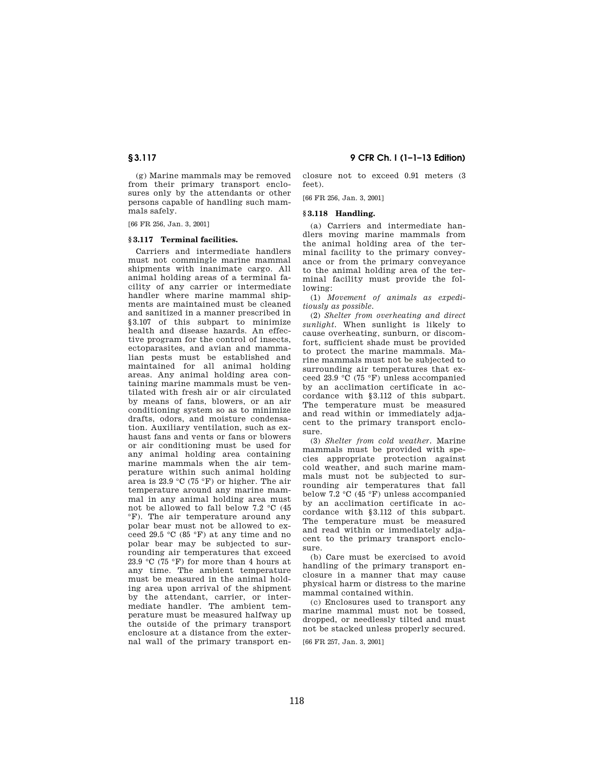(g) Marine mammals may be removed from their primary transport enclosures only by the attendants or other persons capable of handling such mammals safely.

[66 FR 256, Jan. 3, 2001]

### **§ 3.117 Terminal facilities.**

Carriers and intermediate handlers must not commingle marine mammal shipments with inanimate cargo. All animal holding areas of a terminal facility of any carrier or intermediate handler where marine mammal shipments are maintained must be cleaned and sanitized in a manner prescribed in §3.107 of this subpart to minimize health and disease hazards. An effective program for the control of insects, ectoparasites, and avian and mammalian pests must be established and maintained for all animal holding areas. Any animal holding area containing marine mammals must be ventilated with fresh air or air circulated by means of fans, blowers, or an air conditioning system so as to minimize drafts, odors, and moisture condensation. Auxiliary ventilation, such as exhaust fans and vents or fans or blowers or air conditioning must be used for any animal holding area containing marine mammals when the air temperature within such animal holding area is 23.9 °C (75 °F) or higher. The air temperature around any marine mammal in any animal holding area must not be allowed to fall below 7.2 °C (45 °F). The air temperature around any polar bear must not be allowed to exceed 29.5 °C (85 °F) at any time and no polar bear may be subjected to surrounding air temperatures that exceed 23.9 °C (75 °F) for more than 4 hours at any time. The ambient temperature must be measured in the animal holding area upon arrival of the shipment by the attendant, carrier, or intermediate handler. The ambient temperature must be measured halfway up the outside of the primary transport enclosure at a distance from the external wall of the primary transport en-

# **§ 3.117 9 CFR Ch. I (1–1–13 Edition)**

closure not to exceed 0.91 meters (3 feet).

[66 FR 256, Jan. 3, 2001]

#### **§ 3.118 Handling.**

(a) Carriers and intermediate handlers moving marine mammals from the animal holding area of the terminal facility to the primary conveyance or from the primary conveyance to the animal holding area of the terminal facility must provide the following:

(1) *Movement of animals as expeditiously as possible.* 

(2) *Shelter from overheating and direct sunlight.* When sunlight is likely to cause overheating, sunburn, or discomfort, sufficient shade must be provided to protect the marine mammals. Marine mammals must not be subjected to surrounding air temperatures that exceed 23.9 °C (75 °F) unless accompanied by an acclimation certificate in accordance with §3.112 of this subpart. The temperature must be measured and read within or immediately adjacent to the primary transport enclosure.

(3) *Shelter from cold weather.* Marine mammals must be provided with species appropriate protection against cold weather, and such marine mammals must not be subjected to surrounding air temperatures that fall below 7.2 °C (45 °F) unless accompanied by an acclimation certificate in accordance with §3.112 of this subpart. The temperature must be measured and read within or immediately adjacent to the primary transport enclosure.

(b) Care must be exercised to avoid handling of the primary transport enclosure in a manner that may cause physical harm or distress to the marine mammal contained within.

(c) Enclosures used to transport any marine mammal must not be tossed, dropped, or needlessly tilted and must not be stacked unless properly secured.

[66 FR 257, Jan. 3, 2001]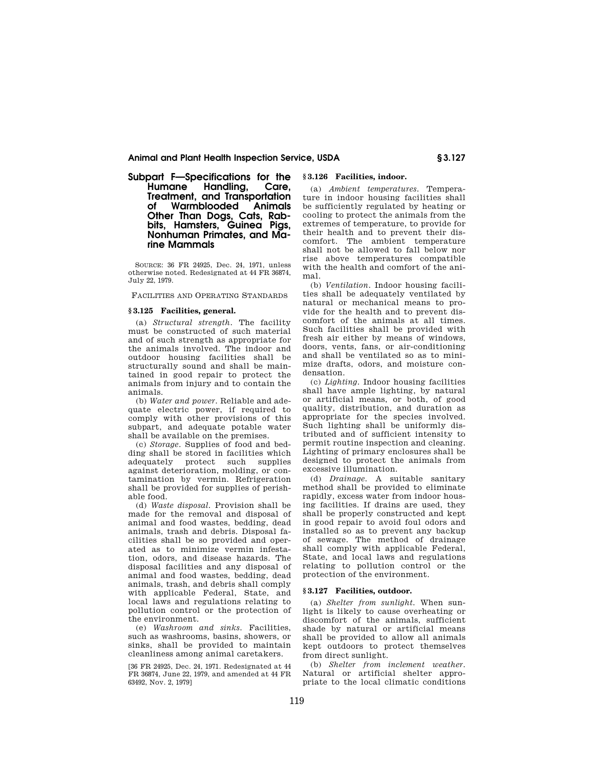**Subpart F—Specifications for the**  Handling, **Treatment, and Transportation**  of Warmblooded **Other Than Dogs, Cats, Rabbits, Hamsters, Guinea Pigs, Nonhuman Primates, and Marine Mammals** 

SOURCE: 36 FR 24925, Dec. 24, 1971, unless otherwise noted. Redesignated at 44 FR 36874, July 22, 1979.

FACILITIES AND OPERATING STANDARDS

#### **§ 3.125 Facilities, general.**

(a) *Structural strength.* The facility must be constructed of such material and of such strength as appropriate for the animals involved. The indoor and outdoor housing facilities shall be structurally sound and shall be maintained in good repair to protect the animals from injury and to contain the animals.

(b) *Water and power.* Reliable and adequate electric power, if required to comply with other provisions of this subpart, and adequate potable water shall be available on the premises.

(c) *Storage.* Supplies of food and bedding shall be stored in facilities which adequately protect such supplies against deterioration, molding, or contamination by vermin. Refrigeration shall be provided for supplies of perishable food.

(d) *Waste disposal.* Provision shall be made for the removal and disposal of animal and food wastes, bedding, dead animals, trash and debris. Disposal facilities shall be so provided and operated as to minimize vermin infestation, odors, and disease hazards. The disposal facilities and any disposal of animal and food wastes, bedding, dead animals, trash, and debris shall comply with applicable Federal, State, and local laws and regulations relating to pollution control or the protection of the environment.

(e) *Washroom and sinks.* Facilities, such as washrooms, basins, showers, or sinks, shall be provided to maintain cleanliness among animal caretakers.

[36 FR 24925, Dec. 24, 1971. Redesignated at 44 FR 36874, June 22, 1979, and amended at 44 FR 63492, Nov. 2, 1979]

# **§ 3.126 Facilities, indoor.**

(a) *Ambient temperatures.* Temperature in indoor housing facilities shall be sufficiently regulated by heating or cooling to protect the animals from the extremes of temperature, to provide for their health and to prevent their discomfort. The ambient temperature shall not be allowed to fall below nor rise above temperatures compatible with the health and comfort of the animal.

(b) *Ventilation.* Indoor housing facilities shall be adequately ventilated by natural or mechanical means to provide for the health and to prevent discomfort of the animals at all times. Such facilities shall be provided with fresh air either by means of windows, doors, vents, fans, or air-conditioning and shall be ventilated so as to minimize drafts, odors, and moisture condensation.

(c) *Lighting.* Indoor housing facilities shall have ample lighting, by natural or artificial means, or both, of good quality, distribution, and duration as appropriate for the species involved. Such lighting shall be uniformly distributed and of sufficient intensity to permit routine inspection and cleaning. Lighting of primary enclosures shall be designed to protect the animals from excessive illumination.

(d) *Drainage.* A suitable sanitary method shall be provided to eliminate rapidly, excess water from indoor housing facilities. If drains are used, they shall be properly constructed and kept in good repair to avoid foul odors and installed so as to prevent any backup of sewage. The method of drainage shall comply with applicable Federal, State, and local laws and regulations relating to pollution control or the protection of the environment.

# **§ 3.127 Facilities, outdoor.**

(a) *Shelter from sunlight.* When sunlight is likely to cause overheating or discomfort of the animals, sufficient shade by natural or artificial means shall be provided to allow all animals kept outdoors to protect themselves from direct sunlight.

(b) *Shelter from inclement weather.*  Natural or artificial shelter appropriate to the local climatic conditions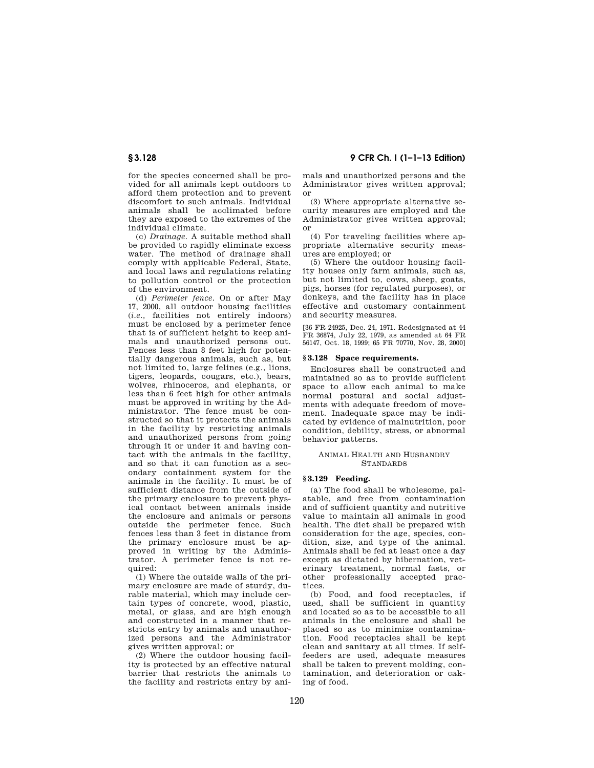for the species concerned shall be provided for all animals kept outdoors to afford them protection and to prevent discomfort to such animals. Individual animals shall be acclimated before they are exposed to the extremes of the individual climate.

(c) *Drainage.* A suitable method shall be provided to rapidly eliminate excess water. The method of drainage shall comply with applicable Federal, State, and local laws and regulations relating to pollution control or the protection of the environment.

(d) *Perimeter fence.* On or after May 17, 2000, all outdoor housing facilities (*i.e.,* facilities not entirely indoors) must be enclosed by a perimeter fence that is of sufficient height to keep animals and unauthorized persons out. Fences less than 8 feet high for potentially dangerous animals, such as, but not limited to, large felines (e.g., lions, tigers, leopards, cougars, etc.), bears, wolves, rhinoceros, and elephants, or less than 6 feet high for other animals must be approved in writing by the Administrator. The fence must be constructed so that it protects the animals in the facility by restricting animals and unauthorized persons from going through it or under it and having contact with the animals in the facility, and so that it can function as a secondary containment system for the animals in the facility. It must be of sufficient distance from the outside of the primary enclosure to prevent physical contact between animals inside the enclosure and animals or persons outside the perimeter fence. Such fences less than 3 feet in distance from the primary enclosure must be approved in writing by the Administrator. A perimeter fence is not required:

(1) Where the outside walls of the primary enclosure are made of sturdy, durable material, which may include certain types of concrete, wood, plastic, metal, or glass, and are high enough and constructed in a manner that restricts entry by animals and unauthorized persons and the Administrator gives written approval; or

(2) Where the outdoor housing facility is protected by an effective natural barrier that restricts the animals to the facility and restricts entry by ani-

**§ 3.128 9 CFR Ch. I (1–1–13 Edition)** 

mals and unauthorized persons and the Administrator gives written approval; or

(3) Where appropriate alternative security measures are employed and the Administrator gives written approval; or

(4) For traveling facilities where appropriate alternative security measures are employed; or

(5) Where the outdoor housing facility houses only farm animals, such as, but not limited to, cows, sheep, goats, pigs, horses (for regulated purposes), or donkeys, and the facility has in place effective and customary containment and security measures.

[36 FR 24925, Dec. 24, 1971. Redesignated at 44 FR 36874, July 22, 1979, as amended at 64 FR 56147, Oct. 18, 1999; 65 FR 70770, Nov. 28, 2000]

#### **§ 3.128 Space requirements.**

Enclosures shall be constructed and maintained so as to provide sufficient space to allow each animal to make normal postural and social adjustments with adequate freedom of movement. Inadequate space may be indicated by evidence of malnutrition, poor condition, debility, stress, or abnormal behavior patterns.

#### ANIMAL HEALTH AND HUSBANDRY **STANDARDS**

# **§ 3.129 Feeding.**

(a) The food shall be wholesome, palatable, and free from contamination and of sufficient quantity and nutritive value to maintain all animals in good health. The diet shall be prepared with consideration for the age, species, condition, size, and type of the animal. Animals shall be fed at least once a day except as dictated by hibernation, veterinary treatment, normal fasts, or other professionally accepted practices.

(b) Food, and food receptacles, if used, shall be sufficient in quantity and located so as to be accessible to all animals in the enclosure and shall be placed so as to minimize contamination. Food receptacles shall be kept clean and sanitary at all times. If selffeeders are used, adequate measures shall be taken to prevent molding, contamination, and deterioration or caking of food.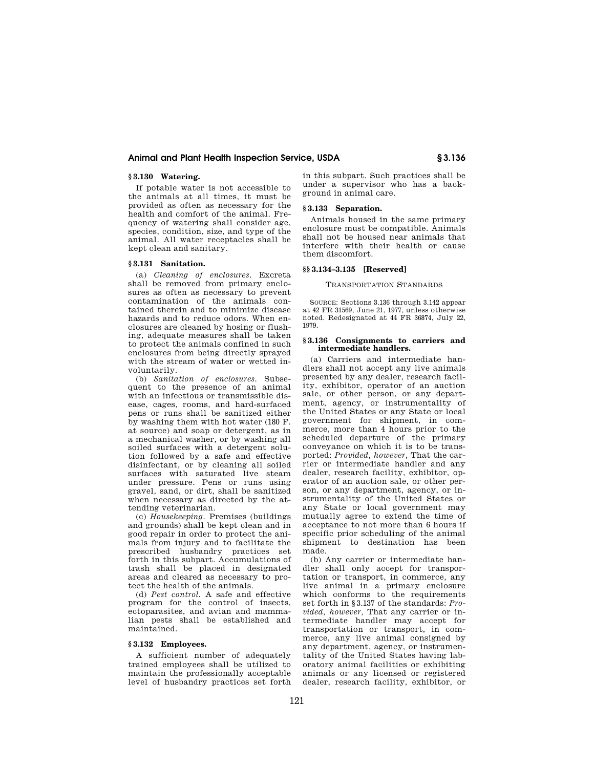# **§ 3.130 Watering.**

If potable water is not accessible to the animals at all times, it must be provided as often as necessary for the health and comfort of the animal. Frequency of watering shall consider age, species, condition, size, and type of the animal. All water receptacles shall be kept clean and sanitary.

## **§ 3.131 Sanitation.**

(a) *Cleaning of enclosures.* Excreta shall be removed from primary enclosures as often as necessary to prevent contamination of the animals contained therein and to minimize disease hazards and to reduce odors. When enclosures are cleaned by hosing or flushing, adequate measures shall be taken to protect the animals confined in such enclosures from being directly sprayed with the stream of water or wetted involuntarily.

(b) *Sanitation of enclosures.* Subsequent to the presence of an animal with an infectious or transmissible disease, cages, rooms, and hard-surfaced pens or runs shall be sanitized either by washing them with hot water (180 F. at source) and soap or detergent, as in a mechanical washer, or by washing all soiled surfaces with a detergent solution followed by a safe and effective disinfectant, or by cleaning all soiled surfaces with saturated live steam under pressure. Pens or runs using gravel, sand, or dirt, shall be sanitized when necessary as directed by the attending veterinarian.

(c) *Housekeeping.* Premises (buildings and grounds) shall be kept clean and in good repair in order to protect the animals from injury and to facilitate the prescribed husbandry practices set forth in this subpart. Accumulations of trash shall be placed in designated areas and cleared as necessary to protect the health of the animals.

(d) *Pest control.* A safe and effective program for the control of insects, ectoparasites, and avian and mammalian pests shall be established and maintained.

#### **§ 3.132 Employees.**

A sufficient number of adequately trained employees shall be utilized to maintain the professionally acceptable level of husbandry practices set forth in this subpart. Such practices shall be under a supervisor who has a background in animal care.

## **§ 3.133 Separation.**

Animals housed in the same primary enclosure must be compatible. Animals shall not be housed near animals that interfere with their health or cause them discomfort.

#### **§§ 3.134–3.135 [Reserved]**

TRANSPORTATION STANDARDS

SOURCE: Sections 3.136 through 3.142 appear at 42 FR 31569, June 21, 1977, unless otherwise noted. Redesignated at 44 FR 36874, July 22, 1979.

#### **§ 3.136 Consignments to carriers and intermediate handlers.**

(a) Carriers and intermediate handlers shall not accept any live animals presented by any dealer, research facility, exhibitor, operator of an auction sale, or other person, or any department, agency, or instrumentality of the United States or any State or local government for shipment, in commerce, more than 4 hours prior to the scheduled departure of the primary conveyance on which it is to be transported: *Provided, however,* That the carrier or intermediate handler and any dealer, research facility, exhibitor, operator of an auction sale, or other person, or any department, agency, or instrumentality of the United States or any State or local government may mutually agree to extend the time of acceptance to not more than 6 hours if specific prior scheduling of the animal shipment to destination has been made.

(b) Any carrier or intermediate handler shall only accept for transportation or transport, in commerce, any live animal in a primary enclosure which conforms to the requirements set forth in §3.137 of the standards: *Provided, however,* That any carrier or intermediate handler may accept for transportation or transport, in commerce, any live animal consigned by any department, agency, or instrumentality of the United States having laboratory animal facilities or exhibiting animals or any licensed or registered dealer, research facility, exhibitor, or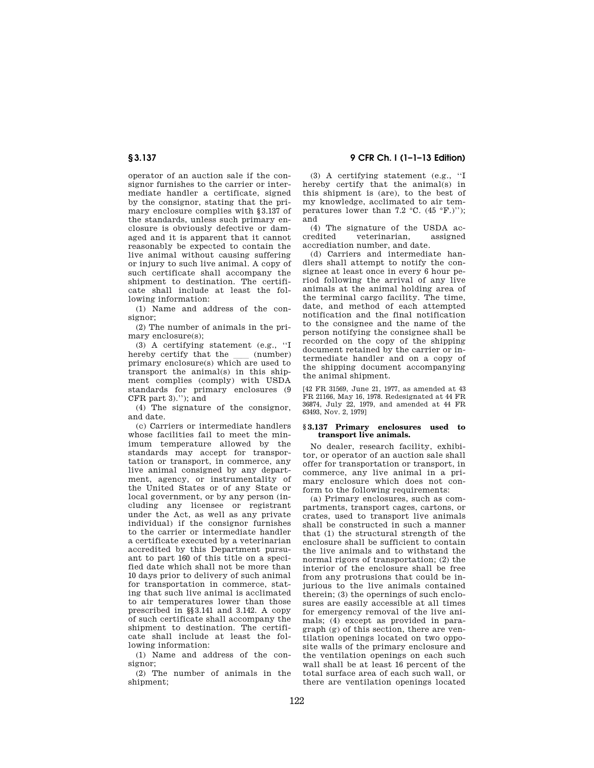operator of an auction sale if the consignor furnishes to the carrier or intermediate handler a certificate, signed by the consignor, stating that the primary enclosure complies with §3.137 of the standards, unless such primary enclosure is obviously defective or damaged and it is apparent that it cannot reasonably be expected to contain the live animal without causing suffering or injury to such live animal. A copy of such certificate shall accompany the shipment to destination. The certificate shall include at least the following information:

(1) Name and address of the consignor;

(2) The number of animals in the primary enclosure(s);

(3) A certifying statement (e.g., ''I hereby certify that the \_\_\_\_ (number)<br>primary enclosure(s) which are used to transport the animal(s) in this shipment complies (comply) with USDA standards for primary enclosures (9 CFR part 3).''); and

(4) The signature of the consignor, and date.

(c) Carriers or intermediate handlers whose facilities fail to meet the minimum temperature allowed by the standards may accept for transportation or transport, in commerce, any live animal consigned by any department, agency, or instrumentality of the United States or of any State or local government, or by any person (including any licensee or registrant under the Act, as well as any private individual) if the consignor furnishes to the carrier or intermediate handler a certificate executed by a veterinarian accredited by this Department pursuant to part 160 of this title on a specified date which shall not be more than 10 days prior to delivery of such animal for transportation in commerce, stating that such live animal is acclimated to air temperatures lower than those prescribed in §§3.141 and 3.142. A copy of such certificate shall accompany the shipment to destination. The certificate shall include at least the following information:

(1) Name and address of the consignor;

(2) The number of animals in the shipment;

# **§ 3.137 9 CFR Ch. I (1–1–13 Edition)**

(3) A certifying statement (e.g., ''I hereby certify that the animal(s) in this shipment is (are), to the best of my knowledge, acclimated to air temperatures lower than  $7.2 \text{ °C}$ .  $(45 \text{ °F}$ .)"); and

(4) The signature of the USDA accredited veterinarian, assigned accrediation number, and date.

(d) Carriers and intermediate handlers shall attempt to notify the consignee at least once in every 6 hour period following the arrival of any live animals at the animal holding area of the terminal cargo facility. The time, date, and method of each attempted notification and the final notification to the consignee and the name of the person notifying the consignee shall be recorded on the copy of the shipping document retained by the carrier or intermediate handler and on a copy of the shipping document accompanying the animal shipment.

[42 FR 31569, June 21, 1977, as amended at 43 FR 21166, May 16, 1978. Redesignated at 44 FR 36874, July 22, 1979, and amended at 44 FR 63493, Nov. 2, 1979]

#### **§ 3.137 Primary enclosures used to transport live animals.**

No dealer, research facility, exhibitor, or operator of an auction sale shall offer for transportation or transport, in commerce, any live animal in a primary enclosure which does not conform to the following requirements:

(a) Primary enclosures, such as compartments, transport cages, cartons, or crates, used to transport live animals shall be constructed in such a manner that (1) the structural strength of the enclosure shall be sufficient to contain the live animals and to withstand the normal rigors of transportation; (2) the interior of the enclosure shall be free from any protrusions that could be injurious to the live animals contained therein; (3) the opernings of such enclosures are easily accessible at all times for emergency removal of the live animals; (4) except as provided in paragraph (g) of this section, there are ventilation openings located on two opposite walls of the primary enclosure and the ventilation openings on each such wall shall be at least 16 percent of the total surface area of each such wall, or there are ventilation openings located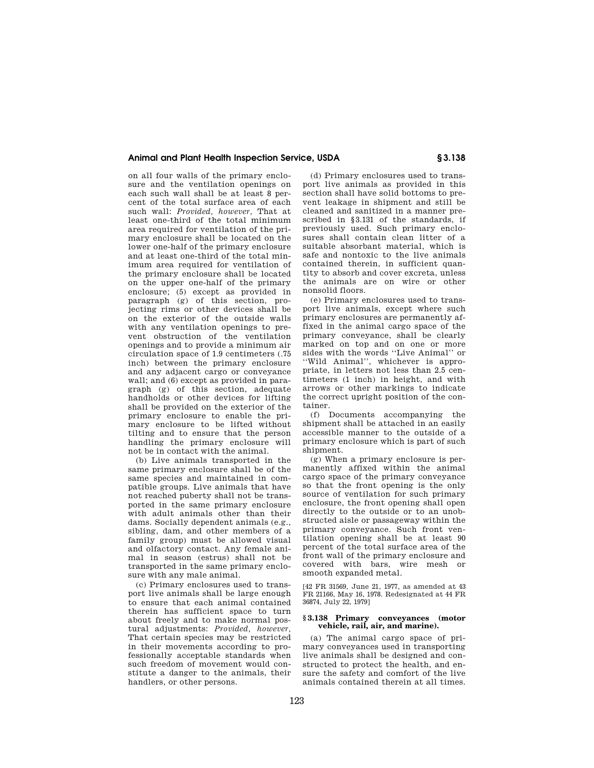on all four walls of the primary enclosure and the ventilation openings on each such wall shall be at least 8 percent of the total surface area of each such wall: *Provided, however,* That at least one-third of the total minimum area required for ventilation of the primary enclosure shall be located on the lower one-half of the primary enclosure and at least one-third of the total minimum area required for ventilation of the primary enclosure shall be located on the upper one-half of the primary enclosure; (5) except as provided in paragraph (g) of this section, projecting rims or other devices shall be on the exterior of the outside walls with any ventilation openings to prevent obstruction of the ventilation openings and to provide a minimum air circulation space of 1.9 centimeters (.75 inch) between the primary enclosure and any adjacent cargo or conveyance wall; and (6) except as provided in paragraph (g) of this section, adequate handholds or other devices for lifting shall be provided on the exterior of the primary enclosure to enable the primary enclosure to be lifted without tilting and to ensure that the person handling the primary enclosure will not be in contact with the animal.

(b) Live animals transported in the same primary enclosure shall be of the same species and maintained in compatible groups. Live animals that have not reached puberty shall not be transported in the same primary enclosure with adult animals other than their dams. Socially dependent animals (e.g., sibling, dam, and other members of a family group) must be allowed visual and olfactory contact. Any female animal in season (estrus) shall not be transported in the same primary enclosure with any male animal.

(c) Primary enclosures used to transport live animals shall be large enough to ensure that each animal contained therein has sufficient space to turn about freely and to make normal postural adjustments: *Provided, however,*  That certain species may be restricted in their movements according to professionally acceptable standards when such freedom of movement would constitute a danger to the animals, their handlers, or other persons.

(d) Primary enclosures used to transport live animals as provided in this section shall have solid bottoms to prevent leakage in shipment and still be cleaned and sanitized in a manner prescribed in §3.131 of the standards, if previously used. Such primary enclosures shall contain clean litter of a suitable absorbant material, which is safe and nontoxic to the live animals contained therein, in sufficient quantity to absorb and cover excreta, unless the animals are on wire or other nonsolid floors.

(e) Primary enclosures used to transport live animals, except where such primary enclosures are permanently affixed in the animal cargo space of the primary conveyance, shall be clearly marked on top and on one or more sides with the words ''Live Animal'' or ''Wild Animal'', whichever is appropriate, in letters not less than 2.5 centimeters (1 inch) in height, and with arrows or other markings to indicate the correct upright position of the container.

(f) Documents accompanying the shipment shall be attached in an easily accessible manner to the outside of a primary enclosure which is part of such shipment.

(g) When a primary enclosure is permanently affixed within the animal cargo space of the primary conveyance so that the front opening is the only source of ventilation for such primary enclosure, the front opening shall open directly to the outside or to an unobstructed aisle or passageway within the primary conveyance. Such front ventilation opening shall be at least 90 percent of the total surface area of the front wall of the primary enclosure and covered with bars, wire mesh or smooth expanded metal.

[42 FR 31569, June 21, 1977, as amended at 43 FR 21166, May 16, 1978. Redesignated at 44 FR 36874, July 22, 1979]

#### **§ 3.138 Primary conveyances (motor vehicle, rail, air, and marine).**

(a) The animal cargo space of primary conveyances used in transporting live animals shall be designed and constructed to protect the health, and ensure the safety and comfort of the live animals contained therein at all times.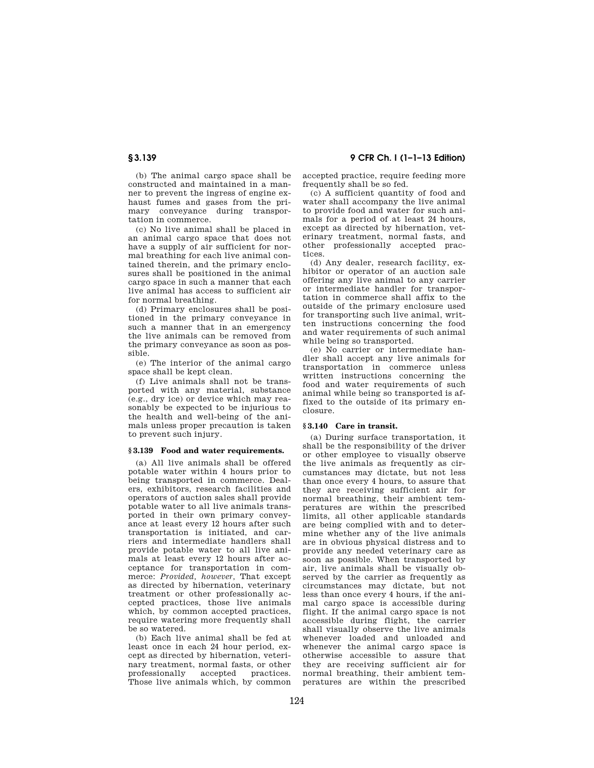(b) The animal cargo space shall be constructed and maintained in a manner to prevent the ingress of engine exhaust fumes and gases from the primary conveyance during transportation in commerce.

(c) No live animal shall be placed in an animal cargo space that does not have a supply of air sufficient for normal breathing for each live animal contained therein, and the primary enclosures shall be positioned in the animal cargo space in such a manner that each live animal has access to sufficient air for normal breathing.

(d) Primary enclosures shall be positioned in the primary conveyance in such a manner that in an emergency the live animals can be removed from the primary conveyance as soon as possible.

(e) The interior of the animal cargo space shall be kept clean.

(f) Live animals shall not be transported with any material, substance (e.g., dry ice) or device which may reasonably be expected to be injurious to the health and well-being of the animals unless proper precaution is taken to prevent such injury.

#### **§ 3.139 Food and water requirements.**

(a) All live animals shall be offered potable water within 4 hours prior to being transported in commerce. Dealers, exhibitors, research facilities and operators of auction sales shall provide potable water to all live animals transported in their own primary conveyance at least every 12 hours after such transportation is initiated, and carriers and intermediate handlers shall provide potable water to all live animals at least every 12 hours after acceptance for transportation in commerce: *Provided, however,* That except as directed by hibernation, veterinary treatment or other professionally accepted practices, those live animals which, by common accepted practices, require watering more frequently shall be so watered.

(b) Each live animal shall be fed at least once in each 24 hour period, except as directed by hibernation, veterinary treatment, normal fasts, or other<br>professionally accepted practices. professionally accepted practices. Those live animals which, by common

**§ 3.139 9 CFR Ch. I (1–1–13 Edition)** 

accepted practice, require feeding more frequently shall be so fed.

(c) A sufficient quantity of food and water shall accompany the live animal to provide food and water for such animals for a period of at least 24 hours, except as directed by hibernation, veterinary treatment, normal fasts, and other professionally accepted practices.

(d) Any dealer, research facility, exhibitor or operator of an auction sale offering any live animal to any carrier or intermediate handler for transportation in commerce shall affix to the outside of the primary enclosure used for transporting such live animal, written instructions concerning the food and water requirements of such animal while being so transported.

(e) No carrier or intermediate handler shall accept any live animals for transportation in commerce unless written instructions concerning the food and water requirements of such animal while being so transported is affixed to the outside of its primary enclosure.

#### **§ 3.140 Care in transit.**

(a) During surface transportation, it shall be the responsibility of the driver or other employee to visually observe the live animals as frequently as circumstances may dictate, but not less than once every 4 hours, to assure that they are receiving sufficient air for normal breathing, their ambient temperatures are within the prescribed limits, all other applicable standards are being complied with and to determine whether any of the live animals are in obvious physical distress and to provide any needed veterinary care as soon as possible. When transported by air, live animals shall be visually observed by the carrier as frequently as circumstances may dictate, but not less than once every 4 hours, if the animal cargo space is accessible during flight. If the animal cargo space is not accessible during flight, the carrier shall visually observe the live animals whenever loaded and unloaded and whenever the animal cargo space is otherwise accessible to assure that they are receiving sufficient air for normal breathing, their ambient temperatures are within the prescribed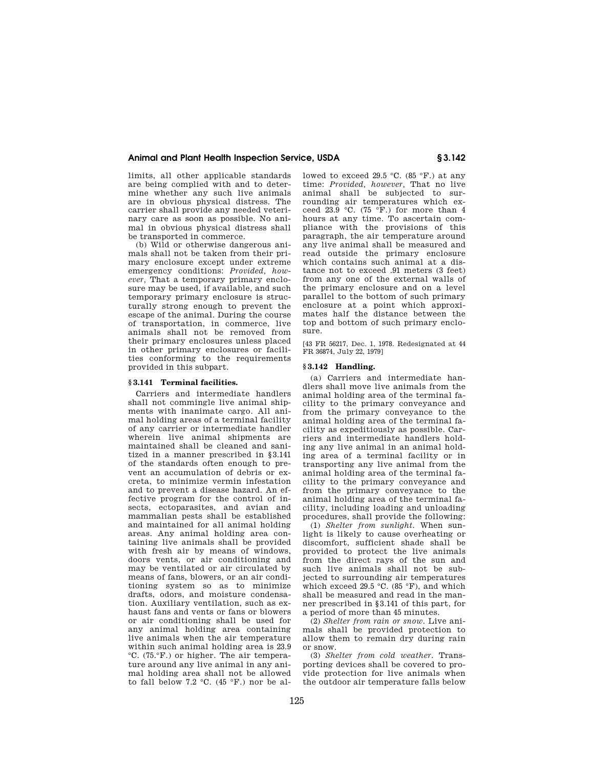limits, all other applicable standards are being complied with and to determine whether any such live animals are in obvious physical distress. The carrier shall provide any needed veterinary care as soon as possible. No animal in obvious physical distress shall be transported in commerce.

(b) Wild or otherwise dangerous animals shall not be taken from their primary enclosure except under extreme emergency conditions: *Provided, however,* That a temporary primary enclosure may be used, if available, and such temporary primary enclosure is structurally strong enough to prevent the escape of the animal. During the course of transportation, in commerce, live animals shall not be removed from their primary enclosures unless placed in other primary enclosures or facilities conforming to the requirements provided in this subpart.

# **§ 3.141 Terminal facilities.**

Carriers and intermediate handlers shall not commingle live animal shipments with inanimate cargo. All animal holding areas of a terminal facility of any carrier or intermediate handler wherein live animal shipments are maintained shall be cleaned and sanitized in a manner prescribed in §3.141 of the standards often enough to prevent an accumulation of debris or excreta, to minimize vermin infestation and to prevent a disease hazard. An effective program for the control of insects, ectoparasites, and avian and mammalian pests shall be established and maintained for all animal holding areas. Any animal holding area containing live animals shall be provided with fresh air by means of windows, doors vents, or air conditioning and may be ventilated or air circulated by means of fans, blowers, or an air conditioning system so as to minimize drafts, odors, and moisture condensation. Auxiliary ventilation, such as exhaust fans and vents or fans or blowers or air conditioning shall be used for any animal holding area containing live animals when the air temperature within such animal holding area is 23.9 °C. (75.°F.) or higher. The air temperature around any live animal in any animal holding area shall not be allowed to fall below 7.2 °C. (45 °F.) nor be allowed to exceed 29.5 °C. (85 °F.) at any time: *Provided, however,* That no live animal shall be subjected to surrounding air temperatures which exceed 23.9 °C. (75 °F.) for more than 4 hours at any time. To ascertain compliance with the provisions of this paragraph, the air temperature around any live animal shall be measured and read outside the primary enclosure which contains such animal at a distance not to exceed .91 meters (3 feet) from any one of the external walls of the primary enclosure and on a level parallel to the bottom of such primary enclosure at a point which approximates half the distance between the top and bottom of such primary enclosure.

[43 FR 56217, Dec. 1, 1978. Redesignated at 44 FR 36874, July 22, 1979]

### **§ 3.142 Handling.**

(a) Carriers and intermediate handlers shall move live animals from the animal holding area of the terminal facility to the primary conveyance and from the primary conveyance to the animal holding area of the terminal facility as expeditiously as possible. Carriers and intermediate handlers holding any live animal in an animal holding area of a terminal facility or in transporting any live animal from the animal holding area of the terminal facility to the primary conveyance and from the primary conveyance to the animal holding area of the terminal facility, including loading and unloading procedures, shall provide the following:

(1) *Shelter from sunlight.* When sunlight is likely to cause overheating or discomfort, sufficient shade shall be provided to protect the live animals from the direct rays of the sun and such live animals shall not be subjected to surrounding air temperatures which exceed 29.5 °C. (85 °F), and which shall be measured and read in the manner prescribed in §3.141 of this part, for a period of more than 45 minutes.

(2) *Shelter from rain or snow.* Live animals shall be provided protection to allow them to remain dry during rain or snow.

(3) *Shelter from cold weather.* Transporting devices shall be covered to provide protection for live animals when the outdoor air temperature falls below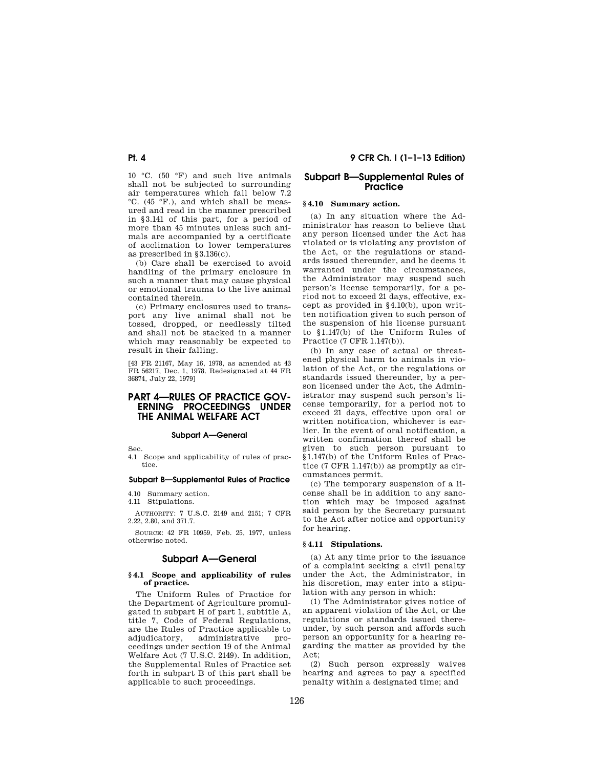10 °C. (50 °F) and such live animals shall not be subjected to surrounding air temperatures which fall below 7.2  $°C.$  (45  $\mathrm{F}$ .), and which shall be measured and read in the manner prescribed in §3.141 of this part, for a period of more than 45 minutes unless such animals are accompanied by a certificate of acclimation to lower temperatures as prescribed in §3.136(c).

(b) Care shall be exercised to avoid handling of the primary enclosure in such a manner that may cause physical or emotional trauma to the live animal contained therein.

(c) Primary enclosures used to transport any live animal shall not be tossed, dropped, or needlessly tilted and shall not be stacked in a manner which may reasonably be expected to result in their falling.

[43 FR 21167, May 16, 1978, as amended at 43 FR 56217, Dec. 1, 1978. Redesignated at 44 FR 36874, July 22, 1979]

# **PART 4—RULES OF PRACTICE GOV-ERNING PROCEEDINGS UNDER THE ANIMAL WELFARE ACT**

#### **Subpart A—General**

Sec.

4.1 Scope and applicability of rules of practice.

# **Subpart B—Supplemental Rules of Practice**

4.10 Summary action.

4.11 Stipulations.

AUTHORITY: 7 U.S.C. 2149 and 2151; 7 CFR 2.22, 2.80, and 371.7.

SOURCE: 42 FR 10959, Feb. 25, 1977, unless otherwise noted.

# **Subpart A—General**

#### **§ 4.1 Scope and applicability of rules of practice.**

The Uniform Rules of Practice for the Department of Agriculture promulgated in subpart H of part 1, subtitle A, title 7, Code of Federal Regulations, are the Rules of Practice applicable to administrative proceedings under section 19 of the Animal Welfare Act (7 U.S.C. 2149). In addition, the Supplemental Rules of Practice set forth in subpart B of this part shall be applicable to such proceedings.

# **Subpart B—Supplemental Rules of Practice**

#### **§ 4.10 Summary action.**

(a) In any situation where the Administrator has reason to believe that any person licensed under the Act has violated or is violating any provision of the Act, or the regulations or standards issued thereunder, and he deems it warranted under the circumstances, the Administrator may suspend such person's license temporarily, for a period not to exceed 21 days, effective, except as provided in §4.10(b), upon written notification given to such person of the suspension of his license pursuant to §1.147(b) of the Uniform Rules of Practice (7 CFR 1.147(b)).

(b) In any case of actual or threatened physical harm to animals in violation of the Act, or the regulations or standards issued thereunder, by a person licensed under the Act, the Administrator may suspend such person's license temporarily, for a period not to exceed 21 days, effective upon oral or written notification, whichever is earlier. In the event of oral notification, a written confirmation thereof shall be given to such person pursuant to §1.147(b) of the Uniform Rules of Practice (7 CFR 1.147(b)) as promptly as circumstances permit.

(c) The temporary suspension of a license shall be in addition to any sanction which may be imposed against said person by the Secretary pursuant to the Act after notice and opportunity for hearing.

## **§ 4.11 Stipulations.**

(a) At any time prior to the issuance of a complaint seeking a civil penalty under the Act, the Administrator, in his discretion, may enter into a stipulation with any person in which:

(1) The Administrator gives notice of an apparent violation of the Act, or the regulations or standards issued thereunder, by such person and affords such person an opportunity for a hearing regarding the matter as provided by the Act;

(2) Such person expressly waives hearing and agrees to pay a specified penalty within a designated time; and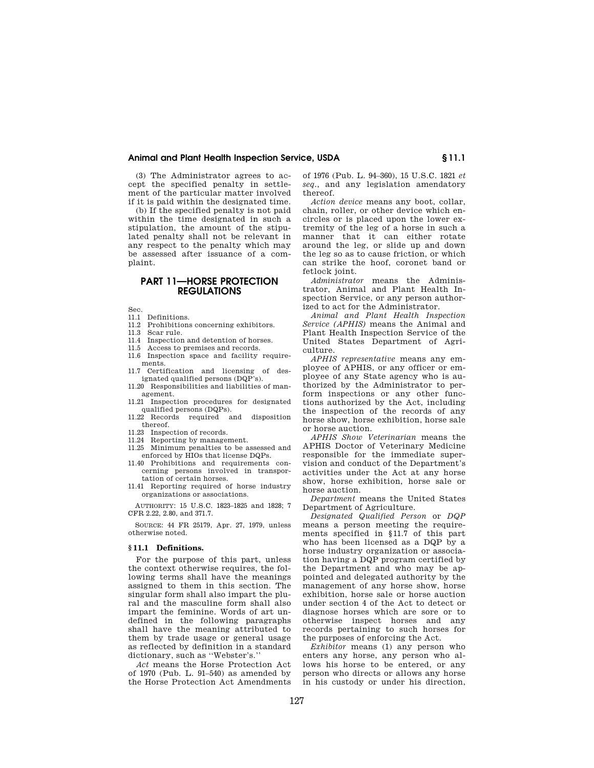(3) The Administrator agrees to accept the specified penalty in settlement of the particular matter involved if it is paid within the designated time.

(b) If the specified penalty is not paid within the time designated in such a stipulation, the amount of the stipulated penalty shall not be relevant in any respect to the penalty which may be assessed after issuance of a complaint.

# **PART 11—HORSE PROTECTION REGULATIONS**

Sec.

- 11.1 Definitions.
- 11.2 Prohibitions concerning exhibitors.
- 11.3 Scar rule.
- 11.4 Inspection and detention of horses.
- 11.5 Access to premises and records. 11.6 Inspection space and facility require-
- ments. 11.7 Certification and licensing of des-
- ignated qualified persons (DQP's).
- 11.20 Responsibilities and liabilities of management.
- 11.21 Inspection procedures for designated qualified persons (DQPs).
- 11.22 Records required and disposition thereof.
- 11.23 Inspection of records.
- 11.24 Reporting by management.
- 11.25 Minimum penalties to be assessed and enforced by HIOs that license DQPs.
- 11.40 Prohibitions and requirements concerning persons involved in transportation of certain horses.
- 11.41 Reporting required of horse industry organizations or associations.

AUTHORITY: 15 U.S.C. 1823–1825 and 1828; 7 CFR 2.22, 2.80, and 371.7.

SOURCE: 44 FR 25179, Apr. 27, 1979, unless otherwise noted.

## **§ 11.1 Definitions.**

For the purpose of this part, unless the context otherwise requires, the following terms shall have the meanings assigned to them in this section. The singular form shall also impart the plural and the masculine form shall also impart the feminine. Words of art undefined in the following paragraphs shall have the meaning attributed to them by trade usage or general usage as reflected by definition in a standard dictionary, such as ''Webster's.''

*Act* means the Horse Protection Act of 1970 (Pub. L. 91–540) as amended by the Horse Protection Act Amendments of 1976 (Pub. L. 94–360), 15 U.S.C. 1821 *et seq*., and any legislation amendatory thereof.

*Action device* means any boot, collar, chain, roller, or other device which encircles or is placed upon the lower extremity of the leg of a horse in such a manner that it can either rotate around the leg, or slide up and down the leg so as to cause friction, or which can strike the hoof, coronet band or fetlock joint.

*Administrator* means the Administrator, Animal and Plant Health Inspection Service, or any person authorized to act for the Administrator.

*Animal and Plant Health Inspection Service (APHIS)* means the Animal and Plant Health Inspection Service of the United States Department of Agriculture.

*APHIS representative* means any employee of APHIS, or any officer or employee of any State agency who is authorized by the Administrator to perform inspections or any other functions authorized by the Act, including the inspection of the records of any horse show, horse exhibition, horse sale or horse auction.

*APHIS Show Veterinarian* means the APHIS Doctor of Veterinary Medicine responsible for the immediate supervision and conduct of the Department's activities under the Act at any horse show, horse exhibition, horse sale or horse auction.

*Department* means the United States Department of Agriculture.

*Designated Qualified Person* or *DQP*  means a person meeting the requirements specified in §11.7 of this part who has been licensed as a DQP by a horse industry organization or association having a DQP program certified by the Department and who may be appointed and delegated authority by the management of any horse show, horse exhibition, horse sale or horse auction under section 4 of the Act to detect or diagnose horses which are sore or to otherwise inspect horses and any records pertaining to such horses for the purposes of enforcing the Act.

*Exhibitor* means (1) any person who enters any horse, any person who allows his horse to be entered, or any person who directs or allows any horse in his custody or under his direction,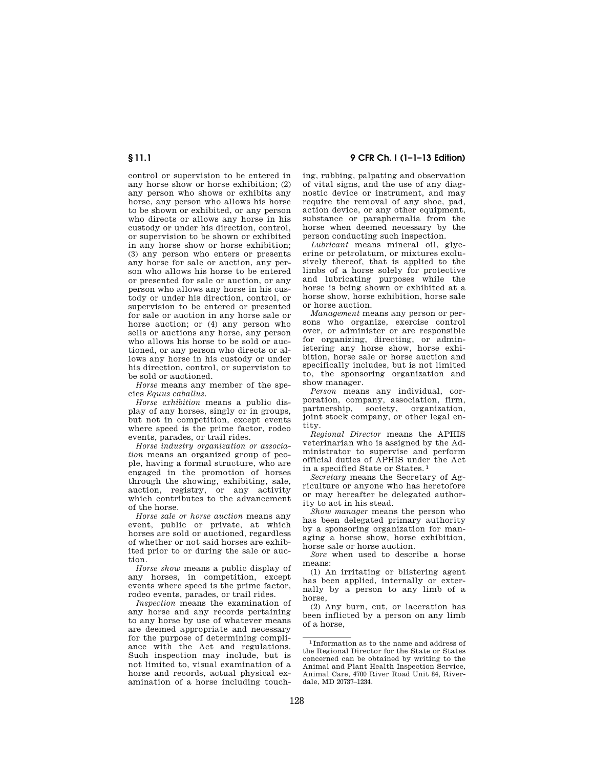# **§ 11.1 9 CFR Ch. I (1–1–13 Edition)**

control or supervision to be entered in any horse show or horse exhibition; (2) any person who shows or exhibits any horse, any person who allows his horse to be shown or exhibited, or any person who directs or allows any horse in his custody or under his direction, control, or supervision to be shown or exhibited in any horse show or horse exhibition; (3) any person who enters or presents any horse for sale or auction, any person who allows his horse to be entered or presented for sale or auction, or any person who allows any horse in his custody or under his direction, control, or supervision to be entered or presented for sale or auction in any horse sale or horse auction; or (4) any person who sells or auctions any horse, any person who allows his horse to be sold or auctioned, or any person who directs or allows any horse in his custody or under his direction, control, or supervision to be sold or auctioned.

*Horse* means any member of the species *Equus caballus.* 

*Horse exhibition* means a public display of any horses, singly or in groups, but not in competition, except events where speed is the prime factor, rodeo events, parades, or trail rides.

*Horse industry organization or association* means an organized group of people, having a formal structure, who are engaged in the promotion of horses through the showing, exhibiting, sale, auction, registry, or any activity which contributes to the advancement of the horse.

*Horse sale or horse auction* means any event, public or private, at which horses are sold or auctioned, regardless of whether or not said horses are exhibited prior to or during the sale or auction.

*Horse show* means a public display of any horses, in competition, except events where speed is the prime factor, rodeo events, parades, or trail rides.

*Inspection* means the examination of any horse and any records pertaining to any horse by use of whatever means are deemed appropriate and necessary for the purpose of determining compliance with the Act and regulations. Such inspection may include, but is not limited to, visual examination of a horse and records, actual physical examination of a horse including touching, rubbing, palpating and observation of vital signs, and the use of any diagnostic device or instrument, and may require the removal of any shoe, pad, action device, or any other equipment, substance or paraphernalia from the horse when deemed necessary by the person conducting such inspection.

*Lubricant* means mineral oil, glycerine or petrolatum, or mixtures exclusively thereof, that is applied to the limbs of a horse solely for protective and lubricating purposes while the horse is being shown or exhibited at a horse show, horse exhibition, horse sale or horse auction.

*Management* means any person or persons who organize, exercise control over, or administer or are responsible for organizing, directing, or administering any horse show, horse exhibition, horse sale or horse auction and specifically includes, but is not limited to, the sponsoring organization and show manager.

*Person* means any individual, corporation, company, association, firm, partnership, society, organization, joint stock company, or other legal entity.

*Regional Director* means the APHIS veterinarian who is assigned by the Administrator to supervise and perform official duties of APHIS under the Act in a specified State or States. 1

*Secretary* means the Secretary of Agriculture or anyone who has heretofore or may hereafter be delegated authority to act in his stead.

*Show manager* means the person who has been delegated primary authority by a sponsoring organization for managing a horse show, horse exhibition, horse sale or horse auction.

*Sore* when used to describe a horse means:

(1) An irritating or blistering agent has been applied, internally or externally by a person to any limb of a horse,

(2) Any burn, cut, or laceration has been inflicted by a person on any limb of a horse,

<sup>1</sup> Information as to the name and address of the Regional Director for the State or States concerned can be obtained by writing to the Animal and Plant Health Inspection Service, Animal Care, 4700 River Road Unit 84, Riverdale, MD 20737–1234.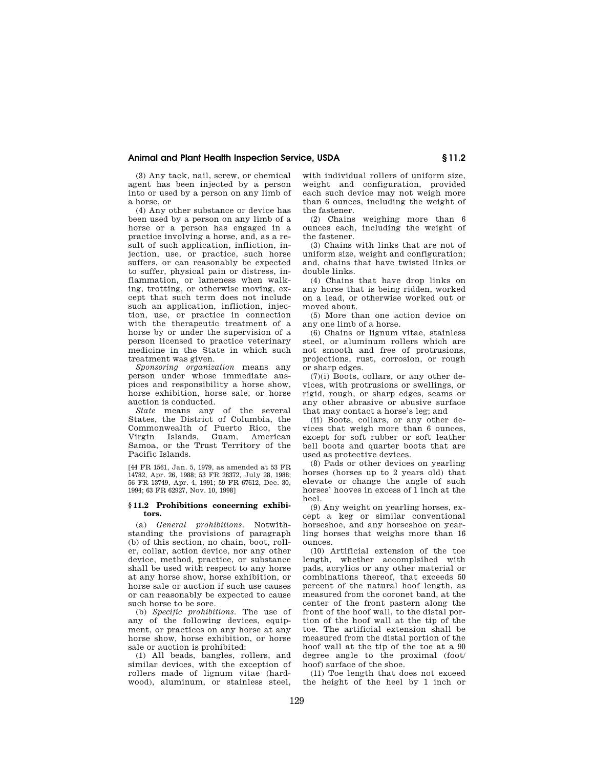(3) Any tack, nail, screw, or chemical agent has been injected by a person into or used by a person on any limb of a horse, or

(4) Any other substance or device has been used by a person on any limb of a horse or a person has engaged in a practice involving a horse, and, as a result of such application, infliction, injection, use, or practice, such horse suffers, or can reasonably be expected to suffer, physical pain or distress, inflammation, or lameness when walking, trotting, or otherwise moving, except that such term does not include such an application, infliction, injection, use, or practice in connection with the therapeutic treatment of a horse by or under the supervision of a person licensed to practice veterinary medicine in the State in which such treatment was given.

*Sponsoring organization* means any person under whose immediate auspices and responsibility a horse show, horse exhibition, horse sale, or horse auction is conducted.

*State* means any of the several States, the District of Columbia, the Commonwealth of Puerto Rico, the Virgin Islands, Guam, American Samoa, or the Trust Territory of the Pacific Islands.

[44 FR 1561, Jan. 5, 1979, as amended at 53 FR 14782, Apr. 26, 1988; 53 FR 28372, July 28, 1988; 56 FR 13749, Apr. 4, 1991; 59 FR 67612, Dec. 30, 1994; 63 FR 62927, Nov. 10, 1998]

#### **§ 11.2 Prohibitions concerning exhibitors.**

(a) *General prohibitions.* Notwithstanding the provisions of paragraph (b) of this section, no chain, boot, roller, collar, action device, nor any other device, method, practice, or substance shall be used with respect to any horse at any horse show, horse exhibition, or horse sale or auction if such use causes or can reasonably be expected to cause such horse to be sore.

(b) *Specific prohibitions.* The use of any of the following devices, equipment, or practices on any horse at any horse show, horse exhibition, or horse sale or auction is prohibited:

(1) All beads, bangles, rollers, and similar devices, with the exception of rollers made of lignum vitae (hardwood), aluminum, or stainless steel,

with individual rollers of uniform size, weight and configuration, provided each such device may not weigh more than 6 ounces, including the weight of the fastener.

(2) Chains weighing more than 6 ounces each, including the weight of the fastener.

(3) Chains with links that are not of uniform size, weight and configuration; and, chains that have twisted links or double links.

(4) Chains that have drop links on any horse that is being ridden, worked on a lead, or otherwise worked out or moved about.

(5) More than one action device on any one limb of a horse.

(6) Chains or lignum vitae, stainless steel, or aluminum rollers which are not smooth and free of protrusions, projections, rust, corrosion, or rough or sharp edges.

(7)(i) Boots, collars, or any other devices, with protrusions or swellings, or rigid, rough, or sharp edges, seams or any other abrasive or abusive surface that may contact a horse's leg; and

(ii) Boots, collars, or any other devices that weigh more than 6 ounces, except for soft rubber or soft leather bell boots and quarter boots that are used as protective devices.

(8) Pads or other devices on yearling horses (horses up to 2 years old) that elevate or change the angle of such horses' hooves in excess of 1 inch at the heel.

(9) Any weight on yearling horses, except a keg or similar conventional horseshoe, and any horseshoe on yearling horses that weighs more than 16 ounces.

(10) Artificial extension of the toe length, whether accomplsihed with pads, acrylics or any other material or combinations thereof, that exceeds 50 percent of the natural hoof length, as measured from the coronet band, at the center of the front pastern along the front of the hoof wall, to the distal portion of the hoof wall at the tip of the toe. The artificial extension shall be measured from the distal portion of the hoof wall at the tip of the toe at a 90 degree angle to the proximal (foot/ hoof) surface of the shoe.

(11) Toe length that does not exceed the height of the heel by 1 inch or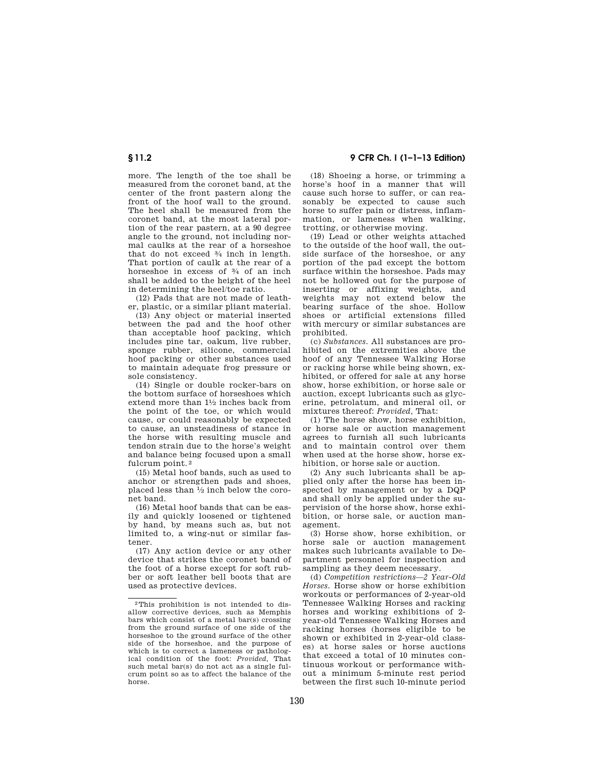# **§ 11.2 9 CFR Ch. I (1–1–13 Edition)**

more. The length of the toe shall be measured from the coronet band, at the center of the front pastern along the front of the hoof wall to the ground. The heel shall be measured from the coronet band, at the most lateral portion of the rear pastern, at a 90 degree angle to the ground, not including normal caulks at the rear of a horseshoe that do not exceed 3⁄4 inch in length. That portion of caulk at the rear of a horseshoe in excess of 3⁄4 of an inch shall be added to the height of the heel in determining the heel/toe ratio.

(12) Pads that are not made of leather, plastic, or a similar pliant material.

(13) Any object or material inserted between the pad and the hoof other than acceptable hoof packing, which includes pine tar, oakum, live rubber, sponge rubber, silicone, commercial hoof packing or other substances used to maintain adequate frog pressure or sole consistency.

(14) Single or double rocker-bars on the bottom surface of horseshoes which extend more than  $1\frac{1}{2}$  inches back from the point of the toe, or which would cause, or could reasonably be expected to cause, an unsteadiness of stance in the horse with resulting muscle and tendon strain due to the horse's weight and balance being focused upon a small fulcrum point.<sup>2</sup>

(15) Metal hoof bands, such as used to anchor or strengthen pads and shoes, placed less than  $\frac{1}{2}$  inch below the coronet band.

(16) Metal hoof bands that can be easily and quickly loosened or tightened by hand, by means such as, but not limited to, a wing-nut or similar fastener.

(17) Any action device or any other device that strikes the coronet band of the foot of a horse except for soft rubber or soft leather bell boots that are used as protective devices.

(18) Shoeing a horse, or trimming a horse's hoof in a manner that will cause such horse to suffer, or can reasonably be expected to cause such horse to suffer pain or distress, inflammation, or lameness when walking, trotting, or otherwise moving.

(19) Lead or other weights attached to the outside of the hoof wall, the outside surface of the horseshoe, or any portion of the pad except the bottom surface within the horseshoe. Pads may not be hollowed out for the purpose of inserting or affixing weights, and weights may not extend below the bearing surface of the shoe. Hollow shoes or artificial extensions filled with mercury or similar substances are prohibited.

(c) *Substances.* All substances are prohibited on the extremities above the hoof of any Tennessee Walking Horse or racking horse while being shown, exhibited, or offered for sale at any horse show, horse exhibition, or horse sale or auction, except lubricants such as glycerine, petrolatum, and mineral oil, or mixtures thereof: *Provided,* That:

(1) The horse show, horse exhibition, or horse sale or auction management agrees to furnish all such lubricants and to maintain control over them when used at the horse show, horse exhibition, or horse sale or auction.

(2) Any such lubricants shall be applied only after the horse has been inspected by management or by a DQP and shall only be applied under the supervision of the horse show, horse exhibition, or horse sale, or auction management.

(3) Horse show, horse exhibition, or horse sale or auction management makes such lubricants available to Department personnel for inspection and sampling as they deem necessary.

(d) *Competition restrictions—2 Year-Old Horses.* Horse show or horse exhibition workouts or performances of 2-year-old Tennessee Walking Horses and racking horses and working exhibitions of 2 year-old Tennessee Walking Horses and racking horses (horses eligible to be shown or exhibited in 2-year-old classes) at horse sales or horse auctions that exceed a total of 10 minutes continuous workout or performance without a minimum 5-minute rest period between the first such 10-minute period

<sup>2</sup>This prohibition is not intended to disallow corrective devices, such as Memphis bars which consist of a metal bar(s) crossing from the ground surface of one side of the horseshoe to the ground surface of the other side of the horseshoe, and the purpose of which is to correct a lameness or pathological condition of the foot: *Provided,* That such metal bar(s) do not act as a single fulcrum point so as to affect the balance of the horse.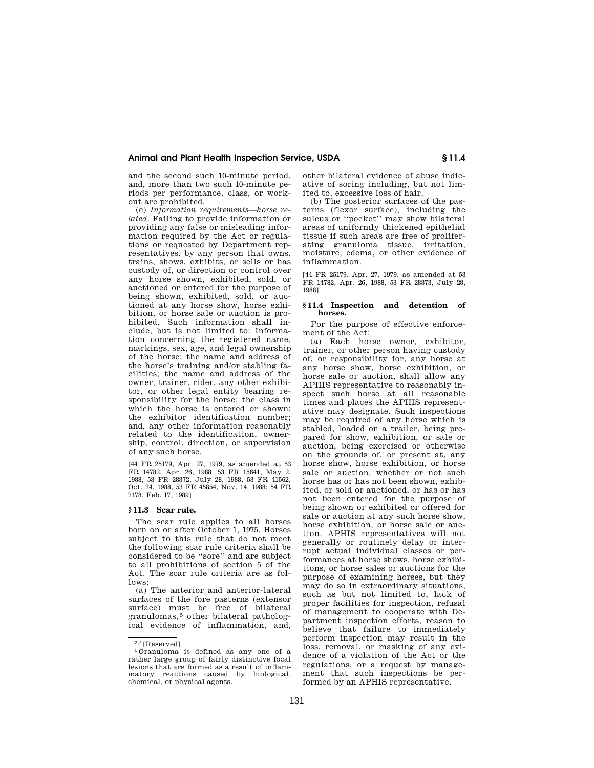and the second such 10-minute period, and, more than two such 10-minute periods per performance, class, or workout are prohibited.

(e) *Information requirements—horse related.* Failing to provide information or providing any false or misleading information required by the Act or regulations or requested by Department representatives, by any person that owns, trains, shows, exhibits, or sells or has custody of, or direction or control over any horse shown, exhibited, sold, or auctioned or entered for the purpose of being shown, exhibited, sold, or auctioned at any horse show, horse exhibition, or horse sale or auction is prohibited. Such information shall include, but is not limited to: Information concerning the registered name, markings, sex, age, and legal ownership of the horse; the name and address of the horse's training and/or stabling facilities; the name and address of the owner, trainer, rider, any other exhibitor, or other legal entity bearing responsibility for the horse; the class in which the horse is entered or shown; the exhibitor identification number; and, any other information reasonably related to the identification, ownership, control, direction, or supervision of any such horse.

[44 FR 25179, Apr. 27, 1979, as amended at 53 FR 14782, Apr. 26, 1988, 53 FR 15641, May 2, 1988, 53 FR 28372, July 28, 1988, 53 FR 41562, Oct. 24, 1988, 53 FR 45854, Nov. 14, 1988; 54 FR 7178, Feb. 17, 1989]

### **§ 11.3 Scar rule.**

The scar rule applies to all horses born on or after October 1, 1975. Horses subject to this rule that do not meet the following scar rule criteria shall be considered to be ''sore'' and are subject to all prohibitions of section 5 of the Act. The scar rule criteria are as follows:

(a) The anterior and anterior-lateral surfaces of the fore pasterns (extensor surface) must be free of bilateral granulomas, 5 other bilateral pathological evidence of inflammation, and,

other bilateral evidence of abuse indicative of soring including, but not limited to, excessive loss of hair.

(b) The posterior surfaces of the pasterns (flexor surface), including the sulcus or ''pocket'' may show bilateral areas of uniformly thickened epithelial tissue if such areas are free of proliferating granuloma tissue, irritation, moisture, edema, or other evidence of inflammation.

[44 FR 25179, Apr. 27, 1979, as amended at 53 FR 14782, Apr. 26, 1988, 53 FR 28373, July 28, 1988]

#### **§ 11.4 Inspection and detention of horses.**

For the purpose of effective enforcement of the Act:

 $(a)$  Each horse owner, exhibitor trainer, or other person having custody of, or responsibility for, any horse at any horse show, horse exhibition, or horse sale or auction, shall allow any APHIS representative to reasonably inspect such horse at all reasonable times and places the APHIS representative may designate. Such inspections may be required of any horse which is stabled, loaded on a trailer, being prepared for show, exhibition, or sale or auction, being exercised or otherwise on the grounds of, or present at, any horse show, horse exhibition, or horse sale or auction, whether or not such horse has or has not been shown, exhibited, or sold or auctioned, or has or has not been entered for the purpose of being shown or exhibited or offered for sale or auction at any such horse show, horse exhibition, or horse sale or auction. APHIS representatives will not generally or routinely delay or interrupt actual individual classes or performances at horse shows, horse exhibitions, or horse sales or auctions for the purpose of examining horses, but they may do so in extraordinary situations, such as but not limited to, lack of proper facilities for inspection, refusal of management to cooperate with Department inspection efforts, reason to believe that failure to immediately perform inspection may result in the loss, removal, or masking of any evidence of a violation of the Act or the regulations, or a request by management that such inspections be performed by an APHIS representative.

 $3.4$  [Reserved]<br> $5$  Granuloma is defined as any one of a rather large group of fairly distinctive focal lesions that are formed as a result of inflammatory reactions caused by biological, chemical, or physical agents.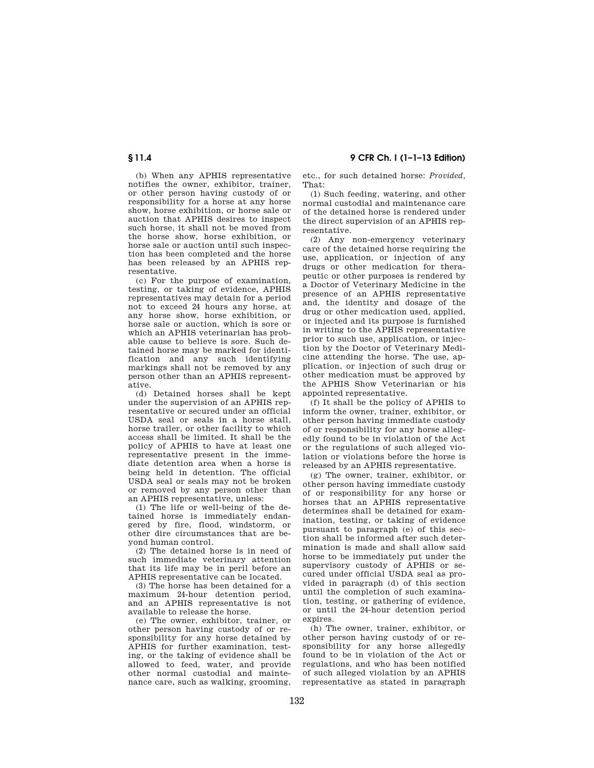# **§ 11.4 9 CFR Ch. I (1–1–13 Edition)**

(b) When any APHIS representative notifies the owner, exhibitor, trainer, or other person having custody of or responsibility for a horse at any horse show, horse exhibition, or horse sale or auction that APHIS desires to inspect such horse, it shall not be moved from the horse show, horse exhibition, or horse sale or auction until such inspection has been completed and the horse has been released by an APHIS representative.

(c) For the purpose of examination, testing, or taking of evidence, APHIS representatives may detain for a period not to exceed 24 hours any horse, at any horse show, horse exhibition, or horse sale or auction, which is sore or which an APHIS veterinarian has probable cause to believe is sore. Such detained horse may be marked for identification and any such identifying markings shall not be removed by any person other than an APHIS representative.

(d) Detained horses shall be kept under the supervision of an APHIS representative or secured under an official USDA seal or seals in a horse stall, horse trailer, or other facility to which access shall be limited. It shall be the policy of APHIS to have at least one representative present in the immediate detention area when a horse is being held in detention. The official USDA seal or seals may not be broken or removed by any person other than an APHIS representative, unless:

(1) The life or well-being of the detained horse is immediately endangered by fire, flood, windstorm, or other dire circumstances that are beyond human control.

(2) The detained horse is in need of such immediate veterinary attention that its life may be in peril before an APHIS representative can be located.

(3) The horse has been detained for a maximum 24-hour detention period, and an APHIS representative is not available to release the horse.

(e) The owner, exhibitor, trainer, or other person having custody of or responsibility for any horse detained by APHIS for further examination, testing, or the taking of evidence shall be allowed to feed, water, and provide other normal custodial and maintenance care, such as walking, grooming, etc., for such detained horse: *Provided,*  That:

(1) Such feeding, watering, and other normal custodial and maintenance care of the detained horse is rendered under the direct supervision of an APHIS representative.

(2) Any non-emergency veterinary care of the detained horse requiring the use, application, or injection of any drugs or other medication for therapeutic or other purposes is rendered by a Doctor of Veterinary Medicine in the presence of an APHIS representative and, the identity and dosage of the drug or other medication used, applied, or injected and its purpose is furnished in writing to the APHIS representative prior to such use, application, or injection by the Doctor of Veterinary Medicine attending the horse. The use, application, or injection of such drug or other medication must be approved by the APHIS Show Veterinarian or his appointed representative.

(f) It shall be the policy of APHIS to inform the owner, trainer, exhibitor, or other person having immediate custody of or responsibility for any horse allegedly found to be in violation of the Act or the regulations of such alleged violation or violations before the horse is released by an APHIS representative.

(g) The owner, trainer, exhibitor, or other person having immediate custody of or responsibility for any horse or horses that an APHIS representative determines shall be detained for examination, testing, or taking of evidence pursuant to paragraph (e) of this section shall be informed after such determination is made and shall allow said horse to be immediately put under the supervisory custody of APHIS or secured under official USDA seal as provided in paragraph (d) of this section until the completion of such examination, testing, or gathering of evidence, or until the 24-hour detention period expires.

(h) The owner, trainer, exhibitor, or other person having custody of or responsibility for any horse allegedly found to be in violation of the Act or regulations, and who has been notified of such alleged violation by an APHIS representative as stated in paragraph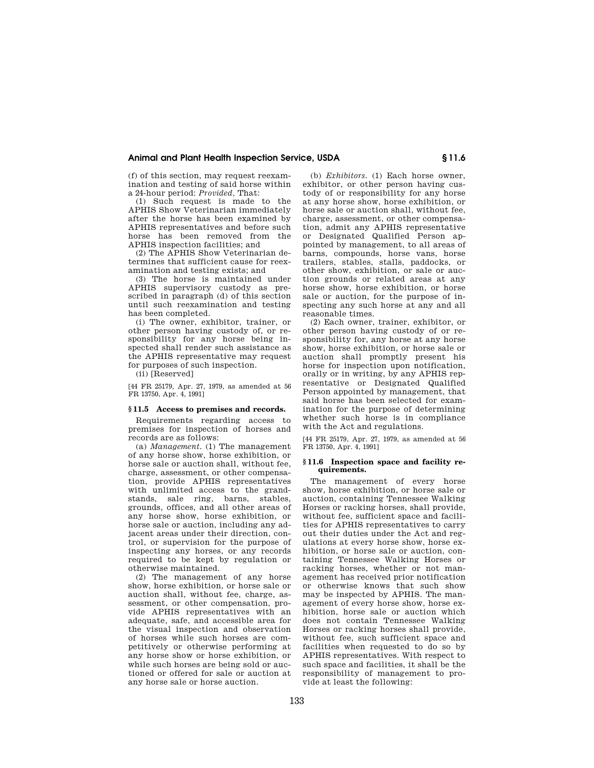(f) of this section, may request reexamination and testing of said horse within a 24-hour period: *Provided,* That:

(1) Such request is made to the APHIS Show Veterinarian immediately after the horse has been examined by APHIS representatives and before such horse has been removed from the APHIS inspection facilities; and

(2) The APHIS Show Veterinarian determines that sufficient cause for reexamination and testing exists; and

(3) The horse is maintained under APHIS supervisory custody as prescribed in paragraph (d) of this section until such reexamination and testing has been completed.

(i) The owner, exhibitor, trainer, or other person having custody of, or responsibility for any horse being inspected shall render such assistance as the APHIS representative may request for purposes of such inspection.

(ii) [Reserved]

[44 FR 25179, Apr. 27, 1979, as amended at 56 FR 13750, Apr. 4, 1991]

## **§ 11.5 Access to premises and records.**

Requirements regarding access to premises for inspection of horses and records are as follows:

(a) *Management.* (1) The management of any horse show, horse exhibition, or horse sale or auction shall, without fee, charge, assessment, or other compensation, provide APHIS representatives with unlimited access to the grandstands, sale ring, barns, stables, grounds, offices, and all other areas of any horse show, horse exhibition, or horse sale or auction, including any adjacent areas under their direction, control, or supervision for the purpose of inspecting any horses, or any records required to be kept by regulation or otherwise maintained.

(2) The management of any horse show, horse exhibition, or horse sale or auction shall, without fee, charge, assessment, or other compensation, provide APHIS representatives with an adequate, safe, and accessible area for the visual inspection and observation of horses while such horses are competitively or otherwise performing at any horse show or horse exhibition, or while such horses are being sold or auctioned or offered for sale or auction at any horse sale or horse auction.

(b) *Exhibitors.* (1) Each horse owner, exhibitor, or other person having custody of or responsibility for any horse at any horse show, horse exhibition, or horse sale or auction shall, without fee, charge, assessment, or other compensation, admit any APHIS representative or Designated Qualified Person appointed by management, to all areas of barns, compounds, horse vans, horse trailers, stables, stalls, paddocks, or other show, exhibition, or sale or auction grounds or related areas at any horse show, horse exhibition, or horse sale or auction, for the purpose of inspecting any such horse at any and all reasonable times.

(2) Each owner, trainer, exhibitor, or other person having custody of or responsibility for, any horse at any horse show, horse exhibition, or horse sale or auction shall promptly present his horse for inspection upon notification, orally or in writing, by any APHIS representative or Designated Qualified Person appointed by management, that said horse has been selected for examination for the purpose of determining whether such horse is in compliance with the Act and regulations.

[44 FR 25179, Apr. 27, 1979, as amended at 56 FR 13750, Apr. 4, 1991]

#### **§ 11.6 Inspection space and facility requirements.**

The management of every horse show, horse exhibition, or horse sale or auction, containing Tennessee Walking Horses or racking horses, shall provide, without fee, sufficient space and facilities for APHIS representatives to carry out their duties under the Act and regulations at every horse show, horse exhibition, or horse sale or auction, containing Tennessee Walking Horses or racking horses, whether or not management has received prior notification or otherwise knows that such show may be inspected by APHIS. The management of every horse show, horse exhibition, horse sale or auction which does not contain Tennessee Walking Horses or racking horses shall provide, without fee, such sufficient space and facilities when requested to do so by APHIS representatives. With respect to such space and facilities, it shall be the responsibility of management to provide at least the following: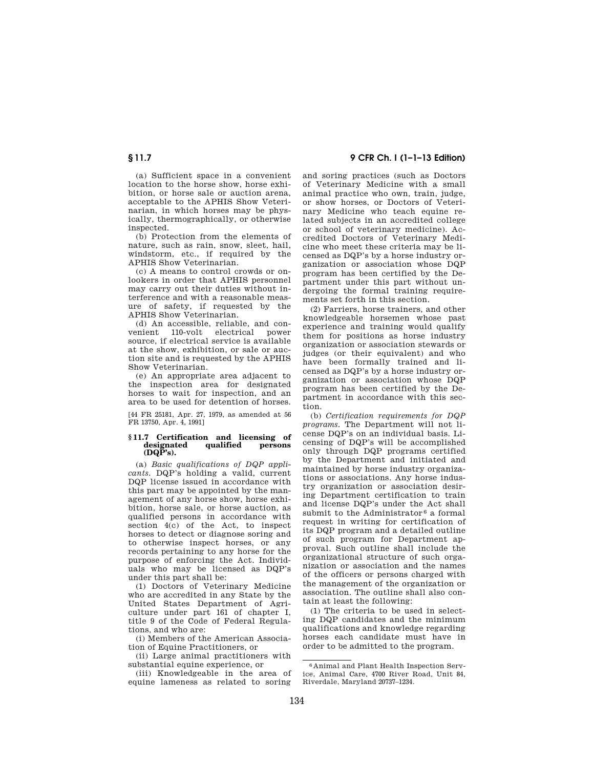(a) Sufficient space in a convenient location to the horse show, horse exhibition, or horse sale or auction arena, acceptable to the APHIS Show Veterinarian, in which horses may be physically, thermographically, or otherwise inspected.

(b) Protection from the elements of nature, such as rain, snow, sleet, hail, windstorm, etc., if required by the APHIS Show Veterinarian.

(c) A means to control crowds or onlookers in order that APHIS personnel may carry out their duties without interference and with a reasonable measure of safety, if requested by the APHIS Show Veterinarian.

(d) An accessible, reliable, and convenient 110-volt electrical power source, if electrical service is available at the show, exhibition, or sale or auction site and is requested by the APHIS Show Veterinarian.

(e) An appropriate area adjacent to the inspection area for designated horses to wait for inspection, and an area to be used for detention of horses.

[44 FR 25181, Apr. 27, 1979, as amended at 56 FR 13750, Apr. 4, 1991]

#### **§ 11.7 Certification and licensing of designated qualified persons (DQP's).**

(a) *Basic qualifications of DQP applicants.* DQP's holding a valid, current DQP license issued in accordance with this part may be appointed by the management of any horse show, horse exhibition, horse sale, or horse auction, as qualified persons in accordance with section 4(c) of the Act, to inspect horses to detect or diagnose soring and to otherwise inspect horses, or any records pertaining to any horse for the purpose of enforcing the Act. Individuals who may be licensed as DQP's under this part shall be:

(1) Doctors of Veterinary Medicine who are accredited in any State by the United States Department of Agriculture under part 161 of chapter I, title 9 of the Code of Federal Regulations, and who are:

(i) Members of the American Association of Equine Practitioners, or

(ii) Large animal practitioners with substantial equine experience, or

(iii) Knowledgeable in the area of equine lameness as related to soring

**§ 11.7 9 CFR Ch. I (1–1–13 Edition)** 

and soring practices (such as Doctors of Veterinary Medicine with a small animal practice who own, train, judge, or show horses, or Doctors of Veterinary Medicine who teach equine related subjects in an accredited college or school of veterinary medicine). Accredited Doctors of Veterinary Medicine who meet these criteria may be licensed as DQP's by a horse industry organization or association whose DQP program has been certified by the Department under this part without undergoing the formal training requirements set forth in this section.

(2) Farriers, horse trainers, and other knowledgeable horsemen whose past experience and training would qualify them for positions as horse industry organization or association stewards or judges (or their equivalent) and who have been formally trained and licensed as DQP's by a horse industry organization or association whose DQP program has been certified by the Department in accordance with this section.

(b) *Certification requirements for DQP programs.* The Department will not license DQP's on an individual basis. Licensing of DQP's will be accomplished only through DQP programs certified by the Department and initiated and maintained by horse industry organizations or associations. Any horse industry organization or association desiring Department certification to train and license DQP's under the Act shall submit to the Administrator 6 a formal request in writing for certification of its DQP program and a detailed outline of such program for Department approval. Such outline shall include the organizational structure of such organization or association and the names of the officers or persons charged with the management of the organization or association. The outline shall also contain at least the following:

(1) The criteria to be used in selecting DQP candidates and the minimum qualifications and knowledge regarding horses each candidate must have in order to be admitted to the program.

<sup>6</sup> Animal and Plant Health Inspection Service, Animal Care, 4700 River Road, Unit 84, Riverdale, Maryland 20737–1234.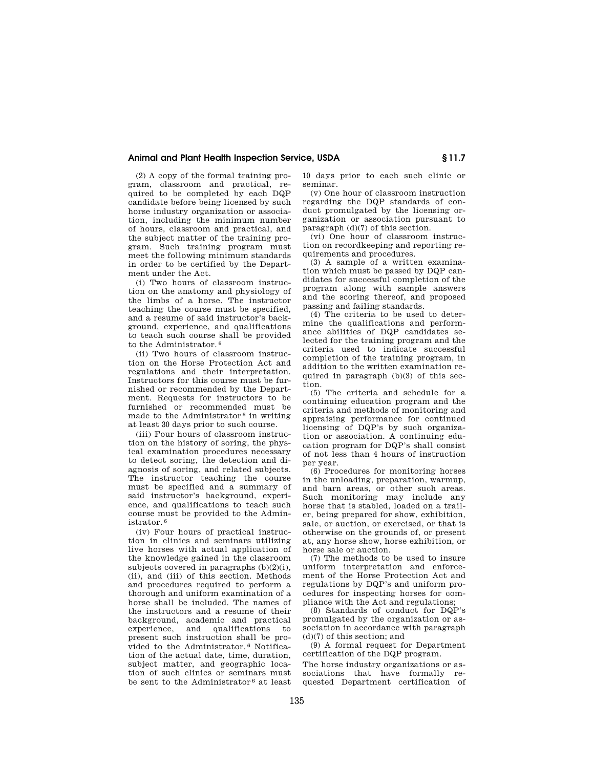(2) A copy of the formal training program, classroom and practical, required to be completed by each DQP candidate before being licensed by such horse industry organization or association, including the minimum number of hours, classroom and practical, and the subject matter of the training program. Such training program must meet the following minimum standards in order to be certified by the Department under the Act.

(i) Two hours of classroom instruction on the anatomy and physiology of the limbs of a horse. The instructor teaching the course must be specified, and a resume of said instructor's background, experience, and qualifications to teach such course shall be provided to the Administrator. 6

(ii) Two hours of classroom instruction on the Horse Protection Act and regulations and their interpretation. Instructors for this course must be furnished or recommended by the Department. Requests for instructors to be furnished or recommended must be made to the Administrator 6 in writing at least 30 days prior to such course.

(iii) Four hours of classroom instruction on the history of soring, the physical examination procedures necessary to detect soring, the detection and diagnosis of soring, and related subjects. The instructor teaching the course must be specified and a summary of said instructor's background, experience, and qualifications to teach such course must be provided to the Administrator. 6

(iv) Four hours of practical instruction in clinics and seminars utilizing live horses with actual application of the knowledge gained in the classroom subjects covered in paragraphs  $(b)(2)(i)$ , (ii), and (iii) of this section. Methods and procedures required to perform a thorough and uniform examination of a horse shall be included. The names of the instructors and a resume of their background, academic and practical experience, and qualifications to present such instruction shall be provided to the Administrator. 6 Notification of the actual date, time, duration, subject matter, and geographic location of such clinics or seminars must be sent to the Administrator<sup>6</sup> at least

10 days prior to each such clinic or seminar.

(v) One hour of classroom instruction regarding the DQP standards of conduct promulgated by the licensing organization or association pursuant to paragraph (d)(7) of this section.

(vi) One hour of classroom instruction on recordkeeping and reporting requirements and procedures.

(3) A sample of a written examination which must be passed by DQP candidates for successful completion of the program along with sample answers and the scoring thereof, and proposed passing and failing standards.

(4) The criteria to be used to determine the qualifications and performance abilities of DQP candidates selected for the training program and the criteria used to indicate successful completion of the training program, in addition to the written examination required in paragraph (b)(3) of this section.

(5) The criteria and schedule for a continuing education program and the criteria and methods of monitoring and appraising performance for continued licensing of DQP's by such organization or association. A continuing education program for DQP's shall consist of not less than 4 hours of instruction per year.

(6) Procedures for monitoring horses in the unloading, preparation, warmup, and barn areas, or other such areas. Such monitoring may include any horse that is stabled, loaded on a trailer, being prepared for show, exhibition, sale, or auction, or exercised, or that is otherwise on the grounds of, or present at, any horse show, horse exhibition, or horse sale or auction.

(7) The methods to be used to insure uniform interpretation and enforcement of the Horse Protection Act and regulations by DQP's and uniform procedures for inspecting horses for compliance with the Act and regulations;

(8) Standards of conduct for DQP's promulgated by the organization or association in accordance with paragraph (d)(7) of this section; and

(9) A formal request for Department certification of the DQP program. The horse industry organizations or as-

sociations that have formally requested Department certification of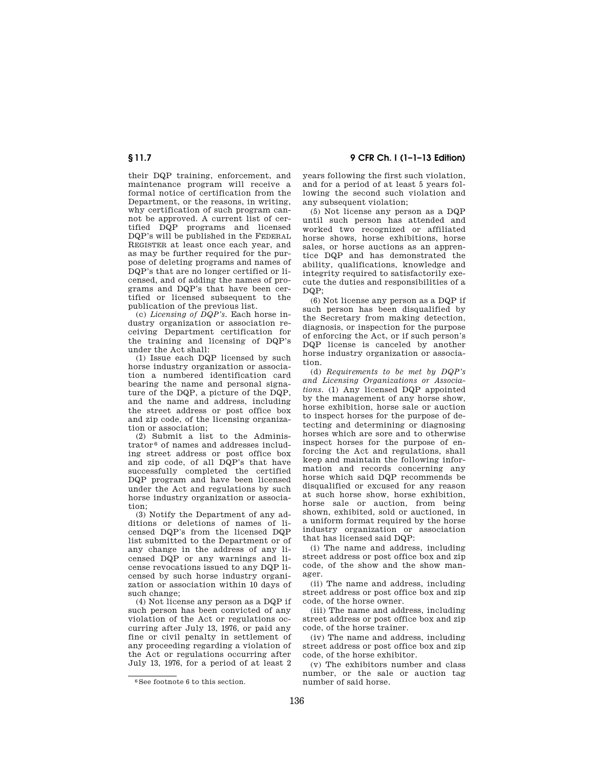their DQP training, enforcement, and maintenance program will receive a formal notice of certification from the Department, or the reasons, in writing, why certification of such program cannot be approved. A current list of certified DQP programs and licensed DQP's will be published in the FEDERAL REGISTER at least once each year, and as may be further required for the purpose of deleting programs and names of DQP's that are no longer certified or licensed, and of adding the names of programs and DQP's that have been certified or licensed subsequent to the publication of the previous list.

(c) *Licensing of DQP's.* Each horse industry organization or association receiving Department certification for the training and licensing of DQP's under the Act shall:

(1) Issue each DQP licensed by such horse industry organization or association a numbered identification card bearing the name and personal signature of the DQP, a picture of the DQP, and the name and address, including the street address or post office box and zip code, of the licensing organization or association;

(2) Submit a list to the Administrator 6 of names and addresses including street address or post office box and zip code, of all DQP's that have successfully completed the certified DQP program and have been licensed under the Act and regulations by such horse industry organization or association;

(3) Notify the Department of any additions or deletions of names of licensed DQP's from the licensed DQP list submitted to the Department or of any change in the address of any licensed DQP or any warnings and license revocations issued to any DQP licensed by such horse industry organization or association within 10 days of such change;

(4) Not license any person as a DQP if such person has been convicted of any violation of the Act or regulations occurring after July 13, 1976, or paid any fine or civil penalty in settlement of any proceeding regarding a violation of the Act or regulations occurring after July 13, 1976, for a period of at least 2

**§ 11.7 9 CFR Ch. I (1–1–13 Edition)** 

years following the first such violation, and for a period of at least 5 years following the second such violation and any subsequent violation;

(5) Not license any person as a DQP until such person has attended and worked two recognized or affiliated horse shows, horse exhibitions, horse sales, or horse auctions as an apprentice DQP and has demonstrated the ability, qualifications, knowledge and integrity required to satisfactorily execute the duties and responsibilities of a DQP;

(6) Not license any person as a DQP if such person has been disqualified by the Secretary from making detection, diagnosis, or inspection for the purpose of enforcing the Act, or if such person's DQP license is canceled by another horse industry organization or association.

(d) *Requirements to be met by DQP's and Licensing Organizations or Associations.* (1) Any licensed DQP appointed by the management of any horse show, horse exhibition, horse sale or auction to inspect horses for the purpose of detecting and determining or diagnosing horses which are sore and to otherwise inspect horses for the purpose of enforcing the Act and regulations, shall keep and maintain the following information and records concerning any horse which said DQP recommends be disqualified or excused for any reason at such horse show, horse exhibition, horse sale or auction, from being shown, exhibited, sold or auctioned, in a uniform format required by the horse industry organization or association that has licensed said DQP:

(i) The name and address, including street address or post office box and zip code, of the show and the show manager.

(ii) The name and address, including street address or post office box and zip code, of the horse owner.

(iii) The name and address, including street address or post office box and zip code, of the horse trainer.

(iv) The name and address, including street address or post office box and zip code, of the horse exhibitor.

(v) The exhibitors number and class number, or the sale or auction tag number of said horse.

<sup>6</sup> See footnote 6 to this section.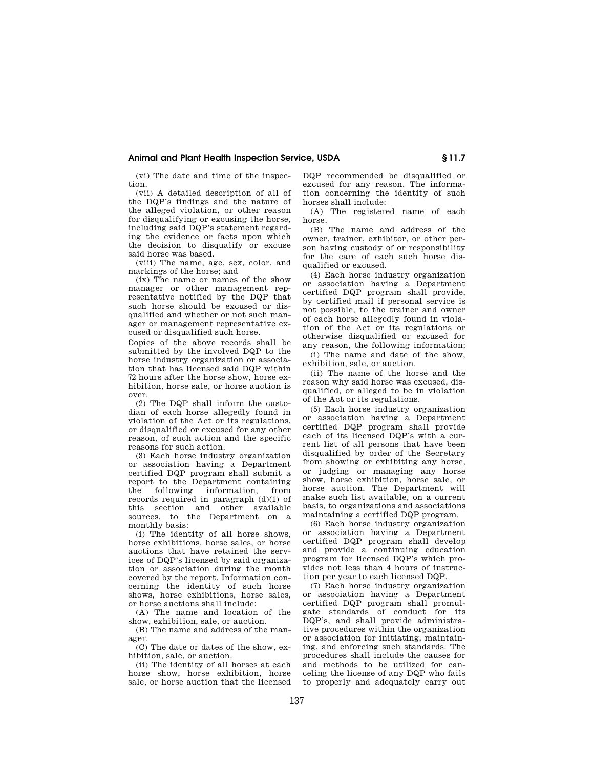(vi) The date and time of the inspection.

(vii) A detailed description of all of the DQP's findings and the nature of the alleged violation, or other reason for disqualifying or excusing the horse, including said DQP's statement regarding the evidence or facts upon which the decision to disqualify or excuse said horse was based.

(viii) The name, age, sex, color, and markings of the horse; and

(ix) The name or names of the show manager or other management representative notified by the DQP that such horse should be excused or disqualified and whether or not such manager or management representative excused or disqualified such horse.

Copies of the above records shall be submitted by the involved DQP to the horse industry organization or association that has licensed said DQP within 72 hours after the horse show, horse exhibition, horse sale, or horse auction is over.

(2) The DQP shall inform the custodian of each horse allegedly found in violation of the Act or its regulations, or disqualified or excused for any other reason, of such action and the specific reasons for such action.

(3) Each horse industry organization or association having a Department certified DQP program shall submit a report to the Department containing the following information, from records required in paragraph (d)(1) of this section and other available sources, to the Department on a monthly basis:

(i) The identity of all horse shows, horse exhibitions, horse sales, or horse auctions that have retained the services of DQP's licensed by said organization or association during the month covered by the report. Information concerning the identity of such horse shows, horse exhibitions, horse sales, or horse auctions shall include:

(A) The name and location of the show, exhibition, sale, or auction.

(B) The name and address of the manager.

(C) The date or dates of the show, exhibition, sale, or auction.

(ii) The identity of all horses at each horse show, horse exhibition, horse sale, or horse auction that the licensed DQP recommended be disqualified or excused for any reason. The information concerning the identity of such horses shall include:

(A) The registered name of each horse.

(B) The name and address of the owner, trainer, exhibitor, or other person having custody of or responsibility for the care of each such horse disqualified or excused.

(4) Each horse industry organization or association having a Department certified DQP program shall provide, by certified mail if personal service is not possible, to the trainer and owner of each horse allegedly found in violation of the Act or its regulations or otherwise disqualified or excused for any reason, the following information;

(i) The name and date of the show, exhibition, sale, or auction.

(ii) The name of the horse and the reason why said horse was excused, disqualified, or alleged to be in violation of the Act or its regulations.

(5) Each horse industry organization or association having a Department certified DQP program shall provide each of its licensed DQP's with a current list of all persons that have been disqualified by order of the Secretary from showing or exhibiting any horse, or judging or managing any horse show, horse exhibition, horse sale, or horse auction. The Department will make such list available, on a current basis, to organizations and associations maintaining a certified DQP program.

(6) Each horse industry organization or association having a Department certified DQP program shall develop and provide a continuing education program for licensed DQP's which provides not less than 4 hours of instruction per year to each licensed DQP.

(7) Each horse industry organization or association having a Department certified DQP program shall promulgate standards of conduct for its DQP's, and shall provide administrative procedures within the organization or association for initiating, maintaining, and enforcing such standards. The procedures shall include the causes for and methods to be utilized for canceling the license of any DQP who fails to properly and adequately carry out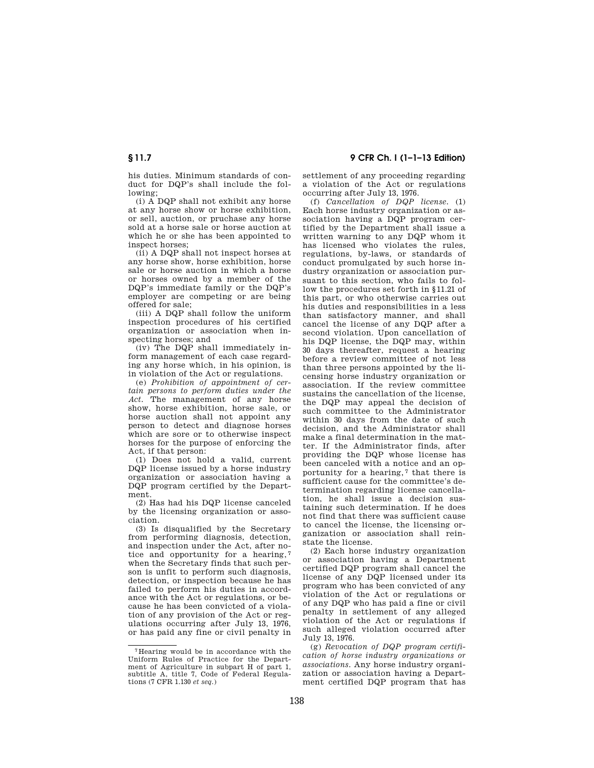his duties. Minimum standards of conduct for DQP's shall include the following;

(i) A DQP shall not exhibit any horse at any horse show or horse exhibition, or sell, auction, or pruchase any horse sold at a horse sale or horse auction at which he or she has been appointed to inspect horses;

(ii) A DQP shall not inspect horses at any horse show, horse exhibition, horse sale or horse auction in which a horse or horses owned by a member of the DQP's immediate family or the DQP's employer are competing or are being offered for sale;

(iii) A DQP shall follow the uniform inspection procedures of his certified organization or association when inspecting horses; and

(iv) The DQP shall immediately inform management of each case regarding any horse which, in his opinion, is in violation of the Act or regulations.

(e) *Prohibition of appointment of certain persons to perform duties under the Act.* The management of any horse show, horse exhibition, horse sale, or horse auction shall not appoint any person to detect and diagnose horses which are sore or to otherwise inspect horses for the purpose of enforcing the Act, if that person:

(1) Does not hold a valid, current DQP license issued by a horse industry organization or association having a DQP program certified by the Department.

(2) Has had his DQP license canceled by the licensing organization or association.

(3) Is disqualified by the Secretary from performing diagnosis, detection, and inspection under the Act, after notice and opportunity for a hearing, 7 when the Secretary finds that such person is unfit to perform such diagnosis, detection, or inspection because he has failed to perform his duties in accordance with the Act or regulations, or because he has been convicted of a violation of any provision of the Act or regulations occurring after July 13, 1976, or has paid any fine or civil penalty in

**§ 11.7 9 CFR Ch. I (1–1–13 Edition)** 

settlement of any proceeding regarding a violation of the Act or regulations occurring after July 13, 1976.

(f) *Cancellation of DQP license.* (1) Each horse industry organization or association having a DQP program certified by the Department shall issue a written warning to any DQP whom it has licensed who violates the rules, regulations, by-laws, or standards of conduct promulgated by such horse industry organization or association pursuant to this section, who fails to follow the procedures set forth in §11.21 of this part, or who otherwise carries out his duties and responsibilities in a less than satisfactory manner, and shall cancel the license of any DQP after a second violation. Upon cancellation of his DQP license, the DQP may, within 30 days thereafter, request a hearing before a review committee of not less than three persons appointed by the licensing horse industry organization or association. If the review committee sustains the cancellation of the license, the DQP may appeal the decision of such committee to the Administrator within 30 days from the date of such decision, and the Administrator shall make a final determination in the matter. If the Administrator finds, after providing the DQP whose license has been canceled with a notice and an opportunity for a hearing, 7 that there is sufficient cause for the committee's determination regarding license cancellation, he shall issue a decision sustaining such determination. If he does not find that there was sufficient cause to cancel the license, the licensing organization or association shall reinstate the license.

(2) Each horse industry organization or association having a Department certified DQP program shall cancel the license of any DQP licensed under its program who has been convicted of any violation of the Act or regulations or of any DQP who has paid a fine or civil penalty in settlement of any alleged violation of the Act or regulations if such alleged violation occurred after July 13, 1976.

(g) *Revocation of DQP program certification of horse industry organizations or associations.* Any horse industry organization or association having a Department certified DQP program that has

<sup>7</sup> Hearing would be in accordance with the Uniform Rules of Practice for the Department of Agriculture in subpart H of part 1, subtitle A, title 7, Code of Federal Regulations (7 CFR 1.130 *et seq.*)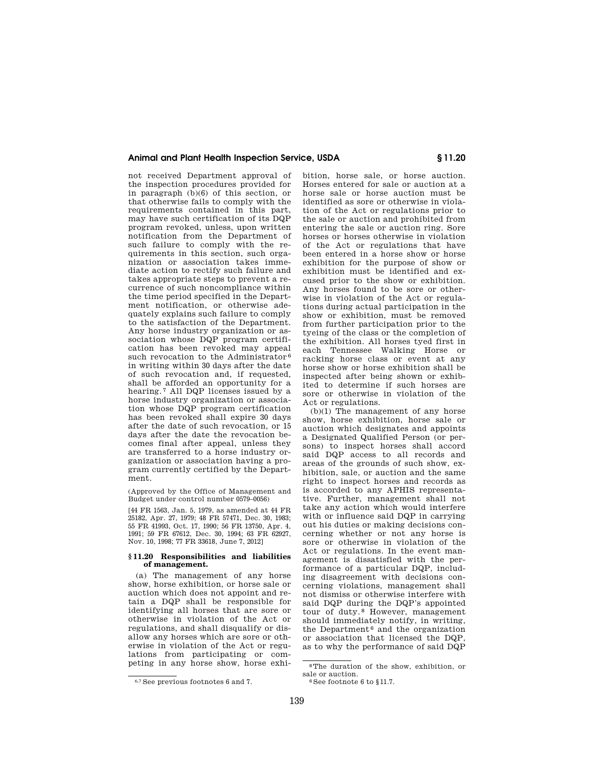not received Department approval of the inspection procedures provided for in paragraph (b)(6) of this section, or that otherwise fails to comply with the requirements contained in this part, may have such certification of its DQP program revoked, unless, upon written notification from the Department of such failure to comply with the requirements in this section, such organization or association takes immediate action to rectify such failure and takes appropriate steps to prevent a recurrence of such noncompliance within the time period specified in the Department notification, or otherwise adequately explains such failure to comply to the satisfaction of the Department. Any horse industry organization or association whose DQP program certification has been revoked may appeal such revocation to the Administrator 6 in writing within 30 days after the date of such revocation and, if requested, shall be afforded an opportunity for a hearing. 7 All DQP licenses issued by a horse industry organization or association whose DQP program certification has been revoked shall expire 30 days after the date of such revocation, or 15 days after the date the revocation becomes final after appeal, unless they are transferred to a horse industry organization or association having a program currently certified by the Department.

(Approved by the Office of Management and Budget under control number 0579–0056)

[44 FR 1563, Jan. 5, 1979, as amended at 44 FR 25182, Apr. 27, 1979; 48 FR 57471, Dec. 30, 1983; 55 FR 41993, Oct. 17, 1990; 56 FR 13750, Apr. 4, 1991; 59 FR 67612, Dec. 30, 1994; 63 FR 62927, Nov. 10, 1998; 77 FR 33618, June 7, 2012]

#### **§ 11.20 Responsibilities and liabilities of management.**

(a) The management of any horse show, horse exhibition, or horse sale or auction which does not appoint and retain a DQP shall be responsible for identifying all horses that are sore or otherwise in violation of the Act or regulations, and shall disqualify or disallow any horses which are sore or otherwise in violation of the Act or regulations from participating or competing in any horse show, horse exhi-

6,7 See previous footnotes 6 and 7.

bition, horse sale, or horse auction. Horses entered for sale or auction at a horse sale or horse auction must be identified as sore or otherwise in violation of the Act or regulations prior to the sale or auction and prohibited from entering the sale or auction ring. Sore horses or horses otherwise in violation of the Act or regulations that have been entered in a horse show or horse exhibition for the purpose of show or exhibition must be identified and excused prior to the show or exhibition. Any horses found to be sore or otherwise in violation of the Act or regulations during actual participation in the show or exhibition, must be removed from further participation prior to the tyeing of the class or the completion of the exhibition. All horses tyed first in each Tennessee Walking Horse or racking horse class or event at any horse show or horse exhibition shall be inspected after being shown or exhibited to determine if such horses are sore or otherwise in violation of the Act or regulations.

(b)(1) The management of any horse show, horse exhibition, horse sale or auction which designates and appoints a Designated Qualified Person (or persons) to inspect horses shall accord said DQP access to all records and areas of the grounds of such show, exhibition, sale, or auction and the same right to inspect horses and records as is accorded to any APHIS representative. Further, management shall not take any action which would interfere with or influence said DQP in carrying out his duties or making decisions concerning whether or not any horse is sore or otherwise in violation of the Act or regulations. In the event management is dissatisfied with the performance of a particular DQP, including disagreement with decisions concerning violations, management shall not dismiss or otherwise interfere with said DQP during the DQP's appointed tour of duty. 8 However, management should immediately notify, in writing, the Department<sup> $6$ </sup> and the organization or association that licensed the DQP, as to why the performance of said DQP

<sup>8</sup>The duration of the show, exhibition, or sale or auction.<br> $6 \text{ See footnote } 6 \text{ to } $11.7.$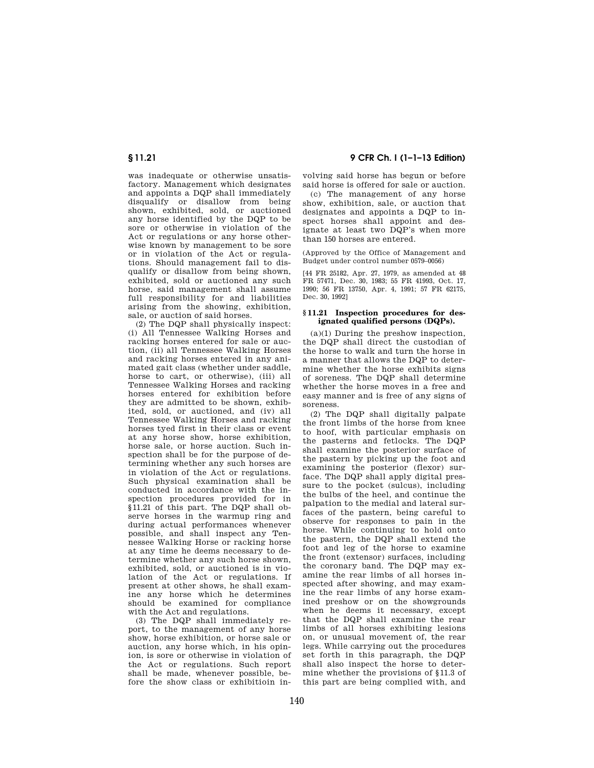was inadequate or otherwise unsatisfactory. Management which designates and appoints a DQP shall immediately disqualify or disallow from being shown, exhibited, sold, or auctioned any horse identified by the DQP to be sore or otherwise in violation of the Act or regulations or any horse otherwise known by management to be sore or in violation of the Act or regulations. Should management fail to disqualify or disallow from being shown, exhibited, sold or auctioned any such horse, said management shall assume full responsibility for and liabilities arising from the showing, exhibition, sale, or auction of said horses.

(2) The DQP shall physically inspect: (i) All Tennessee Walking Horses and racking horses entered for sale or auction, (ii) all Tennessee Walking Horses and racking horses entered in any animated gait class (whether under saddle, horse to cart, or otherwise), (iii) all Tennessee Walking Horses and racking horses entered for exhibition before they are admitted to be shown, exhibited, sold, or auctioned, and (iv) all Tennessee Walking Horses and racking horses tyed first in their class or event at any horse show, horse exhibition, horse sale, or horse auction. Such inspection shall be for the purpose of determining whether any such horses are in violation of the Act or regulations. Such physical examination shall be conducted in accordance with the inspection procedures provided for in §11.21 of this part. The DQP shall observe horses in the warmup ring and during actual performances whenever possible, and shall inspect any Tennessee Walking Horse or racking horse at any time he deems necessary to determine whether any such horse shown, exhibited, sold, or auctioned is in violation of the Act or regulations. If present at other shows, he shall examine any horse which he determines should be examined for compliance with the Act and regulations.

(3) The DQP shall immediately report, to the management of any horse show, horse exhibition, or horse sale or auction, any horse which, in his opinion, is sore or otherwise in violation of the Act or regulations. Such report shall be made, whenever possible, before the show class or exhibitioin in-

**§ 11.21 9 CFR Ch. I (1–1–13 Edition)** 

volving said horse has begun or before said horse is offered for sale or auction.

(c) The management of any horse show, exhibition, sale, or auction that designates and appoints a DQP to inspect horses shall appoint and designate at least two DQP's when more than 150 horses are entered.

(Approved by the Office of Management and Budget under control number 0579–0056)

[44 FR 25182, Apr. 27, 1979, as amended at 48 FR 57471, Dec. 30, 1983; 55 FR 41993, Oct. 17, 1990; 56 FR 13750, Apr. 4, 1991; 57 FR 62175, Dec. 30, 1992]

# **§ 11.21 Inspection procedures for designated qualified persons (DQPs).**

 $(a)(1)$  During the preshow inspection. the DQP shall direct the custodian of the horse to walk and turn the horse in a manner that allows the DQP to determine whether the horse exhibits signs of soreness. The DQP shall determine whether the horse moves in a free and easy manner and is free of any signs of soreness.

(2) The DQP shall digitally palpate the front limbs of the horse from knee to hoof, with particular emphasis on the pasterns and fetlocks. The DQP shall examine the posterior surface of the pastern by picking up the foot and examining the posterior (flexor) surface. The DQP shall apply digital pressure to the pocket (sulcus), including the bulbs of the heel, and continue the palpation to the medial and lateral surfaces of the pastern, being careful to observe for responses to pain in the horse. While continuing to hold onto the pastern, the DQP shall extend the foot and leg of the horse to examine the front (extensor) surfaces, including the coronary band. The DQP may examine the rear limbs of all horses inspected after showing, and may examine the rear limbs of any horse examined preshow or on the showgrounds when he deems it necessary, except that the DQP shall examine the rear limbs of all horses exhibiting lesions on, or unusual movement of, the rear legs. While carrying out the procedures set forth in this paragraph, the DQP shall also inspect the horse to determine whether the provisions of §11.3 of this part are being complied with, and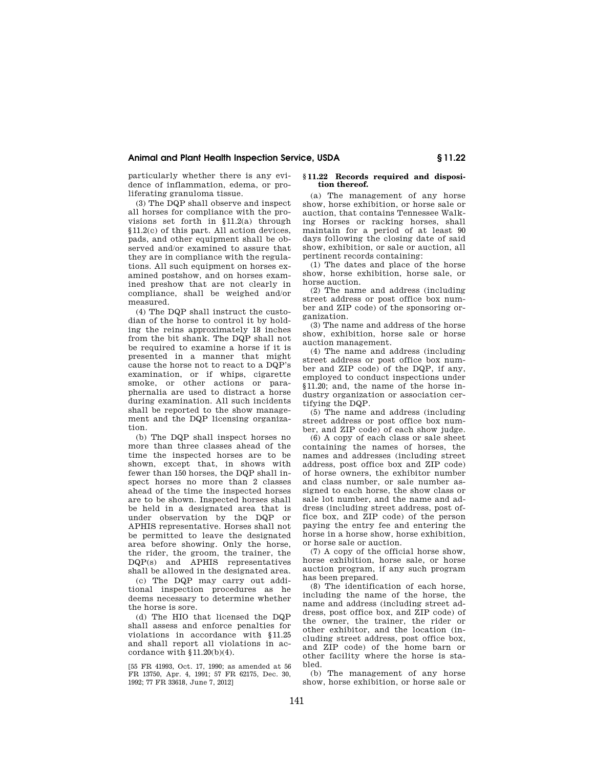particularly whether there is any evidence of inflammation, edema, or proliferating granuloma tissue.

(3) The DQP shall observe and inspect all horses for compliance with the provisions set forth in §11.2(a) through §11.2(c) of this part. All action devices, pads, and other equipment shall be observed and/or examined to assure that they are in compliance with the regulations. All such equipment on horses examined postshow, and on horses examined preshow that are not clearly in compliance, shall be weighed and/or measured.

(4) The DQP shall instruct the custodian of the horse to control it by holding the reins approximately 18 inches from the bit shank. The DQP shall not be required to examine a horse if it is presented in a manner that might cause the horse not to react to a DQP's examination, or if whips, cigarette smoke, or other actions or paraphernalia are used to distract a horse during examination. All such incidents shall be reported to the show management and the DQP licensing organization.

(b) The DQP shall inspect horses no more than three classes ahead of the time the inspected horses are to be shown, except that, in shows with fewer than 150 horses, the DQP shall inspect horses no more than 2 classes ahead of the time the inspected horses are to be shown. Inspected horses shall be held in a designated area that is under observation by the DQP or APHIS representative. Horses shall not be permitted to leave the designated area before showing. Only the horse, the rider, the groom, the trainer, the DQP(s) and APHIS representatives shall be allowed in the designated area.

(c) The DQP may carry out additional inspection procedures as he deems necessary to determine whether the horse is sore.

(d) The HIO that licensed the DQP shall assess and enforce penalties for violations in accordance with §11.25 and shall report all violations in accordance with §11.20(b)(4).

[55 FR 41993, Oct. 17, 1990; as amended at 56 FR 13750, Apr. 4, 1991; 57 FR 62175, Dec. 30, 1992; 77 FR 33618, June 7, 2012]

#### **§ 11.22 Records required and disposition thereof.**

(a) The management of any horse show, horse exhibition, or horse sale or auction, that contains Tennessee Walking Horses or racking horses, shall maintain for a period of at least 90 days following the closing date of said show, exhibition, or sale or auction, all pertinent records containing:

(1) The dates and place of the horse show, horse exhibition, horse sale, or horse auction.

(2) The name and address (including street address or post office box number and ZIP code) of the sponsoring organization.

(3) The name and address of the horse show, exhibition, horse sale or horse auction management.

(4) The name and address (including street address or post office box number and ZIP code) of the DQP, if any, employed to conduct inspections under §11.20; and, the name of the horse industry organization or association certifying the DQP.

(5) The name and address (including street address or post office box number, and ZIP code) of each show judge.

(6) A copy of each class or sale sheet containing the names of horses, the names and addresses (including street address, post office box and ZIP code) of horse owners, the exhibitor number and class number, or sale number assigned to each horse, the show class or sale lot number, and the name and address (including street address, post office box, and ZIP code) of the person paying the entry fee and entering the horse in a horse show, horse exhibition, or horse sale or auction.

(7) A copy of the official horse show, horse exhibition, horse sale, or horse auction program, if any such program has been prepared.

(8) The identification of each horse, including the name of the horse, the name and address (including street address, post office box, and ZIP code) of the owner, the trainer, the rider or other exhibitor, and the location (including street address, post office box, and ZIP code) of the home barn or other facility where the horse is stabled.

(b) The management of any horse show, horse exhibition, or horse sale or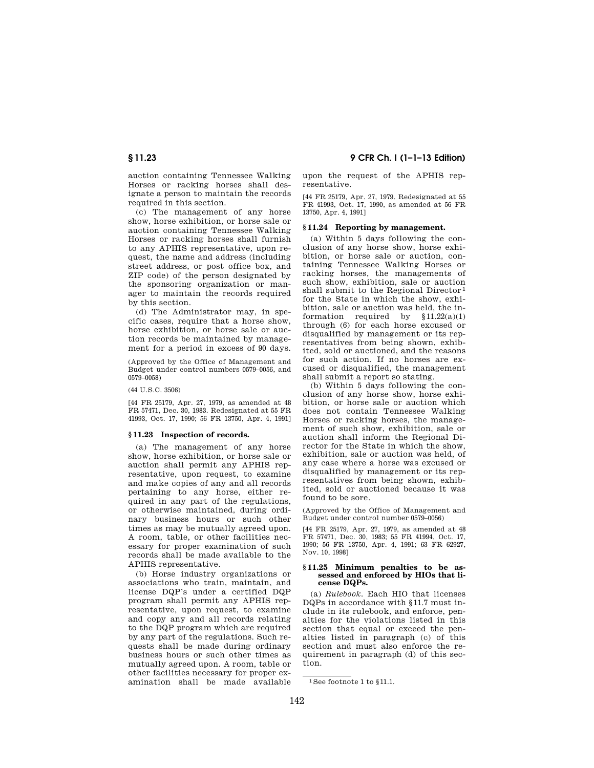auction containing Tennessee Walking Horses or racking horses shall designate a person to maintain the records required in this section.

(c) The management of any horse show, horse exhibition, or horse sale or auction containing Tennessee Walking Horses or racking horses shall furnish to any APHIS representative, upon request, the name and address (including street address, or post office box, and ZIP code) of the person designated by the sponsoring organization or manager to maintain the records required by this section.

(d) The Administrator may, in specific cases, require that a horse show, horse exhibition, or horse sale or auction records be maintained by management for a period in excess of 90 days.

(Approved by the Office of Management and Budget under control numbers 0579–0056, and 0579–0058)

(44 U.S.C. 3506)

[44 FR 25179, Apr. 27, 1979, as amended at 48 FR 57471, Dec. 30, 1983. Redesignated at 55 FR 41993, Oct. 17, 1990; 56 FR 13750, Apr. 4, 1991]

#### **§ 11.23 Inspection of records.**

(a) The management of any horse show, horse exhibition, or horse sale or auction shall permit any APHIS representative, upon request, to examine and make copies of any and all records pertaining to any horse, either required in any part of the regulations, or otherwise maintained, during ordinary business hours or such other times as may be mutually agreed upon. A room, table, or other facilities necessary for proper examination of such records shall be made available to the APHIS representative.

(b) Horse industry organizations or associations who train, maintain, and license DQP's under a certified DQP program shall permit any APHIS representative, upon request, to examine and copy any and all records relating to the DQP program which are required by any part of the regulations. Such requests shall be made during ordinary business hours or such other times as mutually agreed upon. A room, table or other facilities necessary for proper examination shall be made available

**§ 11.23 9 CFR Ch. I (1–1–13 Edition)** 

upon the request of the APHIS representative.

[44 FR 25179, Apr. 27, 1979. Redesignated at 55 FR 41993, Oct. 17, 1990, as amended at 56 FR 13750, Apr. 4, 1991]

#### **§ 11.24 Reporting by management.**

(a) Within 5 days following the conclusion of any horse show, horse exhibition, or horse sale or auction, containing Tennessee Walking Horses or racking horses, the managements of such show, exhibition, sale or auction shall submit to the Regional Director 1 for the State in which the show, exhibition, sale or auction was held, the information required by  $$11.22(a)(1)$ through (6) for each horse excused or disqualified by management or its representatives from being shown, exhibited, sold or auctioned, and the reasons for such action. If no horses are excused or disqualified, the management shall submit a report so stating.

(b) Within 5 days following the conclusion of any horse show, horse exhibition, or horse sale or auction which does not contain Tennessee Walking Horses or racking horses, the management of such show, exhibition, sale or auction shall inform the Regional Director for the State in which the show, exhibition, sale or auction was held, of any case where a horse was excused or disqualified by management or its representatives from being shown, exhibited, sold or auctioned because it was found to be sore.

(Approved by the Office of Management and Budget under control number 0579–0056)

[44 FR 25179, Apr. 27, 1979, as amended at 48 FR 57471, Dec. 30, 1983; 55 FR 41994, Oct. 17, 1990; 56 FR 13750, Apr. 4, 1991; 63 FR 62927, Nov. 10, 1998]

#### **§ 11.25 Minimum penalties to be assessed and enforced by HIOs that license DQPs.**

(a) *Rulebook.* Each HIO that licenses DQPs in accordance with §11.7 must include in its rulebook, and enforce, penalties for the violations listed in this section that equal or exceed the penalties listed in paragraph (c) of this section and must also enforce the requirement in paragraph (d) of this section.

<sup>1</sup> See footnote 1 to §11.1.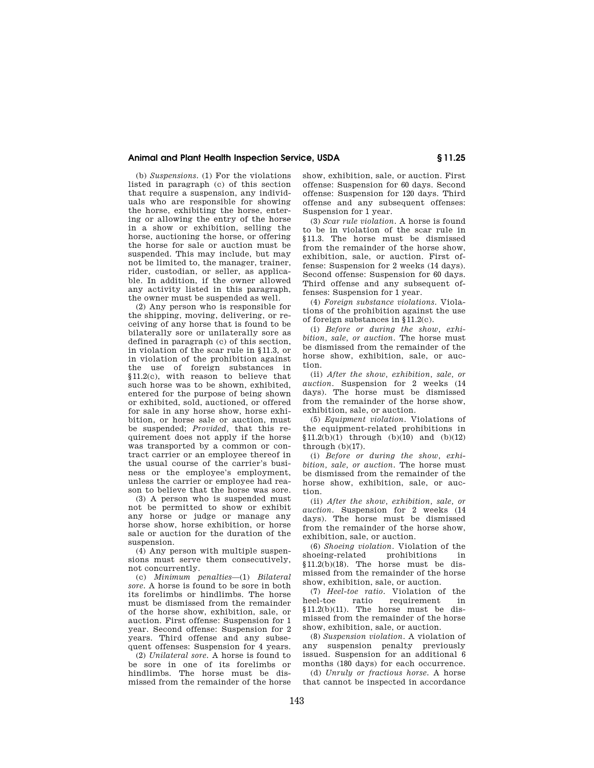(b) *Suspensions.* (1) For the violations listed in paragraph (c) of this section that require a suspension, any individuals who are responsible for showing the horse, exhibiting the horse, entering or allowing the entry of the horse in a show or exhibition, selling the horse, auctioning the horse, or offering the horse for sale or auction must be suspended. This may include, but may not be limited to, the manager, trainer, rider, custodian, or seller, as applicable. In addition, if the owner allowed any activity listed in this paragraph, the owner must be suspended as well.

(2) Any person who is responsible for the shipping, moving, delivering, or receiving of any horse that is found to be bilaterally sore or unilaterally sore as defined in paragraph (c) of this section, in violation of the scar rule in §11.3, or in violation of the prohibition against the use of foreign substances in §11.2(c), with reason to believe that such horse was to be shown, exhibited entered for the purpose of being shown or exhibited, sold, auctioned, or offered for sale in any horse show, horse exhibition, or horse sale or auction, must be suspended; *Provided,* that this requirement does not apply if the horse was transported by a common or contract carrier or an employee thereof in the usual course of the carrier's business or the employee's employment, unless the carrier or employee had reason to believe that the horse was sore.

(3) A person who is suspended must not be permitted to show or exhibit any horse or judge or manage any horse show, horse exhibition, or horse sale or auction for the duration of the suspension.

(4) Any person with multiple suspensions must serve them consecutively, not concurrently.

(c) *Minimum penalties*—(1) *Bilateral sore.* A horse is found to be sore in both its forelimbs or hindlimbs. The horse must be dismissed from the remainder of the horse show, exhibition, sale, or auction. First offense: Suspension for 1 year. Second offense: Suspension for 2 years. Third offense and any subsequent offenses: Suspension for 4 years.

(2) *Unilateral sore.* A horse is found to be sore in one of its forelimbs or hindlimbs. The horse must be dismissed from the remainder of the horse show, exhibition, sale, or auction. First offense: Suspension for 60 days. Second offense: Suspension for 120 days. Third offense and any subsequent offenses: Suspension for 1 year.

(3) *Scar rule violation.* A horse is found to be in violation of the scar rule in §11.3. The horse must be dismissed from the remainder of the horse show, exhibition, sale, or auction. First offense: Suspension for 2 weeks (14 days). Second offense: Suspension for 60 days. Third offense and any subsequent offenses: Suspension for 1 year.

(4) *Foreign substance violations.* Violations of the prohibition against the use of foreign substances in §11.2(c).

(i) *Before or during the show, exhibition, sale, or auction.* The horse must be dismissed from the remainder of the horse show, exhibition, sale, or auction.

(ii) *After the show, exhibition, sale, or auction.* Suspension for 2 weeks (14 days). The horse must be dismissed from the remainder of the horse show, exhibition, sale, or auction.

(5) *Equipment violation.* Violations of the equipment-related prohibitions in §11.2(b)(1) through (b)(10) and (b)(12) through (b)(17).

(i) *Before or during the show, exhibition, sale, or auction.* The horse must be dismissed from the remainder of the horse show, exhibition, sale, or auction.

(ii) *After the show, exhibition, sale, or auction.* Suspension for 2 weeks (14 days). The horse must be dismissed from the remainder of the horse show, exhibition, sale, or auction.

(6) *Shoeing violation.* Violation of the shoeing-related prohibitions in §11.2(b)(18). The horse must be dismissed from the remainder of the horse show, exhibition, sale, or auction.

(7) *Heel-toe ratio.* Violation of the heel-toe ratio requirement in §11.2(b)(11). The horse must be dismissed from the remainder of the horse show, exhibition, sale, or auction.

(8) *Suspension violation.* A violation of any suspension penalty previously issued. Suspension for an additional 6 months (180 days) for each occurrence.

(d) *Unruly or fractious horse.* A horse that cannot be inspected in accordance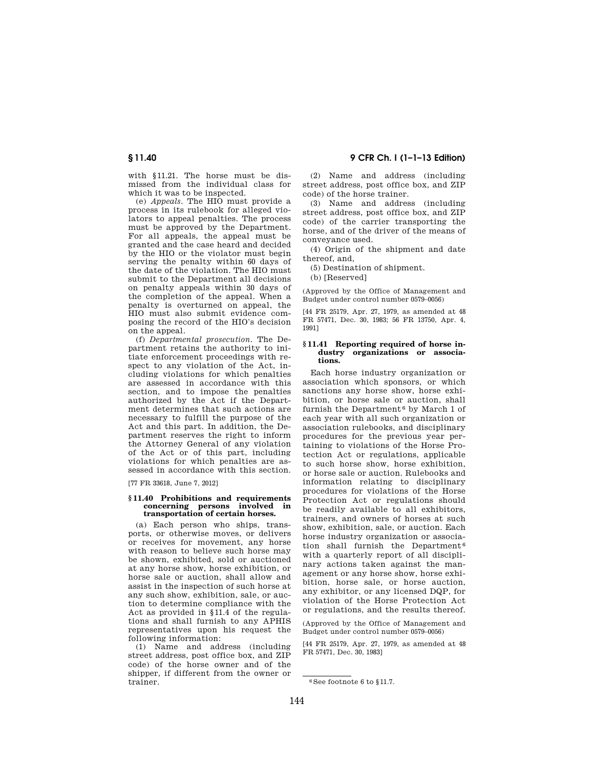with §11.21. The horse must be dismissed from the individual class for which it was to be inspected.

(e) *Appeals.* The HIO must provide a process in its rulebook for alleged violators to appeal penalties. The process must be approved by the Department. For all appeals, the appeal must be granted and the case heard and decided by the HIO or the violator must begin serving the penalty within 60 days of the date of the violation. The HIO must submit to the Department all decisions on penalty appeals within 30 days of the completion of the appeal. When a penalty is overturned on appeal, the HIO must also submit evidence composing the record of the HIO's decision on the appeal.

(f) *Departmental prosecution.* The Department retains the authority to initiate enforcement proceedings with respect to any violation of the Act, including violations for which penalties are assessed in accordance with this section, and to impose the penalties authorized by the Act if the Department determines that such actions are necessary to fulfill the purpose of the Act and this part. In addition, the Department reserves the right to inform the Attorney General of any violation of the Act or of this part, including violations for which penalties are assessed in accordance with this section.

[77 FR 33618, June 7, 2012]

#### **§ 11.40 Prohibitions and requirements concerning persons involved in transportation of certain horses.**

(a) Each person who ships, transports, or otherwise moves, or delivers or receives for movement, any horse with reason to believe such horse may be shown, exhibited, sold or auctioned at any horse show, horse exhibition, or horse sale or auction, shall allow and assist in the inspection of such horse at any such show, exhibition, sale, or auction to determine compliance with the Act as provided in §11.4 of the regulations and shall furnish to any APHIS representatives upon his request the following information:

(1) Name and address (including street address, post office box, and ZIP code) of the horse owner and of the shipper, if different from the owner or trainer.

(2) Name and address (including street address, post office box, and ZIP code) of the horse trainer.

(3) Name and address (including street address, post office box, and ZIP code) of the carrier transporting the horse, and of the driver of the means of conveyance used.

(4) Origin of the shipment and date thereof, and,

(5) Destination of shipment.

(b) [Reserved]

(Approved by the Office of Management and Budget under control number 0579–0056)

[44 FR 25179, Apr. 27, 1979, as amended at 48 FR 57471, Dec. 30, 1983; 56 FR 13750, Apr. 4, 1991]

#### **§ 11.41 Reporting required of horse in**organizations or associa**tions.**

Each horse industry organization or association which sponsors, or which sanctions any horse show, horse exhibition, or horse sale or auction, shall furnish the Department<sup>6</sup> by March 1 of each year with all such organization or association rulebooks, and disciplinary procedures for the previous year pertaining to violations of the Horse Protection Act or regulations, applicable to such horse show, horse exhibition, or horse sale or auction. Rulebooks and information relating to disciplinary procedures for violations of the Horse Protection Act or regulations should be readily available to all exhibitors, trainers, and owners of horses at such show, exhibition, sale, or auction. Each horse industry organization or association shall furnish the Department<sup>6</sup> with a quarterly report of all disciplinary actions taken against the management or any horse show, horse exhibition, horse sale, or horse auction, any exhibitor, or any licensed DQP, for violation of the Horse Protection Act or regulations, and the results thereof.

(Approved by the Office of Management and Budget under control number 0579–0056)

[44 FR 25179, Apr. 27, 1979, as amended at 48 FR 57471, Dec. 30, 1983]

<sup>6</sup> See footnote 6 to §11.7.